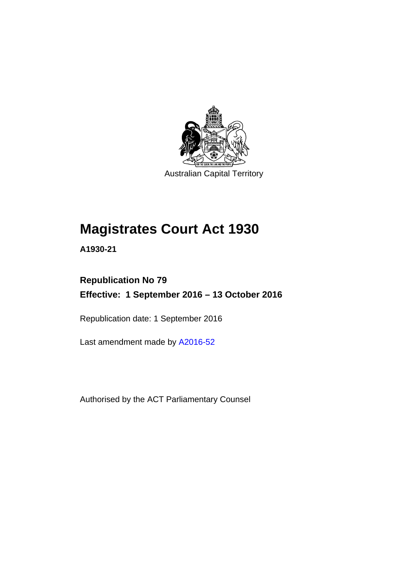

Australian Capital Territory

# **Magistrates Court Act 1930**

**A1930-21** 

### **Republication No 79 Effective: 1 September 2016 – 13 October 2016**

Republication date: 1 September 2016

Last amendment made by [A2016-52](http://www.legislation.act.gov.au/a/2016-52)

Authorised by the ACT Parliamentary Counsel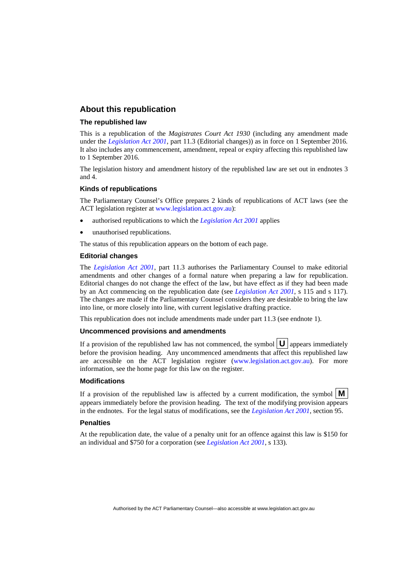#### **About this republication**

#### **The republished law**

This is a republication of the *Magistrates Court Act 1930* (including any amendment made under the *[Legislation Act 2001](http://www.legislation.act.gov.au/a/2001-14)*, part 11.3 (Editorial changes)) as in force on 1 September 2016*.*  It also includes any commencement, amendment, repeal or expiry affecting this republished law to 1 September 2016.

The legislation history and amendment history of the republished law are set out in endnotes 3 and 4.

#### **Kinds of republications**

The Parliamentary Counsel's Office prepares 2 kinds of republications of ACT laws (see the ACT legislation register at [www.legislation.act.gov.au](http://www.legislation.act.gov.au/)):

- authorised republications to which the *[Legislation Act 2001](http://www.legislation.act.gov.au/a/2001-14)* applies
- unauthorised republications.

The status of this republication appears on the bottom of each page.

#### **Editorial changes**

The *[Legislation Act 2001](http://www.legislation.act.gov.au/a/2001-14)*, part 11.3 authorises the Parliamentary Counsel to make editorial amendments and other changes of a formal nature when preparing a law for republication. Editorial changes do not change the effect of the law, but have effect as if they had been made by an Act commencing on the republication date (see *[Legislation Act 2001](http://www.legislation.act.gov.au/a/2001-14)*, s 115 and s 117). The changes are made if the Parliamentary Counsel considers they are desirable to bring the law into line, or more closely into line, with current legislative drafting practice.

This republication does not include amendments made under part 11.3 (see endnote 1).

#### **Uncommenced provisions and amendments**

If a provision of the republished law has not commenced, the symbol  $\mathbf{U}$  appears immediately before the provision heading. Any uncommenced amendments that affect this republished law are accessible on the ACT legislation register [\(www.legislation.act.gov.au\)](http://www.legislation.act.gov.au/). For more information, see the home page for this law on the register.

#### **Modifications**

If a provision of the republished law is affected by a current modification, the symbol  $\mathbf{M}$ appears immediately before the provision heading. The text of the modifying provision appears in the endnotes. For the legal status of modifications, see the *[Legislation Act 2001](http://www.legislation.act.gov.au/a/2001-14)*, section 95.

#### **Penalties**

At the republication date, the value of a penalty unit for an offence against this law is \$150 for an individual and \$750 for a corporation (see *[Legislation Act 2001](http://www.legislation.act.gov.au/a/2001-14)*, s 133).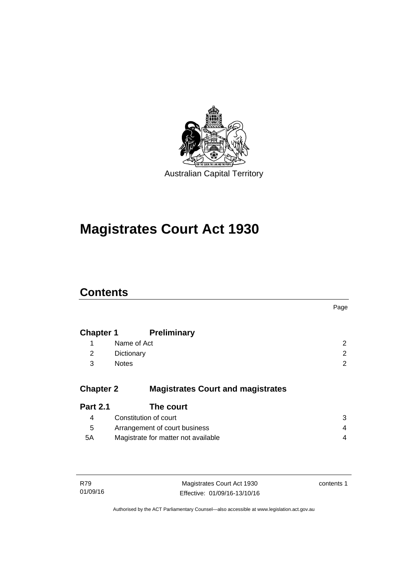

# **Magistrates Court Act 1930**

### **Contents**

|                  |                                          | Page           |
|------------------|------------------------------------------|----------------|
| <b>Chapter 1</b> | <b>Preliminary</b>                       |                |
| 1                | Name of Act                              | 2              |
| 2                | Dictionary                               | 2              |
| 3                | <b>Notes</b>                             | $\overline{2}$ |
| <b>Chapter 2</b> | <b>Magistrates Court and magistrates</b> |                |
| <b>Part 2.1</b>  | The court                                |                |
| 4                | Constitution of court                    | 3              |
| 5                | Arrangement of court business            | 4              |
| 5A               | Magistrate for matter not available      | 4              |
|                  |                                          |                |
|                  |                                          |                |

| R79      | Magistrates Court Act 1930   | contents 1 |
|----------|------------------------------|------------|
| 01/09/16 | Effective: 01/09/16-13/10/16 |            |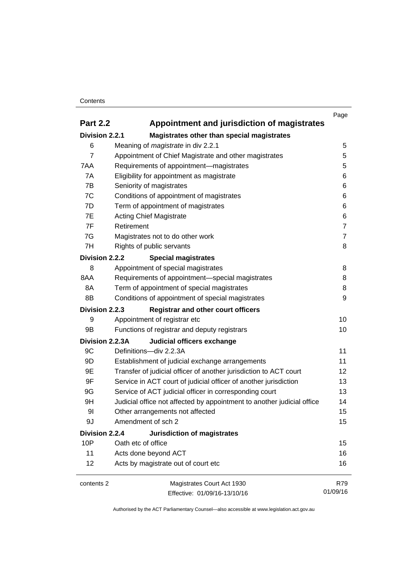#### **Contents**

|                 |                                                                        | Page           |
|-----------------|------------------------------------------------------------------------|----------------|
| <b>Part 2.2</b> | Appointment and jurisdiction of magistrates                            |                |
| Division 2.2.1  | Magistrates other than special magistrates                             |                |
| 6               | Meaning of <i>magistrate</i> in div 2.2.1                              | 5              |
| 7               | Appointment of Chief Magistrate and other magistrates                  | 5              |
| 7AA             | Requirements of appointment-magistrates                                | 5              |
| 7A              | Eligibility for appointment as magistrate                              | 6              |
| 7B              | Seniority of magistrates                                               | 6              |
| 7C              | Conditions of appointment of magistrates                               | 6              |
| 7D              | Term of appointment of magistrates                                     | 6              |
| 7E              | <b>Acting Chief Magistrate</b>                                         | 6              |
| 7F              | Retirement                                                             | $\overline{7}$ |
| 7G              | Magistrates not to do other work                                       | $\overline{7}$ |
| 7H              | Rights of public servants                                              | 8              |
| Division 2.2.2  | <b>Special magistrates</b>                                             |                |
| 8               | Appointment of special magistrates                                     | 8              |
| 8AA             | Requirements of appointment-special magistrates                        | 8              |
| 8A              | Term of appointment of special magistrates                             | 8              |
| 8B              | Conditions of appointment of special magistrates                       | 9              |
| Division 2.2.3  | <b>Registrar and other court officers</b>                              |                |
| 9               | Appointment of registrar etc                                           | 10             |
| 9B              | Functions of registrar and deputy registrars                           | 10             |
| Division 2.2.3A | Judicial officers exchange                                             |                |
| 9C              | Definitions-div 2.2.3A                                                 | 11             |
| 9D              | Establishment of judicial exchange arrangements                        | 11             |
| 9E              | Transfer of judicial officer of another jurisdiction to ACT court      | 12             |
| 9F              | Service in ACT court of judicial officer of another jurisdiction       | 13             |
| 9G              | Service of ACT judicial officer in corresponding court                 | 13             |
| 9H              | Judicial office not affected by appointment to another judicial office | 14             |
| 91              | Other arrangements not affected                                        | 15             |
| 9J              | Amendment of sch 2                                                     | 15             |
| Division 2.2.4  | Jurisdiction of magistrates                                            |                |
| 10P             | Oath etc of office                                                     | 15             |
| 11              | Acts done beyond ACT                                                   | 16             |
| 12              | Acts by magistrate out of court etc                                    | 16             |
| contents 2      | Magistrates Court Act 1930                                             | R79            |
|                 | Effective: 01/09/16-13/10/16                                           | 01/09/16       |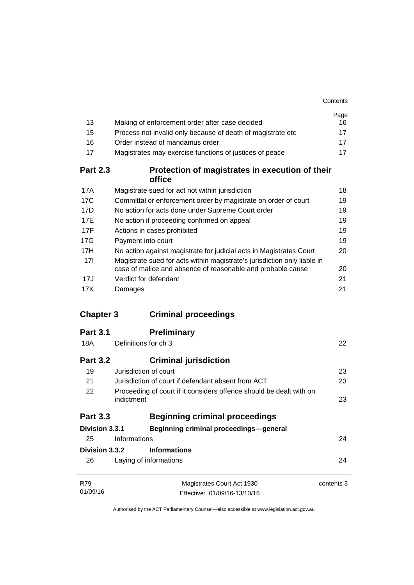|                  |                                                                                                                                         | Contents   |
|------------------|-----------------------------------------------------------------------------------------------------------------------------------------|------------|
|                  |                                                                                                                                         | Page       |
| 13               | Making of enforcement order after case decided                                                                                          | 16         |
| 15               | Process not invalid only because of death of magistrate etc                                                                             | 17         |
| 16               | Order instead of mandamus order                                                                                                         | 17         |
| 17               | Magistrates may exercise functions of justices of peace                                                                                 | 17         |
| <b>Part 2.3</b>  | Protection of magistrates in execution of their<br>office                                                                               |            |
| 17A              | Magistrate sued for act not within jurisdiction                                                                                         | 18         |
| 17C              | Committal or enforcement order by magistrate on order of court                                                                          | 19         |
| 17D              | No action for acts done under Supreme Court order                                                                                       | 19         |
| 17E              | No action if proceeding confirmed on appeal                                                                                             | 19         |
| 17F              | Actions in cases prohibited                                                                                                             | 19         |
| 17G              | Payment into court                                                                                                                      | 19         |
| 17H              | No action against magistrate for judicial acts in Magistrates Court                                                                     | 20         |
| 17 <sup>1</sup>  | Magistrate sued for acts within magistrate's jurisdiction only liable in<br>case of malice and absence of reasonable and probable cause | 20         |
| 17J              | Verdict for defendant                                                                                                                   | 21         |
| 17K              | Damages                                                                                                                                 | 21         |
| <b>Chapter 3</b> | <b>Criminal proceedings</b>                                                                                                             |            |
| <b>Part 3.1</b>  | <b>Preliminary</b>                                                                                                                      |            |
| 18A              | Definitions for ch 3                                                                                                                    | 22         |
| <b>Part 3.2</b>  | <b>Criminal jurisdiction</b>                                                                                                            |            |
| 19               | Jurisdiction of court                                                                                                                   | 23         |
| 21               | Jurisdiction of court if defendant absent from ACT                                                                                      | 23         |
| 22               | Proceeding of court if it considers offence should be dealt with on<br>indictment                                                       | 23         |
| <b>Part 3.3</b>  | <b>Beginning criminal proceedings</b>                                                                                                   |            |
| Division 3.3.1   | Beginning criminal proceedings-general                                                                                                  |            |
| 25               | Informations                                                                                                                            | 24         |
| Division 3.3.2   | <b>Informations</b>                                                                                                                     |            |
| 26               | Laying of informations                                                                                                                  | 24         |
|                  |                                                                                                                                         |            |
| R79              | Magistrates Court Act 1930                                                                                                              | contents 3 |
| 01/09/16         | Effective: 01/09/16-13/10/16                                                                                                            |            |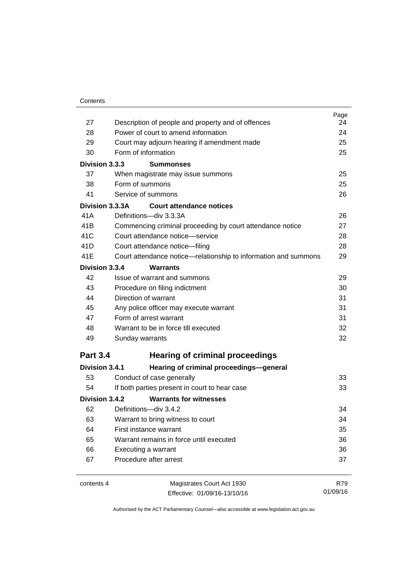|                 |                                                                 | Page |
|-----------------|-----------------------------------------------------------------|------|
| 27              | Description of people and property and of offences              | 24   |
| 28              | Power of court to amend information                             | 24   |
| 29              | Court may adjourn hearing if amendment made                     | 25   |
| 30              | Form of information                                             | 25   |
| Division 3.3.3  | <b>Summonses</b>                                                |      |
| 37              | When magistrate may issue summons                               | 25   |
| 38              | Form of summons                                                 | 25   |
| 41              | Service of summons                                              | 26   |
| Division 3.3.3A | <b>Court attendance notices</b>                                 |      |
| 41A             | Definitions-div 3.3.3A                                          | 26   |
| 41 <sub>B</sub> | Commencing criminal proceeding by court attendance notice       | 27   |
| 41C             | Court attendance notice-service                                 | 28   |
| 41D             | Court attendance notice-filing                                  | 28   |
| 41E             | Court attendance notice-relationship to information and summons | 29   |
| Division 3.3.4  | <b>Warrants</b>                                                 |      |
| 42              | Issue of warrant and summons                                    | 29   |
| 43              | Procedure on filing indictment                                  | 30   |
| 44              | Direction of warrant                                            | 31   |
| 45              | Any police officer may execute warrant                          | 31   |
| 47              | Form of arrest warrant                                          | 31   |
| 48              | Warrant to be in force till executed                            | 32   |
| 49              | Sunday warrants                                                 | 32   |
| <b>Part 3.4</b> | <b>Hearing of criminal proceedings</b>                          |      |
| Division 3.4.1  | Hearing of criminal proceedings-general                         |      |
| 53              | Conduct of case generally                                       | 33   |
| 54              | If both parties present in court to hear case                   | 33   |
| Division 3.4.2  | <b>Warrants for witnesses</b>                                   |      |
| 62              | Definitions-div 3.4.2                                           | 34   |
| 63              | Warrant to bring witness to court                               | 34   |
| 64              | First instance warrant                                          | 35   |
| 65              | Warrant remains in force until executed                         | 36   |
| 66              | Executing a warrant                                             | 36   |
| 67              | Procedure after arrest                                          | 37   |
| contents 4      | Magistrates Court Act 1930                                      | R79  |

Effective: 01/09/16-13/10/16

01/09/16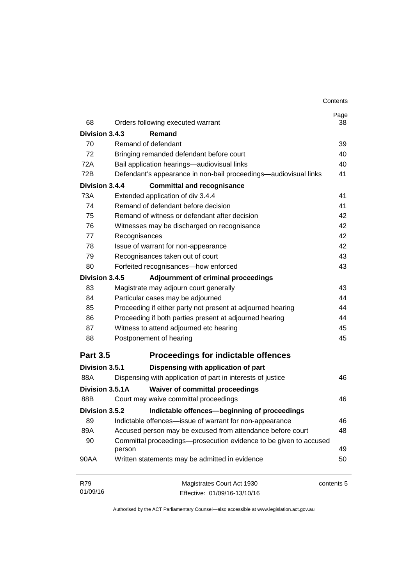| 68                                                 | Orders following executed warrant                                           | Page<br>38 |
|----------------------------------------------------|-----------------------------------------------------------------------------|------------|
| Division 3.4.3                                     | Remand                                                                      |            |
| 70                                                 | Remand of defendant                                                         | 39         |
| 72                                                 | Bringing remanded defendant before court                                    | 40         |
| 72A<br>Bail application hearings-audiovisual links | 40                                                                          |            |
| 72B                                                | Defendant's appearance in non-bail proceedings—audiovisual links            | 41         |
| Division 3.4.4                                     | <b>Committal and recognisance</b>                                           |            |
| 73A                                                | Extended application of div 3.4.4                                           | 41         |
| 74                                                 | Remand of defendant before decision                                         | 41         |
| 75                                                 | Remand of witness or defendant after decision                               | 42         |
| 76                                                 | Witnesses may be discharged on recognisance                                 | 42         |
| 77                                                 | Recognisances                                                               | 42         |
| 78                                                 | Issue of warrant for non-appearance                                         | 42         |
| 79                                                 | Recognisances taken out of court                                            | 43         |
| 80                                                 | Forfeited recognisances-how enforced                                        | 43         |
| Division 3.4.5                                     | Adjournment of criminal proceedings                                         |            |
| 83                                                 | Magistrate may adjourn court generally                                      | 43         |
| 84<br>85<br>86                                     | Particular cases may be adjourned                                           | 44         |
|                                                    | Proceeding if either party not present at adjourned hearing                 | 44         |
|                                                    | Proceeding if both parties present at adjourned hearing                     | 44         |
| 87                                                 | Witness to attend adjourned etc hearing                                     | 45         |
| 88                                                 | Postponement of hearing                                                     | 45         |
| <b>Part 3.5</b>                                    | <b>Proceedings for indictable offences</b>                                  |            |
| Division 3.5.1                                     | Dispensing with application of part                                         |            |
| 88A                                                | Dispensing with application of part in interests of justice                 | 46         |
| Division 3.5.1A                                    | <b>Waiver of committal proceedings</b>                                      |            |
| 88B                                                | Court may waive committal proceedings                                       | 46         |
| Division 3.5.2                                     | Indictable offences-beginning of proceedings                                |            |
| 89                                                 | Indictable offences-issue of warrant for non-appearance                     | 46         |
| 89A                                                | Accused person may be excused from attendance before court                  | 48         |
| 90                                                 | Committal proceedings-prosecution evidence to be given to accused<br>person | 49         |
| 90AA                                               | Written statements may be admitted in evidence                              | 50         |
| R79                                                | Magistrates Court Act 1930                                                  | contents 5 |
| 01/09/16                                           | Effective: 01/09/16-13/10/16                                                |            |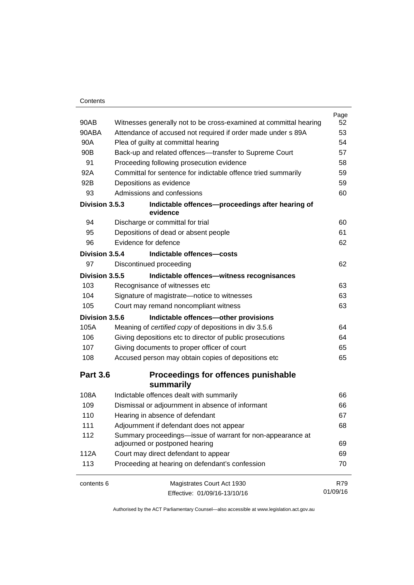#### **Contents**

|                 |                                                                                              | Page     |
|-----------------|----------------------------------------------------------------------------------------------|----------|
| 90AB            | Witnesses generally not to be cross-examined at committal hearing                            | 52       |
| 90ABA           | Attendance of accused not required if order made under s 89A                                 | 53       |
| 90A             | Plea of guilty at committal hearing                                                          | 54       |
| 90B             | Back-up and related offences---transfer to Supreme Court                                     | 57       |
| 91              | Proceeding following prosecution evidence                                                    | 58       |
| 92A             | Committal for sentence for indictable offence tried summarily                                | 59       |
| 92B             | Depositions as evidence                                                                      | 59       |
| 93              | Admissions and confessions                                                                   | 60       |
| Division 3.5.3  | Indictable offences-proceedings after hearing of<br>evidence                                 |          |
| 94              | Discharge or committal for trial                                                             | 60       |
| 95              | Depositions of dead or absent people                                                         | 61       |
| 96              | Evidence for defence                                                                         | 62       |
| Division 3.5.4  | Indictable offences-costs                                                                    |          |
| 97              | Discontinued proceeding                                                                      | 62       |
| Division 3.5.5  | Indictable offences-witness recognisances                                                    |          |
| 103             | Recognisance of witnesses etc                                                                | 63       |
| 104             | Signature of magistrate-notice to witnesses                                                  | 63       |
| 105             | Court may remand noncompliant witness                                                        | 63       |
| Division 3.5.6  | Indictable offences-other provisions                                                         |          |
| 105A            | Meaning of certified copy of depositions in div 3.5.6                                        | 64       |
| 106             | Giving depositions etc to director of public prosecutions                                    | 64       |
| 107             | Giving documents to proper officer of court                                                  | 65       |
| 108             | Accused person may obtain copies of depositions etc                                          | 65       |
| <b>Part 3.6</b> | Proceedings for offences punishable<br>summarily                                             |          |
| 108A            | Indictable offences dealt with summarily                                                     | 66       |
| 109             | Dismissal or adjournment in absence of informant                                             | 66       |
| 110             | Hearing in absence of defendant                                                              | 67       |
| 111             | Adjournment if defendant does not appear                                                     | 68       |
| 112             | Summary proceedings—issue of warrant for non-appearance at<br>adjourned or postponed hearing | 69       |
| 112A            | Court may direct defendant to appear                                                         | 69       |
| 113             | Proceeding at hearing on defendant's confession                                              | 70       |
| contents 6      | Magistrates Court Act 1930                                                                   | R79      |
|                 | Effective: 01/09/16-13/10/16                                                                 | 01/09/16 |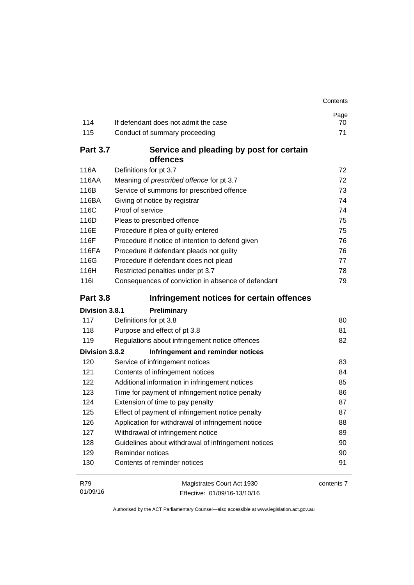|                 |                                                      | Contents   |
|-----------------|------------------------------------------------------|------------|
|                 | If defendant does not admit the case                 | Page       |
| 114<br>115      |                                                      | 70<br>71   |
|                 | Conduct of summary proceeding                        |            |
| <b>Part 3.7</b> | Service and pleading by post for certain<br>offences |            |
| 116A            | Definitions for pt 3.7                               | 72         |
| 116AA           | Meaning of prescribed offence for pt 3.7             | 72         |
| 116B            | Service of summons for prescribed offence            | 73         |
| 116BA           | Giving of notice by registrar                        | 74         |
| 116C            | Proof of service                                     | 74         |
| 116D            | Pleas to prescribed offence                          | 75         |
| 116E            | Procedure if plea of guilty entered                  | 75         |
| 116F            | Procedure if notice of intention to defend given     | 76         |
| 116FA           | Procedure if defendant pleads not guilty             | 76         |
| 116G            | Procedure if defendant does not plead                | 77         |
| 116H            | Restricted penalties under pt 3.7                    | 78         |
| <b>116l</b>     | Consequences of conviction in absence of defendant   | 79         |
| <b>Part 3.8</b> | Infringement notices for certain offences            |            |
| Division 3.8.1  | Preliminary                                          |            |
| 117             | Definitions for pt 3.8                               | 80         |
| 118             | Purpose and effect of pt 3.8                         | 81         |
| 119             | Regulations about infringement notice offences       | 82         |
| Division 3.8.2  | Infringement and reminder notices                    |            |
| 120             | Service of infringement notices                      | 83         |
| 121             | Contents of infringement notices                     | 84         |
| 122             | Additional information in infringement notices       | 85         |
| 123             | Time for payment of infringement notice penalty      | 86         |
| 124             | Extension of time to pay penalty                     | 87         |
| 125             | Effect of payment of infringement notice penalty     | 87         |
| 126             | Application for withdrawal of infringement notice    | 88         |
| 127             | Withdrawal of infringement notice                    | 89         |
| 128             | Guidelines about withdrawal of infringement notices  | 90         |
| 129             | Reminder notices                                     | 90         |
| 130             | Contents of reminder notices                         | 91         |
| R79             | Magistrates Court Act 1930                           | contents 7 |
| 01/09/16        | Effective: 01/09/16-13/10/16                         |            |

Effective: 01/09/16-13/10/16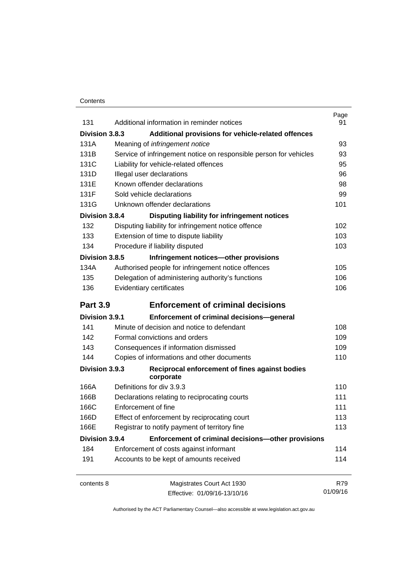#### **Contents**

| 131             | Additional information in reminder notices                        | Page<br>91 |
|-----------------|-------------------------------------------------------------------|------------|
| Division 3.8.3  | Additional provisions for vehicle-related offences                |            |
| 131A            | Meaning of <i>infringement notice</i>                             | 93         |
| 131B            | Service of infringement notice on responsible person for vehicles | 93         |
| 131C            | Liability for vehicle-related offences                            | 95         |
| 131D            | Illegal user declarations                                         | 96         |
| 131E            | Known offender declarations                                       | 98         |
| 131F            | Sold vehicle declarations                                         | 99         |
| 131G            | Unknown offender declarations                                     | 101        |
| Division 3.8.4  | Disputing liability for infringement notices                      |            |
| 132             | Disputing liability for infringement notice offence               | 102        |
| 133             | Extension of time to dispute liability                            | 103        |
| 134             | Procedure if liability disputed                                   | 103        |
| Division 3.8.5  | Infringement notices-other provisions                             |            |
| 134A            | Authorised people for infringement notice offences                | 105        |
| 135             | Delegation of administering authority's functions                 | 106        |
| 136             | Evidentiary certificates                                          | 106        |
|                 |                                                                   |            |
| <b>Part 3.9</b> | <b>Enforcement of criminal decisions</b>                          |            |
| Division 3.9.1  | Enforcement of criminal decisions-general                         |            |
| 141             | Minute of decision and notice to defendant                        | 108        |
| 142             | Formal convictions and orders                                     | 109        |
| 143             | Consequences if information dismissed                             | 109        |
| 144             | Copies of informations and other documents                        | 110        |
| Division 3.9.3  | Reciprocal enforcement of fines against bodies<br>corporate       |            |
| 166A            | Definitions for div 3.9.3                                         | 110        |
| 166B            | Declarations relating to reciprocating courts                     | 111        |
| 166C            | Enforcement of fine                                               | 111        |
| 166D            | Effect of enforcement by reciprocating court                      | 113        |
| 166E            | Registrar to notify payment of territory fine                     | 113        |
| Division 3.9.4  | Enforcement of criminal decisions-other provisions                |            |
| 184             | Enforcement of costs against informant                            | 114        |
| 191             | Accounts to be kept of amounts received                           | 114        |
| contents 8      | Magistrates Court Act 1930                                        | R79        |
|                 | Effective: 01/09/16-13/10/16                                      | 01/09/16   |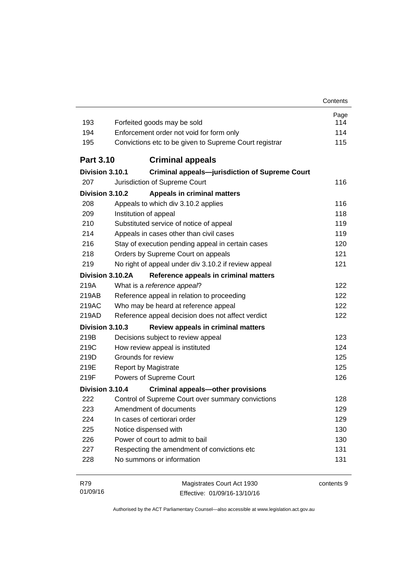| 193              | Forfeited goods may be sold                            | Page<br>114 |  |
|------------------|--------------------------------------------------------|-------------|--|
| 194              | Enforcement order not void for form only               |             |  |
| 195              | Convictions etc to be given to Supreme Court registrar | 114<br>115  |  |
|                  |                                                        |             |  |
| <b>Part 3.10</b> | <b>Criminal appeals</b>                                |             |  |
| Division 3.10.1  | <b>Criminal appeals-jurisdiction of Supreme Court</b>  |             |  |
| 207              | Jurisdiction of Supreme Court                          | 116         |  |
| Division 3.10.2  | <b>Appeals in criminal matters</b>                     |             |  |
| 208              | Appeals to which div 3.10.2 applies                    | 116         |  |
| 209              | Institution of appeal                                  |             |  |
| 210              | Substituted service of notice of appeal                | 119         |  |
| 214              | Appeals in cases other than civil cases                | 119         |  |
| 216              | Stay of execution pending appeal in certain cases      | 120         |  |
| 218              | Orders by Supreme Court on appeals                     | 121         |  |
| 219              | No right of appeal under div 3.10.2 if review appeal   | 121         |  |
| Division 3.10.2A | Reference appeals in criminal matters                  |             |  |
| 219A             | What is a reference appeal?                            | 122         |  |
| 219AB            | Reference appeal in relation to proceeding             | 122         |  |
| 219AC            | Who may be heard at reference appeal                   | 122         |  |
| 219AD            | Reference appeal decision does not affect verdict      | 122         |  |
| Division 3.10.3  | Review appeals in criminal matters                     |             |  |
| 219B             | Decisions subject to review appeal                     | 123         |  |
| 219C             | How review appeal is instituted                        | 124         |  |
| 219D             | Grounds for review                                     | 125         |  |
| 219E             | <b>Report by Magistrate</b>                            | 125         |  |
| 219F             | Powers of Supreme Court                                | 126         |  |
| Division 3.10.4  | <b>Criminal appeals-other provisions</b>               |             |  |
| 222              | Control of Supreme Court over summary convictions      | 128         |  |
| 223              | Amendment of documents                                 | 129         |  |
| 224              | In cases of certiorari order                           | 129         |  |
| 225              | Notice dispensed with                                  | 130         |  |
| 226              | Power of court to admit to bail                        | 130         |  |
| 227              | Respecting the amendment of convictions etc            | 131         |  |
| 228              | No summons or information                              | 131         |  |
| R79              | Magistrates Court Act 1930                             | contents 9  |  |
| 01/09/16         | Effective: 01/09/16-13/10/16                           |             |  |

Effective: 01/09/16-13/10/16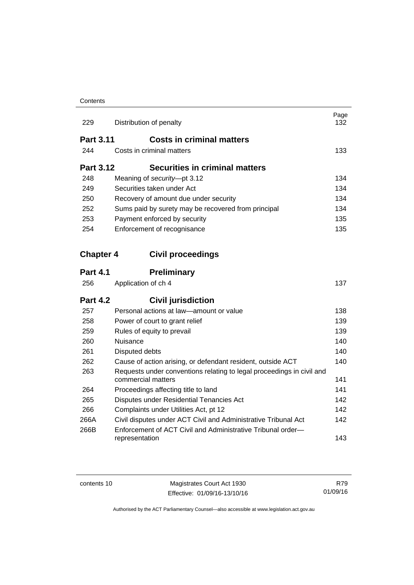#### **Contents**

| 229              | Distribution of penalty                                                                     | Page<br>132 |
|------------------|---------------------------------------------------------------------------------------------|-------------|
| <b>Part 3.11</b> | <b>Costs in criminal matters</b>                                                            |             |
| 244              | Costs in criminal matters                                                                   | 133         |
| <b>Part 3.12</b> | Securities in criminal matters                                                              |             |
| 248              | Meaning of security-pt 3.12                                                                 | 134         |
| 249              | Securities taken under Act                                                                  | 134         |
| 250              | Recovery of amount due under security                                                       | 134         |
| 252              | Sums paid by surety may be recovered from principal                                         | 134         |
| 253              | Payment enforced by security                                                                | 135         |
| 254              | Enforcement of recognisance                                                                 | 135         |
| <b>Chapter 4</b> | <b>Civil proceedings</b>                                                                    |             |
| <b>Part 4.1</b>  | <b>Preliminary</b>                                                                          |             |
| 256              | Application of ch 4                                                                         | 137         |
| <b>Part 4.2</b>  | <b>Civil jurisdiction</b>                                                                   |             |
| 257              | Personal actions at law-amount or value                                                     | 138         |
| 258              | Power of court to grant relief                                                              | 139         |
| 259              | Rules of equity to prevail                                                                  | 139         |
| 260              | Nuisance                                                                                    | 140         |
| 261              | Disputed debts                                                                              | 140         |
| 262              | Cause of action arising, or defendant resident, outside ACT                                 | 140         |
| 263              | Requests under conventions relating to legal proceedings in civil and<br>commercial matters | 141         |
| 264              | Proceedings affecting title to land                                                         | 141         |
| 265              | Disputes under Residential Tenancies Act                                                    | 142         |
| 266              | Complaints under Utilities Act, pt 12                                                       | 142         |
| 266A             | Civil disputes under ACT Civil and Administrative Tribunal Act                              | 142         |
| 266B             | Enforcement of ACT Civil and Administrative Tribunal order-<br>representation               | 143         |

contents 10 Magistrates Court Act 1930 Effective: 01/09/16-13/10/16

R79 01/09/16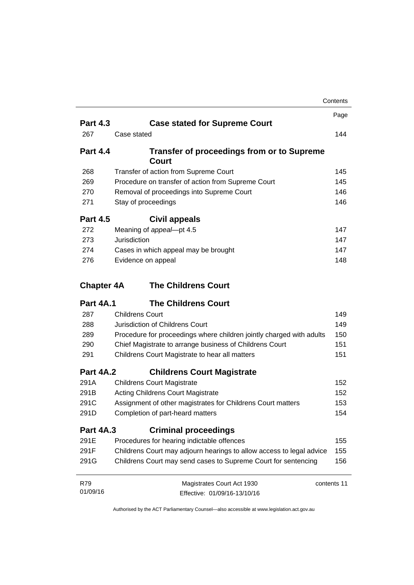|                   |                                                                      | Contents |
|-------------------|----------------------------------------------------------------------|----------|
|                   |                                                                      | Page     |
| <b>Part 4.3</b>   | <b>Case stated for Supreme Court</b>                                 |          |
| 267               | Case stated                                                          | 144      |
| <b>Part 4.4</b>   | <b>Transfer of proceedings from or to Supreme</b><br><b>Court</b>    |          |
| 268               | Transfer of action from Supreme Court                                | 145      |
| 269               | Procedure on transfer of action from Supreme Court                   | 145      |
| 270               | Removal of proceedings into Supreme Court                            | 146      |
| 271               | Stay of proceedings                                                  | 146      |
| <b>Part 4.5</b>   | Civil appeals                                                        |          |
| 272               | Meaning of appeal-pt 4.5                                             | 147      |
| 273               | Jurisdiction                                                         | 147      |
| 274               | Cases in which appeal may be brought                                 | 147      |
| 276               | Evidence on appeal                                                   | 148      |
| <b>Chapter 4A</b> | <b>The Childrens Court</b>                                           |          |
| <b>Part 4A.1</b>  | <b>The Childrens Court</b>                                           |          |
| 287               | <b>Childrens Court</b>                                               | 149      |
| 288               | Jurisdiction of Childrens Court                                      | 149      |
| 289               | Procedure for proceedings where children jointly charged with adults | 150      |
| 290               | Chief Magistrate to arrange business of Childrens Court              | 151      |
| 291               | Childrens Court Magistrate to hear all matters                       | 151      |
| <b>Part 4A.2</b>  | <b>Childrens Court Magistrate</b>                                    |          |
| 291A              | <b>Childrens Court Magistrate</b>                                    | 152      |
| 291B              | <b>Acting Childrens Court Magistrate</b>                             | 152      |
| 291C              | Assignment of other magistrates for Childrens Court matters<br>153   |          |
| 291D              | Completion of part-heard matters                                     | 154      |
| <b>Part 4A.3</b>  | <b>Criminal proceedings</b>                                          |          |
| 291E              | Procedures for hearing indictable offences                           | 155      |
| 291F              | Childrens Court may adjourn hearings to allow access to legal advice | 155      |
| 291G              | Childrens Court may send cases to Supreme Court for sentencing       | 156      |
|                   |                                                                      |          |
| R79<br>01/09/16   | Magistrates Court Act 1930<br>contents 11                            |          |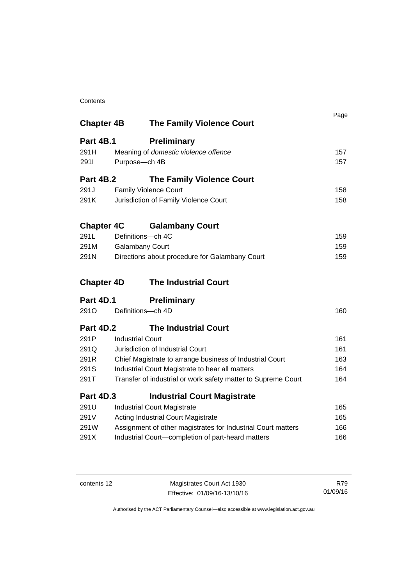#### **Contents**

| <b>Chapter 4B</b> | <b>The Family Violence Court</b>                              | Page |
|-------------------|---------------------------------------------------------------|------|
| Part 4B.1         | <b>Preliminary</b>                                            |      |
| 291H              | Meaning of domestic violence offence                          | 157  |
| 2911              | Purpose-ch 4B                                                 | 157  |
| <b>Part 4B.2</b>  | <b>The Family Violence Court</b>                              |      |
| 291.J             | <b>Family Violence Court</b>                                  | 158  |
| 291K              | Jurisdiction of Family Violence Court                         | 158  |
| <b>Chapter 4C</b> | <b>Galambany Court</b>                                        |      |
| 291L              | Definitions-ch 4C                                             | 159  |
| 291M              | <b>Galambany Court</b>                                        | 159  |
| 291N              | Directions about procedure for Galambany Court                | 159  |
| <b>Chapter 4D</b> | <b>The Industrial Court</b>                                   |      |
| <b>Part 4D.1</b>  | <b>Preliminary</b>                                            |      |
| 291O              | Definitions-ch 4D                                             | 160  |
| <b>Part 4D.2</b>  | <b>The Industrial Court</b>                                   |      |
| 291P              | <b>Industrial Court</b>                                       | 161  |
| 291Q              | Jurisdiction of Industrial Court                              | 161  |
| 291R              | Chief Magistrate to arrange business of Industrial Court      | 163  |
| 291S              | Industrial Court Magistrate to hear all matters               | 164  |
| 291T              | Transfer of industrial or work safety matter to Supreme Court | 164  |
| <b>Part 4D.3</b>  | <b>Industrial Court Magistrate</b>                            |      |
| 291U              | <b>Industrial Court Magistrate</b>                            | 165  |
| 291V              | <b>Acting Industrial Court Magistrate</b>                     | 165  |
| 291W              | Assignment of other magistrates for Industrial Court matters  | 166  |
| 291X              | Industrial Court-completion of part-heard matters             | 166  |

contents 12 Magistrates Court Act 1930 Effective: 01/09/16-13/10/16

R79 01/09/16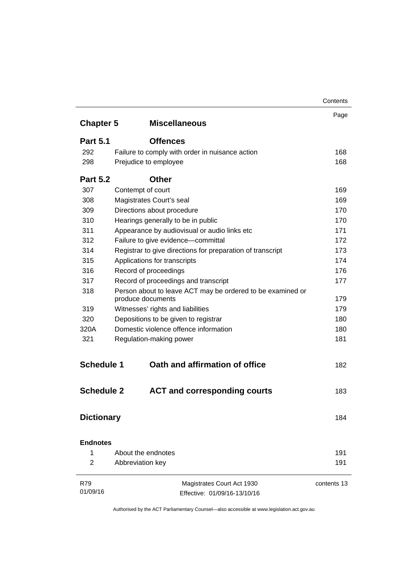|                   |                                                            | Contents    |
|-------------------|------------------------------------------------------------|-------------|
|                   |                                                            | Page        |
| <b>Chapter 5</b>  | <b>Miscellaneous</b>                                       |             |
| <b>Part 5.1</b>   | <b>Offences</b>                                            |             |
| 292               | Failure to comply with order in nuisance action            | 168         |
| 298               | Prejudice to employee                                      | 168         |
| <b>Part 5.2</b>   | <b>Other</b>                                               |             |
| 307               | Contempt of court                                          | 169         |
| 308               | Magistrates Court's seal                                   | 169         |
| 309               | Directions about procedure                                 | 170         |
| 310               | Hearings generally to be in public                         | 170         |
| 311               | Appearance by audiovisual or audio links etc               | 171         |
| 312               | Failure to give evidence-committal                         | 172         |
| 314               | Registrar to give directions for preparation of transcript | 173         |
| 315               | Applications for transcripts                               | 174         |
| 316               | Record of proceedings                                      | 176         |
| 317               | Record of proceedings and transcript                       | 177         |
| 318               | Person about to leave ACT may be ordered to be examined or |             |
|                   | produce documents                                          | 179         |
| 319               | Witnesses' rights and liabilities                          | 179         |
| 320               | Depositions to be given to registrar                       | 180         |
| 320A              | Domestic violence offence information                      | 180         |
| 321               | Regulation-making power                                    | 181         |
| <b>Schedule 1</b> | Oath and affirmation of office                             | 182         |
| <b>Schedule 2</b> | <b>ACT and corresponding courts</b>                        | 183         |
| <b>Dictionary</b> |                                                            | 184         |
| <b>Endnotes</b>   |                                                            |             |
| 1                 | About the endnotes                                         | 191         |
| 2                 | Abbreviation key                                           | 191         |
| R79               | Magistrates Court Act 1930                                 | contents 13 |
| 01/09/16          | Effective: 01/09/16-13/10/16                               |             |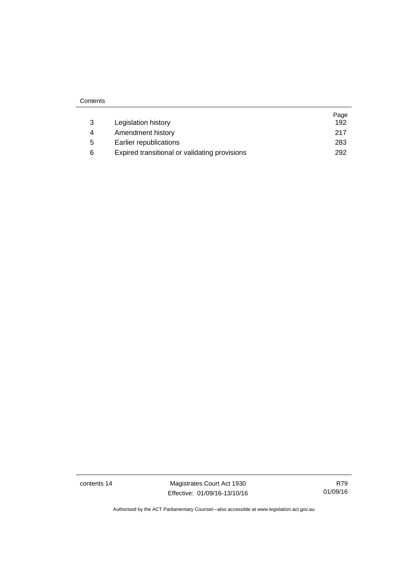|   |                                               | Page |
|---|-----------------------------------------------|------|
| 3 | Legislation history                           | 192  |
| 4 | Amendment history                             | 217  |
| 5 | Earlier republications                        | 283  |
| 6 | Expired transitional or validating provisions | 292  |

**Contents** 

i.

contents 14 Magistrates Court Act 1930 Effective: 01/09/16-13/10/16

R79 01/09/16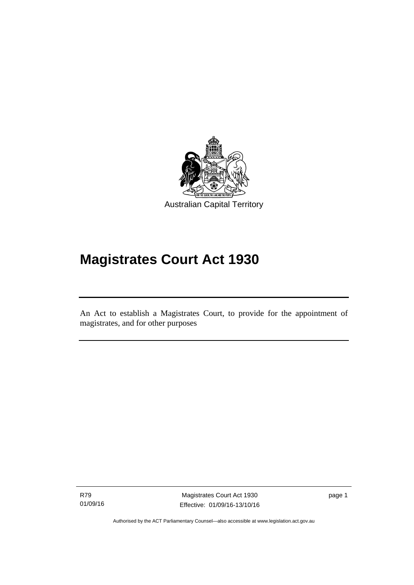

# **Magistrates Court Act 1930**

An Act to establish a Magistrates Court, to provide for the appointment of magistrates, and for other purposes

R79 01/09/16

l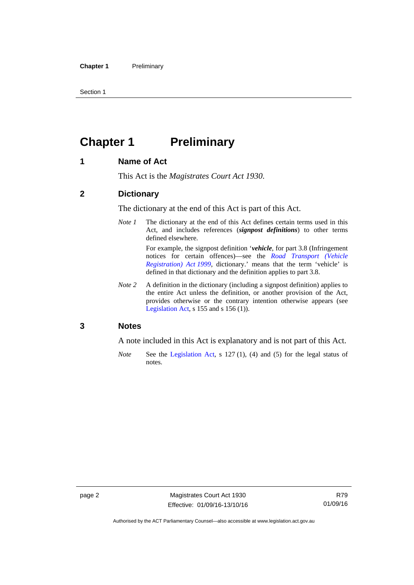Section 1

### <span id="page-17-0"></span>**Chapter 1** Preliminary

#### <span id="page-17-1"></span>**1 Name of Act**

This Act is the *Magistrates Court Act 1930*.

#### <span id="page-17-2"></span>**2 Dictionary**

The dictionary at the end of this Act is part of this Act.

*Note 1* The dictionary at the end of this Act defines certain terms used in this Act, and includes references (*signpost definitions*) to other terms defined elsewhere.

> For example, the signpost definition '*vehicle*, for part 3.8 (Infringement notices for certain offences)—see the *[Road Transport \(Vehicle](http://www.legislation.act.gov.au/a/1999-81)  [Registration\) Act 1999](http://www.legislation.act.gov.au/a/1999-81)*, dictionary.' means that the term 'vehicle' is defined in that dictionary and the definition applies to part 3.8.

*Note 2* A definition in the dictionary (including a signpost definition) applies to the entire Act unless the definition, or another provision of the Act, provides otherwise or the contrary intention otherwise appears (see [Legislation Act,](http://www.legislation.act.gov.au/a/2001-14) s  $155$  and s  $156$  (1)).

#### <span id="page-17-3"></span>**3 Notes**

A note included in this Act is explanatory and is not part of this Act.

*Note* See the [Legislation Act,](http://www.legislation.act.gov.au/a/2001-14) s 127 (1), (4) and (5) for the legal status of notes.

Authorised by the ACT Parliamentary Counsel—also accessible at www.legislation.act.gov.au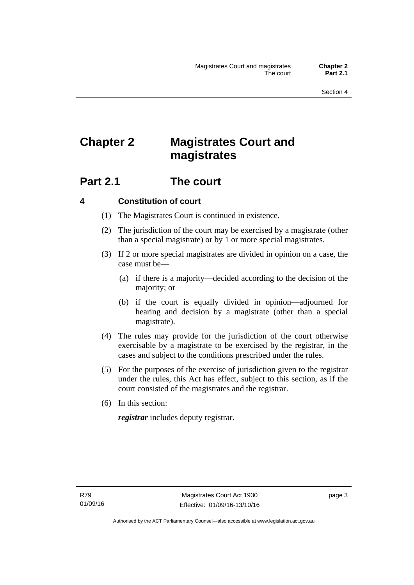## <span id="page-18-0"></span>**Chapter 2 Magistrates Court and magistrates**

### <span id="page-18-1"></span>**Part 2.1 The court**

#### <span id="page-18-2"></span>**4 Constitution of court**

- (1) The Magistrates Court is continued in existence.
- (2) The jurisdiction of the court may be exercised by a magistrate (other than a special magistrate) or by 1 or more special magistrates.
- (3) If 2 or more special magistrates are divided in opinion on a case, the case must be—
	- (a) if there is a majority—decided according to the decision of the majority; or
	- (b) if the court is equally divided in opinion—adjourned for hearing and decision by a magistrate (other than a special magistrate).
- (4) The rules may provide for the jurisdiction of the court otherwise exercisable by a magistrate to be exercised by the registrar, in the cases and subject to the conditions prescribed under the rules.
- (5) For the purposes of the exercise of jurisdiction given to the registrar under the rules, this Act has effect, subject to this section, as if the court consisted of the magistrates and the registrar.
- (6) In this section:

*registrar* includes deputy registrar.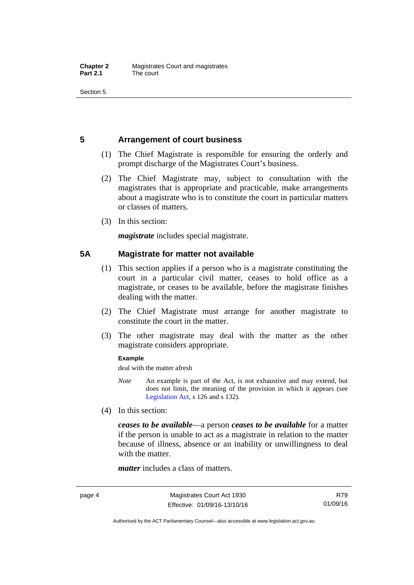Section 5

#### <span id="page-19-0"></span>**5 Arrangement of court business**

- (1) The Chief Magistrate is responsible for ensuring the orderly and prompt discharge of the Magistrates Court's business.
- (2) The Chief Magistrate may, subject to consultation with the magistrates that is appropriate and practicable, make arrangements about a magistrate who is to constitute the court in particular matters or classes of matters.
- (3) In this section:

*magistrate* includes special magistrate.

#### <span id="page-19-1"></span>**5A Magistrate for matter not available**

- (1) This section applies if a person who is a magistrate constituting the court in a particular civil matter, ceases to hold office as a magistrate, or ceases to be available, before the magistrate finishes dealing with the matter.
- (2) The Chief Magistrate must arrange for another magistrate to constitute the court in the matter.
- (3) The other magistrate may deal with the matter as the other magistrate considers appropriate.

#### **Example**

deal with the matter afresh

- *Note* An example is part of the Act, is not exhaustive and may extend, but does not limit, the meaning of the provision in which it appears (see [Legislation Act,](http://www.legislation.act.gov.au/a/2001-14) s 126 and s 132).
- (4) In this section:

*ceases to be available*––a person *ceases to be available* for a matter if the person is unable to act as a magistrate in relation to the matter because of illness, absence or an inability or unwillingness to deal with the matter.

*matter* includes a class of matters.

R79 01/09/16

Authorised by the ACT Parliamentary Counsel—also accessible at www.legislation.act.gov.au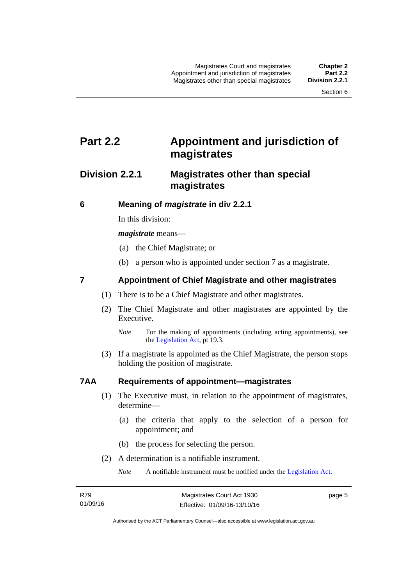### <span id="page-20-0"></span>**Part 2.2 Appointment and jurisdiction of magistrates**

#### <span id="page-20-1"></span>**Division 2.2.1 Magistrates other than special magistrates**

<span id="page-20-2"></span>**6 Meaning of** *magistrate* **in div 2.2.1** 

In this division:

*magistrate* means—

- (a) the Chief Magistrate; or
- (b) a person who is appointed under section 7 as a magistrate.

#### <span id="page-20-3"></span>**7 Appointment of Chief Magistrate and other magistrates**

- (1) There is to be a Chief Magistrate and other magistrates.
- (2) The Chief Magistrate and other magistrates are appointed by the Executive.

 (3) If a magistrate is appointed as the Chief Magistrate, the person stops holding the position of magistrate.

#### <span id="page-20-4"></span>**7AA Requirements of appointment—magistrates**

- (1) The Executive must, in relation to the appointment of magistrates, determine—
	- (a) the criteria that apply to the selection of a person for appointment; and
	- (b) the process for selecting the person.
- (2) A determination is a notifiable instrument.

*Note* A notifiable instrument must be notified under the [Legislation Act](http://www.legislation.act.gov.au/a/2001-14).

*Note* For the making of appointments (including acting appointments), see the [Legislation Act,](http://www.legislation.act.gov.au/a/2001-14) pt 19.3.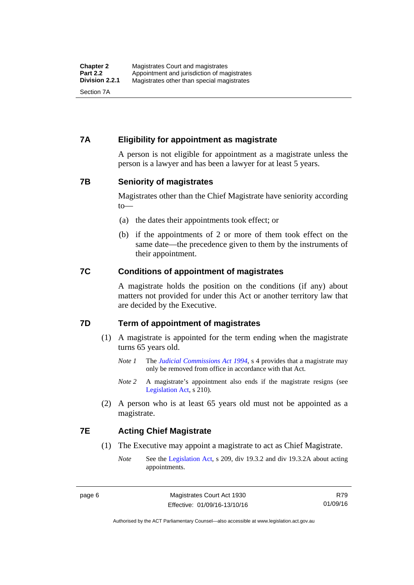#### <span id="page-21-0"></span>**7A Eligibility for appointment as magistrate**

A person is not eligible for appointment as a magistrate unless the person is a lawyer and has been a lawyer for at least 5 years.

#### <span id="page-21-1"></span>**7B Seniority of magistrates**

Magistrates other than the Chief Magistrate have seniority according to—

- (a) the dates their appointments took effect; or
- (b) if the appointments of 2 or more of them took effect on the same date—the precedence given to them by the instruments of their appointment.

#### <span id="page-21-2"></span>**7C Conditions of appointment of magistrates**

A magistrate holds the position on the conditions (if any) about matters not provided for under this Act or another territory law that are decided by the Executive.

#### <span id="page-21-3"></span>**7D Term of appointment of magistrates**

- (1) A magistrate is appointed for the term ending when the magistrate turns 65 years old.
	- *Note 1* The *[Judicial Commissions Act 1994](http://www.legislation.act.gov.au/a/1994-9)*, s 4 provides that a magistrate may only be removed from office in accordance with that Act.
	- *Note* 2 A magistrate's appointment also ends if the magistrate resigns (see [Legislation Act,](http://www.legislation.act.gov.au/a/2001-14) s 210).
- (2) A person who is at least 65 years old must not be appointed as a magistrate.

#### <span id="page-21-4"></span>**7E Acting Chief Magistrate**

- (1) The Executive may appoint a magistrate to act as Chief Magistrate.
	- *Note* See the [Legislation Act](http://www.legislation.act.gov.au/a/2001-14), s 209, div 19.3.2 and div 19.3.2A about acting appointments.

R79 01/09/16

Authorised by the ACT Parliamentary Counsel—also accessible at www.legislation.act.gov.au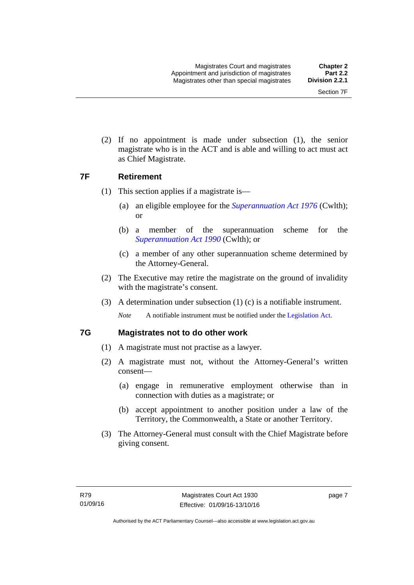(2) If no appointment is made under subsection (1), the senior magistrate who is in the ACT and is able and willing to act must act as Chief Magistrate.

#### <span id="page-22-0"></span>**7F Retirement**

- (1) This section applies if a magistrate is—
	- (a) an eligible employee for the *[Superannuation Act 1976](http://www.comlaw.gov.au/Details/C2013C00038)* (Cwlth); or
	- (b) a member of the superannuation scheme for the *[Superannuation Act 1990](http://www.comlaw.gov.au/Details/C2012C00825)* (Cwlth); or
	- (c) a member of any other superannuation scheme determined by the Attorney-General.
- (2) The Executive may retire the magistrate on the ground of invalidity with the magistrate's consent.
- (3) A determination under subsection (1) (c) is a notifiable instrument.

*Note* A notifiable instrument must be notified under the [Legislation Act](http://www.legislation.act.gov.au/a/2001-14).

#### <span id="page-22-1"></span>**7G Magistrates not to do other work**

- (1) A magistrate must not practise as a lawyer.
- (2) A magistrate must not, without the Attorney-General's written consent—
	- (a) engage in remunerative employment otherwise than in connection with duties as a magistrate; or
	- (b) accept appointment to another position under a law of the Territory, the Commonwealth, a State or another Territory.
- (3) The Attorney-General must consult with the Chief Magistrate before giving consent.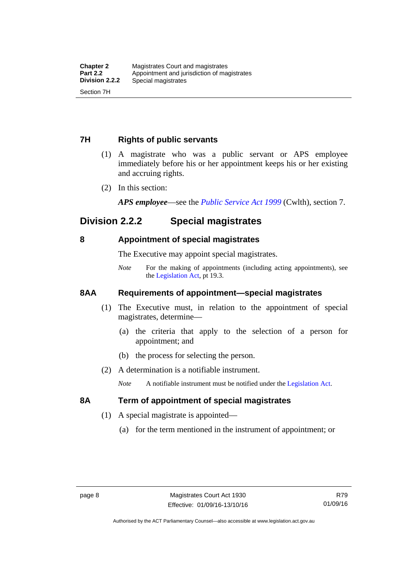#### <span id="page-23-0"></span>**7H Rights of public servants**

- (1) A magistrate who was a public servant or APS employee immediately before his or her appointment keeps his or her existing and accruing rights.
- (2) In this section:

*APS employee*—see the *[Public Service Act 1999](http://www.comlaw.gov.au/Details/C2012C00319)* (Cwlth), section 7.

### <span id="page-23-1"></span>**Division 2.2.2 Special magistrates**

#### <span id="page-23-2"></span>**8 Appointment of special magistrates**

The Executive may appoint special magistrates.

*Note* For the making of appointments (including acting appointments), see the [Legislation Act,](http://www.legislation.act.gov.au/a/2001-14) pt 19.3.

#### <span id="page-23-3"></span>**8AA Requirements of appointment—special magistrates**

- (1) The Executive must, in relation to the appointment of special magistrates, determine—
	- (a) the criteria that apply to the selection of a person for appointment; and
	- (b) the process for selecting the person.
- (2) A determination is a notifiable instrument.

*Note* A notifiable instrument must be notified under the [Legislation Act](http://www.legislation.act.gov.au/a/2001-14).

#### <span id="page-23-4"></span>**8A Term of appointment of special magistrates**

- (1) A special magistrate is appointed—
	- (a) for the term mentioned in the instrument of appointment; or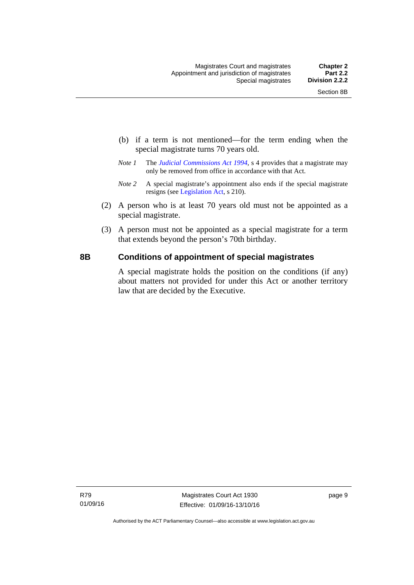- (b) if a term is not mentioned—for the term ending when the special magistrate turns 70 years old.
- *Note 1* The *[Judicial Commissions Act 1994](http://www.legislation.act.gov.au/a/1994-9)*, s 4 provides that a magistrate may only be removed from office in accordance with that Act.
- *Note 2* A special magistrate's appointment also ends if the special magistrate resigns (see [Legislation Act](http://www.legislation.act.gov.au/a/2001-14), s 210).
- (2) A person who is at least 70 years old must not be appointed as a special magistrate.
- (3) A person must not be appointed as a special magistrate for a term that extends beyond the person's 70th birthday.

#### <span id="page-24-0"></span>**8B Conditions of appointment of special magistrates**

A special magistrate holds the position on the conditions (if any) about matters not provided for under this Act or another territory law that are decided by the Executive.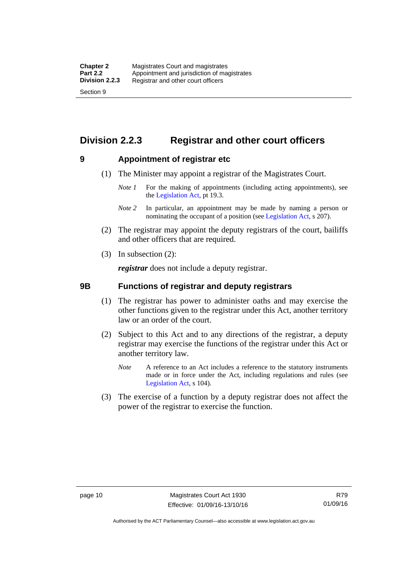### <span id="page-25-0"></span>**Division 2.2.3 Registrar and other court officers**

#### <span id="page-25-1"></span>**9 Appointment of registrar etc**

- (1) The Minister may appoint a registrar of the Magistrates Court.
	- *Note 1* For the making of appointments (including acting appointments), see the [Legislation Act,](http://www.legislation.act.gov.au/a/2001-14) pt 19.3.
	- *Note 2* In particular, an appointment may be made by naming a person or nominating the occupant of a position (see [Legislation Act](http://www.legislation.act.gov.au/a/2001-14), s 207).
- (2) The registrar may appoint the deputy registrars of the court, bailiffs and other officers that are required.
- (3) In subsection (2):

*registrar* does not include a deputy registrar.

#### <span id="page-25-2"></span>**9B Functions of registrar and deputy registrars**

- (1) The registrar has power to administer oaths and may exercise the other functions given to the registrar under this Act, another territory law or an order of the court.
- (2) Subject to this Act and to any directions of the registrar, a deputy registrar may exercise the functions of the registrar under this Act or another territory law.
	- *Note* A reference to an Act includes a reference to the statutory instruments made or in force under the Act, including regulations and rules (see [Legislation Act,](http://www.legislation.act.gov.au/a/2001-14) s 104).
- (3) The exercise of a function by a deputy registrar does not affect the power of the registrar to exercise the function.

Authorised by the ACT Parliamentary Counsel—also accessible at www.legislation.act.gov.au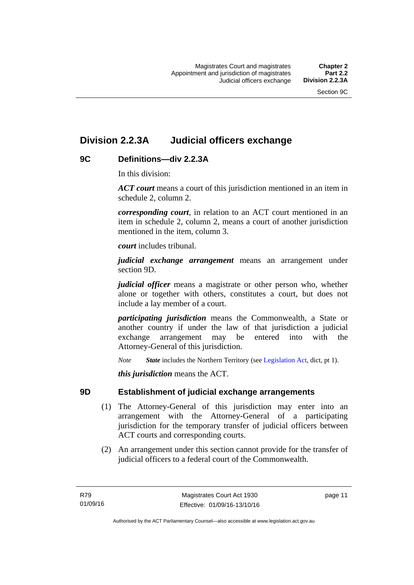### <span id="page-26-0"></span>**Division 2.2.3A Judicial officers exchange**

#### <span id="page-26-1"></span>**9C Definitions—div 2.2.3A**

In this division:

*ACT court* means a court of this jurisdiction mentioned in an item in schedule 2, column 2.

*corresponding court*, in relation to an ACT court mentioned in an item in schedule 2, column 2, means a court of another jurisdiction mentioned in the item, column 3.

*court* includes tribunal.

*judicial exchange arrangement* means an arrangement under section 9D.

*judicial officer* means a magistrate or other person who, whether alone or together with others, constitutes a court, but does not include a lay member of a court.

*participating jurisdiction* means the Commonwealth, a State or another country if under the law of that jurisdiction a judicial exchange arrangement may be entered into with the Attorney-General of this jurisdiction.

*Note State* includes the Northern Territory (see [Legislation Act](http://www.legislation.act.gov.au/a/2001-14), dict, pt 1).

*this jurisdiction* means the ACT.

#### <span id="page-26-2"></span>**9D Establishment of judicial exchange arrangements**

- (1) The Attorney-General of this jurisdiction may enter into an arrangement with the Attorney-General of a participating jurisdiction for the temporary transfer of judicial officers between ACT courts and corresponding courts.
- (2) An arrangement under this section cannot provide for the transfer of judicial officers to a federal court of the Commonwealth.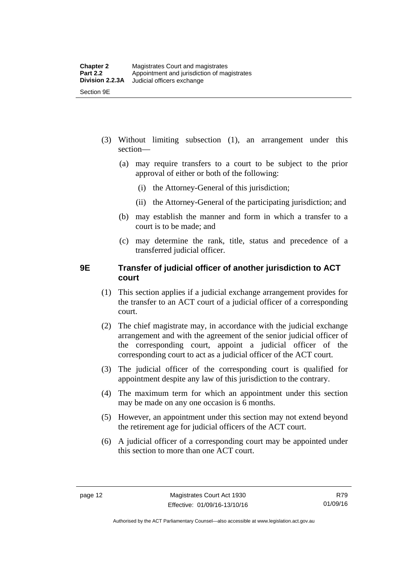- (3) Without limiting subsection (1), an arrangement under this section—
	- (a) may require transfers to a court to be subject to the prior approval of either or both of the following:
		- (i) the Attorney-General of this jurisdiction;
		- (ii) the Attorney-General of the participating jurisdiction; and
	- (b) may establish the manner and form in which a transfer to a court is to be made; and
	- (c) may determine the rank, title, status and precedence of a transferred judicial officer.

#### <span id="page-27-0"></span>**9E Transfer of judicial officer of another jurisdiction to ACT court**

- (1) This section applies if a judicial exchange arrangement provides for the transfer to an ACT court of a judicial officer of a corresponding court.
- (2) The chief magistrate may, in accordance with the judicial exchange arrangement and with the agreement of the senior judicial officer of the corresponding court, appoint a judicial officer of the corresponding court to act as a judicial officer of the ACT court.
- (3) The judicial officer of the corresponding court is qualified for appointment despite any law of this jurisdiction to the contrary.
- (4) The maximum term for which an appointment under this section may be made on any one occasion is 6 months.
- (5) However, an appointment under this section may not extend beyond the retirement age for judicial officers of the ACT court.
- (6) A judicial officer of a corresponding court may be appointed under this section to more than one ACT court.

R79 01/09/16

Authorised by the ACT Parliamentary Counsel—also accessible at www.legislation.act.gov.au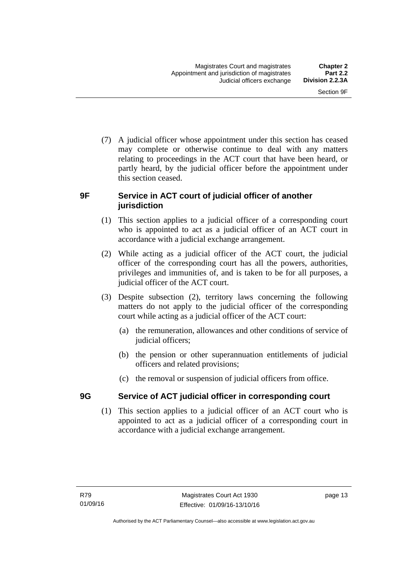(7) A judicial officer whose appointment under this section has ceased may complete or otherwise continue to deal with any matters relating to proceedings in the ACT court that have been heard, or partly heard, by the judicial officer before the appointment under this section ceased.

#### <span id="page-28-0"></span>**9F Service in ACT court of judicial officer of another jurisdiction**

- (1) This section applies to a judicial officer of a corresponding court who is appointed to act as a judicial officer of an ACT court in accordance with a judicial exchange arrangement.
- (2) While acting as a judicial officer of the ACT court, the judicial officer of the corresponding court has all the powers, authorities, privileges and immunities of, and is taken to be for all purposes, a judicial officer of the ACT court.
- (3) Despite subsection (2), territory laws concerning the following matters do not apply to the judicial officer of the corresponding court while acting as a judicial officer of the ACT court:
	- (a) the remuneration, allowances and other conditions of service of judicial officers;
	- (b) the pension or other superannuation entitlements of judicial officers and related provisions;
	- (c) the removal or suspension of judicial officers from office.

#### <span id="page-28-1"></span>**9G Service of ACT judicial officer in corresponding court**

(1) This section applies to a judicial officer of an ACT court who is appointed to act as a judicial officer of a corresponding court in accordance with a judicial exchange arrangement.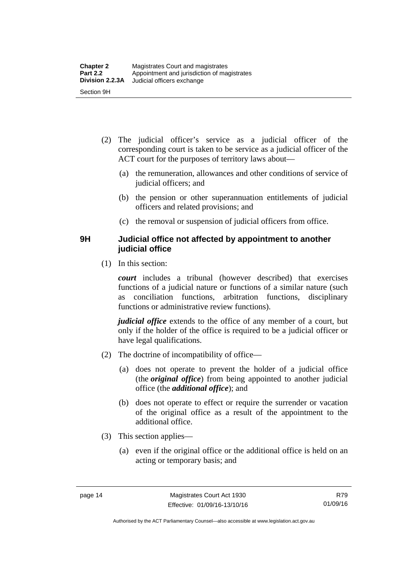- (2) The judicial officer's service as a judicial officer of the corresponding court is taken to be service as a judicial officer of the ACT court for the purposes of territory laws about—
	- (a) the remuneration, allowances and other conditions of service of judicial officers; and
	- (b) the pension or other superannuation entitlements of judicial officers and related provisions; and
	- (c) the removal or suspension of judicial officers from office.

#### <span id="page-29-0"></span>**9H Judicial office not affected by appointment to another judicial office**

(1) In this section:

*court* includes a tribunal (however described) that exercises functions of a judicial nature or functions of a similar nature (such as conciliation functions, arbitration functions, disciplinary functions or administrative review functions).

*judicial office* extends to the office of any member of a court, but only if the holder of the office is required to be a judicial officer or have legal qualifications.

- (2) The doctrine of incompatibility of office—
	- (a) does not operate to prevent the holder of a judicial office (the *original office*) from being appointed to another judicial office (the *additional office*); and
	- (b) does not operate to effect or require the surrender or vacation of the original office as a result of the appointment to the additional office.
- (3) This section applies—
	- (a) even if the original office or the additional office is held on an acting or temporary basis; and

Authorised by the ACT Parliamentary Counsel—also accessible at www.legislation.act.gov.au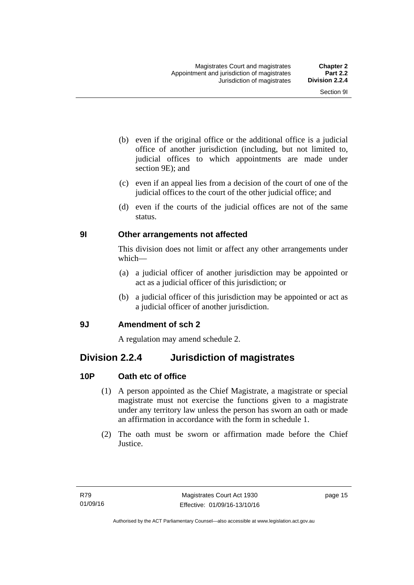- (b) even if the original office or the additional office is a judicial office of another jurisdiction (including, but not limited to, judicial offices to which appointments are made under section 9E); and
- (c) even if an appeal lies from a decision of the court of one of the judicial offices to the court of the other judicial office; and
- (d) even if the courts of the judicial offices are not of the same status.

#### <span id="page-30-0"></span>**9I Other arrangements not affected**

This division does not limit or affect any other arrangements under which—

- (a) a judicial officer of another jurisdiction may be appointed or act as a judicial officer of this jurisdiction; or
- (b) a judicial officer of this jurisdiction may be appointed or act as a judicial officer of another jurisdiction.

#### <span id="page-30-1"></span>**9J Amendment of sch 2**

A regulation may amend schedule 2.

### <span id="page-30-2"></span>**Division 2.2.4 Jurisdiction of magistrates**

#### <span id="page-30-3"></span>**10P Oath etc of office**

- (1) A person appointed as the Chief Magistrate, a magistrate or special magistrate must not exercise the functions given to a magistrate under any territory law unless the person has sworn an oath or made an affirmation in accordance with the form in schedule 1.
- (2) The oath must be sworn or affirmation made before the Chief Justice.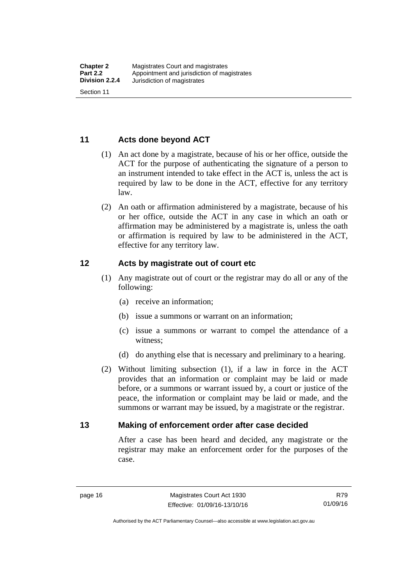#### <span id="page-31-0"></span>**11 Acts done beyond ACT**

- (1) An act done by a magistrate, because of his or her office, outside the ACT for the purpose of authenticating the signature of a person to an instrument intended to take effect in the ACT is, unless the act is required by law to be done in the ACT, effective for any territory law.
- (2) An oath or affirmation administered by a magistrate, because of his or her office, outside the ACT in any case in which an oath or affirmation may be administered by a magistrate is, unless the oath or affirmation is required by law to be administered in the ACT, effective for any territory law.

#### <span id="page-31-1"></span>**12 Acts by magistrate out of court etc**

- (1) Any magistrate out of court or the registrar may do all or any of the following:
	- (a) receive an information;
	- (b) issue a summons or warrant on an information;
	- (c) issue a summons or warrant to compel the attendance of a witness;
	- (d) do anything else that is necessary and preliminary to a hearing.
- (2) Without limiting subsection (1), if a law in force in the ACT provides that an information or complaint may be laid or made before, or a summons or warrant issued by, a court or justice of the peace, the information or complaint may be laid or made, and the summons or warrant may be issued, by a magistrate or the registrar.

#### <span id="page-31-2"></span>**13 Making of enforcement order after case decided**

After a case has been heard and decided, any magistrate or the registrar may make an enforcement order for the purposes of the case.

R79 01/09/16

Authorised by the ACT Parliamentary Counsel—also accessible at www.legislation.act.gov.au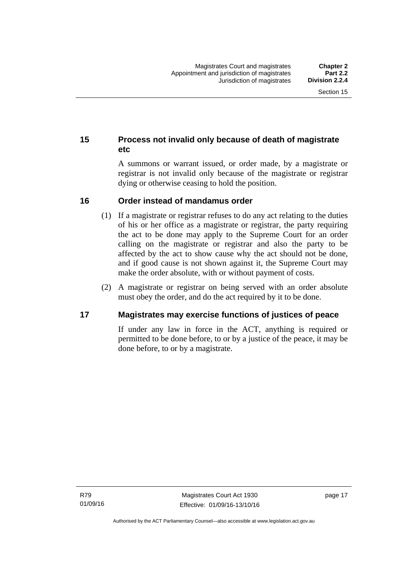#### <span id="page-32-0"></span>**15 Process not invalid only because of death of magistrate etc**

A summons or warrant issued, or order made, by a magistrate or registrar is not invalid only because of the magistrate or registrar dying or otherwise ceasing to hold the position.

#### <span id="page-32-1"></span>**16 Order instead of mandamus order**

- (1) If a magistrate or registrar refuses to do any act relating to the duties of his or her office as a magistrate or registrar, the party requiring the act to be done may apply to the Supreme Court for an order calling on the magistrate or registrar and also the party to be affected by the act to show cause why the act should not be done, and if good cause is not shown against it, the Supreme Court may make the order absolute, with or without payment of costs.
- (2) A magistrate or registrar on being served with an order absolute must obey the order, and do the act required by it to be done.

#### <span id="page-32-2"></span>**17 Magistrates may exercise functions of justices of peace**

If under any law in force in the ACT, anything is required or permitted to be done before, to or by a justice of the peace, it may be done before, to or by a magistrate.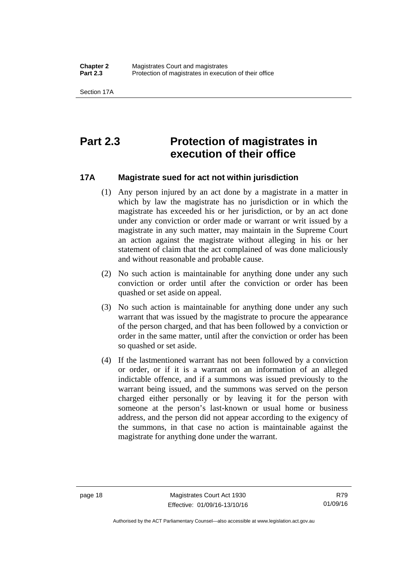### <span id="page-33-0"></span>**Part 2.3 Protection of magistrates in execution of their office**

#### <span id="page-33-1"></span>**17A Magistrate sued for act not within jurisdiction**

- (1) Any person injured by an act done by a magistrate in a matter in which by law the magistrate has no jurisdiction or in which the magistrate has exceeded his or her jurisdiction, or by an act done under any conviction or order made or warrant or writ issued by a magistrate in any such matter, may maintain in the Supreme Court an action against the magistrate without alleging in his or her statement of claim that the act complained of was done maliciously and without reasonable and probable cause.
- (2) No such action is maintainable for anything done under any such conviction or order until after the conviction or order has been quashed or set aside on appeal.
- (3) No such action is maintainable for anything done under any such warrant that was issued by the magistrate to procure the appearance of the person charged, and that has been followed by a conviction or order in the same matter, until after the conviction or order has been so quashed or set aside.
- (4) If the lastmentioned warrant has not been followed by a conviction or order, or if it is a warrant on an information of an alleged indictable offence, and if a summons was issued previously to the warrant being issued, and the summons was served on the person charged either personally or by leaving it for the person with someone at the person's last-known or usual home or business address, and the person did not appear according to the exigency of the summons, in that case no action is maintainable against the magistrate for anything done under the warrant.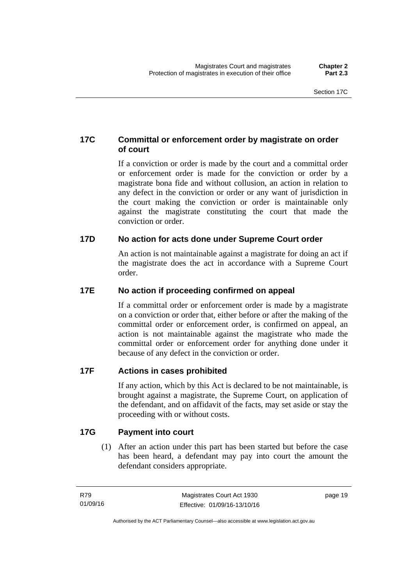#### <span id="page-34-0"></span>**17C Committal or enforcement order by magistrate on order of court**

If a conviction or order is made by the court and a committal order or enforcement order is made for the conviction or order by a magistrate bona fide and without collusion, an action in relation to any defect in the conviction or order or any want of jurisdiction in the court making the conviction or order is maintainable only against the magistrate constituting the court that made the conviction or order.

#### <span id="page-34-1"></span>**17D No action for acts done under Supreme Court order**

An action is not maintainable against a magistrate for doing an act if the magistrate does the act in accordance with a Supreme Court order.

#### <span id="page-34-2"></span>**17E No action if proceeding confirmed on appeal**

If a committal order or enforcement order is made by a magistrate on a conviction or order that, either before or after the making of the committal order or enforcement order, is confirmed on appeal, an action is not maintainable against the magistrate who made the committal order or enforcement order for anything done under it because of any defect in the conviction or order.

#### <span id="page-34-3"></span>**17F Actions in cases prohibited**

If any action, which by this Act is declared to be not maintainable, is brought against a magistrate, the Supreme Court, on application of the defendant, and on affidavit of the facts, may set aside or stay the proceeding with or without costs.

#### <span id="page-34-4"></span>**17G Payment into court**

(1) After an action under this part has been started but before the case has been heard, a defendant may pay into court the amount the defendant considers appropriate.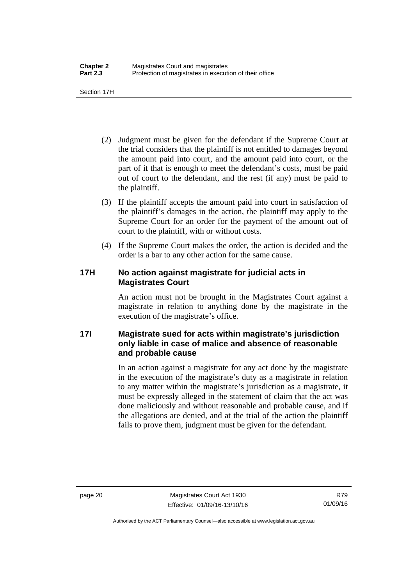Section 17H

- (2) Judgment must be given for the defendant if the Supreme Court at the trial considers that the plaintiff is not entitled to damages beyond the amount paid into court, and the amount paid into court, or the part of it that is enough to meet the defendant's costs, must be paid out of court to the defendant, and the rest (if any) must be paid to the plaintiff.
- (3) If the plaintiff accepts the amount paid into court in satisfaction of the plaintiff's damages in the action, the plaintiff may apply to the Supreme Court for an order for the payment of the amount out of court to the plaintiff, with or without costs.
- (4) If the Supreme Court makes the order, the action is decided and the order is a bar to any other action for the same cause.

#### <span id="page-35-0"></span>**17H No action against magistrate for judicial acts in Magistrates Court**

An action must not be brought in the Magistrates Court against a magistrate in relation to anything done by the magistrate in the execution of the magistrate's office.

#### <span id="page-35-1"></span>**17I Magistrate sued for acts within magistrate's jurisdiction only liable in case of malice and absence of reasonable and probable cause**

In an action against a magistrate for any act done by the magistrate in the execution of the magistrate's duty as a magistrate in relation to any matter within the magistrate's jurisdiction as a magistrate, it must be expressly alleged in the statement of claim that the act was done maliciously and without reasonable and probable cause, and if the allegations are denied, and at the trial of the action the plaintiff fails to prove them, judgment must be given for the defendant.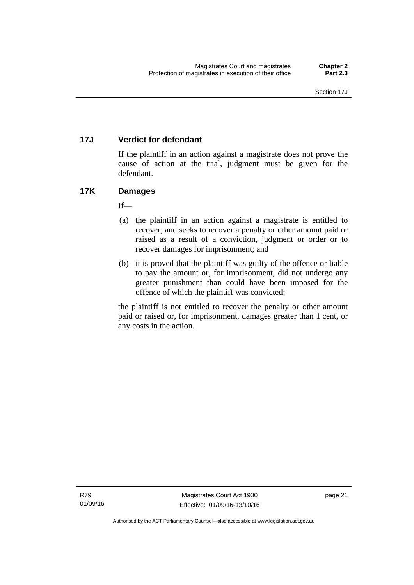### **17J Verdict for defendant**

If the plaintiff in an action against a magistrate does not prove the cause of action at the trial, judgment must be given for the defendant.

### **17K Damages**

 $If$ <sub>—</sub>

- (a) the plaintiff in an action against a magistrate is entitled to recover, and seeks to recover a penalty or other amount paid or raised as a result of a conviction, judgment or order or to recover damages for imprisonment; and
- (b) it is proved that the plaintiff was guilty of the offence or liable to pay the amount or, for imprisonment, did not undergo any greater punishment than could have been imposed for the offence of which the plaintiff was convicted;

the plaintiff is not entitled to recover the penalty or other amount paid or raised or, for imprisonment, damages greater than 1 cent, or any costs in the action.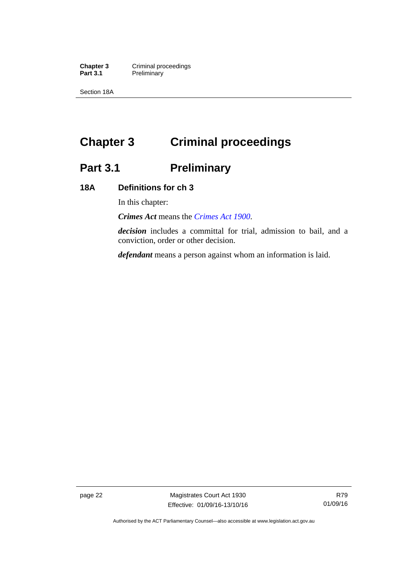**Chapter 3 Criminal proceedings**<br>**Part 3.1 Preliminary Preliminary** 

Section 18A

# **Chapter 3 Criminal proceedings**

# **Part 3.1 Preliminary**

### **18A Definitions for ch 3**

In this chapter:

*Crimes Act* means the *[Crimes Act 1900](http://www.legislation.act.gov.au/a/1900-40)*.

*decision* includes a committal for trial, admission to bail, and a conviction, order or other decision.

*defendant* means a person against whom an information is laid.

page 22 Magistrates Court Act 1930 Effective: 01/09/16-13/10/16

Authorised by the ACT Parliamentary Counsel—also accessible at www.legislation.act.gov.au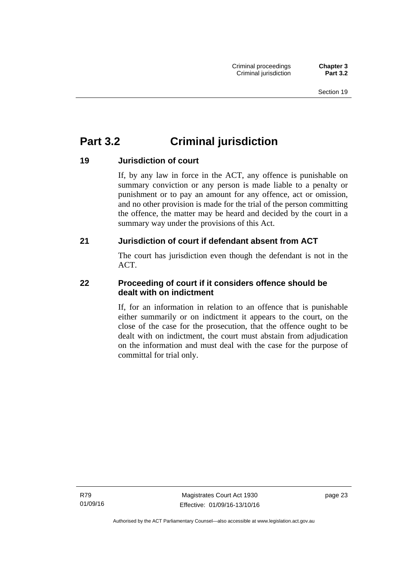## **Part 3.2 Criminal jurisdiction**

### **19 Jurisdiction of court**

If, by any law in force in the ACT, any offence is punishable on summary conviction or any person is made liable to a penalty or punishment or to pay an amount for any offence, act or omission, and no other provision is made for the trial of the person committing the offence, the matter may be heard and decided by the court in a summary way under the provisions of this Act.

### **21 Jurisdiction of court if defendant absent from ACT**

The court has jurisdiction even though the defendant is not in the ACT.

### **22 Proceeding of court if it considers offence should be dealt with on indictment**

If, for an information in relation to an offence that is punishable either summarily or on indictment it appears to the court, on the close of the case for the prosecution, that the offence ought to be dealt with on indictment, the court must abstain from adjudication on the information and must deal with the case for the purpose of committal for trial only.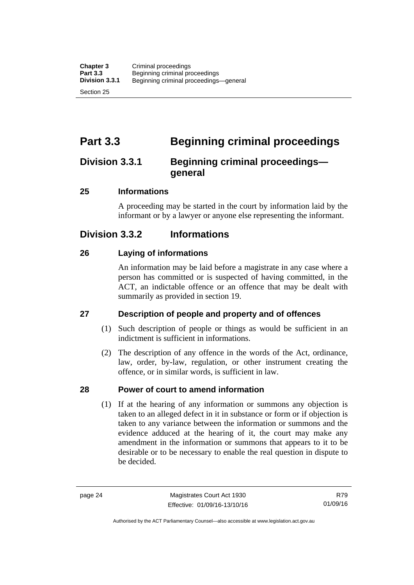## **Part 3.3 Beginning criminal proceedings**

### **Division 3.3.1 Beginning criminal proceedings general**

### **25 Informations**

A proceeding may be started in the court by information laid by the informant or by a lawyer or anyone else representing the informant.

## **Division 3.3.2 Informations**

### **26 Laying of informations**

An information may be laid before a magistrate in any case where a person has committed or is suspected of having committed, in the ACT, an indictable offence or an offence that may be dealt with summarily as provided in section 19.

### **27 Description of people and property and of offences**

- (1) Such description of people or things as would be sufficient in an indictment is sufficient in informations.
- (2) The description of any offence in the words of the Act, ordinance, law, order, by-law, regulation, or other instrument creating the offence, or in similar words, is sufficient in law.

### **28 Power of court to amend information**

(1) If at the hearing of any information or summons any objection is taken to an alleged defect in it in substance or form or if objection is taken to any variance between the information or summons and the evidence adduced at the hearing of it, the court may make any amendment in the information or summons that appears to it to be desirable or to be necessary to enable the real question in dispute to be decided.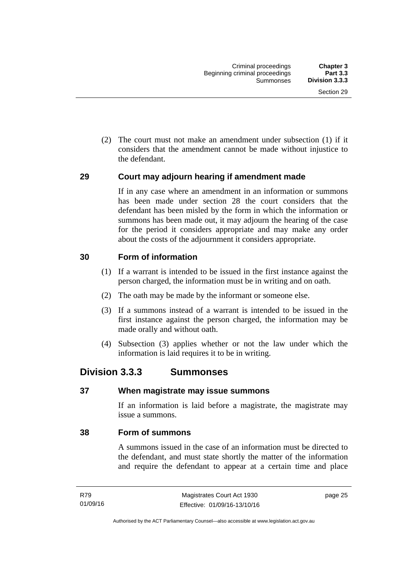(2) The court must not make an amendment under subsection (1) if it considers that the amendment cannot be made without injustice to the defendant.

#### **29 Court may adjourn hearing if amendment made**

If in any case where an amendment in an information or summons has been made under section 28 the court considers that the defendant has been misled by the form in which the information or summons has been made out, it may adjourn the hearing of the case for the period it considers appropriate and may make any order about the costs of the adjournment it considers appropriate.

### **30 Form of information**

- (1) If a warrant is intended to be issued in the first instance against the person charged, the information must be in writing and on oath.
- (2) The oath may be made by the informant or someone else.
- (3) If a summons instead of a warrant is intended to be issued in the first instance against the person charged, the information may be made orally and without oath.
- (4) Subsection (3) applies whether or not the law under which the information is laid requires it to be in writing.

### **Division 3.3.3 Summonses**

#### **37 When magistrate may issue summons**

If an information is laid before a magistrate, the magistrate may issue a summons.

#### **38 Form of summons**

A summons issued in the case of an information must be directed to the defendant, and must state shortly the matter of the information and require the defendant to appear at a certain time and place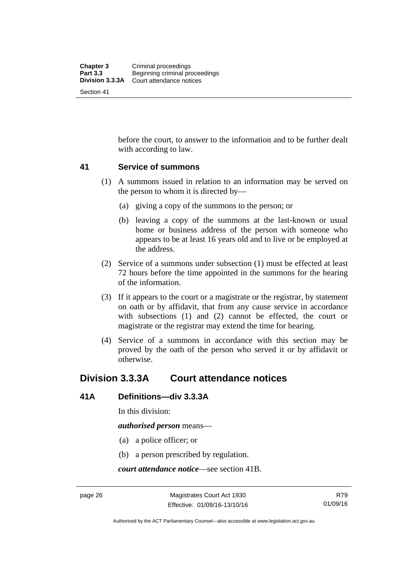before the court, to answer to the information and to be further dealt with according to law.

#### **41 Service of summons**

- (1) A summons issued in relation to an information may be served on the person to whom it is directed by—
	- (a) giving a copy of the summons to the person; or
	- (b) leaving a copy of the summons at the last-known or usual home or business address of the person with someone who appears to be at least 16 years old and to live or be employed at the address.
- (2) Service of a summons under subsection (1) must be effected at least 72 hours before the time appointed in the summons for the hearing of the information.
- (3) If it appears to the court or a magistrate or the registrar, by statement on oath or by affidavit, that from any cause service in accordance with subsections (1) and (2) cannot be effected, the court or magistrate or the registrar may extend the time for hearing.
- (4) Service of a summons in accordance with this section may be proved by the oath of the person who served it or by affidavit or otherwise.

### **Division 3.3.3A Court attendance notices**

#### **41A Definitions—div 3.3.3A**

In this division:

*authorised person* means—

- (a) a police officer; or
- (b) a person prescribed by regulation.

*court attendance notice*—see section 41B.

R79 01/09/16

Authorised by the ACT Parliamentary Counsel—also accessible at www.legislation.act.gov.au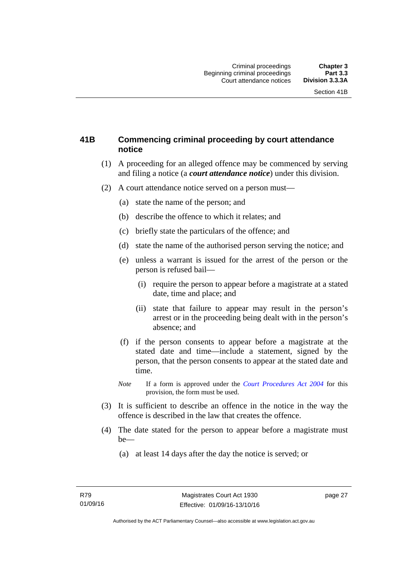### **41B Commencing criminal proceeding by court attendance notice**

- (1) A proceeding for an alleged offence may be commenced by serving and filing a notice (a *court attendance notice*) under this division.
- (2) A court attendance notice served on a person must––
	- (a) state the name of the person; and
	- (b) describe the offence to which it relates; and
	- (c) briefly state the particulars of the offence; and
	- (d) state the name of the authorised person serving the notice; and
	- (e) unless a warrant is issued for the arrest of the person or the person is refused bail—
		- (i) require the person to appear before a magistrate at a stated date, time and place; and
		- (ii) state that failure to appear may result in the person's arrest or in the proceeding being dealt with in the person's absence; and
	- (f) if the person consents to appear before a magistrate at the stated date and time—include a statement, signed by the person, that the person consents to appear at the stated date and time.
	- *Note* If a form is approved under the *[Court Procedures Act 2004](http://www.legislation.act.gov.au/a/2004-59)* for this provision, the form must be used.
- (3) It is sufficient to describe an offence in the notice in the way the offence is described in the law that creates the offence.
- (4) The date stated for the person to appear before a magistrate must be—
	- (a) at least 14 days after the day the notice is served; or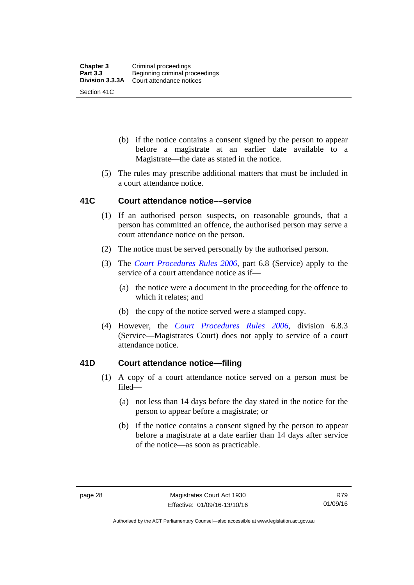- (b) if the notice contains a consent signed by the person to appear before a magistrate at an earlier date available to a Magistrate—the date as stated in the notice.
- (5) The rules may prescribe additional matters that must be included in a court attendance notice.

#### **41C Court attendance notice––service**

- (1) If an authorised person suspects, on reasonable grounds, that a person has committed an offence, the authorised person may serve a court attendance notice on the person.
- (2) The notice must be served personally by the authorised person.
- (3) The *[Court Procedures Rules 2006](http://www.legislation.act.gov.au/sl/2006-29),* part 6.8 (Service) apply to the service of a court attendance notice as if—
	- (a) the notice were a document in the proceeding for the offence to which it relates; and
	- (b) the copy of the notice served were a stamped copy.
- (4) However, the *[Court Procedures Rules 2006,](http://www.legislation.act.gov.au/sl/2006-29)* division 6.8.3 (Service—Magistrates Court) does not apply to service of a court attendance notice.

#### **41D Court attendance notice—filing**

- (1) A copy of a court attendance notice served on a person must be filed—
	- (a) not less than 14 days before the day stated in the notice for the person to appear before a magistrate; or
	- (b) if the notice contains a consent signed by the person to appear before a magistrate at a date earlier than 14 days after service of the notice—as soon as practicable.

Authorised by the ACT Parliamentary Counsel—also accessible at www.legislation.act.gov.au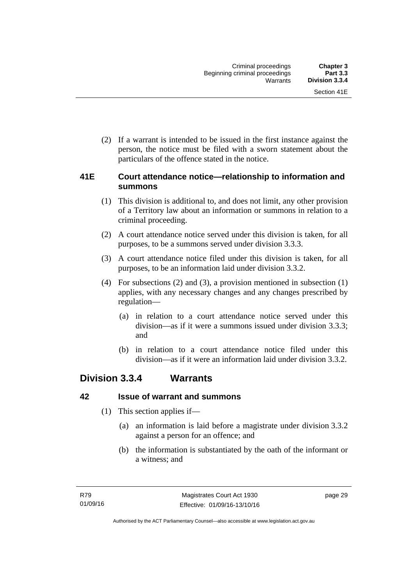(2) If a warrant is intended to be issued in the first instance against the person, the notice must be filed with a sworn statement about the particulars of the offence stated in the notice.

#### **41E Court attendance notice—relationship to information and summons**

- (1) This division is additional to, and does not limit, any other provision of a Territory law about an information or summons in relation to a criminal proceeding.
- (2) A court attendance notice served under this division is taken, for all purposes, to be a summons served under division 3.3.3.
- (3) A court attendance notice filed under this division is taken, for all purposes, to be an information laid under division 3.3.2.
- (4) For subsections (2) and (3), a provision mentioned in subsection (1) applies, with any necessary changes and any changes prescribed by regulation—
	- (a) in relation to a court attendance notice served under this division—as if it were a summons issued under division 3.3.3; and
	- (b) in relation to a court attendance notice filed under this division—as if it were an information laid under division 3.3.2.

## **Division 3.3.4 Warrants**

### **42 Issue of warrant and summons**

- (1) This section applies if—
	- (a) an information is laid before a magistrate under division 3.3.2 against a person for an offence; and
	- (b) the information is substantiated by the oath of the informant or a witness; and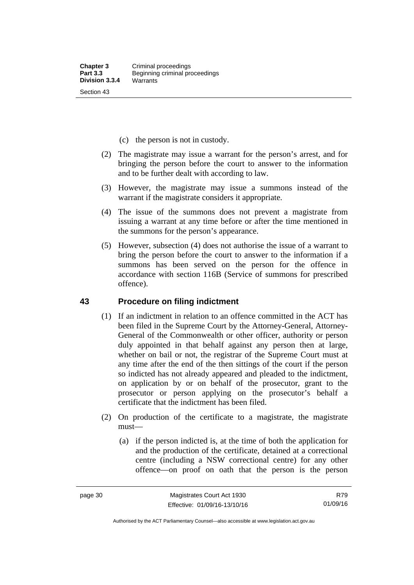- (c) the person is not in custody.
- (2) The magistrate may issue a warrant for the person's arrest, and for bringing the person before the court to answer to the information and to be further dealt with according to law.
- (3) However, the magistrate may issue a summons instead of the warrant if the magistrate considers it appropriate.
- (4) The issue of the summons does not prevent a magistrate from issuing a warrant at any time before or after the time mentioned in the summons for the person's appearance.
- (5) However, subsection (4) does not authorise the issue of a warrant to bring the person before the court to answer to the information if a summons has been served on the person for the offence in accordance with section 116B (Service of summons for prescribed offence).

#### **43 Procedure on filing indictment**

- (1) If an indictment in relation to an offence committed in the ACT has been filed in the Supreme Court by the Attorney-General, Attorney-General of the Commonwealth or other officer, authority or person duly appointed in that behalf against any person then at large, whether on bail or not, the registrar of the Supreme Court must at any time after the end of the then sittings of the court if the person so indicted has not already appeared and pleaded to the indictment, on application by or on behalf of the prosecutor, grant to the prosecutor or person applying on the prosecutor's behalf a certificate that the indictment has been filed.
- (2) On production of the certificate to a magistrate, the magistrate must—
	- (a) if the person indicted is, at the time of both the application for and the production of the certificate, detained at a correctional centre (including a NSW correctional centre) for any other offence—on proof on oath that the person is the person

R79 01/09/16

Authorised by the ACT Parliamentary Counsel—also accessible at www.legislation.act.gov.au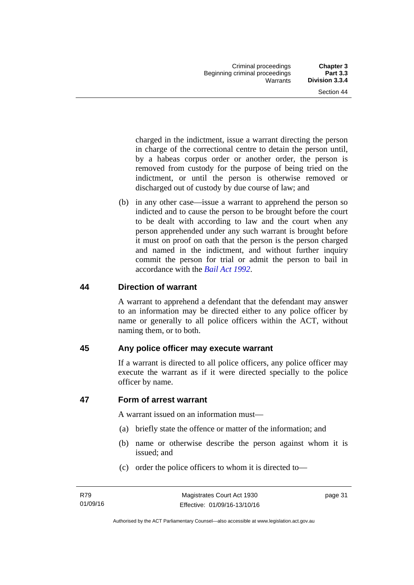charged in the indictment, issue a warrant directing the person in charge of the correctional centre to detain the person until, by a habeas corpus order or another order, the person is removed from custody for the purpose of being tried on the indictment, or until the person is otherwise removed or discharged out of custody by due course of law; and

 (b) in any other case—issue a warrant to apprehend the person so indicted and to cause the person to be brought before the court to be dealt with according to law and the court when any person apprehended under any such warrant is brought before it must on proof on oath that the person is the person charged and named in the indictment, and without further inquiry commit the person for trial or admit the person to bail in accordance with the *[Bail Act 1992](http://www.legislation.act.gov.au/a/1992-8)*.

### **44 Direction of warrant**

A warrant to apprehend a defendant that the defendant may answer to an information may be directed either to any police officer by name or generally to all police officers within the ACT, without naming them, or to both.

### **45 Any police officer may execute warrant**

If a warrant is directed to all police officers, any police officer may execute the warrant as if it were directed specially to the police officer by name.

### **47 Form of arrest warrant**

A warrant issued on an information must—

- (a) briefly state the offence or matter of the information; and
- (b) name or otherwise describe the person against whom it is issued; and
- (c) order the police officers to whom it is directed to—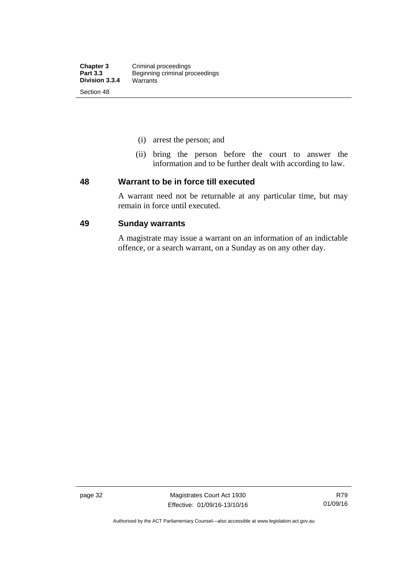- (i) arrest the person; and
- (ii) bring the person before the court to answer the information and to be further dealt with according to law.

#### **48 Warrant to be in force till executed**

A warrant need not be returnable at any particular time, but may remain in force until executed.

#### **49 Sunday warrants**

A magistrate may issue a warrant on an information of an indictable offence, or a search warrant, on a Sunday as on any other day.

page 32 Magistrates Court Act 1930 Effective: 01/09/16-13/10/16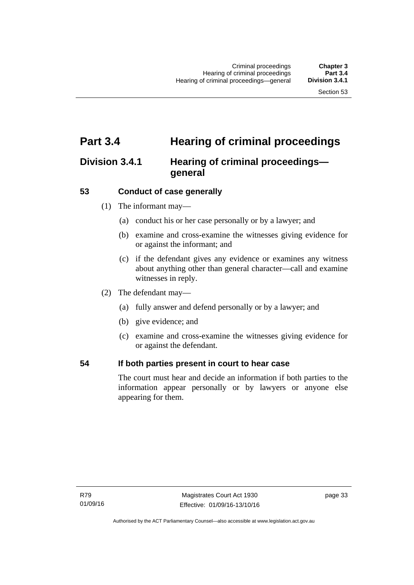## **Part 3.4 Hearing of criminal proceedings**

### **Division 3.4.1 Hearing of criminal proceedings general**

### **53 Conduct of case generally**

- (1) The informant may—
	- (a) conduct his or her case personally or by a lawyer; and
	- (b) examine and cross-examine the witnesses giving evidence for or against the informant; and
	- (c) if the defendant gives any evidence or examines any witness about anything other than general character—call and examine witnesses in reply.
- (2) The defendant may—
	- (a) fully answer and defend personally or by a lawyer; and
	- (b) give evidence; and
	- (c) examine and cross-examine the witnesses giving evidence for or against the defendant.

#### **54 If both parties present in court to hear case**

The court must hear and decide an information if both parties to the information appear personally or by lawyers or anyone else appearing for them.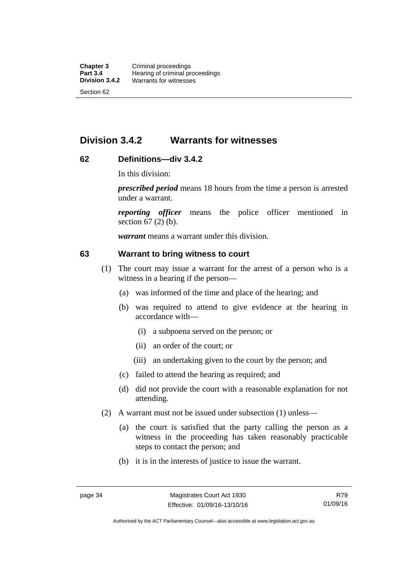### **Division 3.4.2 Warrants for witnesses**

### **62 Definitions—div 3.4.2**

In this division:

*prescribed period* means 18 hours from the time a person is arrested under a warrant.

*reporting officer* means the police officer mentioned in section 67 (2) (b).

*warrant* means a warrant under this division.

#### **63 Warrant to bring witness to court**

- (1) The court may issue a warrant for the arrest of a person who is a witness in a hearing if the person—
	- (a) was informed of the time and place of the hearing; and
	- (b) was required to attend to give evidence at the hearing in accordance with—
		- (i) a subpoena served on the person; or
		- (ii) an order of the court; or
		- (iii) an undertaking given to the court by the person; and
	- (c) failed to attend the hearing as required; and
	- (d) did not provide the court with a reasonable explanation for not attending.
- (2) A warrant must not be issued under subsection (1) unless—
	- (a) the court is satisfied that the party calling the person as a witness in the proceeding has taken reasonably practicable steps to contact the person; and
	- (b) it is in the interests of justice to issue the warrant.

Authorised by the ACT Parliamentary Counsel—also accessible at www.legislation.act.gov.au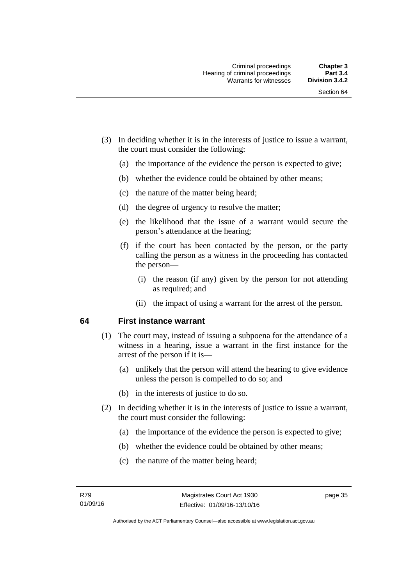- (3) In deciding whether it is in the interests of justice to issue a warrant, the court must consider the following:
	- (a) the importance of the evidence the person is expected to give;
	- (b) whether the evidence could be obtained by other means;
	- (c) the nature of the matter being heard;
	- (d) the degree of urgency to resolve the matter;
	- (e) the likelihood that the issue of a warrant would secure the person's attendance at the hearing;
	- (f) if the court has been contacted by the person, or the party calling the person as a witness in the proceeding has contacted the person—
		- (i) the reason (if any) given by the person for not attending as required; and
		- (ii) the impact of using a warrant for the arrest of the person.

#### **64 First instance warrant**

- (1) The court may, instead of issuing a subpoena for the attendance of a witness in a hearing, issue a warrant in the first instance for the arrest of the person if it is—
	- (a) unlikely that the person will attend the hearing to give evidence unless the person is compelled to do so; and
	- (b) in the interests of justice to do so.
- (2) In deciding whether it is in the interests of justice to issue a warrant, the court must consider the following:
	- (a) the importance of the evidence the person is expected to give;
	- (b) whether the evidence could be obtained by other means;
	- (c) the nature of the matter being heard;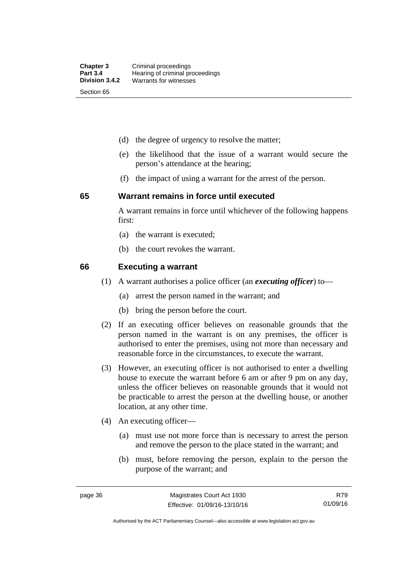- (d) the degree of urgency to resolve the matter;
- (e) the likelihood that the issue of a warrant would secure the person's attendance at the hearing;
- (f) the impact of using a warrant for the arrest of the person.

#### **65 Warrant remains in force until executed**

A warrant remains in force until whichever of the following happens first:

- (a) the warrant is executed;
- (b) the court revokes the warrant.

#### **66 Executing a warrant**

- (1) A warrant authorises a police officer (an *executing officer*) to—
	- (a) arrest the person named in the warrant; and
	- (b) bring the person before the court.
- (2) If an executing officer believes on reasonable grounds that the person named in the warrant is on any premises, the officer is authorised to enter the premises, using not more than necessary and reasonable force in the circumstances, to execute the warrant.
- (3) However, an executing officer is not authorised to enter a dwelling house to execute the warrant before 6 am or after 9 pm on any day, unless the officer believes on reasonable grounds that it would not be practicable to arrest the person at the dwelling house, or another location, at any other time.
- (4) An executing officer—
	- (a) must use not more force than is necessary to arrest the person and remove the person to the place stated in the warrant; and
	- (b) must, before removing the person, explain to the person the purpose of the warrant; and

R79 01/09/16

Authorised by the ACT Parliamentary Counsel—also accessible at www.legislation.act.gov.au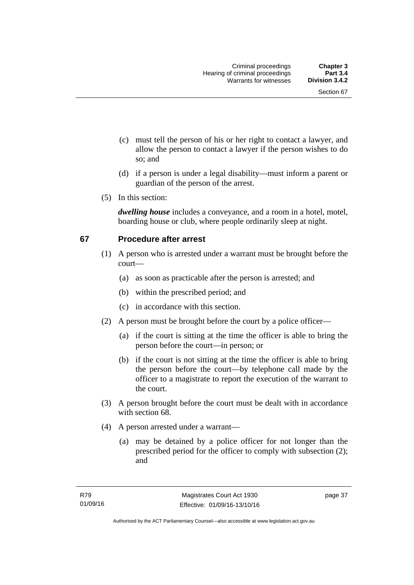- (c) must tell the person of his or her right to contact a lawyer, and allow the person to contact a lawyer if the person wishes to do so; and
- (d) if a person is under a legal disability—must inform a parent or guardian of the person of the arrest.
- (5) In this section:

*dwelling house* includes a conveyance, and a room in a hotel, motel, boarding house or club, where people ordinarily sleep at night.

### **67 Procedure after arrest**

- (1) A person who is arrested under a warrant must be brought before the court—
	- (a) as soon as practicable after the person is arrested; and
	- (b) within the prescribed period; and
	- (c) in accordance with this section.
- (2) A person must be brought before the court by a police officer—
	- (a) if the court is sitting at the time the officer is able to bring the person before the court—in person; or
	- (b) if the court is not sitting at the time the officer is able to bring the person before the court—by telephone call made by the officer to a magistrate to report the execution of the warrant to the court.
- (3) A person brought before the court must be dealt with in accordance with section 68.
- (4) A person arrested under a warrant—
	- (a) may be detained by a police officer for not longer than the prescribed period for the officer to comply with subsection (2); and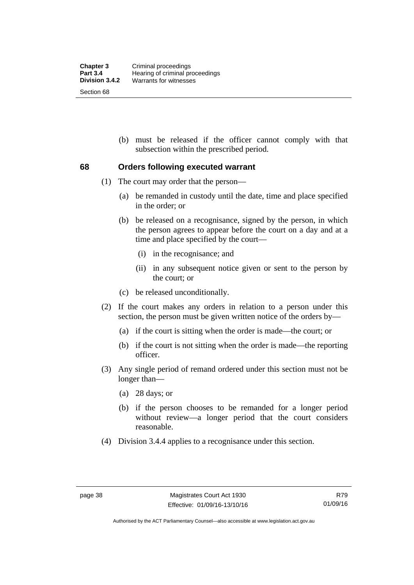(b) must be released if the officer cannot comply with that subsection within the prescribed period.

#### **68 Orders following executed warrant**

- (1) The court may order that the person—
	- (a) be remanded in custody until the date, time and place specified in the order; or
	- (b) be released on a recognisance, signed by the person, in which the person agrees to appear before the court on a day and at a time and place specified by the court—
		- (i) in the recognisance; and
		- (ii) in any subsequent notice given or sent to the person by the court; or
	- (c) be released unconditionally.
- (2) If the court makes any orders in relation to a person under this section, the person must be given written notice of the orders by—
	- (a) if the court is sitting when the order is made—the court; or
	- (b) if the court is not sitting when the order is made—the reporting officer.
- (3) Any single period of remand ordered under this section must not be longer than—
	- (a) 28 days; or
	- (b) if the person chooses to be remanded for a longer period without review—a longer period that the court considers reasonable.
- (4) Division 3.4.4 applies to a recognisance under this section.

Authorised by the ACT Parliamentary Counsel—also accessible at www.legislation.act.gov.au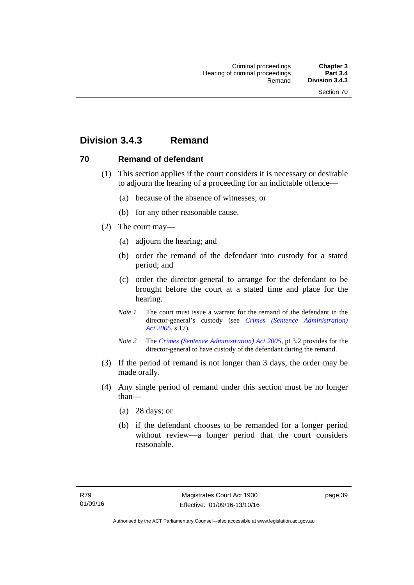## **Division 3.4.3 Remand**

### **70 Remand of defendant**

- (1) This section applies if the court considers it is necessary or desirable to adjourn the hearing of a proceeding for an indictable offence—
	- (a) because of the absence of witnesses; or
	- (b) for any other reasonable cause.
- (2) The court may—
	- (a) adjourn the hearing; and
	- (b) order the remand of the defendant into custody for a stated period; and
	- (c) order the director-general to arrange for the defendant to be brought before the court at a stated time and place for the hearing.
	- *Note 1* The court must issue a warrant for the remand of the defendant in the director-general's custody (see *[Crimes \(Sentence Administration\)](http://www.legislation.act.gov.au/a/2005-59)  [Act 2005](http://www.legislation.act.gov.au/a/2005-59)*, s 17).
	- *Note 2* The *[Crimes \(Sentence Administration\) Act 2005](http://www.legislation.act.gov.au/a/2005-59)*, pt 3.2 provides for the director-general to have custody of the defendant during the remand.
- (3) If the period of remand is not longer than 3 days, the order may be made orally.
- (4) Any single period of remand under this section must be no longer than—
	- (a) 28 days; or
	- (b) if the defendant chooses to be remanded for a longer period without review—a longer period that the court considers reasonable.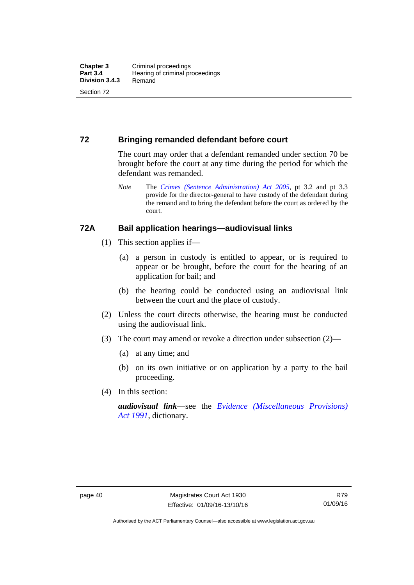### **72 Bringing remanded defendant before court**

The court may order that a defendant remanded under section 70 be brought before the court at any time during the period for which the defendant was remanded.

*Note* The *[Crimes \(Sentence Administration\) Act 2005](http://www.legislation.act.gov.au/a/2005-59)*, pt 3.2 and pt 3.3 provide for the director-general to have custody of the defendant during the remand and to bring the defendant before the court as ordered by the court.

#### **72A Bail application hearings—audiovisual links**

- (1) This section applies if—
	- (a) a person in custody is entitled to appear, or is required to appear or be brought, before the court for the hearing of an application for bail; and
	- (b) the hearing could be conducted using an audiovisual link between the court and the place of custody.
- (2) Unless the court directs otherwise, the hearing must be conducted using the audiovisual link.
- (3) The court may amend or revoke a direction under subsection (2)—
	- (a) at any time; and
	- (b) on its own initiative or on application by a party to the bail proceeding.
- (4) In this section:

*audiovisual link*—see the *[Evidence \(Miscellaneous Provisions\)](http://www.legislation.act.gov.au/a/1991-34)  [Act 1991](http://www.legislation.act.gov.au/a/1991-34)*, dictionary.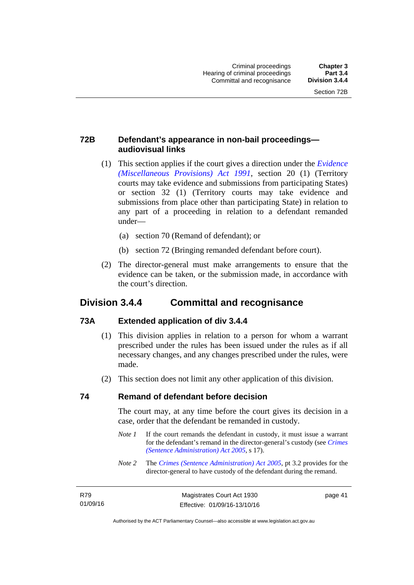page 41

### **72B Defendant's appearance in non-bail proceedings audiovisual links**

- (1) This section applies if the court gives a direction under the *[Evidence](http://www.legislation.act.gov.au/a/1991-34)  [\(Miscellaneous Provisions\) Act 1991](http://www.legislation.act.gov.au/a/1991-34)*, section 20 (1) (Territory courts may take evidence and submissions from participating States) or section 32 (1) (Territory courts may take evidence and submissions from place other than participating State) in relation to any part of a proceeding in relation to a defendant remanded under—
	- (a) section 70 (Remand of defendant); or
	- (b) section 72 (Bringing remanded defendant before court).
- (2) The director-general must make arrangements to ensure that the evidence can be taken, or the submission made, in accordance with the court's direction.

### **Division 3.4.4 Committal and recognisance**

#### **73A Extended application of div 3.4.4**

- (1) This division applies in relation to a person for whom a warrant prescribed under the rules has been issued under the rules as if all necessary changes, and any changes prescribed under the rules, were made.
- (2) This section does not limit any other application of this division.

#### **74 Remand of defendant before decision**

The court may, at any time before the court gives its decision in a case, order that the defendant be remanded in custody.

- *Note 1* If the court remands the defendant in custody, it must issue a warrant for the defendant's remand in the director-general's custody (see *[Crimes](http://www.legislation.act.gov.au/a/2005-59)  [\(Sentence Administration\) Act 2005](http://www.legislation.act.gov.au/a/2005-59)*, s 17).
- *Note 2* The *[Crimes \(Sentence Administration\) Act 2005](http://www.legislation.act.gov.au/a/2005-59)*, pt 3.2 provides for the director-general to have custody of the defendant during the remand.

| R79      | Magistrates Court Act 1930   |
|----------|------------------------------|
| 01/09/16 | Effective: 01/09/16-13/10/16 |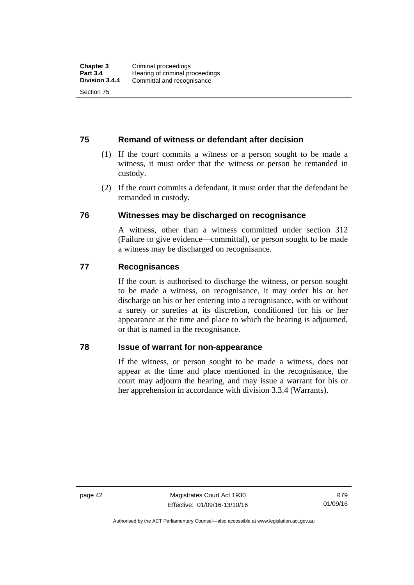#### **75 Remand of witness or defendant after decision**

- (1) If the court commits a witness or a person sought to be made a witness, it must order that the witness or person be remanded in custody.
- (2) If the court commits a defendant, it must order that the defendant be remanded in custody.

#### **76 Witnesses may be discharged on recognisance**

A witness, other than a witness committed under section 312 (Failure to give evidence—committal), or person sought to be made a witness may be discharged on recognisance.

#### **77 Recognisances**

If the court is authorised to discharge the witness, or person sought to be made a witness, on recognisance, it may order his or her discharge on his or her entering into a recognisance, with or without a surety or sureties at its discretion, conditioned for his or her appearance at the time and place to which the hearing is adjourned, or that is named in the recognisance.

#### **78 Issue of warrant for non-appearance**

If the witness, or person sought to be made a witness, does not appear at the time and place mentioned in the recognisance, the court may adjourn the hearing, and may issue a warrant for his or her apprehension in accordance with division 3.3.4 (Warrants).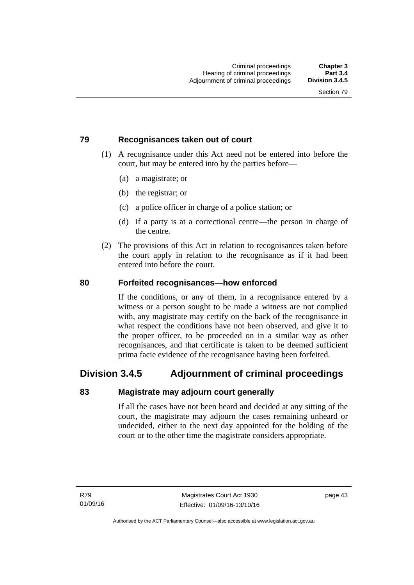#### **79 Recognisances taken out of court**

- (1) A recognisance under this Act need not be entered into before the court, but may be entered into by the parties before—
	- (a) a magistrate; or
	- (b) the registrar; or
	- (c) a police officer in charge of a police station; or
	- (d) if a party is at a correctional centre—the person in charge of the centre.
- (2) The provisions of this Act in relation to recognisances taken before the court apply in relation to the recognisance as if it had been entered into before the court.

#### **80 Forfeited recognisances—how enforced**

If the conditions, or any of them, in a recognisance entered by a witness or a person sought to be made a witness are not complied with, any magistrate may certify on the back of the recognisance in what respect the conditions have not been observed, and give it to the proper officer, to be proceeded on in a similar way as other recognisances, and that certificate is taken to be deemed sufficient prima facie evidence of the recognisance having been forfeited.

### **Division 3.4.5 Adjournment of criminal proceedings**

#### **83 Magistrate may adjourn court generally**

If all the cases have not been heard and decided at any sitting of the court, the magistrate may adjourn the cases remaining unheard or undecided, either to the next day appointed for the holding of the court or to the other time the magistrate considers appropriate.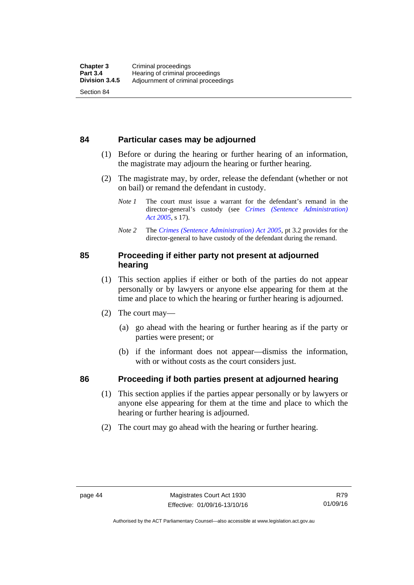#### **84 Particular cases may be adjourned**

- (1) Before or during the hearing or further hearing of an information, the magistrate may adjourn the hearing or further hearing.
- (2) The magistrate may, by order, release the defendant (whether or not on bail) or remand the defendant in custody.
	- *Note 1* The court must issue a warrant for the defendant's remand in the director-general's custody (see *[Crimes \(Sentence Administration\)](http://www.legislation.act.gov.au/a/2005-59)  [Act 2005](http://www.legislation.act.gov.au/a/2005-59)*, s 17).
	- *Note 2* The *[Crimes \(Sentence Administration\) Act 2005](http://www.legislation.act.gov.au/a/2005-59)*, pt 3.2 provides for the director-general to have custody of the defendant during the remand.

#### **85 Proceeding if either party not present at adjourned hearing**

- (1) This section applies if either or both of the parties do not appear personally or by lawyers or anyone else appearing for them at the time and place to which the hearing or further hearing is adjourned.
- (2) The court may—
	- (a) go ahead with the hearing or further hearing as if the party or parties were present; or
	- (b) if the informant does not appear—dismiss the information, with or without costs as the court considers just.

### **86 Proceeding if both parties present at adjourned hearing**

- (1) This section applies if the parties appear personally or by lawyers or anyone else appearing for them at the time and place to which the hearing or further hearing is adjourned.
- (2) The court may go ahead with the hearing or further hearing.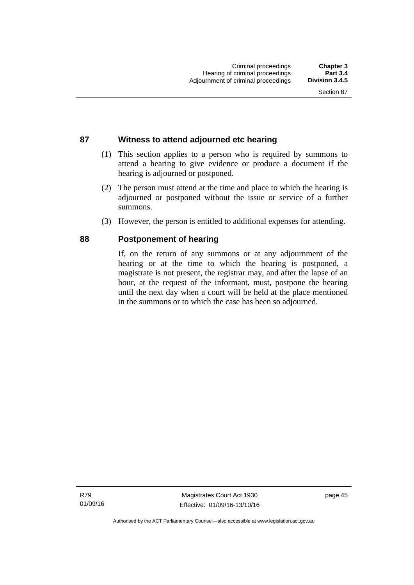### **87 Witness to attend adjourned etc hearing**

- (1) This section applies to a person who is required by summons to attend a hearing to give evidence or produce a document if the hearing is adjourned or postponed.
- (2) The person must attend at the time and place to which the hearing is adjourned or postponed without the issue or service of a further summons.
- (3) However, the person is entitled to additional expenses for attending.

#### **88 Postponement of hearing**

If, on the return of any summons or at any adjournment of the hearing or at the time to which the hearing is postponed, a magistrate is not present, the registrar may, and after the lapse of an hour, at the request of the informant, must, postpone the hearing until the next day when a court will be held at the place mentioned in the summons or to which the case has been so adjourned.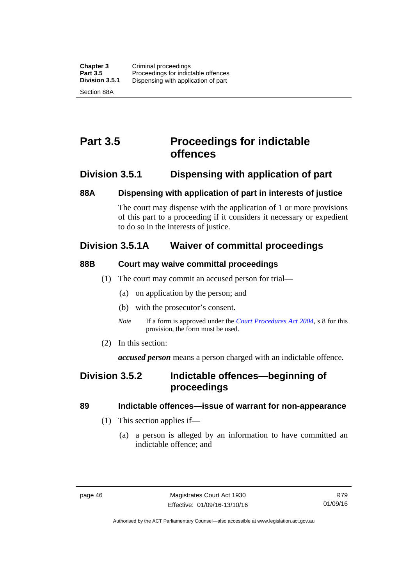## **Part 3.5 Proceedings for indictable offences**

### **Division 3.5.1 Dispensing with application of part**

#### **88A Dispensing with application of part in interests of justice**

The court may dispense with the application of 1 or more provisions of this part to a proceeding if it considers it necessary or expedient to do so in the interests of justice.

### **Division 3.5.1A Waiver of committal proceedings**

### **88B Court may waive committal proceedings**

- (1) The court may commit an accused person for trial—
	- (a) on application by the person; and
	- (b) with the prosecutor's consent.
	- *Note* If a form is approved under the *[Court Procedures Act 2004](http://www.legislation.act.gov.au/a/2004-59)*, s 8 for this provision, the form must be used.
- (2) In this section:

*accused person* means a person charged with an indictable offence.

### **Division 3.5.2 Indictable offences—beginning of proceedings**

### **89 Indictable offences—issue of warrant for non-appearance**

- (1) This section applies if—
	- (a) a person is alleged by an information to have committed an indictable offence; and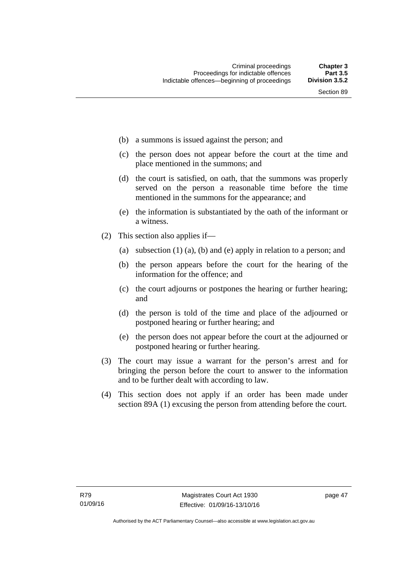- (b) a summons is issued against the person; and
- (c) the person does not appear before the court at the time and place mentioned in the summons; and
- (d) the court is satisfied, on oath, that the summons was properly served on the person a reasonable time before the time mentioned in the summons for the appearance; and
- (e) the information is substantiated by the oath of the informant or a witness.
- (2) This section also applies if—
	- (a) subsection (1) (a), (b) and (e) apply in relation to a person; and
	- (b) the person appears before the court for the hearing of the information for the offence; and
	- (c) the court adjourns or postpones the hearing or further hearing; and
	- (d) the person is told of the time and place of the adjourned or postponed hearing or further hearing; and
	- (e) the person does not appear before the court at the adjourned or postponed hearing or further hearing.
- (3) The court may issue a warrant for the person's arrest and for bringing the person before the court to answer to the information and to be further dealt with according to law.
- (4) This section does not apply if an order has been made under section 89A (1) excusing the person from attending before the court.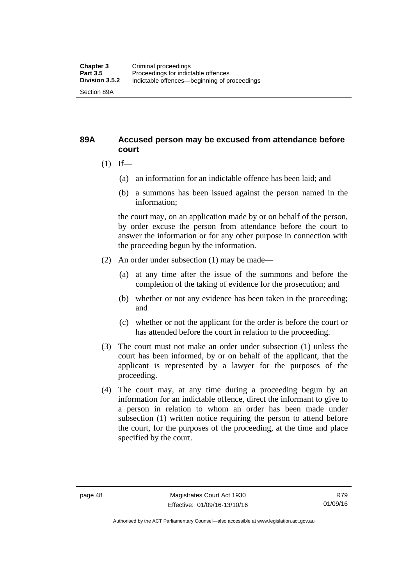#### **89A Accused person may be excused from attendance before court**

- $(1)$  If—
	- (a) an information for an indictable offence has been laid; and
	- (b) a summons has been issued against the person named in the information;

the court may, on an application made by or on behalf of the person, by order excuse the person from attendance before the court to answer the information or for any other purpose in connection with the proceeding begun by the information.

- (2) An order under subsection (1) may be made—
	- (a) at any time after the issue of the summons and before the completion of the taking of evidence for the prosecution; and
	- (b) whether or not any evidence has been taken in the proceeding; and
	- (c) whether or not the applicant for the order is before the court or has attended before the court in relation to the proceeding.
- (3) The court must not make an order under subsection (1) unless the court has been informed, by or on behalf of the applicant, that the applicant is represented by a lawyer for the purposes of the proceeding.
- (4) The court may, at any time during a proceeding begun by an information for an indictable offence, direct the informant to give to a person in relation to whom an order has been made under subsection (1) written notice requiring the person to attend before the court, for the purposes of the proceeding, at the time and place specified by the court.

Authorised by the ACT Parliamentary Counsel—also accessible at www.legislation.act.gov.au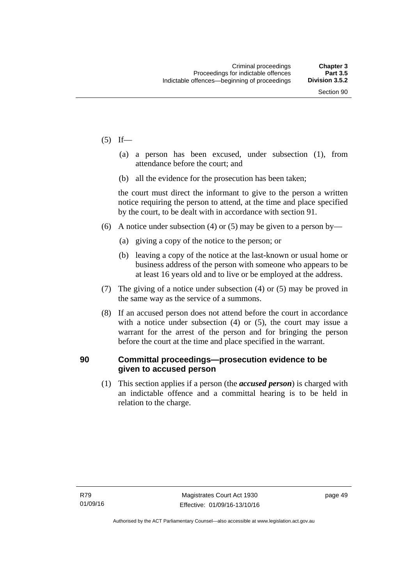- $(5)$  If—
	- (a) a person has been excused, under subsection (1), from attendance before the court; and
	- (b) all the evidence for the prosecution has been taken;

the court must direct the informant to give to the person a written notice requiring the person to attend, at the time and place specified by the court, to be dealt with in accordance with section 91.

- (6) A notice under subsection (4) or (5) may be given to a person by—
	- (a) giving a copy of the notice to the person; or
	- (b) leaving a copy of the notice at the last-known or usual home or business address of the person with someone who appears to be at least 16 years old and to live or be employed at the address.
- (7) The giving of a notice under subsection (4) or (5) may be proved in the same way as the service of a summons.
- (8) If an accused person does not attend before the court in accordance with a notice under subsection (4) or (5), the court may issue a warrant for the arrest of the person and for bringing the person before the court at the time and place specified in the warrant.

#### **90 Committal proceedings—prosecution evidence to be given to accused person**

(1) This section applies if a person (the *accused person*) is charged with an indictable offence and a committal hearing is to be held in relation to the charge.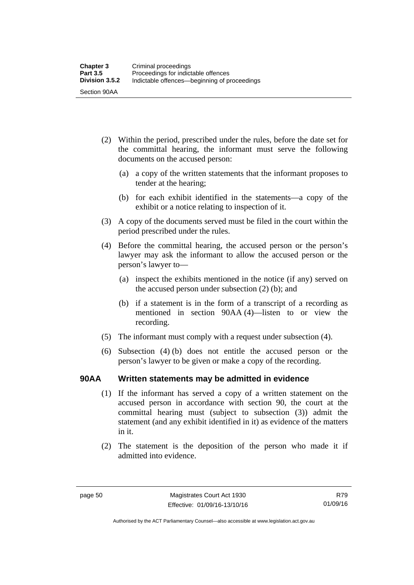- (2) Within the period, prescribed under the rules, before the date set for the committal hearing, the informant must serve the following documents on the accused person:
	- (a) a copy of the written statements that the informant proposes to tender at the hearing;
	- (b) for each exhibit identified in the statements—a copy of the exhibit or a notice relating to inspection of it.
- (3) A copy of the documents served must be filed in the court within the period prescribed under the rules.
- (4) Before the committal hearing, the accused person or the person's lawyer may ask the informant to allow the accused person or the person's lawyer to—
	- (a) inspect the exhibits mentioned in the notice (if any) served on the accused person under subsection (2) (b); and
	- (b) if a statement is in the form of a transcript of a recording as mentioned in section 90AA (4)—listen to or view the recording.
- (5) The informant must comply with a request under subsection (4).
- (6) Subsection (4) (b) does not entitle the accused person or the person's lawyer to be given or make a copy of the recording.

#### **90AA Written statements may be admitted in evidence**

- (1) If the informant has served a copy of a written statement on the accused person in accordance with section 90, the court at the committal hearing must (subject to subsection (3)) admit the statement (and any exhibit identified in it) as evidence of the matters in it.
- (2) The statement is the deposition of the person who made it if admitted into evidence.

Authorised by the ACT Parliamentary Counsel—also accessible at www.legislation.act.gov.au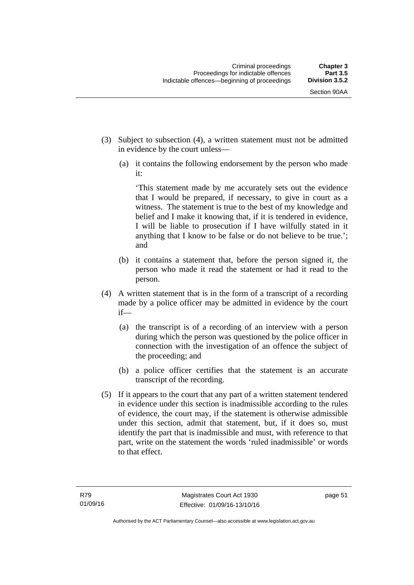- (3) Subject to subsection (4), a written statement must not be admitted in evidence by the court unless—
	- (a) it contains the following endorsement by the person who made it:

'This statement made by me accurately sets out the evidence that I would be prepared, if necessary, to give in court as a witness. The statement is true to the best of my knowledge and belief and I make it knowing that, if it is tendered in evidence, I will be liable to prosecution if I have wilfully stated in it anything that I know to be false or do not believe to be true.'; and

- (b) it contains a statement that, before the person signed it, the person who made it read the statement or had it read to the person.
- (4) A written statement that is in the form of a transcript of a recording made by a police officer may be admitted in evidence by the court if—
	- (a) the transcript is of a recording of an interview with a person during which the person was questioned by the police officer in connection with the investigation of an offence the subject of the proceeding; and
	- (b) a police officer certifies that the statement is an accurate transcript of the recording.
- (5) If it appears to the court that any part of a written statement tendered in evidence under this section is inadmissible according to the rules of evidence, the court may, if the statement is otherwise admissible under this section, admit that statement, but, if it does so, must identify the part that is inadmissible and must, with reference to that part, write on the statement the words 'ruled inadmissible' or words to that effect.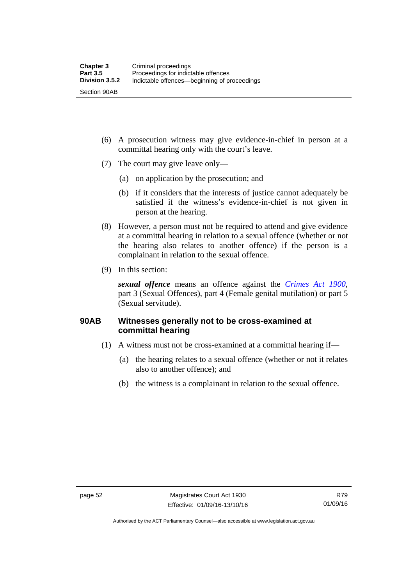- (6) A prosecution witness may give evidence-in-chief in person at a committal hearing only with the court's leave.
- (7) The court may give leave only—
	- (a) on application by the prosecution; and
	- (b) if it considers that the interests of justice cannot adequately be satisfied if the witness's evidence-in-chief is not given in person at the hearing.
- (8) However, a person must not be required to attend and give evidence at a committal hearing in relation to a sexual offence (whether or not the hearing also relates to another offence) if the person is a complainant in relation to the sexual offence.
- (9) In this section:

*sexual offence* means an offence against the *[Crimes Act 1900](http://www.legislation.act.gov.au/a/1900-40)*, part 3 (Sexual Offences), part 4 (Female genital mutilation) or part 5 (Sexual servitude).

### **90AB Witnesses generally not to be cross-examined at committal hearing**

- (1) A witness must not be cross-examined at a committal hearing if—
	- (a) the hearing relates to a sexual offence (whether or not it relates also to another offence); and
	- (b) the witness is a complainant in relation to the sexual offence.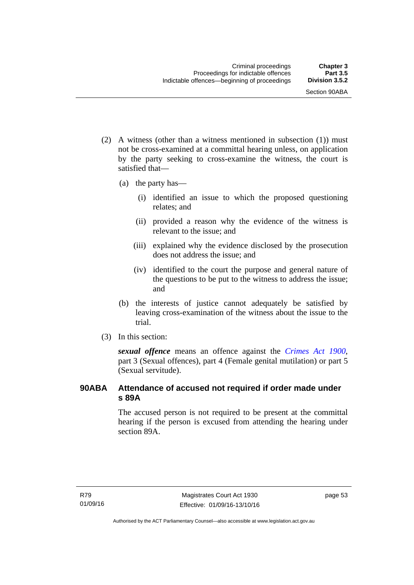- (2) A witness (other than a witness mentioned in subsection (1)) must not be cross-examined at a committal hearing unless, on application by the party seeking to cross-examine the witness, the court is satisfied that—
	- (a) the party has—
		- (i) identified an issue to which the proposed questioning relates; and
		- (ii) provided a reason why the evidence of the witness is relevant to the issue; and
		- (iii) explained why the evidence disclosed by the prosecution does not address the issue; and
		- (iv) identified to the court the purpose and general nature of the questions to be put to the witness to address the issue; and
	- (b) the interests of justice cannot adequately be satisfied by leaving cross-examination of the witness about the issue to the trial.
- (3) In this section:

*sexual offence* means an offence against the *[Crimes Act 1900](http://www.legislation.act.gov.au/a/1900-40)*, part 3 (Sexual offences), part 4 (Female genital mutilation) or part 5 (Sexual servitude).

### **90ABA Attendance of accused not required if order made under s 89A**

The accused person is not required to be present at the committal hearing if the person is excused from attending the hearing under section 89A.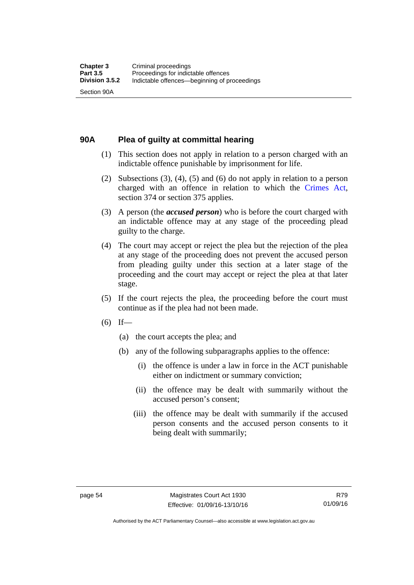#### **90A Plea of guilty at committal hearing**

- (1) This section does not apply in relation to a person charged with an indictable offence punishable by imprisonment for life.
- (2) Subsections (3), (4), (5) and (6) do not apply in relation to a person charged with an offence in relation to which the [Crimes Act](http://www.legislation.act.gov.au/a/1900-40/default.asp), section 374 or section 375 applies.
- (3) A person (the *accused person*) who is before the court charged with an indictable offence may at any stage of the proceeding plead guilty to the charge.
- (4) The court may accept or reject the plea but the rejection of the plea at any stage of the proceeding does not prevent the accused person from pleading guilty under this section at a later stage of the proceeding and the court may accept or reject the plea at that later stage.
- (5) If the court rejects the plea, the proceeding before the court must continue as if the plea had not been made.
- $(6)$  If—
	- (a) the court accepts the plea; and
	- (b) any of the following subparagraphs applies to the offence:
		- (i) the offence is under a law in force in the ACT punishable either on indictment or summary conviction;
		- (ii) the offence may be dealt with summarily without the accused person's consent;
		- (iii) the offence may be dealt with summarily if the accused person consents and the accused person consents to it being dealt with summarily;

Authorised by the ACT Parliamentary Counsel—also accessible at www.legislation.act.gov.au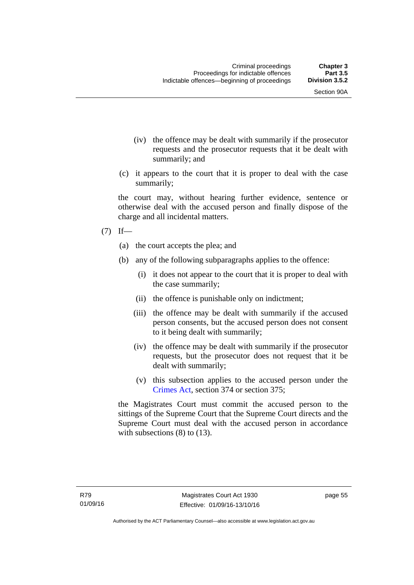- (iv) the offence may be dealt with summarily if the prosecutor requests and the prosecutor requests that it be dealt with summarily; and
- (c) it appears to the court that it is proper to deal with the case summarily;

the court may, without hearing further evidence, sentence or otherwise deal with the accused person and finally dispose of the charge and all incidental matters.

#### $(7)$  If—

- (a) the court accepts the plea; and
- (b) any of the following subparagraphs applies to the offence:
	- (i) it does not appear to the court that it is proper to deal with the case summarily;
	- (ii) the offence is punishable only on indictment;
	- (iii) the offence may be dealt with summarily if the accused person consents, but the accused person does not consent to it being dealt with summarily;
	- (iv) the offence may be dealt with summarily if the prosecutor requests, but the prosecutor does not request that it be dealt with summarily;
	- (v) this subsection applies to the accused person under the [Crimes Act,](http://www.legislation.act.gov.au/a/1900-40/default.asp) section 374 or section 375;

the Magistrates Court must commit the accused person to the sittings of the Supreme Court that the Supreme Court directs and the Supreme Court must deal with the accused person in accordance with subsections (8) to (13).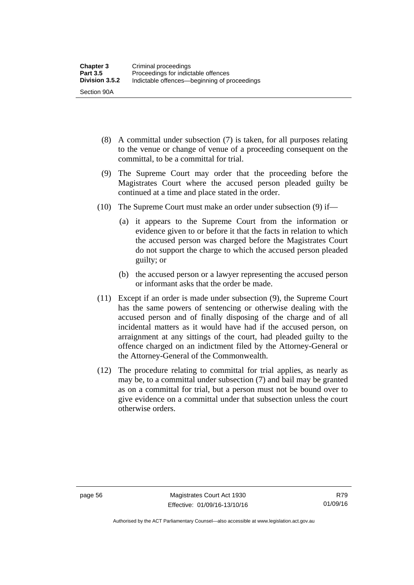- (8) A committal under subsection (7) is taken, for all purposes relating to the venue or change of venue of a proceeding consequent on the committal, to be a committal for trial.
- (9) The Supreme Court may order that the proceeding before the Magistrates Court where the accused person pleaded guilty be continued at a time and place stated in the order.
- (10) The Supreme Court must make an order under subsection (9) if—
	- (a) it appears to the Supreme Court from the information or evidence given to or before it that the facts in relation to which the accused person was charged before the Magistrates Court do not support the charge to which the accused person pleaded guilty; or
	- (b) the accused person or a lawyer representing the accused person or informant asks that the order be made.
- (11) Except if an order is made under subsection (9), the Supreme Court has the same powers of sentencing or otherwise dealing with the accused person and of finally disposing of the charge and of all incidental matters as it would have had if the accused person, on arraignment at any sittings of the court, had pleaded guilty to the offence charged on an indictment filed by the Attorney-General or the Attorney-General of the Commonwealth.
- (12) The procedure relating to committal for trial applies, as nearly as may be, to a committal under subsection (7) and bail may be granted as on a committal for trial, but a person must not be bound over to give evidence on a committal under that subsection unless the court otherwise orders.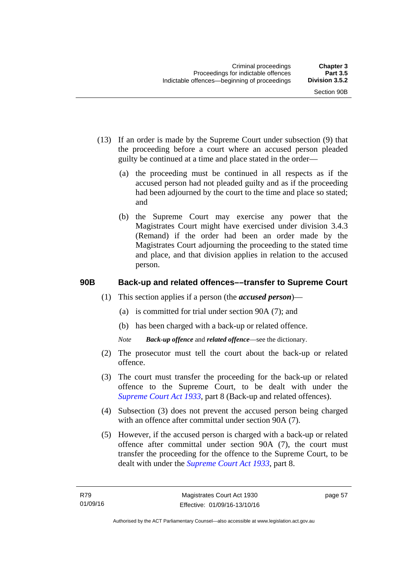- (13) If an order is made by the Supreme Court under subsection (9) that the proceeding before a court where an accused person pleaded guilty be continued at a time and place stated in the order—
	- (a) the proceeding must be continued in all respects as if the accused person had not pleaded guilty and as if the proceeding had been adjourned by the court to the time and place so stated; and
	- (b) the Supreme Court may exercise any power that the Magistrates Court might have exercised under division 3.4.3 (Remand) if the order had been an order made by the Magistrates Court adjourning the proceeding to the stated time and place, and that division applies in relation to the accused person.

## **90B Back-up and related offences––transfer to Supreme Court**

- (1) This section applies if a person (the *accused person*)––
	- (a) is committed for trial under section 90A (7); and
	- (b) has been charged with a back-up or related offence.
	- *Note Back-up offence* and *related offence*––see the dictionary.
- (2) The prosecutor must tell the court about the back-up or related offence.
- (3) The court must transfer the proceeding for the back-up or related offence to the Supreme Court, to be dealt with under the *[Supreme Court Act 1933](http://www.legislation.act.gov.au/a/1933-34)*, part 8 (Back-up and related offences).
- (4) Subsection (3) does not prevent the accused person being charged with an offence after committal under section 90A (7).
- (5) However, if the accused person is charged with a back-up or related offence after committal under section 90A (7), the court must transfer the proceeding for the offence to the Supreme Court, to be dealt with under the *[Supreme Court Act 1933](http://www.legislation.act.gov.au/a/1933-34)*, part 8.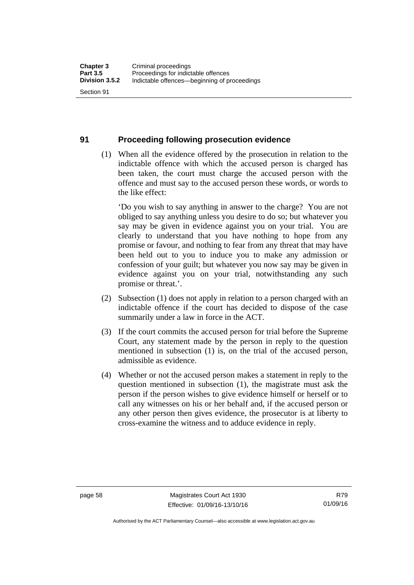#### **91 Proceeding following prosecution evidence**

 (1) When all the evidence offered by the prosecution in relation to the indictable offence with which the accused person is charged has been taken, the court must charge the accused person with the offence and must say to the accused person these words, or words to the like effect:

'Do you wish to say anything in answer to the charge? You are not obliged to say anything unless you desire to do so; but whatever you say may be given in evidence against you on your trial. You are clearly to understand that you have nothing to hope from any promise or favour, and nothing to fear from any threat that may have been held out to you to induce you to make any admission or confession of your guilt; but whatever you now say may be given in evidence against you on your trial, notwithstanding any such promise or threat.'.

- (2) Subsection (1) does not apply in relation to a person charged with an indictable offence if the court has decided to dispose of the case summarily under a law in force in the ACT.
- (3) If the court commits the accused person for trial before the Supreme Court, any statement made by the person in reply to the question mentioned in subsection (1) is, on the trial of the accused person, admissible as evidence.
- (4) Whether or not the accused person makes a statement in reply to the question mentioned in subsection (1), the magistrate must ask the person if the person wishes to give evidence himself or herself or to call any witnesses on his or her behalf and, if the accused person or any other person then gives evidence, the prosecutor is at liberty to cross-examine the witness and to adduce evidence in reply.

Authorised by the ACT Parliamentary Counsel—also accessible at www.legislation.act.gov.au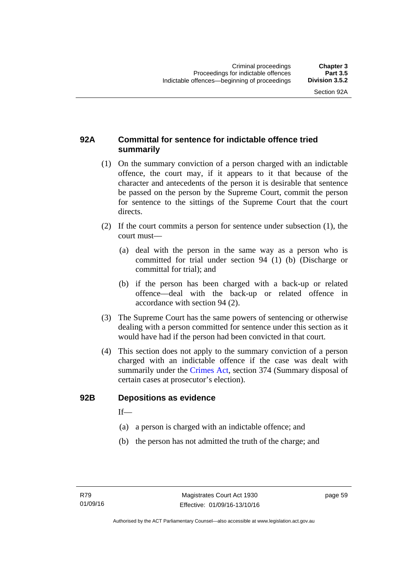## **92A Committal for sentence for indictable offence tried summarily**

- (1) On the summary conviction of a person charged with an indictable offence, the court may, if it appears to it that because of the character and antecedents of the person it is desirable that sentence be passed on the person by the Supreme Court, commit the person for sentence to the sittings of the Supreme Court that the court directs.
- (2) If the court commits a person for sentence under subsection (1), the court must––
	- (a) deal with the person in the same way as a person who is committed for trial under section 94 (1) (b) (Discharge or committal for trial); and
	- (b) if the person has been charged with a back-up or related offence––deal with the back-up or related offence in accordance with section 94 (2).
- (3) The Supreme Court has the same powers of sentencing or otherwise dealing with a person committed for sentence under this section as it would have had if the person had been convicted in that court.
- (4) This section does not apply to the summary conviction of a person charged with an indictable offence if the case was dealt with summarily under the [Crimes Act,](http://www.legislation.act.gov.au/a/1900-40/default.asp) section 374 (Summary disposal of certain cases at prosecutor's election).

#### **92B Depositions as evidence**

 $If$ —

- (a) a person is charged with an indictable offence; and
- (b) the person has not admitted the truth of the charge; and

page 59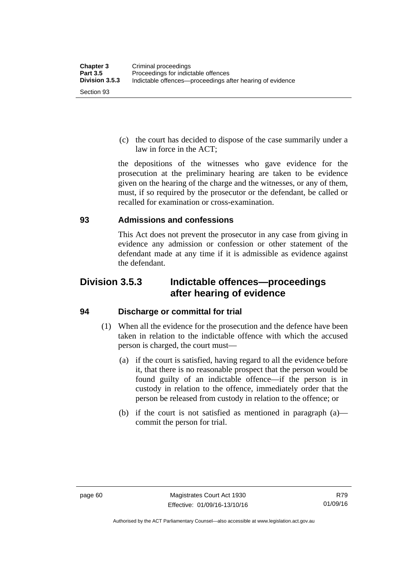(c) the court has decided to dispose of the case summarily under a law in force in the ACT;

the depositions of the witnesses who gave evidence for the prosecution at the preliminary hearing are taken to be evidence given on the hearing of the charge and the witnesses, or any of them, must, if so required by the prosecutor or the defendant, be called or recalled for examination or cross-examination.

## **93 Admissions and confessions**

This Act does not prevent the prosecutor in any case from giving in evidence any admission or confession or other statement of the defendant made at any time if it is admissible as evidence against the defendant.

# **Division 3.5.3 Indictable offences—proceedings after hearing of evidence**

## **94 Discharge or committal for trial**

- (1) When all the evidence for the prosecution and the defence have been taken in relation to the indictable offence with which the accused person is charged, the court must—
	- (a) if the court is satisfied, having regard to all the evidence before it, that there is no reasonable prospect that the person would be found guilty of an indictable offence—if the person is in custody in relation to the offence, immediately order that the person be released from custody in relation to the offence; or
	- (b) if the court is not satisfied as mentioned in paragraph (a) commit the person for trial.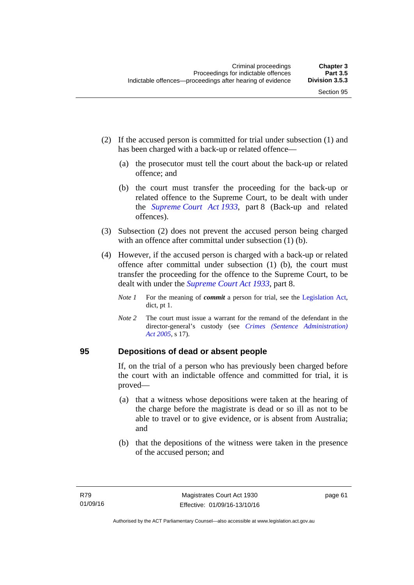- (2) If the accused person is committed for trial under subsection (1) and has been charged with a back-up or related offence—
	- (a) the prosecutor must tell the court about the back-up or related offence; and
	- (b) the court must transfer the proceeding for the back-up or related offence to the Supreme Court, to be dealt with under the *[Supreme Court Act 1933](http://www.legislation.act.gov.au/a/1933-34)*, part 8 (Back-up and related offences).
- (3) Subsection (2) does not prevent the accused person being charged with an offence after committal under subsection (1) (b).
- (4) However, if the accused person is charged with a back-up or related offence after committal under subsection (1) (b), the court must transfer the proceeding for the offence to the Supreme Court, to be dealt with under the *[Supreme Court Act 1933](http://www.legislation.act.gov.au/a/1933-34)*, part 8.
	- *Note 1* For the meaning of *commit* a person for trial, see the [Legislation Act,](http://www.legislation.act.gov.au/a/2001-14) dict, pt 1.
	- *Note 2* The court must issue a warrant for the remand of the defendant in the director-general's custody (see *[Crimes \(Sentence Administration\)](http://www.legislation.act.gov.au/a/2005-59)  [Act 2005](http://www.legislation.act.gov.au/a/2005-59)*, s 17).

#### **95 Depositions of dead or absent people**

If, on the trial of a person who has previously been charged before the court with an indictable offence and committed for trial, it is proved—

- (a) that a witness whose depositions were taken at the hearing of the charge before the magistrate is dead or so ill as not to be able to travel or to give evidence, or is absent from Australia; and
- (b) that the depositions of the witness were taken in the presence of the accused person; and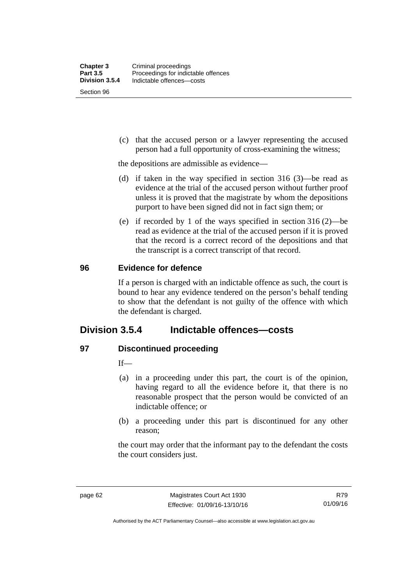Section 96

 (c) that the accused person or a lawyer representing the accused person had a full opportunity of cross-examining the witness;

the depositions are admissible as evidence—

- (d) if taken in the way specified in section 316 (3)—be read as evidence at the trial of the accused person without further proof unless it is proved that the magistrate by whom the depositions purport to have been signed did not in fact sign them; or
- (e) if recorded by 1 of the ways specified in section 316 (2)—be read as evidence at the trial of the accused person if it is proved that the record is a correct record of the depositions and that the transcript is a correct transcript of that record.

## **96 Evidence for defence**

If a person is charged with an indictable offence as such, the court is bound to hear any evidence tendered on the person's behalf tending to show that the defendant is not guilty of the offence with which the defendant is charged.

## **Division 3.5.4 Indictable offences—costs**

## **97 Discontinued proceeding**

If—

- (a) in a proceeding under this part, the court is of the opinion, having regard to all the evidence before it, that there is no reasonable prospect that the person would be convicted of an indictable offence; or
- (b) a proceeding under this part is discontinued for any other reason;

the court may order that the informant pay to the defendant the costs the court considers just.

Authorised by the ACT Parliamentary Counsel—also accessible at www.legislation.act.gov.au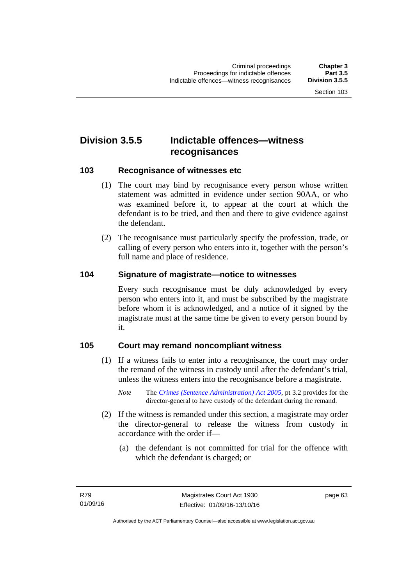# **Division 3.5.5 Indictable offences—witness recognisances**

#### **103 Recognisance of witnesses etc**

- (1) The court may bind by recognisance every person whose written statement was admitted in evidence under section 90AA, or who was examined before it, to appear at the court at which the defendant is to be tried, and then and there to give evidence against the defendant.
- (2) The recognisance must particularly specify the profession, trade, or calling of every person who enters into it, together with the person's full name and place of residence.

#### **104 Signature of magistrate—notice to witnesses**

Every such recognisance must be duly acknowledged by every person who enters into it, and must be subscribed by the magistrate before whom it is acknowledged, and a notice of it signed by the magistrate must at the same time be given to every person bound by it.

#### **105 Court may remand noncompliant witness**

- (1) If a witness fails to enter into a recognisance, the court may order the remand of the witness in custody until after the defendant's trial, unless the witness enters into the recognisance before a magistrate.
	- *Note* The *[Crimes \(Sentence Administration\) Act 2005](http://www.legislation.act.gov.au/a/2005-59)*, pt 3.2 provides for the director-general to have custody of the defendant during the remand.
- (2) If the witness is remanded under this section, a magistrate may order the director-general to release the witness from custody in accordance with the order if—
	- (a) the defendant is not committed for trial for the offence with which the defendant is charged; or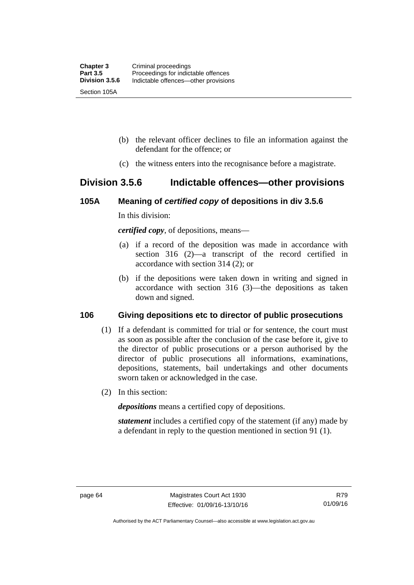- (b) the relevant officer declines to file an information against the defendant for the offence; or
- (c) the witness enters into the recognisance before a magistrate.

## **Division 3.5.6 Indictable offences—other provisions**

## **105A Meaning of** *certified copy* **of depositions in div 3.5.6**

In this division:

*certified copy*, of depositions, means—

- (a) if a record of the deposition was made in accordance with section 316 (2)—a transcript of the record certified in accordance with section 314 (2); or
- (b) if the depositions were taken down in writing and signed in accordance with section 316 (3)—the depositions as taken down and signed.

## **106 Giving depositions etc to director of public prosecutions**

- (1) If a defendant is committed for trial or for sentence, the court must as soon as possible after the conclusion of the case before it, give to the director of public prosecutions or a person authorised by the director of public prosecutions all informations, examinations, depositions, statements, bail undertakings and other documents sworn taken or acknowledged in the case.
- (2) In this section:

*depositions* means a certified copy of depositions.

*statement* includes a certified copy of the statement (if any) made by a defendant in reply to the question mentioned in section 91 (1).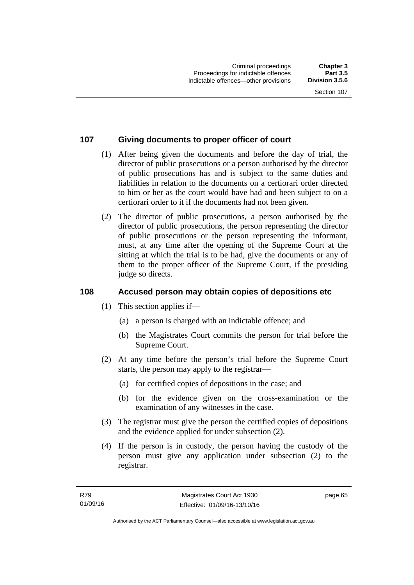## **107 Giving documents to proper officer of court**

- (1) After being given the documents and before the day of trial, the director of public prosecutions or a person authorised by the director of public prosecutions has and is subject to the same duties and liabilities in relation to the documents on a certiorari order directed to him or her as the court would have had and been subject to on a certiorari order to it if the documents had not been given.
- (2) The director of public prosecutions, a person authorised by the director of public prosecutions, the person representing the director of public prosecutions or the person representing the informant, must, at any time after the opening of the Supreme Court at the sitting at which the trial is to be had, give the documents or any of them to the proper officer of the Supreme Court, if the presiding judge so directs.

## **108 Accused person may obtain copies of depositions etc**

- (1) This section applies if—
	- (a) a person is charged with an indictable offence; and
	- (b) the Magistrates Court commits the person for trial before the Supreme Court.
- (2) At any time before the person's trial before the Supreme Court starts, the person may apply to the registrar—
	- (a) for certified copies of depositions in the case; and
	- (b) for the evidence given on the cross-examination or the examination of any witnesses in the case.
- (3) The registrar must give the person the certified copies of depositions and the evidence applied for under subsection (2).
- (4) If the person is in custody, the person having the custody of the person must give any application under subsection (2) to the registrar.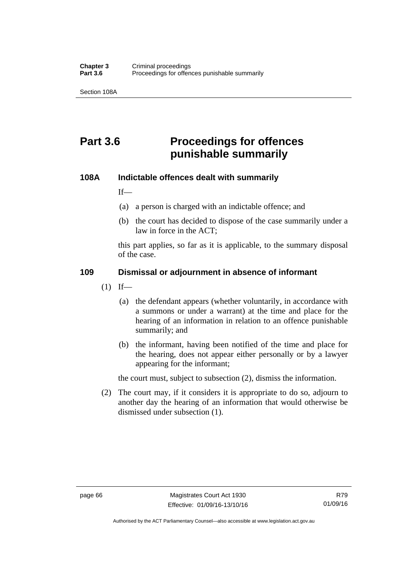Section 108A

# **Part 3.6 Proceedings for offences punishable summarily**

## **108A Indictable offences dealt with summarily**

If—

- (a) a person is charged with an indictable offence; and
- (b) the court has decided to dispose of the case summarily under a law in force in the ACT;

this part applies, so far as it is applicable, to the summary disposal of the case.

## **109 Dismissal or adjournment in absence of informant**

- $(1)$  If—
	- (a) the defendant appears (whether voluntarily, in accordance with a summons or under a warrant) at the time and place for the hearing of an information in relation to an offence punishable summarily; and
	- (b) the informant, having been notified of the time and place for the hearing, does not appear either personally or by a lawyer appearing for the informant;

the court must, subject to subsection (2), dismiss the information.

 (2) The court may, if it considers it is appropriate to do so, adjourn to another day the hearing of an information that would otherwise be dismissed under subsection (1).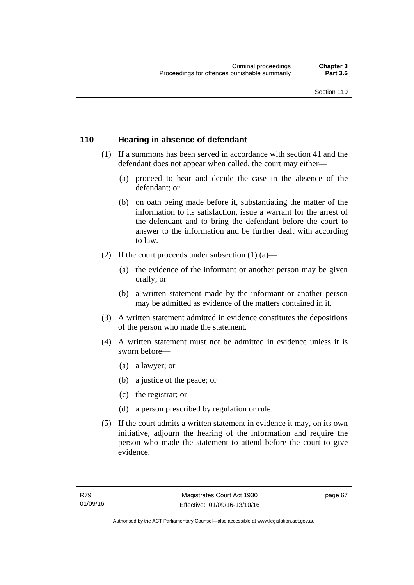## **110 Hearing in absence of defendant**

- (1) If a summons has been served in accordance with section 41 and the defendant does not appear when called, the court may either—
	- (a) proceed to hear and decide the case in the absence of the defendant; or
	- (b) on oath being made before it, substantiating the matter of the information to its satisfaction, issue a warrant for the arrest of the defendant and to bring the defendant before the court to answer to the information and be further dealt with according to law.
- (2) If the court proceeds under subsection  $(1)$   $(a)$ 
	- (a) the evidence of the informant or another person may be given orally; or
	- (b) a written statement made by the informant or another person may be admitted as evidence of the matters contained in it.
- (3) A written statement admitted in evidence constitutes the depositions of the person who made the statement.
- (4) A written statement must not be admitted in evidence unless it is sworn before—
	- (a) a lawyer; or
	- (b) a justice of the peace; or
	- (c) the registrar; or
	- (d) a person prescribed by regulation or rule.
- (5) If the court admits a written statement in evidence it may, on its own initiative, adjourn the hearing of the information and require the person who made the statement to attend before the court to give evidence.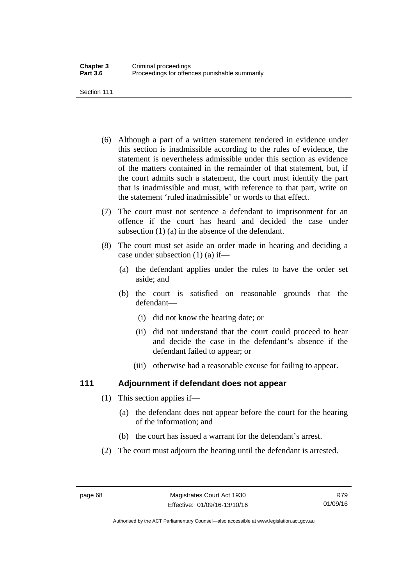Section 111

- (6) Although a part of a written statement tendered in evidence under this section is inadmissible according to the rules of evidence, the statement is nevertheless admissible under this section as evidence of the matters contained in the remainder of that statement, but, if the court admits such a statement, the court must identify the part that is inadmissible and must, with reference to that part, write on the statement 'ruled inadmissible' or words to that effect.
- (7) The court must not sentence a defendant to imprisonment for an offence if the court has heard and decided the case under subsection (1) (a) in the absence of the defendant.
- (8) The court must set aside an order made in hearing and deciding a case under subsection (1) (a) if—
	- (a) the defendant applies under the rules to have the order set aside; and
	- (b) the court is satisfied on reasonable grounds that the defendant—
		- (i) did not know the hearing date; or
		- (ii) did not understand that the court could proceed to hear and decide the case in the defendant's absence if the defendant failed to appear; or
		- (iii) otherwise had a reasonable excuse for failing to appear.

## **111 Adjournment if defendant does not appear**

- (1) This section applies if—
	- (a) the defendant does not appear before the court for the hearing of the information; and
	- (b) the court has issued a warrant for the defendant's arrest.
- (2) The court must adjourn the hearing until the defendant is arrested.

Authorised by the ACT Parliamentary Counsel—also accessible at www.legislation.act.gov.au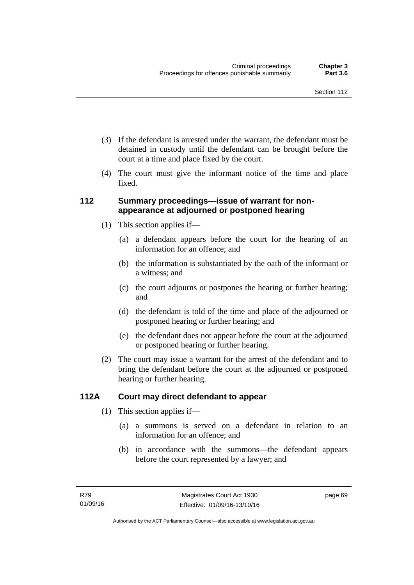- (3) If the defendant is arrested under the warrant, the defendant must be detained in custody until the defendant can be brought before the court at a time and place fixed by the court.
- (4) The court must give the informant notice of the time and place fixed.

## **112 Summary proceedings—issue of warrant for nonappearance at adjourned or postponed hearing**

- (1) This section applies if—
	- (a) a defendant appears before the court for the hearing of an information for an offence; and
	- (b) the information is substantiated by the oath of the informant or a witness; and
	- (c) the court adjourns or postpones the hearing or further hearing; and
	- (d) the defendant is told of the time and place of the adjourned or postponed hearing or further hearing; and
	- (e) the defendant does not appear before the court at the adjourned or postponed hearing or further hearing.
- (2) The court may issue a warrant for the arrest of the defendant and to bring the defendant before the court at the adjourned or postponed hearing or further hearing.

## **112A Court may direct defendant to appear**

- (1) This section applies if—
	- (a) a summons is served on a defendant in relation to an information for an offence; and
	- (b) in accordance with the summons—the defendant appears before the court represented by a lawyer; and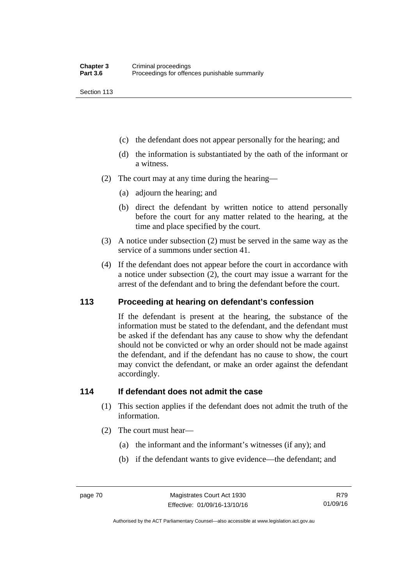Section 113

- (c) the defendant does not appear personally for the hearing; and
- (d) the information is substantiated by the oath of the informant or a witness.
- (2) The court may at any time during the hearing—
	- (a) adjourn the hearing; and
	- (b) direct the defendant by written notice to attend personally before the court for any matter related to the hearing, at the time and place specified by the court.
- (3) A notice under subsection (2) must be served in the same way as the service of a summons under section 41.
- (4) If the defendant does not appear before the court in accordance with a notice under subsection (2), the court may issue a warrant for the arrest of the defendant and to bring the defendant before the court.

#### **113 Proceeding at hearing on defendant's confession**

If the defendant is present at the hearing, the substance of the information must be stated to the defendant, and the defendant must be asked if the defendant has any cause to show why the defendant should not be convicted or why an order should not be made against the defendant, and if the defendant has no cause to show, the court may convict the defendant, or make an order against the defendant accordingly.

#### **114 If defendant does not admit the case**

- (1) This section applies if the defendant does not admit the truth of the information.
- (2) The court must hear—
	- (a) the informant and the informant's witnesses (if any); and
	- (b) if the defendant wants to give evidence—the defendant; and

R79 01/09/16

Authorised by the ACT Parliamentary Counsel—also accessible at www.legislation.act.gov.au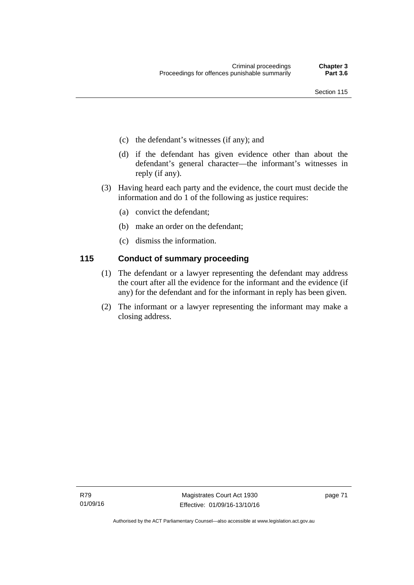- (c) the defendant's witnesses (if any); and
- (d) if the defendant has given evidence other than about the defendant's general character—the informant's witnesses in reply (if any).
- (3) Having heard each party and the evidence, the court must decide the information and do 1 of the following as justice requires:
	- (a) convict the defendant;
	- (b) make an order on the defendant;
	- (c) dismiss the information.

## **115 Conduct of summary proceeding**

- (1) The defendant or a lawyer representing the defendant may address the court after all the evidence for the informant and the evidence (if any) for the defendant and for the informant in reply has been given.
- (2) The informant or a lawyer representing the informant may make a closing address.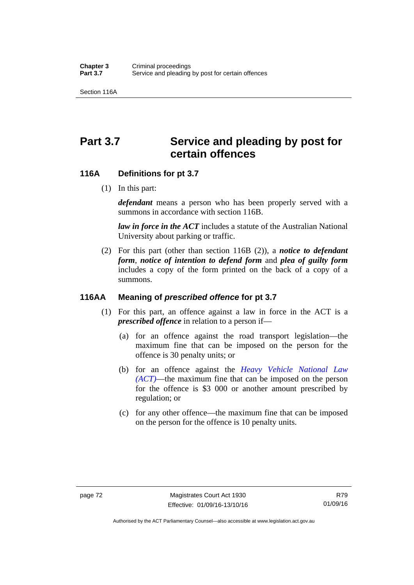Section 116A

# Part 3.7 Service and pleading by post for **certain offences**

## **116A Definitions for pt 3.7**

(1) In this part:

*defendant* means a person who has been properly served with a summons in accordance with section 116B.

*law in force in the ACT* includes a statute of the Australian National University about parking or traffic.

 (2) For this part (other than section 116B (2)), a *notice to defendant form*, *notice of intention to defend form* and *plea of guilty form* includes a copy of the form printed on the back of a copy of a summons.

## **116AA Meaning of** *prescribed offence* **for pt 3.7**

- (1) For this part, an offence against a law in force in the ACT is a *prescribed offence* in relation to a person if—
	- (a) for an offence against the road transport legislation—the maximum fine that can be imposed on the person for the offence is 30 penalty units; or
	- (b) for an offence against the *[Heavy Vehicle National Law](http://www.legislation.act.gov.au/a/db_49155/default.asp)  [\(ACT\)](http://www.legislation.act.gov.au/a/db_49155/default.asp)*—the maximum fine that can be imposed on the person for the offence is \$3 000 or another amount prescribed by regulation; or
	- (c) for any other offence—the maximum fine that can be imposed on the person for the offence is 10 penalty units.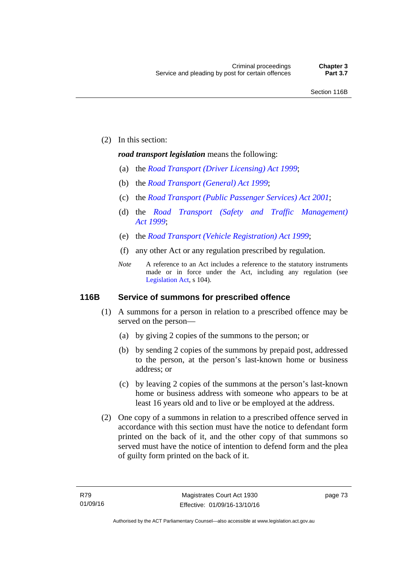(2) In this section:

#### *road transport legislation* means the following:

- (a) the *[Road Transport \(Driver Licensing\) Act 1999](http://www.legislation.act.gov.au/a/1999-78)*;
- (b) the *[Road Transport \(General\) Act 1999](http://www.legislation.act.gov.au/a/1999-77)*;
- (c) the *[Road Transport \(Public Passenger Services\) Act 2001](http://www.legislation.act.gov.au/a/2001-62)*;
- (d) the *[Road Transport \(Safety and Traffic Management\)](http://www.legislation.act.gov.au/a/1999-80)  [Act 1999](http://www.legislation.act.gov.au/a/1999-80)*;
- (e) the *[Road Transport \(Vehicle Registration\) Act 1999](http://www.legislation.act.gov.au/a/1999-81)*;
- (f) any other Act or any regulation prescribed by regulation.
- *Note* A reference to an Act includes a reference to the statutory instruments made or in force under the Act, including any regulation (see [Legislation Act,](http://www.legislation.act.gov.au/a/2001-14) s 104).

#### **116B Service of summons for prescribed offence**

- (1) A summons for a person in relation to a prescribed offence may be served on the person—
	- (a) by giving 2 copies of the summons to the person; or
	- (b) by sending 2 copies of the summons by prepaid post, addressed to the person, at the person's last-known home or business address; or
	- (c) by leaving 2 copies of the summons at the person's last-known home or business address with someone who appears to be at least 16 years old and to live or be employed at the address.
- (2) One copy of a summons in relation to a prescribed offence served in accordance with this section must have the notice to defendant form printed on the back of it, and the other copy of that summons so served must have the notice of intention to defend form and the plea of guilty form printed on the back of it.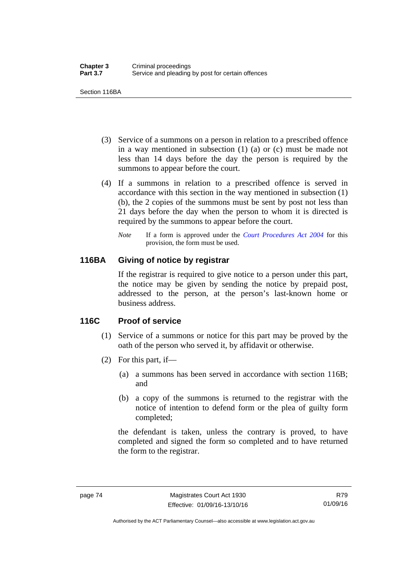Section 116BA

- (3) Service of a summons on a person in relation to a prescribed offence in a way mentioned in subsection (1) (a) or (c) must be made not less than 14 days before the day the person is required by the summons to appear before the court.
- (4) If a summons in relation to a prescribed offence is served in accordance with this section in the way mentioned in subsection (1) (b), the 2 copies of the summons must be sent by post not less than 21 days before the day when the person to whom it is directed is required by the summons to appear before the court.
	- *Note* If a form is approved under the *[Court Procedures Act 2004](http://www.legislation.act.gov.au/a/2004-59)* for this provision, the form must be used.

## **116BA Giving of notice by registrar**

If the registrar is required to give notice to a person under this part, the notice may be given by sending the notice by prepaid post, addressed to the person, at the person's last-known home or business address.

## **116C Proof of service**

- (1) Service of a summons or notice for this part may be proved by the oath of the person who served it, by affidavit or otherwise.
- (2) For this part, if—
	- (a) a summons has been served in accordance with section 116B; and
	- (b) a copy of the summons is returned to the registrar with the notice of intention to defend form or the plea of guilty form completed;

the defendant is taken, unless the contrary is proved, to have completed and signed the form so completed and to have returned the form to the registrar.

Authorised by the ACT Parliamentary Counsel—also accessible at www.legislation.act.gov.au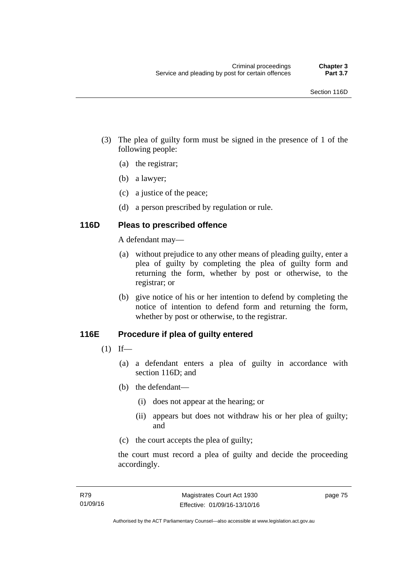- (3) The plea of guilty form must be signed in the presence of 1 of the following people:
	- (a) the registrar;
	- (b) a lawyer;
	- (c) a justice of the peace;
	- (d) a person prescribed by regulation or rule.

## **116D Pleas to prescribed offence**

A defendant may—

- (a) without prejudice to any other means of pleading guilty, enter a plea of guilty by completing the plea of guilty form and returning the form, whether by post or otherwise, to the registrar; or
- (b) give notice of his or her intention to defend by completing the notice of intention to defend form and returning the form, whether by post or otherwise, to the registrar.

## **116E Procedure if plea of guilty entered**

- $(1)$  If—
	- (a) a defendant enters a plea of guilty in accordance with section 116D; and
	- (b) the defendant—
		- (i) does not appear at the hearing; or
		- (ii) appears but does not withdraw his or her plea of guilty; and
	- (c) the court accepts the plea of guilty;

the court must record a plea of guilty and decide the proceeding accordingly.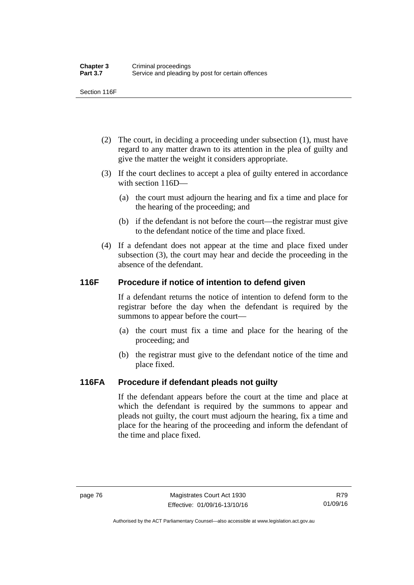Section 116F

- (2) The court, in deciding a proceeding under subsection (1), must have regard to any matter drawn to its attention in the plea of guilty and give the matter the weight it considers appropriate.
- (3) If the court declines to accept a plea of guilty entered in accordance with section 116D—
	- (a) the court must adjourn the hearing and fix a time and place for the hearing of the proceeding; and
	- (b) if the defendant is not before the court—the registrar must give to the defendant notice of the time and place fixed.
- (4) If a defendant does not appear at the time and place fixed under subsection (3), the court may hear and decide the proceeding in the absence of the defendant.

## **116F Procedure if notice of intention to defend given**

If a defendant returns the notice of intention to defend form to the registrar before the day when the defendant is required by the summons to appear before the court—

- (a) the court must fix a time and place for the hearing of the proceeding; and
- (b) the registrar must give to the defendant notice of the time and place fixed.

## **116FA Procedure if defendant pleads not guilty**

If the defendant appears before the court at the time and place at which the defendant is required by the summons to appear and pleads not guilty, the court must adjourn the hearing, fix a time and place for the hearing of the proceeding and inform the defendant of the time and place fixed.

Authorised by the ACT Parliamentary Counsel—also accessible at www.legislation.act.gov.au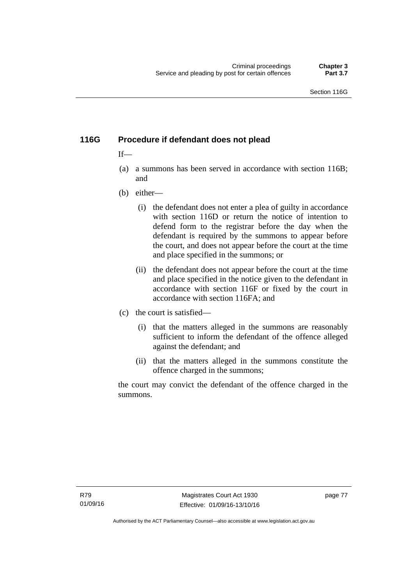## **116G Procedure if defendant does not plead**

## $If$ —

- (a) a summons has been served in accordance with section 116B; and
- (b) either—
	- (i) the defendant does not enter a plea of guilty in accordance with section 116D or return the notice of intention to defend form to the registrar before the day when the defendant is required by the summons to appear before the court, and does not appear before the court at the time and place specified in the summons; or
	- (ii) the defendant does not appear before the court at the time and place specified in the notice given to the defendant in accordance with section 116F or fixed by the court in accordance with section 116FA; and
- (c) the court is satisfied—
	- (i) that the matters alleged in the summons are reasonably sufficient to inform the defendant of the offence alleged against the defendant; and
	- (ii) that the matters alleged in the summons constitute the offence charged in the summons;

the court may convict the defendant of the offence charged in the summons.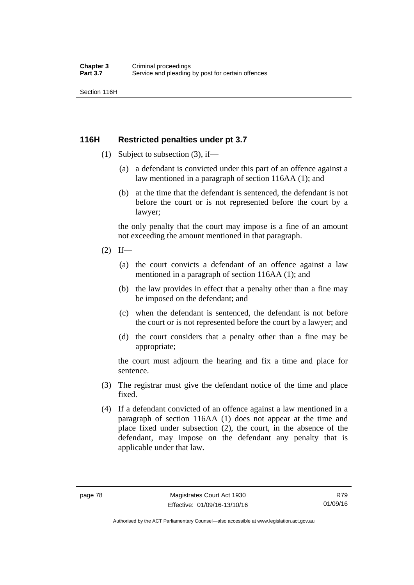Section 116H

## **116H Restricted penalties under pt 3.7**

- (1) Subject to subsection (3), if—
	- (a) a defendant is convicted under this part of an offence against a law mentioned in a paragraph of section 116AA (1); and
	- (b) at the time that the defendant is sentenced, the defendant is not before the court or is not represented before the court by a lawyer;

the only penalty that the court may impose is a fine of an amount not exceeding the amount mentioned in that paragraph.

- $(2)$  If—
	- (a) the court convicts a defendant of an offence against a law mentioned in a paragraph of section 116AA (1); and
	- (b) the law provides in effect that a penalty other than a fine may be imposed on the defendant; and
	- (c) when the defendant is sentenced, the defendant is not before the court or is not represented before the court by a lawyer; and
	- (d) the court considers that a penalty other than a fine may be appropriate;

the court must adjourn the hearing and fix a time and place for sentence.

- (3) The registrar must give the defendant notice of the time and place fixed.
- (4) If a defendant convicted of an offence against a law mentioned in a paragraph of section 116AA (1) does not appear at the time and place fixed under subsection (2), the court, in the absence of the defendant, may impose on the defendant any penalty that is applicable under that law.

R79 01/09/16

Authorised by the ACT Parliamentary Counsel—also accessible at www.legislation.act.gov.au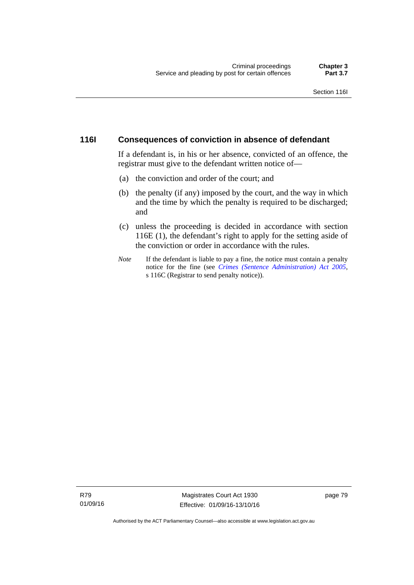## **116I Consequences of conviction in absence of defendant**

If a defendant is, in his or her absence, convicted of an offence, the registrar must give to the defendant written notice of—

- (a) the conviction and order of the court; and
- (b) the penalty (if any) imposed by the court, and the way in which and the time by which the penalty is required to be discharged; and
- (c) unless the proceeding is decided in accordance with section 116E (1), the defendant's right to apply for the setting aside of the conviction or order in accordance with the rules.
- *Note* If the defendant is liable to pay a fine, the notice must contain a penalty notice for the fine (see *[Crimes \(Sentence Administration\) Act 2005](http://www.legislation.act.gov.au/a/2005-59)*, s 116C (Registrar to send penalty notice)).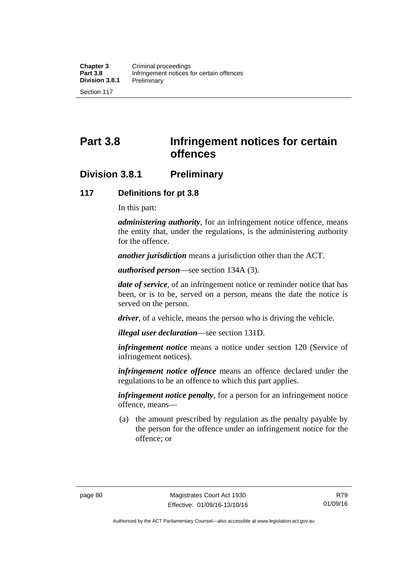# **Part 3.8 Infringement notices for certain offences**

## **Division 3.8.1 Preliminary**

## **117 Definitions for pt 3.8**

In this part:

*administering authority*, for an infringement notice offence, means the entity that, under the regulations, is the administering authority for the offence.

*another jurisdiction* means a jurisdiction other than the ACT.

*authorised person*—see section 134A (3).

*date of service*, of an infringement notice or reminder notice that has been, or is to be, served on a person, means the date the notice is served on the person.

*driver*, of a vehicle, means the person who is driving the vehicle.

*illegal user declaration*—see section 131D.

*infringement notice* means a notice under section 120 (Service of infringement notices).

*infringement notice offence* means an offence declared under the regulations to be an offence to which this part applies.

*infringement notice penalty*, for a person for an infringement notice offence, means—

 (a) the amount prescribed by regulation as the penalty payable by the person for the offence under an infringement notice for the offence; or

Authorised by the ACT Parliamentary Counsel—also accessible at www.legislation.act.gov.au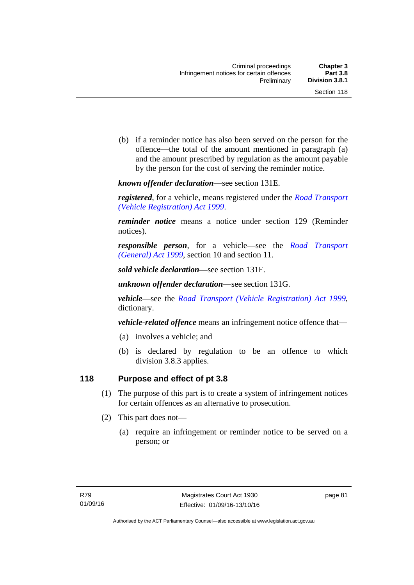(b) if a reminder notice has also been served on the person for the offence—the total of the amount mentioned in paragraph (a) and the amount prescribed by regulation as the amount payable by the person for the cost of serving the reminder notice.

*known offender declaration*—see section 131E.

*registered*, for a vehicle, means registered under the *[Road Transport](http://www.legislation.act.gov.au/a/1999-81)  [\(Vehicle Registration\) Act 1999](http://www.legislation.act.gov.au/a/1999-81)*.

*reminder notice* means a notice under section 129 (Reminder notices).

*responsible person*, for a vehicle—see the *[Road Transport](http://www.legislation.act.gov.au/a/1999-77)  [\(General\) Act 1999](http://www.legislation.act.gov.au/a/1999-77)*, section 10 and section 11.

*sold vehicle declaration*—see section 131F.

*unknown offender declaration*—see section 131G.

*vehicle*—see the *[Road Transport \(Vehicle Registration\) Act 1999](http://www.legislation.act.gov.au/a/1999-81)*, dictionary.

*vehicle-related offence* means an infringement notice offence that—

- (a) involves a vehicle; and
- (b) is declared by regulation to be an offence to which division 3.8.3 applies.

## **118 Purpose and effect of pt 3.8**

- (1) The purpose of this part is to create a system of infringement notices for certain offences as an alternative to prosecution.
- (2) This part does not—
	- (a) require an infringement or reminder notice to be served on a person; or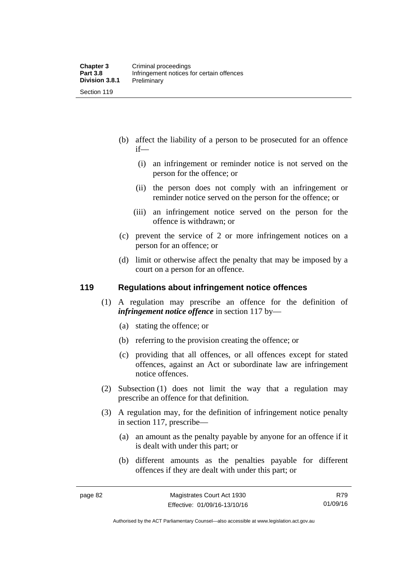- (b) affect the liability of a person to be prosecuted for an offence if—
	- (i) an infringement or reminder notice is not served on the person for the offence; or
	- (ii) the person does not comply with an infringement or reminder notice served on the person for the offence; or
	- (iii) an infringement notice served on the person for the offence is withdrawn; or
- (c) prevent the service of 2 or more infringement notices on a person for an offence; or
- (d) limit or otherwise affect the penalty that may be imposed by a court on a person for an offence.

#### **119 Regulations about infringement notice offences**

- (1) A regulation may prescribe an offence for the definition of *infringement notice offence* in section 117 by—
	- (a) stating the offence; or
	- (b) referring to the provision creating the offence; or
	- (c) providing that all offences, or all offences except for stated offences, against an Act or subordinate law are infringement notice offences.
- (2) Subsection (1) does not limit the way that a regulation may prescribe an offence for that definition.
- (3) A regulation may, for the definition of infringement notice penalty in section 117, prescribe—
	- (a) an amount as the penalty payable by anyone for an offence if it is dealt with under this part; or
	- (b) different amounts as the penalties payable for different offences if they are dealt with under this part; or

R79 01/09/16

Authorised by the ACT Parliamentary Counsel—also accessible at www.legislation.act.gov.au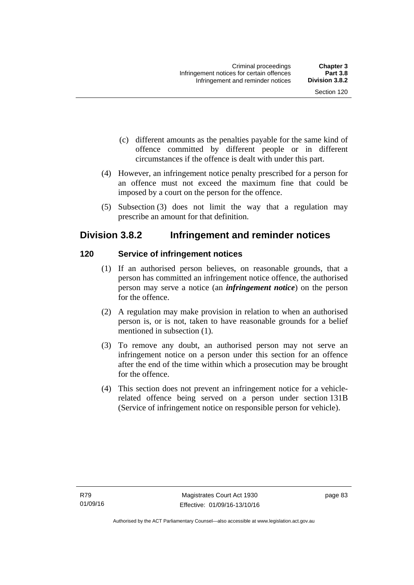- (c) different amounts as the penalties payable for the same kind of offence committed by different people or in different circumstances if the offence is dealt with under this part.
- (4) However, an infringement notice penalty prescribed for a person for an offence must not exceed the maximum fine that could be imposed by a court on the person for the offence.
- (5) Subsection (3) does not limit the way that a regulation may prescribe an amount for that definition.

## **Division 3.8.2 Infringement and reminder notices**

## **120 Service of infringement notices**

- (1) If an authorised person believes, on reasonable grounds, that a person has committed an infringement notice offence, the authorised person may serve a notice (an *infringement notice*) on the person for the offence.
- (2) A regulation may make provision in relation to when an authorised person is, or is not, taken to have reasonable grounds for a belief mentioned in subsection (1).
- (3) To remove any doubt, an authorised person may not serve an infringement notice on a person under this section for an offence after the end of the time within which a prosecution may be brought for the offence.
- (4) This section does not prevent an infringement notice for a vehiclerelated offence being served on a person under section 131B (Service of infringement notice on responsible person for vehicle).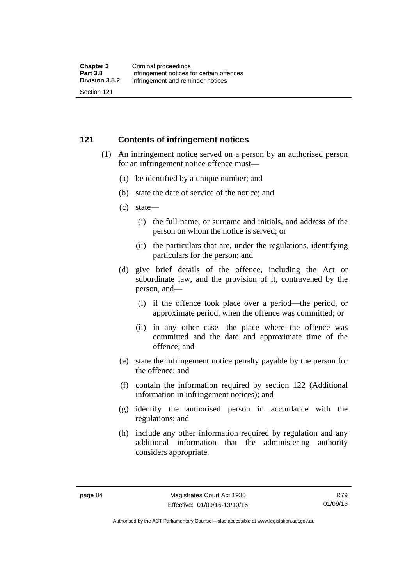#### **121 Contents of infringement notices**

- (1) An infringement notice served on a person by an authorised person for an infringement notice offence must—
	- (a) be identified by a unique number; and
	- (b) state the date of service of the notice; and
	- (c) state—
		- (i) the full name, or surname and initials, and address of the person on whom the notice is served; or
		- (ii) the particulars that are, under the regulations, identifying particulars for the person; and
	- (d) give brief details of the offence, including the Act or subordinate law, and the provision of it, contravened by the person, and—
		- (i) if the offence took place over a period—the period, or approximate period, when the offence was committed; or
		- (ii) in any other case—the place where the offence was committed and the date and approximate time of the offence; and
	- (e) state the infringement notice penalty payable by the person for the offence; and
	- (f) contain the information required by section 122 (Additional information in infringement notices); and
	- (g) identify the authorised person in accordance with the regulations; and
	- (h) include any other information required by regulation and any additional information that the administering authority considers appropriate.

Authorised by the ACT Parliamentary Counsel—also accessible at www.legislation.act.gov.au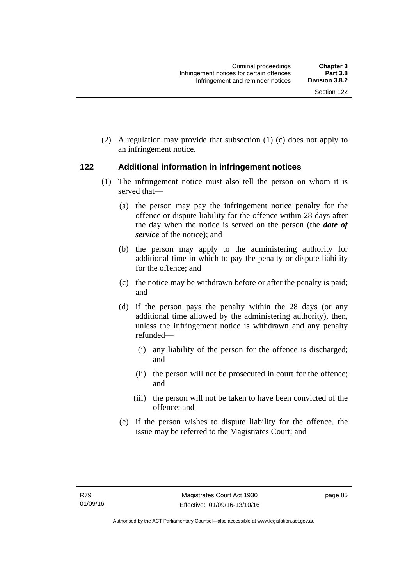(2) A regulation may provide that subsection (1) (c) does not apply to an infringement notice.

## **122 Additional information in infringement notices**

- (1) The infringement notice must also tell the person on whom it is served that—
	- (a) the person may pay the infringement notice penalty for the offence or dispute liability for the offence within 28 days after the day when the notice is served on the person (the *date of service* of the notice); and
	- (b) the person may apply to the administering authority for additional time in which to pay the penalty or dispute liability for the offence; and
	- (c) the notice may be withdrawn before or after the penalty is paid; and
	- (d) if the person pays the penalty within the 28 days (or any additional time allowed by the administering authority), then, unless the infringement notice is withdrawn and any penalty refunded—
		- (i) any liability of the person for the offence is discharged; and
		- (ii) the person will not be prosecuted in court for the offence; and
		- (iii) the person will not be taken to have been convicted of the offence; and
	- (e) if the person wishes to dispute liability for the offence, the issue may be referred to the Magistrates Court; and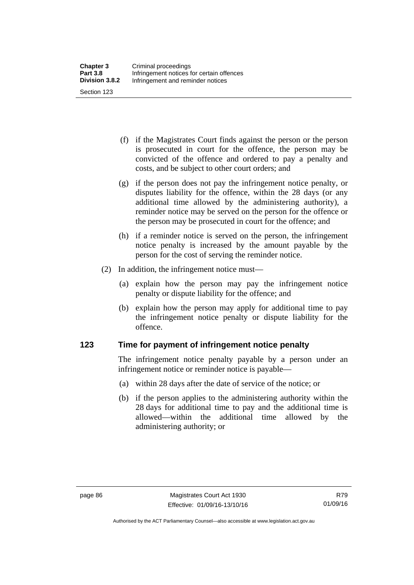(f) if the Magistrates Court finds against the person or the person is prosecuted in court for the offence, the person may be convicted of the offence and ordered to pay a penalty and costs, and be subject to other court orders; and

- (g) if the person does not pay the infringement notice penalty, or disputes liability for the offence, within the 28 days (or any additional time allowed by the administering authority), a reminder notice may be served on the person for the offence or the person may be prosecuted in court for the offence; and
- (h) if a reminder notice is served on the person, the infringement notice penalty is increased by the amount payable by the person for the cost of serving the reminder notice.
- (2) In addition, the infringement notice must—
	- (a) explain how the person may pay the infringement notice penalty or dispute liability for the offence; and
	- (b) explain how the person may apply for additional time to pay the infringement notice penalty or dispute liability for the offence.

#### **123 Time for payment of infringement notice penalty**

The infringement notice penalty payable by a person under an infringement notice or reminder notice is payable—

- (a) within 28 days after the date of service of the notice; or
- (b) if the person applies to the administering authority within the 28 days for additional time to pay and the additional time is allowed—within the additional time allowed by the administering authority; or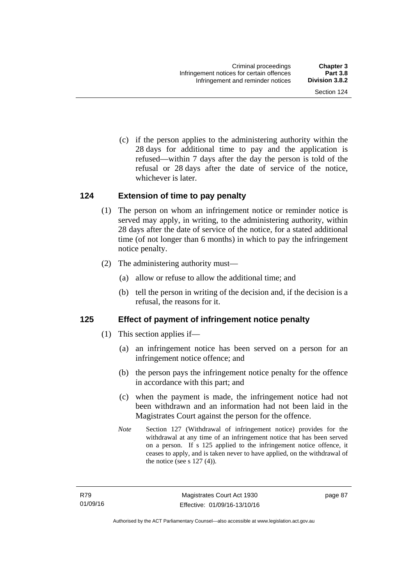(c) if the person applies to the administering authority within the 28 days for additional time to pay and the application is refused—within 7 days after the day the person is told of the refusal or 28 days after the date of service of the notice, whichever is later.

## **124 Extension of time to pay penalty**

- (1) The person on whom an infringement notice or reminder notice is served may apply, in writing, to the administering authority, within 28 days after the date of service of the notice, for a stated additional time (of not longer than 6 months) in which to pay the infringement notice penalty.
- (2) The administering authority must—
	- (a) allow or refuse to allow the additional time; and
	- (b) tell the person in writing of the decision and, if the decision is a refusal, the reasons for it.

## **125 Effect of payment of infringement notice penalty**

- (1) This section applies if—
	- (a) an infringement notice has been served on a person for an infringement notice offence; and
	- (b) the person pays the infringement notice penalty for the offence in accordance with this part; and
	- (c) when the payment is made, the infringement notice had not been withdrawn and an information had not been laid in the Magistrates Court against the person for the offence.
	- *Note* Section 127 (Withdrawal of infringement notice) provides for the withdrawal at any time of an infringement notice that has been served on a person. If s 125 applied to the infringement notice offence, it ceases to apply, and is taken never to have applied, on the withdrawal of the notice (see s  $127(4)$ ).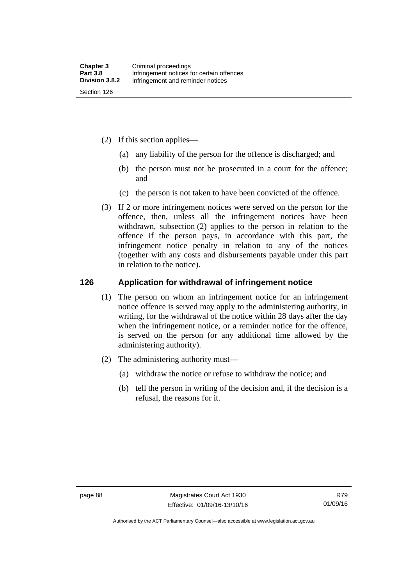- (2) If this section applies—
	- (a) any liability of the person for the offence is discharged; and
	- (b) the person must not be prosecuted in a court for the offence; and
	- (c) the person is not taken to have been convicted of the offence.
- (3) If 2 or more infringement notices were served on the person for the offence, then, unless all the infringement notices have been withdrawn, subsection (2) applies to the person in relation to the offence if the person pays, in accordance with this part, the infringement notice penalty in relation to any of the notices (together with any costs and disbursements payable under this part in relation to the notice).

#### **126 Application for withdrawal of infringement notice**

- (1) The person on whom an infringement notice for an infringement notice offence is served may apply to the administering authority, in writing, for the withdrawal of the notice within 28 days after the day when the infringement notice, or a reminder notice for the offence, is served on the person (or any additional time allowed by the administering authority).
- (2) The administering authority must—
	- (a) withdraw the notice or refuse to withdraw the notice; and
	- (b) tell the person in writing of the decision and, if the decision is a refusal, the reasons for it.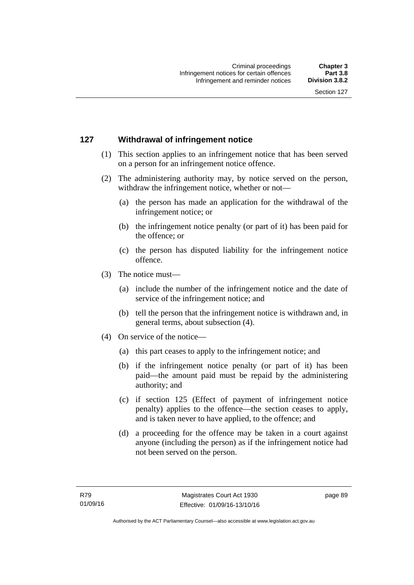## **127 Withdrawal of infringement notice**

- (1) This section applies to an infringement notice that has been served on a person for an infringement notice offence.
- (2) The administering authority may, by notice served on the person, withdraw the infringement notice, whether or not—
	- (a) the person has made an application for the withdrawal of the infringement notice; or
	- (b) the infringement notice penalty (or part of it) has been paid for the offence; or
	- (c) the person has disputed liability for the infringement notice offence.
- (3) The notice must—
	- (a) include the number of the infringement notice and the date of service of the infringement notice; and
	- (b) tell the person that the infringement notice is withdrawn and, in general terms, about subsection (4).
- (4) On service of the notice—
	- (a) this part ceases to apply to the infringement notice; and
	- (b) if the infringement notice penalty (or part of it) has been paid—the amount paid must be repaid by the administering authority; and
	- (c) if section 125 (Effect of payment of infringement notice penalty) applies to the offence—the section ceases to apply, and is taken never to have applied, to the offence; and
	- (d) a proceeding for the offence may be taken in a court against anyone (including the person) as if the infringement notice had not been served on the person.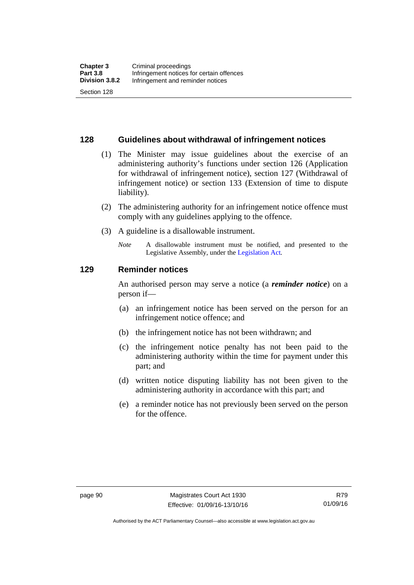#### **128 Guidelines about withdrawal of infringement notices**

- (1) The Minister may issue guidelines about the exercise of an administering authority's functions under section 126 (Application for withdrawal of infringement notice), section 127 (Withdrawal of infringement notice) or section 133 (Extension of time to dispute liability).
- (2) The administering authority for an infringement notice offence must comply with any guidelines applying to the offence.
- (3) A guideline is a disallowable instrument.
	- *Note* A disallowable instrument must be notified, and presented to the Legislative Assembly, under the [Legislation Act](http://www.legislation.act.gov.au/a/2001-14)*.*

#### **129 Reminder notices**

An authorised person may serve a notice (a *reminder notice*) on a person if—

- (a) an infringement notice has been served on the person for an infringement notice offence; and
- (b) the infringement notice has not been withdrawn; and
- (c) the infringement notice penalty has not been paid to the administering authority within the time for payment under this part; and
- (d) written notice disputing liability has not been given to the administering authority in accordance with this part; and
- (e) a reminder notice has not previously been served on the person for the offence.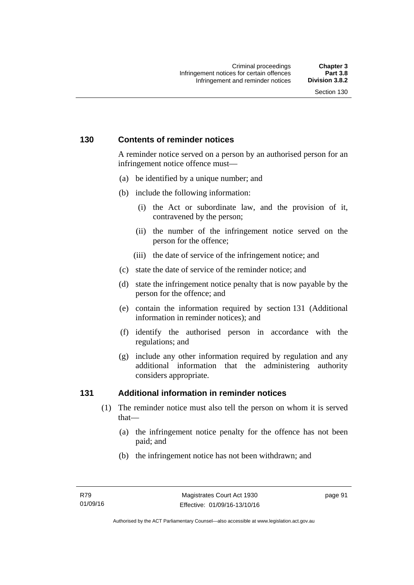## **130 Contents of reminder notices**

A reminder notice served on a person by an authorised person for an infringement notice offence must—

- (a) be identified by a unique number; and
- (b) include the following information:
	- (i) the Act or subordinate law, and the provision of it, contravened by the person;
	- (ii) the number of the infringement notice served on the person for the offence;
	- (iii) the date of service of the infringement notice; and
- (c) state the date of service of the reminder notice; and
- (d) state the infringement notice penalty that is now payable by the person for the offence; and
- (e) contain the information required by section 131 (Additional information in reminder notices); and
- (f) identify the authorised person in accordance with the regulations; and
- (g) include any other information required by regulation and any additional information that the administering authority considers appropriate.

## **131 Additional information in reminder notices**

- (1) The reminder notice must also tell the person on whom it is served that—
	- (a) the infringement notice penalty for the offence has not been paid; and
	- (b) the infringement notice has not been withdrawn; and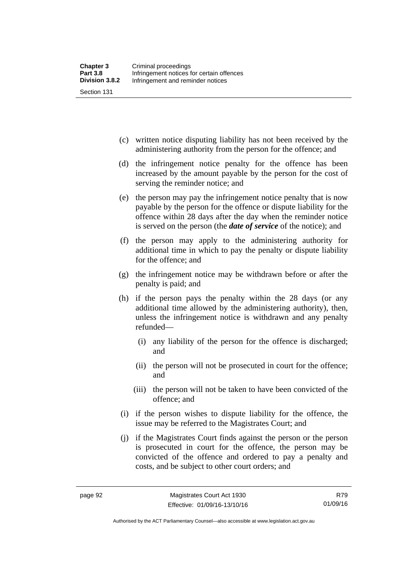- (c) written notice disputing liability has not been received by the administering authority from the person for the offence; and
- (d) the infringement notice penalty for the offence has been increased by the amount payable by the person for the cost of serving the reminder notice; and
- (e) the person may pay the infringement notice penalty that is now payable by the person for the offence or dispute liability for the offence within 28 days after the day when the reminder notice is served on the person (the *date of service* of the notice); and
- (f) the person may apply to the administering authority for additional time in which to pay the penalty or dispute liability for the offence; and
- (g) the infringement notice may be withdrawn before or after the penalty is paid; and
- (h) if the person pays the penalty within the 28 days (or any additional time allowed by the administering authority), then, unless the infringement notice is withdrawn and any penalty refunded—
	- (i) any liability of the person for the offence is discharged; and
	- (ii) the person will not be prosecuted in court for the offence; and
	- (iii) the person will not be taken to have been convicted of the offence; and
- (i) if the person wishes to dispute liability for the offence, the issue may be referred to the Magistrates Court; and
- (j) if the Magistrates Court finds against the person or the person is prosecuted in court for the offence, the person may be convicted of the offence and ordered to pay a penalty and costs, and be subject to other court orders; and

R79 01/09/16

Authorised by the ACT Parliamentary Counsel—also accessible at www.legislation.act.gov.au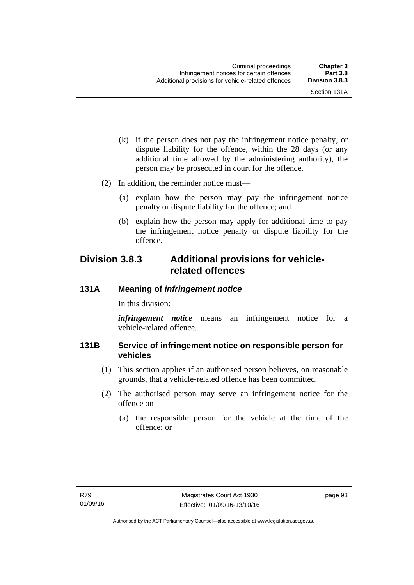- (k) if the person does not pay the infringement notice penalty, or dispute liability for the offence, within the 28 days (or any additional time allowed by the administering authority), the person may be prosecuted in court for the offence.
- (2) In addition, the reminder notice must—
	- (a) explain how the person may pay the infringement notice penalty or dispute liability for the offence; and
	- (b) explain how the person may apply for additional time to pay the infringement notice penalty or dispute liability for the offence.

# **Division 3.8.3 Additional provisions for vehiclerelated offences**

#### **131A Meaning of** *infringement notice*

In this division:

*infringement notice* means an infringement notice for a vehicle-related offence.

#### **131B Service of infringement notice on responsible person for vehicles**

- (1) This section applies if an authorised person believes, on reasonable grounds, that a vehicle-related offence has been committed.
- (2) The authorised person may serve an infringement notice for the offence on—
	- (a) the responsible person for the vehicle at the time of the offence; or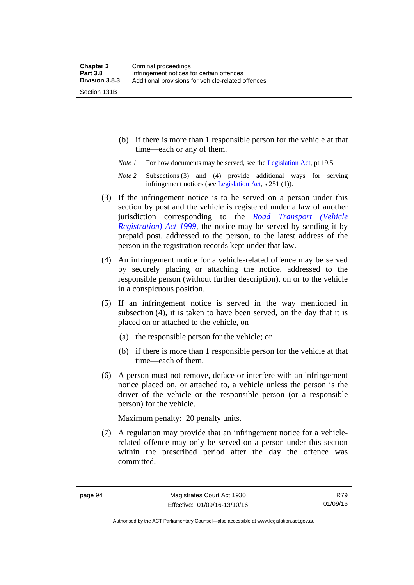Section 131B

- (b) if there is more than 1 responsible person for the vehicle at that time—each or any of them.
- *Note 1* For how documents may be served, see the [Legislation Act,](http://www.legislation.act.gov.au/a/2001-14) pt 19.5
- *Note 2* Subsections (3) and (4) provide additional ways for serving infringement notices (see [Legislation Act,](http://www.legislation.act.gov.au/a/2001-14) s 251 (1)).
- (3) If the infringement notice is to be served on a person under this section by post and the vehicle is registered under a law of another jurisdiction corresponding to the *[Road Transport \(Vehicle](http://www.legislation.act.gov.au/a/1999-81)  [Registration\) Act 1999](http://www.legislation.act.gov.au/a/1999-81)*, the notice may be served by sending it by prepaid post, addressed to the person, to the latest address of the person in the registration records kept under that law.
- (4) An infringement notice for a vehicle-related offence may be served by securely placing or attaching the notice, addressed to the responsible person (without further description), on or to the vehicle in a conspicuous position.
- (5) If an infringement notice is served in the way mentioned in subsection (4), it is taken to have been served, on the day that it is placed on or attached to the vehicle, on—
	- (a) the responsible person for the vehicle; or
	- (b) if there is more than 1 responsible person for the vehicle at that time—each of them.
- (6) A person must not remove, deface or interfere with an infringement notice placed on, or attached to, a vehicle unless the person is the driver of the vehicle or the responsible person (or a responsible person) for the vehicle.

Maximum penalty: 20 penalty units.

 (7) A regulation may provide that an infringement notice for a vehiclerelated offence may only be served on a person under this section within the prescribed period after the day the offence was committed.

Authorised by the ACT Parliamentary Counsel—also accessible at www.legislation.act.gov.au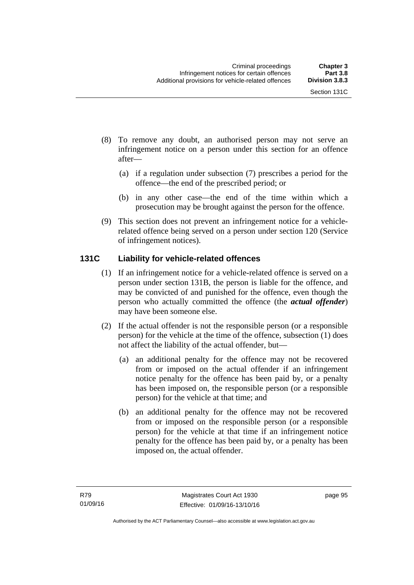- (8) To remove any doubt, an authorised person may not serve an infringement notice on a person under this section for an offence after—
	- (a) if a regulation under subsection (7) prescribes a period for the offence—the end of the prescribed period; or
	- (b) in any other case—the end of the time within which a prosecution may be brought against the person for the offence.
- (9) This section does not prevent an infringement notice for a vehiclerelated offence being served on a person under section 120 (Service of infringement notices).

## **131C Liability for vehicle-related offences**

- (1) If an infringement notice for a vehicle-related offence is served on a person under section 131B, the person is liable for the offence, and may be convicted of and punished for the offence, even though the person who actually committed the offence (the *actual offender*) may have been someone else.
- (2) If the actual offender is not the responsible person (or a responsible person) for the vehicle at the time of the offence, subsection (1) does not affect the liability of the actual offender, but—
	- (a) an additional penalty for the offence may not be recovered from or imposed on the actual offender if an infringement notice penalty for the offence has been paid by, or a penalty has been imposed on, the responsible person (or a responsible person) for the vehicle at that time; and
	- (b) an additional penalty for the offence may not be recovered from or imposed on the responsible person (or a responsible person) for the vehicle at that time if an infringement notice penalty for the offence has been paid by, or a penalty has been imposed on, the actual offender.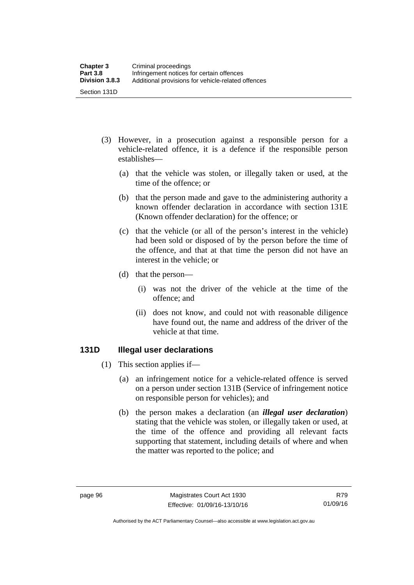- (3) However, in a prosecution against a responsible person for a vehicle-related offence, it is a defence if the responsible person establishes—
	- (a) that the vehicle was stolen, or illegally taken or used, at the time of the offence; or
	- (b) that the person made and gave to the administering authority a known offender declaration in accordance with section 131E (Known offender declaration) for the offence; or
	- (c) that the vehicle (or all of the person's interest in the vehicle) had been sold or disposed of by the person before the time of the offence, and that at that time the person did not have an interest in the vehicle; or
	- (d) that the person—
		- (i) was not the driver of the vehicle at the time of the offence; and
		- (ii) does not know, and could not with reasonable diligence have found out, the name and address of the driver of the vehicle at that time.

#### **131D Illegal user declarations**

- (1) This section applies if—
	- (a) an infringement notice for a vehicle-related offence is served on a person under section 131B (Service of infringement notice on responsible person for vehicles); and
	- (b) the person makes a declaration (an *illegal user declaration*) stating that the vehicle was stolen, or illegally taken or used, at the time of the offence and providing all relevant facts supporting that statement, including details of where and when the matter was reported to the police; and

Authorised by the ACT Parliamentary Counsel—also accessible at www.legislation.act.gov.au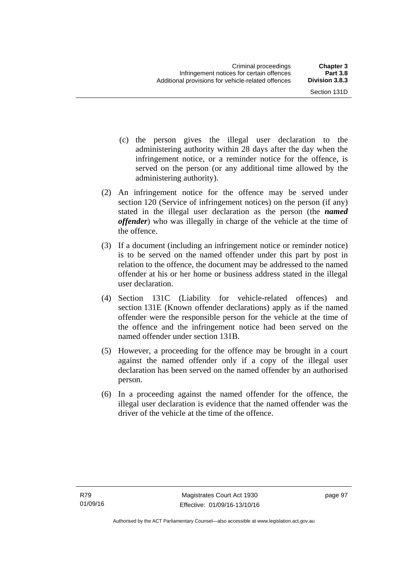- (c) the person gives the illegal user declaration to the administering authority within 28 days after the day when the infringement notice, or a reminder notice for the offence, is served on the person (or any additional time allowed by the administering authority).
- (2) An infringement notice for the offence may be served under section 120 (Service of infringement notices) on the person (if any) stated in the illegal user declaration as the person (the *named offender*) who was illegally in charge of the vehicle at the time of the offence.
- (3) If a document (including an infringement notice or reminder notice) is to be served on the named offender under this part by post in relation to the offence, the document may be addressed to the named offender at his or her home or business address stated in the illegal user declaration.
- (4) Section 131C (Liability for vehicle-related offences) and section 131E (Known offender declarations) apply as if the named offender were the responsible person for the vehicle at the time of the offence and the infringement notice had been served on the named offender under section 131B.
- (5) However, a proceeding for the offence may be brought in a court against the named offender only if a copy of the illegal user declaration has been served on the named offender by an authorised person.
- (6) In a proceeding against the named offender for the offence, the illegal user declaration is evidence that the named offender was the driver of the vehicle at the time of the offence.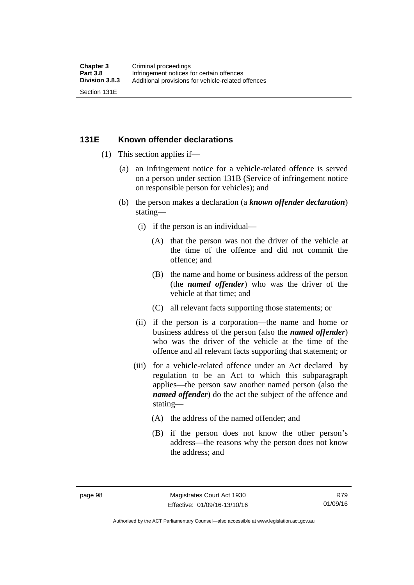#### **131E Known offender declarations**

- (1) This section applies if—
	- (a) an infringement notice for a vehicle-related offence is served on a person under section 131B (Service of infringement notice on responsible person for vehicles); and
	- (b) the person makes a declaration (a *known offender declaration*) stating—
		- (i) if the person is an individual—
			- (A) that the person was not the driver of the vehicle at the time of the offence and did not commit the offence; and
			- (B) the name and home or business address of the person (the *named offender*) who was the driver of the vehicle at that time; and
			- (C) all relevant facts supporting those statements; or
		- (ii) if the person is a corporation—the name and home or business address of the person (also the *named offender*) who was the driver of the vehicle at the time of the offence and all relevant facts supporting that statement; or
		- (iii) for a vehicle-related offence under an Act declared by regulation to be an Act to which this subparagraph applies—the person saw another named person (also the *named offender*) do the act the subject of the offence and stating—
			- (A) the address of the named offender; and
			- (B) if the person does not know the other person's address—the reasons why the person does not know the address; and

Authorised by the ACT Parliamentary Counsel—also accessible at www.legislation.act.gov.au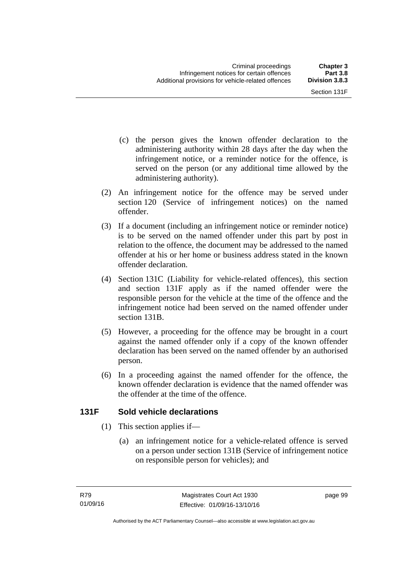- (c) the person gives the known offender declaration to the administering authority within 28 days after the day when the infringement notice, or a reminder notice for the offence, is served on the person (or any additional time allowed by the administering authority).
- (2) An infringement notice for the offence may be served under section 120 (Service of infringement notices) on the named offender.
- (3) If a document (including an infringement notice or reminder notice) is to be served on the named offender under this part by post in relation to the offence, the document may be addressed to the named offender at his or her home or business address stated in the known offender declaration.
- (4) Section 131C (Liability for vehicle-related offences), this section and section 131F apply as if the named offender were the responsible person for the vehicle at the time of the offence and the infringement notice had been served on the named offender under section 131B.
- (5) However, a proceeding for the offence may be brought in a court against the named offender only if a copy of the known offender declaration has been served on the named offender by an authorised person.
- (6) In a proceeding against the named offender for the offence, the known offender declaration is evidence that the named offender was the offender at the time of the offence.

## **131F Sold vehicle declarations**

- (1) This section applies if—
	- (a) an infringement notice for a vehicle-related offence is served on a person under section 131B (Service of infringement notice on responsible person for vehicles); and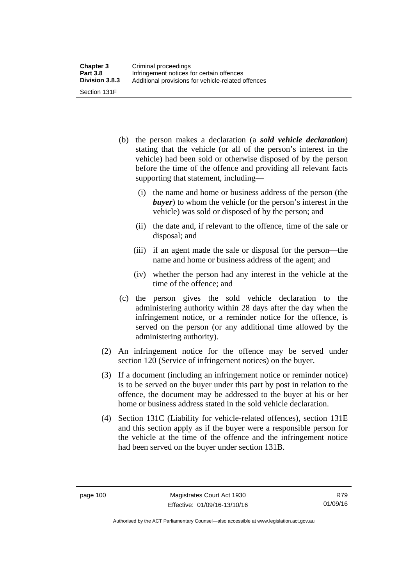- (b) the person makes a declaration (a *sold vehicle declaration*) stating that the vehicle (or all of the person's interest in the vehicle) had been sold or otherwise disposed of by the person before the time of the offence and providing all relevant facts supporting that statement, including—
	- (i) the name and home or business address of the person (the *buyer*) to whom the vehicle (or the person's interest in the vehicle) was sold or disposed of by the person; and
	- (ii) the date and, if relevant to the offence, time of the sale or disposal; and
	- (iii) if an agent made the sale or disposal for the person—the name and home or business address of the agent; and
	- (iv) whether the person had any interest in the vehicle at the time of the offence; and
- (c) the person gives the sold vehicle declaration to the administering authority within 28 days after the day when the infringement notice, or a reminder notice for the offence, is served on the person (or any additional time allowed by the administering authority).
- (2) An infringement notice for the offence may be served under section 120 (Service of infringement notices) on the buyer.
- (3) If a document (including an infringement notice or reminder notice) is to be served on the buyer under this part by post in relation to the offence, the document may be addressed to the buyer at his or her home or business address stated in the sold vehicle declaration.
- (4) Section 131C (Liability for vehicle-related offences), section 131E and this section apply as if the buyer were a responsible person for the vehicle at the time of the offence and the infringement notice had been served on the buyer under section 131B.

Authorised by the ACT Parliamentary Counsel—also accessible at www.legislation.act.gov.au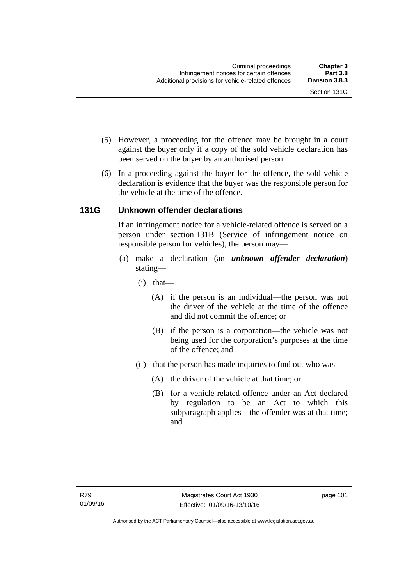- (5) However, a proceeding for the offence may be brought in a court against the buyer only if a copy of the sold vehicle declaration has been served on the buyer by an authorised person.
- (6) In a proceeding against the buyer for the offence, the sold vehicle declaration is evidence that the buyer was the responsible person for the vehicle at the time of the offence.

## **131G Unknown offender declarations**

If an infringement notice for a vehicle-related offence is served on a person under section 131B (Service of infringement notice on responsible person for vehicles), the person may—

- (a) make a declaration (an *unknown offender declaration*) stating—
	- (i) that—
		- (A) if the person is an individual—the person was not the driver of the vehicle at the time of the offence and did not commit the offence; or
		- (B) if the person is a corporation—the vehicle was not being used for the corporation's purposes at the time of the offence; and
	- (ii) that the person has made inquiries to find out who was—
		- (A) the driver of the vehicle at that time; or
		- (B) for a vehicle-related offence under an Act declared by regulation to be an Act to which this subparagraph applies—the offender was at that time; and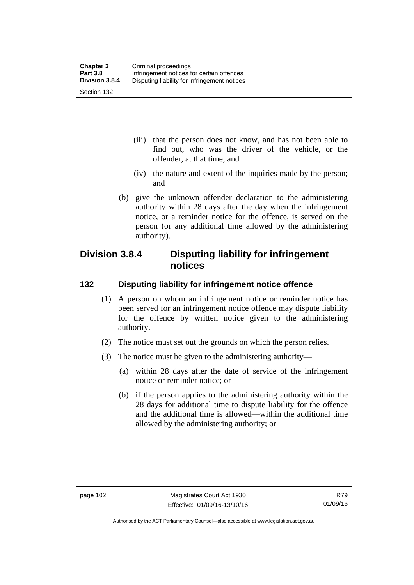- (iii) that the person does not know, and has not been able to find out, who was the driver of the vehicle, or the offender, at that time; and
- (iv) the nature and extent of the inquiries made by the person; and
- (b) give the unknown offender declaration to the administering authority within 28 days after the day when the infringement notice, or a reminder notice for the offence, is served on the person (or any additional time allowed by the administering authority).

# **Division 3.8.4 Disputing liability for infringement notices**

#### **132 Disputing liability for infringement notice offence**

- (1) A person on whom an infringement notice or reminder notice has been served for an infringement notice offence may dispute liability for the offence by written notice given to the administering authority.
- (2) The notice must set out the grounds on which the person relies.
- (3) The notice must be given to the administering authority—
	- (a) within 28 days after the date of service of the infringement notice or reminder notice; or
	- (b) if the person applies to the administering authority within the 28 days for additional time to dispute liability for the offence and the additional time is allowed—within the additional time allowed by the administering authority; or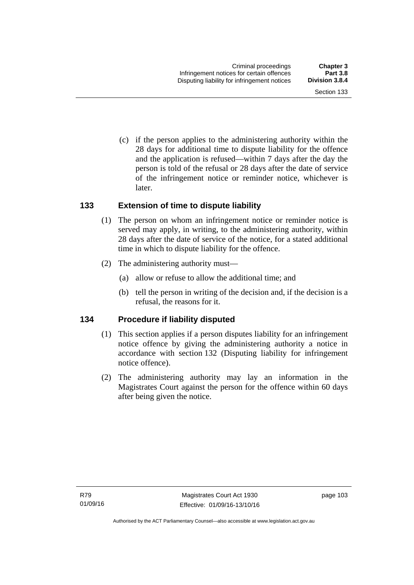Section 133

 (c) if the person applies to the administering authority within the 28 days for additional time to dispute liability for the offence and the application is refused—within 7 days after the day the person is told of the refusal or 28 days after the date of service

of the infringement notice or reminder notice, whichever is

#### **133 Extension of time to dispute liability**

later.

- (1) The person on whom an infringement notice or reminder notice is served may apply, in writing, to the administering authority, within 28 days after the date of service of the notice, for a stated additional time in which to dispute liability for the offence.
- (2) The administering authority must—
	- (a) allow or refuse to allow the additional time; and
	- (b) tell the person in writing of the decision and, if the decision is a refusal, the reasons for it.

#### **134 Procedure if liability disputed**

- (1) This section applies if a person disputes liability for an infringement notice offence by giving the administering authority a notice in accordance with section 132 (Disputing liability for infringement notice offence).
- (2) The administering authority may lay an information in the Magistrates Court against the person for the offence within 60 days after being given the notice.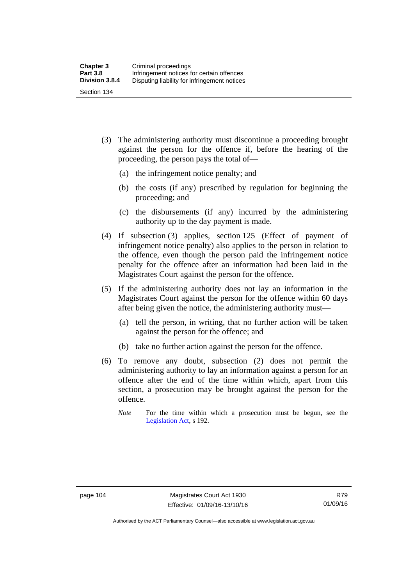- (3) The administering authority must discontinue a proceeding brought against the person for the offence if, before the hearing of the proceeding, the person pays the total of—
	- (a) the infringement notice penalty; and
	- (b) the costs (if any) prescribed by regulation for beginning the proceeding; and
	- (c) the disbursements (if any) incurred by the administering authority up to the day payment is made.
- (4) If subsection (3) applies, section 125 (Effect of payment of infringement notice penalty) also applies to the person in relation to the offence, even though the person paid the infringement notice penalty for the offence after an information had been laid in the Magistrates Court against the person for the offence.
- (5) If the administering authority does not lay an information in the Magistrates Court against the person for the offence within 60 days after being given the notice, the administering authority must—
	- (a) tell the person, in writing, that no further action will be taken against the person for the offence; and
	- (b) take no further action against the person for the offence.
- (6) To remove any doubt, subsection (2) does not permit the administering authority to lay an information against a person for an offence after the end of the time within which, apart from this section, a prosecution may be brought against the person for the offence.
	- *Note* For the time within which a prosecution must be begun, see the [Legislation Act,](http://www.legislation.act.gov.au/a/2001-14) s 192.

Authorised by the ACT Parliamentary Counsel—also accessible at www.legislation.act.gov.au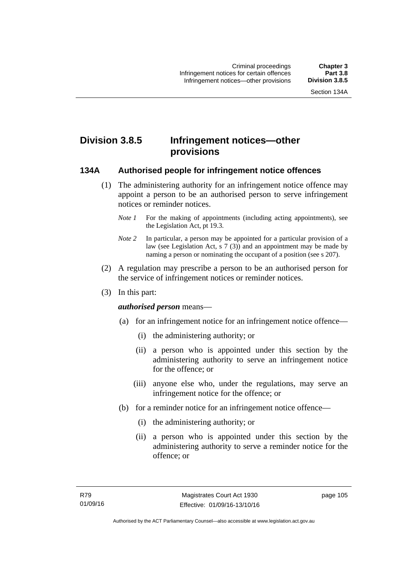# **Division 3.8.5 Infringement notices—other provisions**

#### **134A Authorised people for infringement notice offences**

- (1) The administering authority for an infringement notice offence may appoint a person to be an authorised person to serve infringement notices or reminder notices.
	- *Note 1* For the making of appointments (including acting appointments), see the [Legislation Act,](http://www.legislation.act.gov.au/a/2001-14) pt 19.3.
	- *Note 2* In particular, a person may be appointed for a particular provision of a law (see [Legislation Act,](http://www.legislation.act.gov.au/a/2001-14) s 7 (3)) and an appointment may be made by naming a person or nominating the occupant of a position (see s 207).
- (2) A regulation may prescribe a person to be an authorised person for the service of infringement notices or reminder notices.
- (3) In this part:

#### *authorised person* means—

- (a) for an infringement notice for an infringement notice offence—
	- (i) the administering authority; or
	- (ii) a person who is appointed under this section by the administering authority to serve an infringement notice for the offence; or
	- (iii) anyone else who, under the regulations, may serve an infringement notice for the offence; or
- (b) for a reminder notice for an infringement notice offence—
	- (i) the administering authority; or
	- (ii) a person who is appointed under this section by the administering authority to serve a reminder notice for the offence; or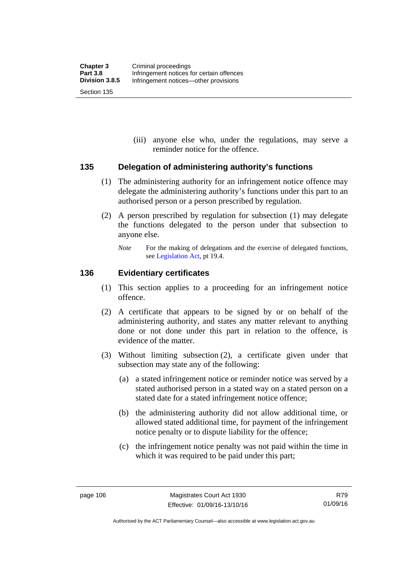(iii) anyone else who, under the regulations, may serve a reminder notice for the offence.

#### **135 Delegation of administering authority's functions**

- (1) The administering authority for an infringement notice offence may delegate the administering authority's functions under this part to an authorised person or a person prescribed by regulation.
- (2) A person prescribed by regulation for subsection (1) may delegate the functions delegated to the person under that subsection to anyone else.
	- *Note* For the making of delegations and the exercise of delegated functions, see [Legislation Act](http://www.legislation.act.gov.au/a/2001-14), pt 19.4.

#### **136 Evidentiary certificates**

- (1) This section applies to a proceeding for an infringement notice offence.
- (2) A certificate that appears to be signed by or on behalf of the administering authority, and states any matter relevant to anything done or not done under this part in relation to the offence, is evidence of the matter.
- (3) Without limiting subsection (2), a certificate given under that subsection may state any of the following:
	- (a) a stated infringement notice or reminder notice was served by a stated authorised person in a stated way on a stated person on a stated date for a stated infringement notice offence;
	- (b) the administering authority did not allow additional time, or allowed stated additional time, for payment of the infringement notice penalty or to dispute liability for the offence;
	- (c) the infringement notice penalty was not paid within the time in which it was required to be paid under this part;

R79 01/09/16

Authorised by the ACT Parliamentary Counsel—also accessible at www.legislation.act.gov.au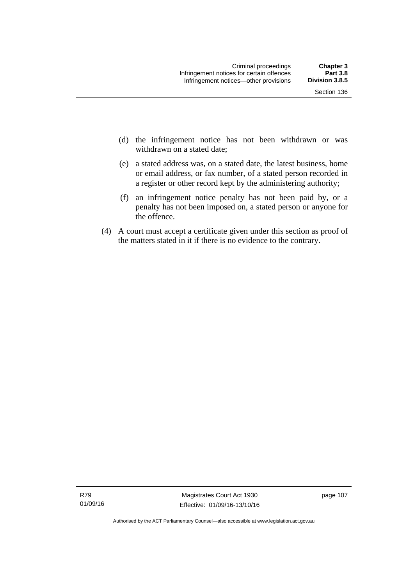- (d) the infringement notice has not been withdrawn or was withdrawn on a stated date:
- (e) a stated address was, on a stated date, the latest business, home or email address, or fax number, of a stated person recorded in a register or other record kept by the administering authority;
- (f) an infringement notice penalty has not been paid by, or a penalty has not been imposed on, a stated person or anyone for the offence.
- (4) A court must accept a certificate given under this section as proof of the matters stated in it if there is no evidence to the contrary.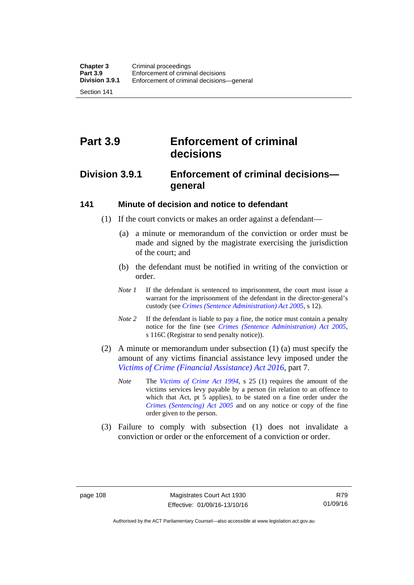Section 141

# **Part 3.9 Enforcement of criminal decisions**

# **Division 3.9.1 Enforcement of criminal decisions general**

#### **141 Minute of decision and notice to defendant**

- (1) If the court convicts or makes an order against a defendant—
	- (a) a minute or memorandum of the conviction or order must be made and signed by the magistrate exercising the jurisdiction of the court; and
	- (b) the defendant must be notified in writing of the conviction or order.
	- *Note 1* If the defendant is sentenced to imprisonment, the court must issue a warrant for the imprisonment of the defendant in the director-general's custody (see *[Crimes \(Sentence Administration\) Act 2005](http://www.legislation.act.gov.au/a/2005-59)*, s 12).
	- *Note* 2 If the defendant is liable to pay a fine, the notice must contain a penalty notice for the fine (see *[Crimes \(Sentence Administration\) Act 2005](http://www.legislation.act.gov.au/a/2005-59)*, s 116C (Registrar to send penalty notice)).
- (2) A minute or memorandum under subsection (1) (a) must specify the amount of any victims financial assistance levy imposed under the *[Victims of Crime \(Financial Assistance\) Act 2016](http://www.legislation.act.gov.au/a/2016-12/default.asp)*, part 7.
	- *Note* The *[Victims of Crime Act 1994](http://www.legislation.act.gov.au/a/1994-83)*, s 25 (1) requires the amount of the victims services levy payable by a person (in relation to an offence to which that Act, pt 5 applies), to be stated on a fine order under the *[Crimes \(Sentencing\) Act 2005](http://www.legislation.act.gov.au/a/2005-58)* and on any notice or copy of the fine order given to the person.
- (3) Failure to comply with subsection (1) does not invalidate a conviction or order or the enforcement of a conviction or order.

Authorised by the ACT Parliamentary Counsel—also accessible at www.legislation.act.gov.au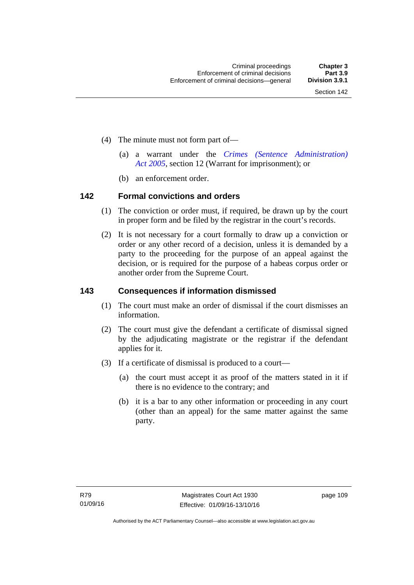- (4) The minute must not form part of—
	- (a) a warrant under the *[Crimes \(Sentence Administration\)](http://www.legislation.act.gov.au/a/2005-59)  [Act 2005](http://www.legislation.act.gov.au/a/2005-59)*, section 12 (Warrant for imprisonment); or
	- (b) an enforcement order.

#### **142 Formal convictions and orders**

- (1) The conviction or order must, if required, be drawn up by the court in proper form and be filed by the registrar in the court's records.
- (2) It is not necessary for a court formally to draw up a conviction or order or any other record of a decision, unless it is demanded by a party to the proceeding for the purpose of an appeal against the decision, or is required for the purpose of a habeas corpus order or another order from the Supreme Court.

#### **143 Consequences if information dismissed**

- (1) The court must make an order of dismissal if the court dismisses an information.
- (2) The court must give the defendant a certificate of dismissal signed by the adjudicating magistrate or the registrar if the defendant applies for it.
- (3) If a certificate of dismissal is produced to a court—
	- (a) the court must accept it as proof of the matters stated in it if there is no evidence to the contrary; and
	- (b) it is a bar to any other information or proceeding in any court (other than an appeal) for the same matter against the same party.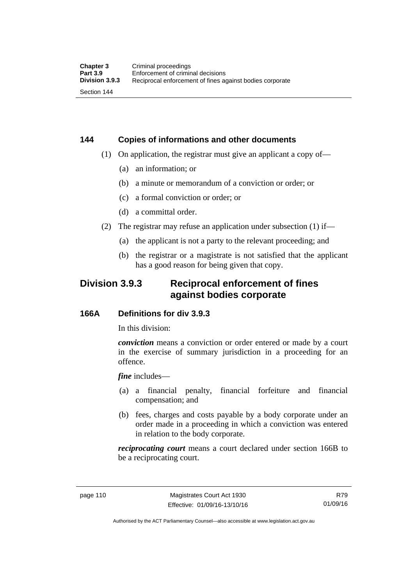# **144 Copies of informations and other documents**

- (1) On application, the registrar must give an applicant a copy of—
	- (a) an information; or
	- (b) a minute or memorandum of a conviction or order; or
	- (c) a formal conviction or order; or
	- (d) a committal order.
- (2) The registrar may refuse an application under subsection (1) if—
	- (a) the applicant is not a party to the relevant proceeding; and
	- (b) the registrar or a magistrate is not satisfied that the applicant has a good reason for being given that copy.

# **Division 3.9.3 Reciprocal enforcement of fines against bodies corporate**

#### **166A Definitions for div 3.9.3**

In this division:

*conviction* means a conviction or order entered or made by a court in the exercise of summary jurisdiction in a proceeding for an offence.

*fine* includes—

- (a) a financial penalty, financial forfeiture and financial compensation; and
- (b) fees, charges and costs payable by a body corporate under an order made in a proceeding in which a conviction was entered in relation to the body corporate.

*reciprocating court* means a court declared under section 166B to be a reciprocating court.

Authorised by the ACT Parliamentary Counsel—also accessible at www.legislation.act.gov.au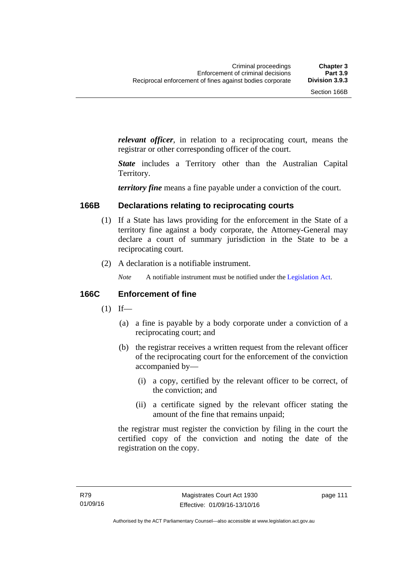*relevant officer*, in relation to a reciprocating court, means the registrar or other corresponding officer of the court.

*State* includes a Territory other than the Australian Capital Territory.

*territory fine* means a fine payable under a conviction of the court.

#### **166B Declarations relating to reciprocating courts**

- (1) If a State has laws providing for the enforcement in the State of a territory fine against a body corporate, the Attorney-General may declare a court of summary jurisdiction in the State to be a reciprocating court.
- (2) A declaration is a notifiable instrument.
	- *Note* A notifiable instrument must be notified under the [Legislation Act](http://www.legislation.act.gov.au/a/2001-14).

#### **166C Enforcement of fine**

- $(1)$  If—
	- (a) a fine is payable by a body corporate under a conviction of a reciprocating court; and
	- (b) the registrar receives a written request from the relevant officer of the reciprocating court for the enforcement of the conviction accompanied by—
		- (i) a copy, certified by the relevant officer to be correct, of the conviction; and
		- (ii) a certificate signed by the relevant officer stating the amount of the fine that remains unpaid;

the registrar must register the conviction by filing in the court the certified copy of the conviction and noting the date of the registration on the copy.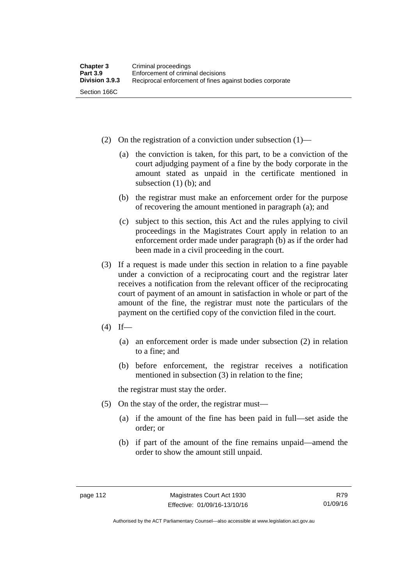- (2) On the registration of a conviction under subsection (1)—
	- (a) the conviction is taken, for this part, to be a conviction of the court adjudging payment of a fine by the body corporate in the amount stated as unpaid in the certificate mentioned in subsection (1) (b); and
	- (b) the registrar must make an enforcement order for the purpose of recovering the amount mentioned in paragraph (a); and
	- (c) subject to this section, this Act and the rules applying to civil proceedings in the Magistrates Court apply in relation to an enforcement order made under paragraph (b) as if the order had been made in a civil proceeding in the court.
- (3) If a request is made under this section in relation to a fine payable under a conviction of a reciprocating court and the registrar later receives a notification from the relevant officer of the reciprocating court of payment of an amount in satisfaction in whole or part of the amount of the fine, the registrar must note the particulars of the payment on the certified copy of the conviction filed in the court.
- $(4)$  If—
	- (a) an enforcement order is made under subsection (2) in relation to a fine; and
	- (b) before enforcement, the registrar receives a notification mentioned in subsection (3) in relation to the fine;

the registrar must stay the order.

- (5) On the stay of the order, the registrar must—
	- (a) if the amount of the fine has been paid in full—set aside the order; or
	- (b) if part of the amount of the fine remains unpaid—amend the order to show the amount still unpaid.

Authorised by the ACT Parliamentary Counsel—also accessible at www.legislation.act.gov.au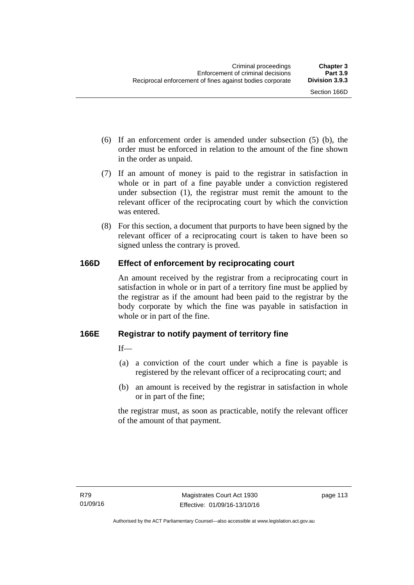- (6) If an enforcement order is amended under subsection (5) (b), the order must be enforced in relation to the amount of the fine shown in the order as unpaid.
- (7) If an amount of money is paid to the registrar in satisfaction in whole or in part of a fine payable under a conviction registered under subsection (1), the registrar must remit the amount to the relevant officer of the reciprocating court by which the conviction was entered.
- (8) For this section, a document that purports to have been signed by the relevant officer of a reciprocating court is taken to have been so signed unless the contrary is proved.

## **166D Effect of enforcement by reciprocating court**

An amount received by the registrar from a reciprocating court in satisfaction in whole or in part of a territory fine must be applied by the registrar as if the amount had been paid to the registrar by the body corporate by which the fine was payable in satisfaction in whole or in part of the fine.

#### **166E Registrar to notify payment of territory fine**

 $If$ <sub>—</sub>

- (a) a conviction of the court under which a fine is payable is registered by the relevant officer of a reciprocating court; and
- (b) an amount is received by the registrar in satisfaction in whole or in part of the fine;

the registrar must, as soon as practicable, notify the relevant officer of the amount of that payment.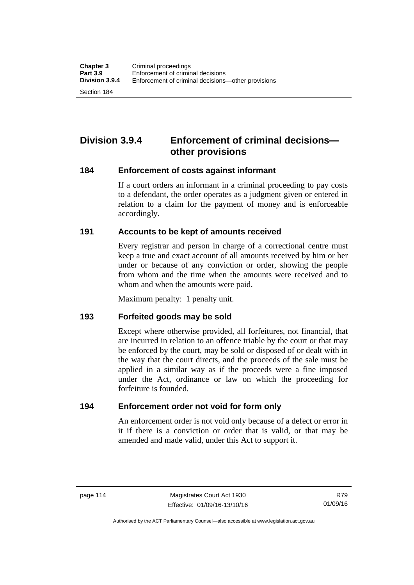Section 184

# **Division 3.9.4 Enforcement of criminal decisions other provisions**

#### **184 Enforcement of costs against informant**

If a court orders an informant in a criminal proceeding to pay costs to a defendant, the order operates as a judgment given or entered in relation to a claim for the payment of money and is enforceable accordingly.

#### **191 Accounts to be kept of amounts received**

Every registrar and person in charge of a correctional centre must keep a true and exact account of all amounts received by him or her under or because of any conviction or order, showing the people from whom and the time when the amounts were received and to whom and when the amounts were paid.

Maximum penalty: 1 penalty unit.

#### **193 Forfeited goods may be sold**

Except where otherwise provided, all forfeitures, not financial, that are incurred in relation to an offence triable by the court or that may be enforced by the court, may be sold or disposed of or dealt with in the way that the court directs, and the proceeds of the sale must be applied in a similar way as if the proceeds were a fine imposed under the Act, ordinance or law on which the proceeding for forfeiture is founded.

#### **194 Enforcement order not void for form only**

An enforcement order is not void only because of a defect or error in it if there is a conviction or order that is valid, or that may be amended and made valid, under this Act to support it.

Authorised by the ACT Parliamentary Counsel—also accessible at www.legislation.act.gov.au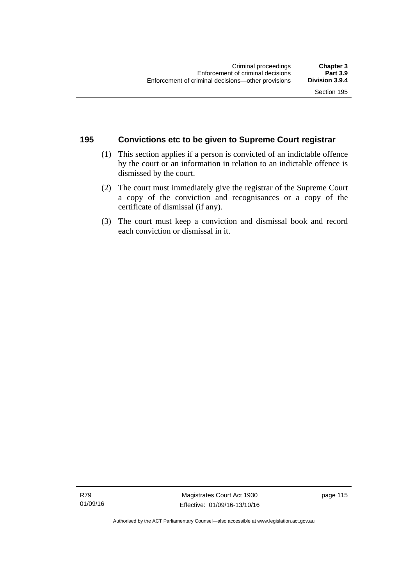#### **195 Convictions etc to be given to Supreme Court registrar**

- (1) This section applies if a person is convicted of an indictable offence by the court or an information in relation to an indictable offence is dismissed by the court.
- (2) The court must immediately give the registrar of the Supreme Court a copy of the conviction and recognisances or a copy of the certificate of dismissal (if any).
- (3) The court must keep a conviction and dismissal book and record each conviction or dismissal in it.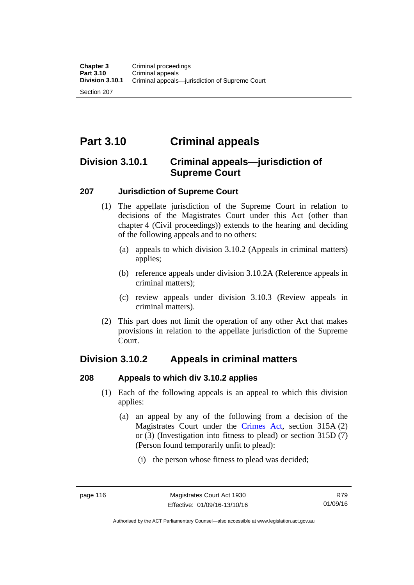Section 207

# **Part 3.10 Criminal appeals**

# **Division 3.10.1 Criminal appeals—jurisdiction of Supreme Court**

#### **207 Jurisdiction of Supreme Court**

- (1) The appellate jurisdiction of the Supreme Court in relation to decisions of the Magistrates Court under this Act (other than chapter 4 (Civil proceedings)) extends to the hearing and deciding of the following appeals and to no others:
	- (a) appeals to which division 3.10.2 (Appeals in criminal matters) applies;
	- (b) reference appeals under division 3.10.2A (Reference appeals in criminal matters);
	- (c) review appeals under division 3.10.3 (Review appeals in criminal matters).
- (2) This part does not limit the operation of any other Act that makes provisions in relation to the appellate jurisdiction of the Supreme Court.

# **Division 3.10.2 Appeals in criminal matters**

#### **208 Appeals to which div 3.10.2 applies**

- (1) Each of the following appeals is an appeal to which this division applies:
	- (a) an appeal by any of the following from a decision of the Magistrates Court under the [Crimes Act](http://www.legislation.act.gov.au/a/1900-40/default.asp), section 315A (2) or (3) (Investigation into fitness to plead) or section 315D (7) (Person found temporarily unfit to plead):
		- (i) the person whose fitness to plead was decided;

Authorised by the ACT Parliamentary Counsel—also accessible at www.legislation.act.gov.au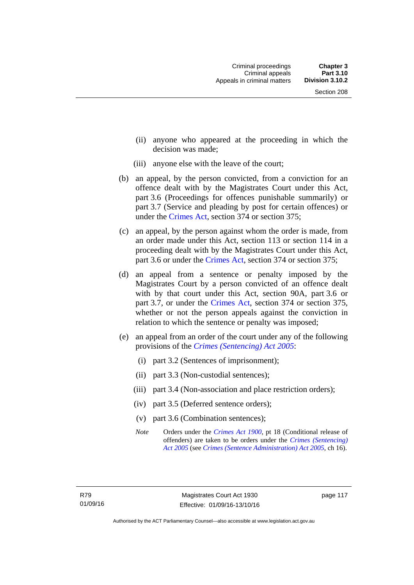- (ii) anyone who appeared at the proceeding in which the decision was made;
- (iii) anyone else with the leave of the court;
- (b) an appeal, by the person convicted, from a conviction for an offence dealt with by the Magistrates Court under this Act, part 3.6 (Proceedings for offences punishable summarily) or part 3.7 (Service and pleading by post for certain offences) or under the [Crimes Act,](http://www.legislation.act.gov.au/a/1900-40/default.asp) section 374 or section 375;
- (c) an appeal, by the person against whom the order is made, from an order made under this Act, section 113 or section 114 in a proceeding dealt with by the Magistrates Court under this Act, part 3.6 or under the [Crimes Act,](http://www.legislation.act.gov.au/a/1900-40/default.asp) section 374 or section 375;
- (d) an appeal from a sentence or penalty imposed by the Magistrates Court by a person convicted of an offence dealt with by that court under this Act, section 90A, part 3.6 or part 3.7, or under the [Crimes Act,](http://www.legislation.act.gov.au/a/1900-40/default.asp) section 374 or section 375, whether or not the person appeals against the conviction in relation to which the sentence or penalty was imposed;
- (e) an appeal from an order of the court under any of the following provisions of the *[Crimes \(Sentencing\) Act 2005](http://www.legislation.act.gov.au/a/2005-58)*:
	- (i) part 3.2 (Sentences of imprisonment);
	- (ii) part 3.3 (Non-custodial sentences);
	- (iii) part 3.4 (Non-association and place restriction orders);
	- (iv) part 3.5 (Deferred sentence orders);
	- (v) part 3.6 (Combination sentences);
	- *Note* Orders under the *[Crimes Act 1900](http://www.legislation.act.gov.au/a/1900-40)*, pt 18 (Conditional release of offenders) are taken to be orders under the *[Crimes \(Sentencing\)](http://www.legislation.act.gov.au/a/2005-58)  [Act 2005](http://www.legislation.act.gov.au/a/2005-58)* (see *[Crimes \(Sentence Administration\) Act 2005](http://www.legislation.act.gov.au/a/2005-59)*, ch 16).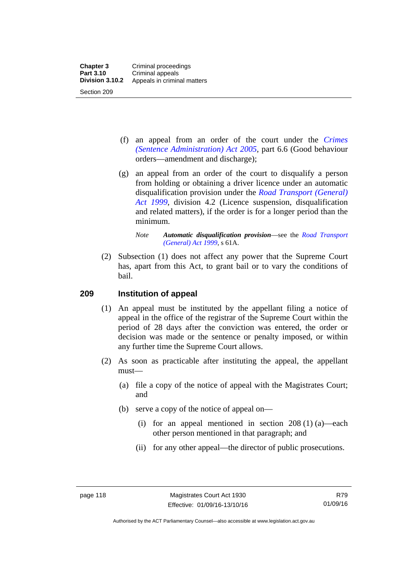- (f) an appeal from an order of the court under the *[Crimes](http://www.legislation.act.gov.au/a/2005-59)  [\(Sentence Administration\) Act 2005](http://www.legislation.act.gov.au/a/2005-59),* part 6.6 (Good behaviour orders—amendment and discharge);
- (g) an appeal from an order of the court to disqualify a person from holding or obtaining a driver licence under an automatic disqualification provision under the *[Road Transport \(General\)](http://www.legislation.act.gov.au/a/1999-77)  [Act 1999](http://www.legislation.act.gov.au/a/1999-77)*, division 4.2 (Licence suspension, disqualification and related matters), if the order is for a longer period than the minimum.

 (2) Subsection (1) does not affect any power that the Supreme Court has, apart from this Act, to grant bail or to vary the conditions of bail.

#### **209 Institution of appeal**

- (1) An appeal must be instituted by the appellant filing a notice of appeal in the office of the registrar of the Supreme Court within the period of 28 days after the conviction was entered, the order or decision was made or the sentence or penalty imposed, or within any further time the Supreme Court allows.
- (2) As soon as practicable after instituting the appeal, the appellant must—
	- (a) file a copy of the notice of appeal with the Magistrates Court; and
	- (b) serve a copy of the notice of appeal on—
		- (i) for an appeal mentioned in section  $208(1)(a)$ —each other person mentioned in that paragraph; and
		- (ii) for any other appeal—the director of public prosecutions.

*Note Automatic disqualification provision*—see the *[Road Transport](http://www.legislation.act.gov.au/a/1999-77)  [\(General\) Act 1999](http://www.legislation.act.gov.au/a/1999-77)*, s 61A.

Authorised by the ACT Parliamentary Counsel—also accessible at www.legislation.act.gov.au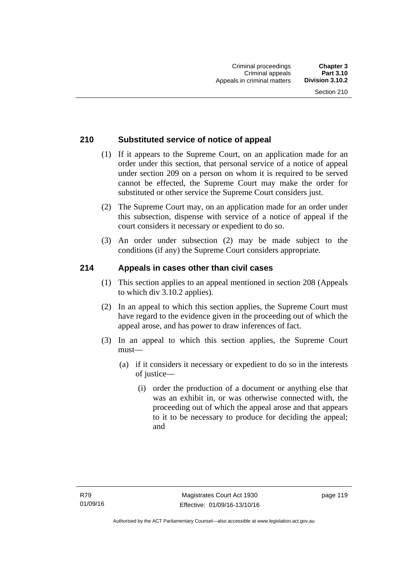#### **210 Substituted service of notice of appeal**

- (1) If it appears to the Supreme Court, on an application made for an order under this section, that personal service of a notice of appeal under section 209 on a person on whom it is required to be served cannot be effected, the Supreme Court may make the order for substituted or other service the Supreme Court considers just.
- (2) The Supreme Court may, on an application made for an order under this subsection, dispense with service of a notice of appeal if the court considers it necessary or expedient to do so.
- (3) An order under subsection (2) may be made subject to the conditions (if any) the Supreme Court considers appropriate.

#### **214 Appeals in cases other than civil cases**

- (1) This section applies to an appeal mentioned in section 208 (Appeals to which div 3.10.2 applies).
- (2) In an appeal to which this section applies, the Supreme Court must have regard to the evidence given in the proceeding out of which the appeal arose, and has power to draw inferences of fact.
- (3) In an appeal to which this section applies, the Supreme Court must—
	- (a) if it considers it necessary or expedient to do so in the interests of justice—
		- (i) order the production of a document or anything else that was an exhibit in, or was otherwise connected with, the proceeding out of which the appeal arose and that appears to it to be necessary to produce for deciding the appeal; and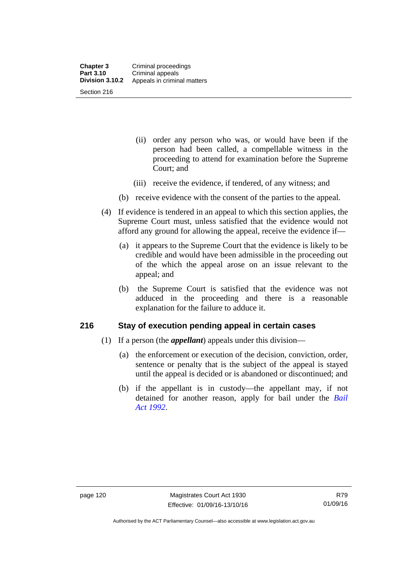- (ii) order any person who was, or would have been if the person had been called, a compellable witness in the proceeding to attend for examination before the Supreme Court; and
- (iii) receive the evidence, if tendered, of any witness; and
- (b) receive evidence with the consent of the parties to the appeal.
- (4) If evidence is tendered in an appeal to which this section applies, the Supreme Court must, unless satisfied that the evidence would not afford any ground for allowing the appeal, receive the evidence if—
	- (a) it appears to the Supreme Court that the evidence is likely to be credible and would have been admissible in the proceeding out of the which the appeal arose on an issue relevant to the appeal; and
	- (b) the Supreme Court is satisfied that the evidence was not adduced in the proceeding and there is a reasonable explanation for the failure to adduce it.

#### **216 Stay of execution pending appeal in certain cases**

- (1) If a person (the *appellant*) appeals under this division—
	- (a) the enforcement or execution of the decision, conviction, order, sentence or penalty that is the subject of the appeal is stayed until the appeal is decided or is abandoned or discontinued; and
	- (b) if the appellant is in custody—the appellant may, if not detained for another reason, apply for bail under the *[Bail](http://www.legislation.act.gov.au/a/1992-8)  [Act 1992](http://www.legislation.act.gov.au/a/1992-8)*.

Authorised by the ACT Parliamentary Counsel—also accessible at www.legislation.act.gov.au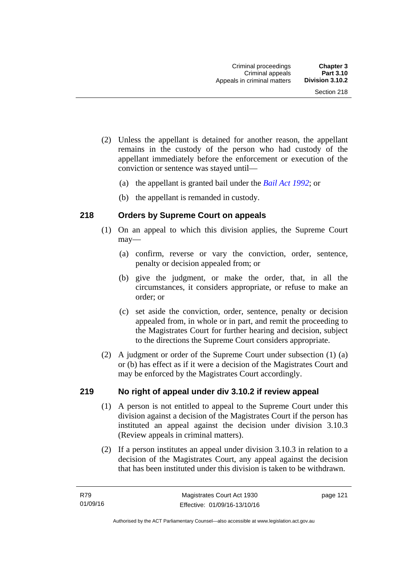- (2) Unless the appellant is detained for another reason, the appellant remains in the custody of the person who had custody of the appellant immediately before the enforcement or execution of the conviction or sentence was stayed until—
	- (a) the appellant is granted bail under the *[Bail Act 1992](http://www.legislation.act.gov.au/a/1992-8)*; or
	- (b) the appellant is remanded in custody.

#### **218 Orders by Supreme Court on appeals**

- (1) On an appeal to which this division applies, the Supreme Court may—
	- (a) confirm, reverse or vary the conviction, order, sentence, penalty or decision appealed from; or
	- (b) give the judgment, or make the order, that, in all the circumstances, it considers appropriate, or refuse to make an order; or
	- (c) set aside the conviction, order, sentence, penalty or decision appealed from, in whole or in part, and remit the proceeding to the Magistrates Court for further hearing and decision, subject to the directions the Supreme Court considers appropriate.
- (2) A judgment or order of the Supreme Court under subsection (1) (a) or (b) has effect as if it were a decision of the Magistrates Court and may be enforced by the Magistrates Court accordingly.

#### **219 No right of appeal under div 3.10.2 if review appeal**

- (1) A person is not entitled to appeal to the Supreme Court under this division against a decision of the Magistrates Court if the person has instituted an appeal against the decision under division 3.10.3 (Review appeals in criminal matters).
- (2) If a person institutes an appeal under division 3.10.3 in relation to a decision of the Magistrates Court, any appeal against the decision that has been instituted under this division is taken to be withdrawn.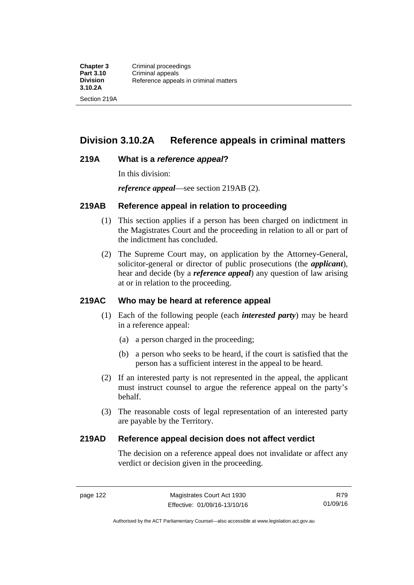# **Division 3.10.2A Reference appeals in criminal matters**

#### **219A What is a** *reference appeal***?**

In this division:

*reference appeal*—see section 219AB (2).

#### **219AB Reference appeal in relation to proceeding**

- (1) This section applies if a person has been charged on indictment in the Magistrates Court and the proceeding in relation to all or part of the indictment has concluded.
- (2) The Supreme Court may, on application by the Attorney-General, solicitor-general or director of public prosecutions (the *applicant*), hear and decide (by a *reference appeal*) any question of law arising at or in relation to the proceeding.

#### **219AC Who may be heard at reference appeal**

- (1) Each of the following people (each *interested party*) may be heard in a reference appeal:
	- (a) a person charged in the proceeding;
	- (b) a person who seeks to be heard, if the court is satisfied that the person has a sufficient interest in the appeal to be heard.
- (2) If an interested party is not represented in the appeal, the applicant must instruct counsel to argue the reference appeal on the party's behalf.
- (3) The reasonable costs of legal representation of an interested party are payable by the Territory.

#### **219AD Reference appeal decision does not affect verdict**

The decision on a reference appeal does not invalidate or affect any verdict or decision given in the proceeding.

Authorised by the ACT Parliamentary Counsel—also accessible at www.legislation.act.gov.au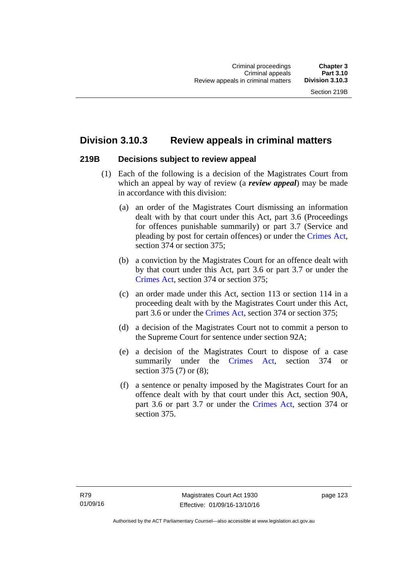# **Division 3.10.3 Review appeals in criminal matters**

#### **219B Decisions subject to review appeal**

- (1) Each of the following is a decision of the Magistrates Court from which an appeal by way of review (a *review appeal*) may be made in accordance with this division:
	- (a) an order of the Magistrates Court dismissing an information dealt with by that court under this Act, part 3.6 (Proceedings for offences punishable summarily) or part 3.7 (Service and pleading by post for certain offences) or under the [Crimes Act](http://www.legislation.act.gov.au/a/1900-40/default.asp), section 374 or section 375;
	- (b) a conviction by the Magistrates Court for an offence dealt with by that court under this Act, part 3.6 or part 3.7 or under the [Crimes Act,](http://www.legislation.act.gov.au/a/1900-40/default.asp) section 374 or section 375;
	- (c) an order made under this Act, section 113 or section 114 in a proceeding dealt with by the Magistrates Court under this Act, part 3.6 or under the [Crimes Act,](http://www.legislation.act.gov.au/a/1900-40/default.asp) section 374 or section 375;
	- (d) a decision of the Magistrates Court not to commit a person to the Supreme Court for sentence under section 92A;
	- (e) a decision of the Magistrates Court to dispose of a case summarily under the [Crimes Act,](http://www.legislation.act.gov.au/a/1900-40/default.asp) section 374 or section 375 (7) or (8);
	- (f) a sentence or penalty imposed by the Magistrates Court for an offence dealt with by that court under this Act, section 90A, part 3.6 or part 3.7 or under the [Crimes Act,](http://www.legislation.act.gov.au/a/1900-40/default.asp) section 374 or section 375.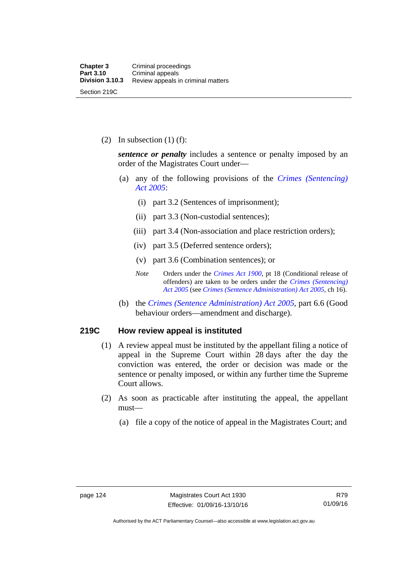(2) In subsection  $(1)$  (f):

*sentence or penalty* includes a sentence or penalty imposed by an order of the Magistrates Court under—

- (a) any of the following provisions of the *[Crimes \(Sentencing\)](http://www.legislation.act.gov.au/a/2005-58)  [Act 2005](http://www.legislation.act.gov.au/a/2005-58)*:
	- (i) part 3.2 (Sentences of imprisonment);
	- (ii) part 3.3 (Non-custodial sentences);
	- (iii) part 3.4 (Non-association and place restriction orders);
	- (iv) part 3.5 (Deferred sentence orders);
	- (v) part 3.6 (Combination sentences); or
	- *Note* Orders under the *[Crimes Act 1900](http://www.legislation.act.gov.au/a/1900-40)*, pt 18 (Conditional release of offenders) are taken to be orders under the *[Crimes \(Sentencing\)](http://www.legislation.act.gov.au/a/2005-58)  [Act 2005](http://www.legislation.act.gov.au/a/2005-58)* (see *[Crimes \(Sentence Administration\) Act 2005](http://www.legislation.act.gov.au/a/2005-59)*, ch 16).
- (b) the *[Crimes \(Sentence Administration\) Act 2005](http://www.legislation.act.gov.au/a/2005-59),* part 6.6 (Good behaviour orders—amendment and discharge).

#### **219C How review appeal is instituted**

- (1) A review appeal must be instituted by the appellant filing a notice of appeal in the Supreme Court within 28 days after the day the conviction was entered, the order or decision was made or the sentence or penalty imposed, or within any further time the Supreme Court allows.
- (2) As soon as practicable after instituting the appeal, the appellant must—
	- (a) file a copy of the notice of appeal in the Magistrates Court; and

Authorised by the ACT Parliamentary Counsel—also accessible at www.legislation.act.gov.au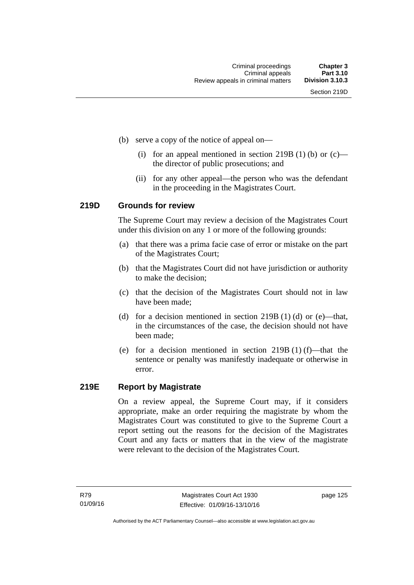- (b) serve a copy of the notice of appeal on—
	- (i) for an appeal mentioned in section 219B (1) (b) or  $(c)$  the director of public prosecutions; and
	- (ii) for any other appeal—the person who was the defendant in the proceeding in the Magistrates Court.

#### **219D Grounds for review**

The Supreme Court may review a decision of the Magistrates Court under this division on any 1 or more of the following grounds:

- (a) that there was a prima facie case of error or mistake on the part of the Magistrates Court;
- (b) that the Magistrates Court did not have jurisdiction or authority to make the decision;
- (c) that the decision of the Magistrates Court should not in law have been made;
- (d) for a decision mentioned in section 219B (1) (d) or (e)—that, in the circumstances of the case, the decision should not have been made;
- (e) for a decision mentioned in section 219B (1) (f)—that the sentence or penalty was manifestly inadequate or otherwise in error.

#### **219E Report by Magistrate**

On a review appeal, the Supreme Court may, if it considers appropriate, make an order requiring the magistrate by whom the Magistrates Court was constituted to give to the Supreme Court a report setting out the reasons for the decision of the Magistrates Court and any facts or matters that in the view of the magistrate were relevant to the decision of the Magistrates Court.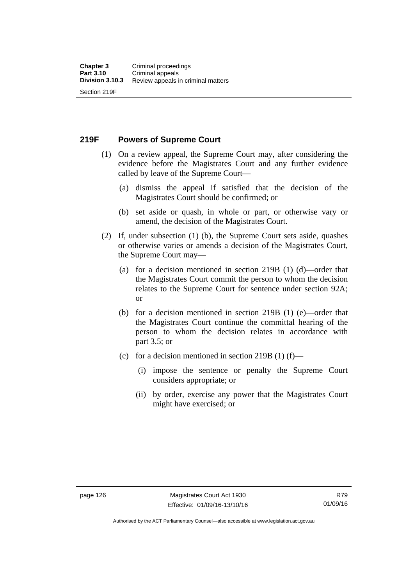**219F Powers of Supreme Court** 

- (1) On a review appeal, the Supreme Court may, after considering the evidence before the Magistrates Court and any further evidence called by leave of the Supreme Court—
	- (a) dismiss the appeal if satisfied that the decision of the Magistrates Court should be confirmed; or
	- (b) set aside or quash, in whole or part, or otherwise vary or amend, the decision of the Magistrates Court.
- (2) If, under subsection (1) (b), the Supreme Court sets aside, quashes or otherwise varies or amends a decision of the Magistrates Court, the Supreme Court may—
	- (a) for a decision mentioned in section 219B (1) (d)—order that the Magistrates Court commit the person to whom the decision relates to the Supreme Court for sentence under section 92A; or
	- (b) for a decision mentioned in section 219B (1) (e)—order that the Magistrates Court continue the committal hearing of the person to whom the decision relates in accordance with part 3.5; or
	- (c) for a decision mentioned in section 219B (1) (f)—
		- (i) impose the sentence or penalty the Supreme Court considers appropriate; or
		- (ii) by order, exercise any power that the Magistrates Court might have exercised; or

Authorised by the ACT Parliamentary Counsel—also accessible at www.legislation.act.gov.au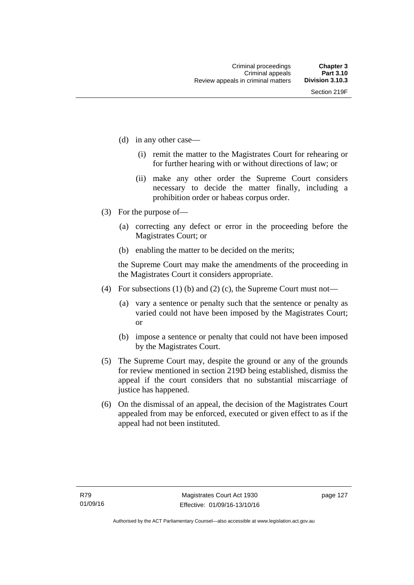- (d) in any other case—
	- (i) remit the matter to the Magistrates Court for rehearing or for further hearing with or without directions of law; or
	- (ii) make any other order the Supreme Court considers necessary to decide the matter finally, including a prohibition order or habeas corpus order.
- (3) For the purpose of—
	- (a) correcting any defect or error in the proceeding before the Magistrates Court; or
	- (b) enabling the matter to be decided on the merits;

the Supreme Court may make the amendments of the proceeding in the Magistrates Court it considers appropriate.

- (4) For subsections (1) (b) and (2) (c), the Supreme Court must not—
	- (a) vary a sentence or penalty such that the sentence or penalty as varied could not have been imposed by the Magistrates Court; or
	- (b) impose a sentence or penalty that could not have been imposed by the Magistrates Court.
- (5) The Supreme Court may, despite the ground or any of the grounds for review mentioned in section 219D being established, dismiss the appeal if the court considers that no substantial miscarriage of justice has happened.
- (6) On the dismissal of an appeal, the decision of the Magistrates Court appealed from may be enforced, executed or given effect to as if the appeal had not been instituted.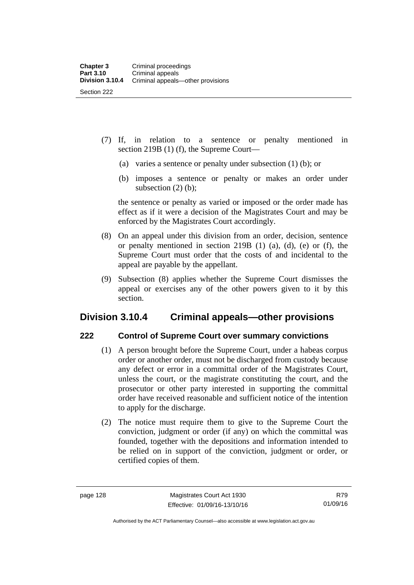- (7) If, in relation to a sentence or penalty mentioned in section 219B (1) (f), the Supreme Court—
	- (a) varies a sentence or penalty under subsection (1) (b); or
	- (b) imposes a sentence or penalty or makes an order under subsection  $(2)$  (b);

the sentence or penalty as varied or imposed or the order made has effect as if it were a decision of the Magistrates Court and may be enforced by the Magistrates Court accordingly.

- (8) On an appeal under this division from an order, decision, sentence or penalty mentioned in section 219B (1) (a), (d), (e) or (f), the Supreme Court must order that the costs of and incidental to the appeal are payable by the appellant.
- (9) Subsection (8) applies whether the Supreme Court dismisses the appeal or exercises any of the other powers given to it by this section.

## **Division 3.10.4 Criminal appeals—other provisions**

#### **222 Control of Supreme Court over summary convictions**

- (1) A person brought before the Supreme Court, under a habeas corpus order or another order, must not be discharged from custody because any defect or error in a committal order of the Magistrates Court, unless the court, or the magistrate constituting the court, and the prosecutor or other party interested in supporting the committal order have received reasonable and sufficient notice of the intention to apply for the discharge.
- (2) The notice must require them to give to the Supreme Court the conviction, judgment or order (if any) on which the committal was founded, together with the depositions and information intended to be relied on in support of the conviction, judgment or order, or certified copies of them.

Authorised by the ACT Parliamentary Counsel—also accessible at www.legislation.act.gov.au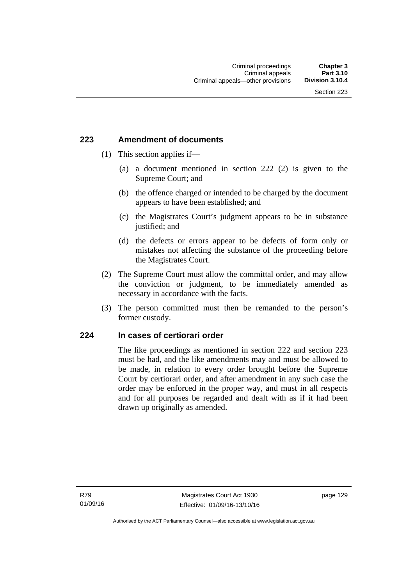### **223 Amendment of documents**

- (1) This section applies if—
	- (a) a document mentioned in section 222 (2) is given to the Supreme Court; and
	- (b) the offence charged or intended to be charged by the document appears to have been established; and
	- (c) the Magistrates Court's judgment appears to be in substance justified; and
	- (d) the defects or errors appear to be defects of form only or mistakes not affecting the substance of the proceeding before the Magistrates Court.
- (2) The Supreme Court must allow the committal order, and may allow the conviction or judgment, to be immediately amended as necessary in accordance with the facts.
- (3) The person committed must then be remanded to the person's former custody.

### **224 In cases of certiorari order**

The like proceedings as mentioned in section 222 and section 223 must be had, and the like amendments may and must be allowed to be made, in relation to every order brought before the Supreme Court by certiorari order, and after amendment in any such case the order may be enforced in the proper way, and must in all respects and for all purposes be regarded and dealt with as if it had been drawn up originally as amended.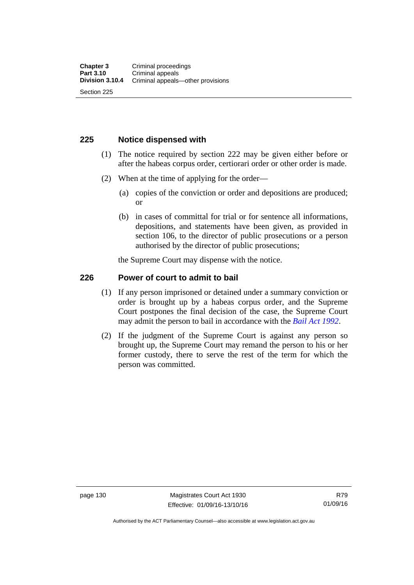### **225 Notice dispensed with**

- (1) The notice required by section 222 may be given either before or after the habeas corpus order, certiorari order or other order is made.
- (2) When at the time of applying for the order—
	- (a) copies of the conviction or order and depositions are produced; or
	- (b) in cases of committal for trial or for sentence all informations, depositions, and statements have been given, as provided in section 106, to the director of public prosecutions or a person authorised by the director of public prosecutions;

the Supreme Court may dispense with the notice.

### **226 Power of court to admit to bail**

- (1) If any person imprisoned or detained under a summary conviction or order is brought up by a habeas corpus order, and the Supreme Court postpones the final decision of the case, the Supreme Court may admit the person to bail in accordance with the *[Bail Act 1992](http://www.legislation.act.gov.au/a/1992-8)*.
- (2) If the judgment of the Supreme Court is against any person so brought up, the Supreme Court may remand the person to his or her former custody, there to serve the rest of the term for which the person was committed.

page 130 Magistrates Court Act 1930 Effective: 01/09/16-13/10/16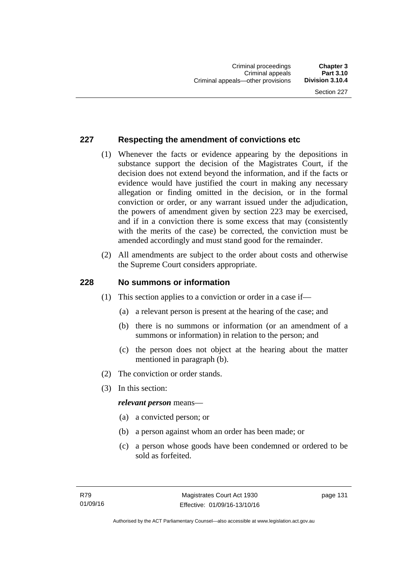### **227 Respecting the amendment of convictions etc**

- (1) Whenever the facts or evidence appearing by the depositions in substance support the decision of the Magistrates Court, if the decision does not extend beyond the information, and if the facts or evidence would have justified the court in making any necessary allegation or finding omitted in the decision, or in the formal conviction or order, or any warrant issued under the adjudication, the powers of amendment given by section 223 may be exercised, and if in a conviction there is some excess that may (consistently with the merits of the case) be corrected, the conviction must be amended accordingly and must stand good for the remainder.
- (2) All amendments are subject to the order about costs and otherwise the Supreme Court considers appropriate.

### **228 No summons or information**

- (1) This section applies to a conviction or order in a case if—
	- (a) a relevant person is present at the hearing of the case; and
	- (b) there is no summons or information (or an amendment of a summons or information) in relation to the person; and
	- (c) the person does not object at the hearing about the matter mentioned in paragraph (b).
- (2) The conviction or order stands.
- (3) In this section:

### *relevant person* means—

- (a) a convicted person; or
- (b) a person against whom an order has been made; or
- (c) a person whose goods have been condemned or ordered to be sold as forfeited.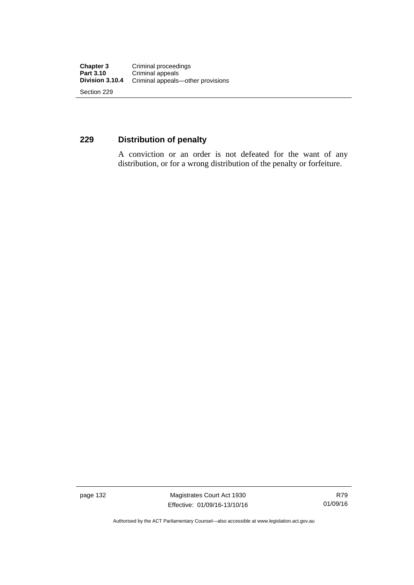### **229 Distribution of penalty**

A conviction or an order is not defeated for the want of any distribution, or for a wrong distribution of the penalty or forfeiture.

page 132 Magistrates Court Act 1930 Effective: 01/09/16-13/10/16

Authorised by the ACT Parliamentary Counsel—also accessible at www.legislation.act.gov.au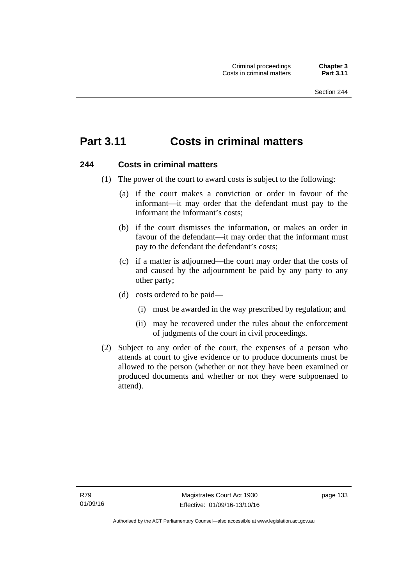# **Part 3.11 Costs in criminal matters**

### **244 Costs in criminal matters**

- (1) The power of the court to award costs is subject to the following:
	- (a) if the court makes a conviction or order in favour of the informant—it may order that the defendant must pay to the informant the informant's costs;
	- (b) if the court dismisses the information, or makes an order in favour of the defendant—it may order that the informant must pay to the defendant the defendant's costs;
	- (c) if a matter is adjourned—the court may order that the costs of and caused by the adjournment be paid by any party to any other party;
	- (d) costs ordered to be paid—
		- (i) must be awarded in the way prescribed by regulation; and
		- (ii) may be recovered under the rules about the enforcement of judgments of the court in civil proceedings.
- (2) Subject to any order of the court, the expenses of a person who attends at court to give evidence or to produce documents must be allowed to the person (whether or not they have been examined or produced documents and whether or not they were subpoenaed to attend).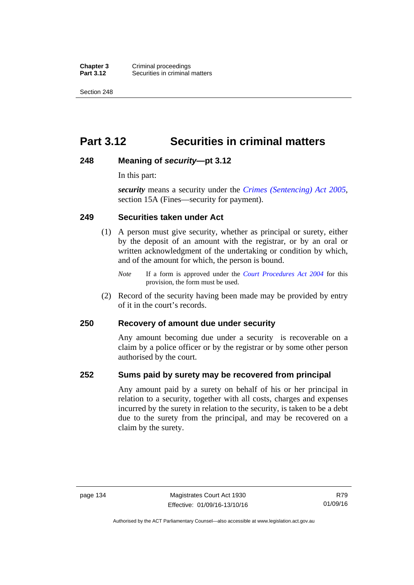**Chapter 3** Criminal proceedings<br>**Part 3.12** Securities in criminal **Securities in criminal matters** 

Section 248

# **Part 3.12 Securities in criminal matters**

### **248 Meaning of** *security***—pt 3.12**

In this part:

*security* means a security under the *[Crimes \(Sentencing\) Act 2005](http://www.legislation.act.gov.au/a/2005-58)*, section 15A (Fines—security for payment).

### **249 Securities taken under Act**

- (1) A person must give security, whether as principal or surety, either by the deposit of an amount with the registrar, or by an oral or written acknowledgment of the undertaking or condition by which, and of the amount for which, the person is bound.
	- *Note* If a form is approved under the *[Court Procedures Act 2004](http://www.legislation.act.gov.au/a/2004-59)* for this provision, the form must be used.
- (2) Record of the security having been made may be provided by entry of it in the court's records.

### **250 Recovery of amount due under security**

Any amount becoming due under a security is recoverable on a claim by a police officer or by the registrar or by some other person authorised by the court.

### **252 Sums paid by surety may be recovered from principal**

Any amount paid by a surety on behalf of his or her principal in relation to a security, together with all costs, charges and expenses incurred by the surety in relation to the security, is taken to be a debt due to the surety from the principal, and may be recovered on a claim by the surety.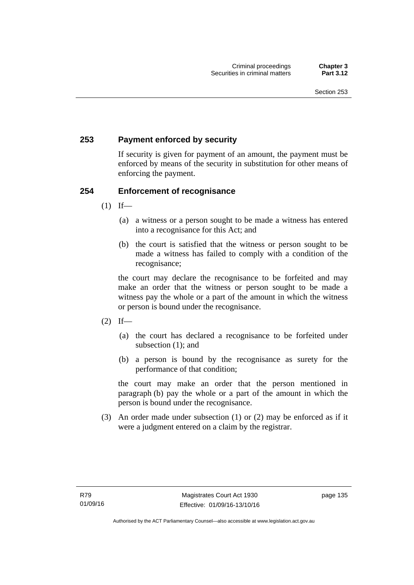### **253 Payment enforced by security**

If security is given for payment of an amount, the payment must be enforced by means of the security in substitution for other means of enforcing the payment.

### **254 Enforcement of recognisance**

- $(1)$  If—
	- (a) a witness or a person sought to be made a witness has entered into a recognisance for this Act; and
	- (b) the court is satisfied that the witness or person sought to be made a witness has failed to comply with a condition of the recognisance;

the court may declare the recognisance to be forfeited and may make an order that the witness or person sought to be made a witness pay the whole or a part of the amount in which the witness or person is bound under the recognisance.

- $(2)$  If—
	- (a) the court has declared a recognisance to be forfeited under subsection (1); and
	- (b) a person is bound by the recognisance as surety for the performance of that condition;

the court may make an order that the person mentioned in paragraph (b) pay the whole or a part of the amount in which the person is bound under the recognisance.

 (3) An order made under subsection (1) or (2) may be enforced as if it were a judgment entered on a claim by the registrar.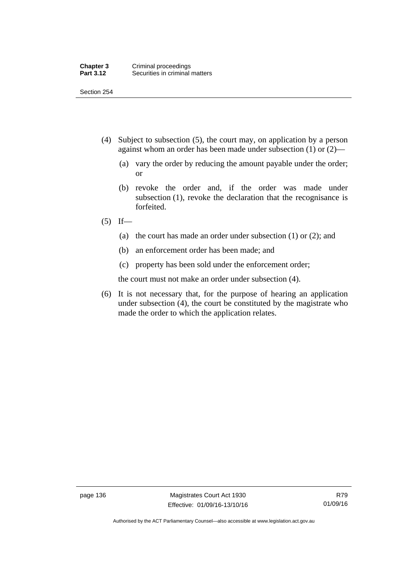Section 254

- (4) Subject to subsection (5), the court may, on application by a person against whom an order has been made under subsection (1) or (2)—
	- (a) vary the order by reducing the amount payable under the order; or
	- (b) revoke the order and, if the order was made under subsection (1), revoke the declaration that the recognisance is forfeited.
- $(5)$  If—
	- (a) the court has made an order under subsection (1) or (2); and
	- (b) an enforcement order has been made; and
	- (c) property has been sold under the enforcement order;

the court must not make an order under subsection (4).

 (6) It is not necessary that, for the purpose of hearing an application under subsection (4), the court be constituted by the magistrate who made the order to which the application relates.

Authorised by the ACT Parliamentary Counsel—also accessible at www.legislation.act.gov.au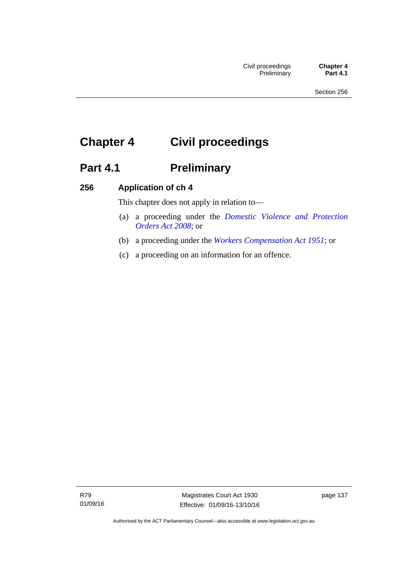# **Chapter 4 Civil proceedings**

# Part 4.1 **Preliminary**

### **256 Application of ch 4**

This chapter does not apply in relation to—

- (a) a proceeding under the *[Domestic Violence and Protection](http://www.legislation.act.gov.au/a/2008-46)  [Orders Act 2008](http://www.legislation.act.gov.au/a/2008-46)*; or
- (b) a proceeding under the *[Workers Compensation Act 1951](http://www.legislation.act.gov.au/a/1951-2)*; or
- (c) a proceeding on an information for an offence.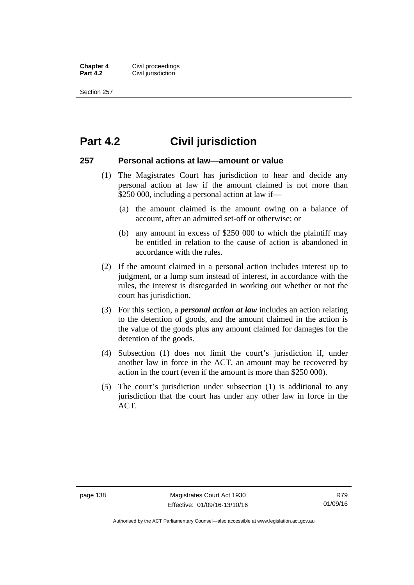**Chapter 4 Civil proceedings**<br>**Part 4.2 Civil iurisdiction Civil jurisdiction** 

Section 257

### **Part 4.2 Civil jurisdiction**

### **257 Personal actions at law—amount or value**

- (1) The Magistrates Court has jurisdiction to hear and decide any personal action at law if the amount claimed is not more than \$250 000, including a personal action at law if—
	- (a) the amount claimed is the amount owing on a balance of account, after an admitted set-off or otherwise; or
	- (b) any amount in excess of \$250 000 to which the plaintiff may be entitled in relation to the cause of action is abandoned in accordance with the rules.
- (2) If the amount claimed in a personal action includes interest up to judgment, or a lump sum instead of interest, in accordance with the rules, the interest is disregarded in working out whether or not the court has jurisdiction.
- (3) For this section, a *personal action at law* includes an action relating to the detention of goods, and the amount claimed in the action is the value of the goods plus any amount claimed for damages for the detention of the goods.
- (4) Subsection (1) does not limit the court's jurisdiction if, under another law in force in the ACT, an amount may be recovered by action in the court (even if the amount is more than \$250 000).
- (5) The court's jurisdiction under subsection (1) is additional to any jurisdiction that the court has under any other law in force in the ACT.

Authorised by the ACT Parliamentary Counsel—also accessible at www.legislation.act.gov.au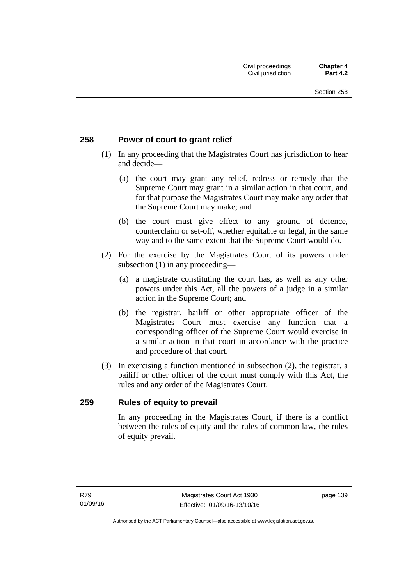### **258 Power of court to grant relief**

- (1) In any proceeding that the Magistrates Court has jurisdiction to hear and decide—
	- (a) the court may grant any relief, redress or remedy that the Supreme Court may grant in a similar action in that court, and for that purpose the Magistrates Court may make any order that the Supreme Court may make; and
	- (b) the court must give effect to any ground of defence, counterclaim or set-off, whether equitable or legal, in the same way and to the same extent that the Supreme Court would do.
- (2) For the exercise by the Magistrates Court of its powers under subsection (1) in any proceeding—
	- (a) a magistrate constituting the court has, as well as any other powers under this Act, all the powers of a judge in a similar action in the Supreme Court; and
	- (b) the registrar, bailiff or other appropriate officer of the Magistrates Court must exercise any function that a corresponding officer of the Supreme Court would exercise in a similar action in that court in accordance with the practice and procedure of that court.
- (3) In exercising a function mentioned in subsection (2), the registrar, a bailiff or other officer of the court must comply with this Act, the rules and any order of the Magistrates Court.

### **259 Rules of equity to prevail**

In any proceeding in the Magistrates Court, if there is a conflict between the rules of equity and the rules of common law, the rules of equity prevail.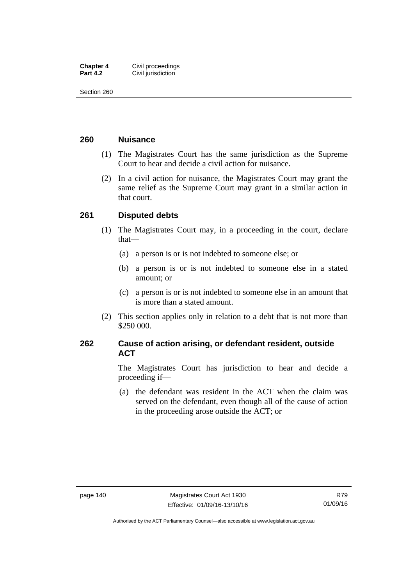| <b>Chapter 4</b> | Civil proceedings  |
|------------------|--------------------|
| <b>Part 4.2</b>  | Civil jurisdiction |

Section 260

### **260 Nuisance**

- (1) The Magistrates Court has the same jurisdiction as the Supreme Court to hear and decide a civil action for nuisance.
- (2) In a civil action for nuisance, the Magistrates Court may grant the same relief as the Supreme Court may grant in a similar action in that court.

### **261 Disputed debts**

- (1) The Magistrates Court may, in a proceeding in the court, declare that—
	- (a) a person is or is not indebted to someone else; or
	- (b) a person is or is not indebted to someone else in a stated amount; or
	- (c) a person is or is not indebted to someone else in an amount that is more than a stated amount.
- (2) This section applies only in relation to a debt that is not more than \$250 000.

### **262 Cause of action arising, or defendant resident, outside ACT**

The Magistrates Court has jurisdiction to hear and decide a proceeding if—

 (a) the defendant was resident in the ACT when the claim was served on the defendant, even though all of the cause of action in the proceeding arose outside the ACT; or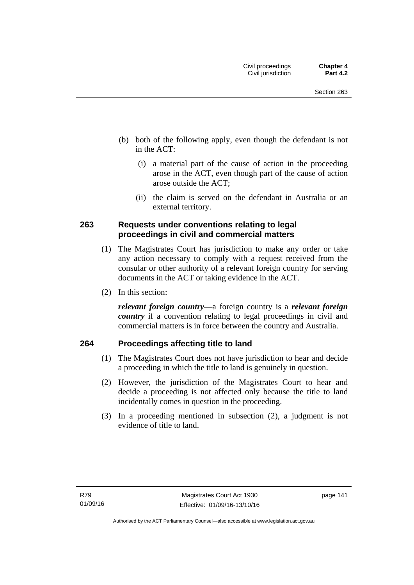- (b) both of the following apply, even though the defendant is not in the ACT:
	- (i) a material part of the cause of action in the proceeding arose in the ACT, even though part of the cause of action arose outside the ACT;
	- (ii) the claim is served on the defendant in Australia or an external territory.

### **263 Requests under conventions relating to legal proceedings in civil and commercial matters**

- (1) The Magistrates Court has jurisdiction to make any order or take any action necessary to comply with a request received from the consular or other authority of a relevant foreign country for serving documents in the ACT or taking evidence in the ACT.
- (2) In this section:

*relevant foreign country*—a foreign country is a *relevant foreign country* if a convention relating to legal proceedings in civil and commercial matters is in force between the country and Australia.

### **264 Proceedings affecting title to land**

- (1) The Magistrates Court does not have jurisdiction to hear and decide a proceeding in which the title to land is genuinely in question.
- (2) However, the jurisdiction of the Magistrates Court to hear and decide a proceeding is not affected only because the title to land incidentally comes in question in the proceeding.
- (3) In a proceeding mentioned in subsection (2), a judgment is not evidence of title to land.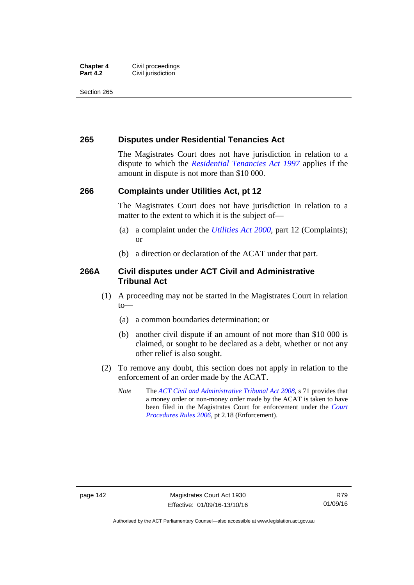#### **Chapter 4 Civil proceedings**<br>**Part 4.2 Civil iurisdiction Civil jurisdiction**

Section 265

### **265 Disputes under Residential Tenancies Act**

The Magistrates Court does not have jurisdiction in relation to a dispute to which the *[Residential Tenancies Act 1997](http://www.legislation.act.gov.au/a/1997-84)* applies if the amount in dispute is not more than \$10 000.

### **266 Complaints under Utilities Act, pt 12**

The Magistrates Court does not have jurisdiction in relation to a matter to the extent to which it is the subject of—

- (a) a complaint under the *[Utilities Act 2000](http://www.legislation.act.gov.au/a/2000-65)*, part 12 (Complaints); or
- (b) a direction or declaration of the ACAT under that part.

### **266A Civil disputes under ACT Civil and Administrative Tribunal Act**

- (1) A proceeding may not be started in the Magistrates Court in relation to—
	- (a) a common boundaries determination; or
	- (b) another civil dispute if an amount of not more than \$10 000 is claimed, or sought to be declared as a debt, whether or not any other relief is also sought.
- (2) To remove any doubt, this section does not apply in relation to the enforcement of an order made by the ACAT.
	- *Note* The *[ACT Civil and Administrative Tribunal Act 2008](http://www.legislation.act.gov.au/a/2008-35)*, s 71 provides that a money order or non-money order made by the ACAT is taken to have been filed in the Magistrates Court for enforcement under the *[Court](http://www.legislation.act.gov.au/sl/2006-29)  [Procedures Rules 2006](http://www.legislation.act.gov.au/sl/2006-29)*, pt 2.18 (Enforcement).

Authorised by the ACT Parliamentary Counsel—also accessible at www.legislation.act.gov.au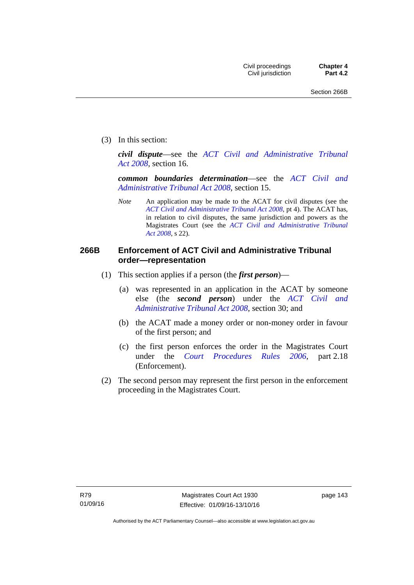(3) In this section:

*civil dispute*—see the *[ACT Civil and Administrative Tribunal](http://www.legislation.act.gov.au/a/2008-35)  [Act 2008](http://www.legislation.act.gov.au/a/2008-35)*, section 16.

*common boundaries determination*—see the *[ACT Civil and](http://www.legislation.act.gov.au/a/2008-35)  [Administrative Tribunal Act 2008](http://www.legislation.act.gov.au/a/2008-35)*, section 15.

*Note* An application may be made to the ACAT for civil disputes (see the *[ACT Civil and Administrative Tribunal Act 2008](http://www.legislation.act.gov.au/a/2008-35/default.asp)*, pt 4). The ACAT has, in relation to civil disputes, the same jurisdiction and powers as the Magistrates Court (see the *[ACT Civil and Administrative Tribunal](http://www.legislation.act.gov.au/a/2008-35)  [Act 2008](http://www.legislation.act.gov.au/a/2008-35)*, s 22).

### **266B Enforcement of ACT Civil and Administrative Tribunal order—representation**

- (1) This section applies if a person (the *first person*)—
	- (a) was represented in an application in the ACAT by someone else (the *second person*) under the *[ACT Civil and](http://www.legislation.act.gov.au/a/2008-35)  [Administrative Tribunal Act 2008](http://www.legislation.act.gov.au/a/2008-35)*, section 30; and
	- (b) the ACAT made a money order or non-money order in favour of the first person; and
	- (c) the first person enforces the order in the Magistrates Court under the *[Court Procedures Rules 2006](http://www.legislation.act.gov.au/sl/2006-29)*, part 2.18 (Enforcement).
- (2) The second person may represent the first person in the enforcement proceeding in the Magistrates Court.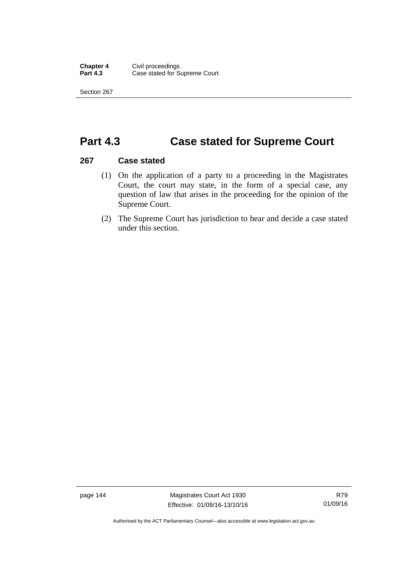Section 267

## **Part 4.3 Case stated for Supreme Court**

### **267 Case stated**

- (1) On the application of a party to a proceeding in the Magistrates Court, the court may state, in the form of a special case, any question of law that arises in the proceeding for the opinion of the Supreme Court.
- (2) The Supreme Court has jurisdiction to hear and decide a case stated under this section.

page 144 Magistrates Court Act 1930 Effective: 01/09/16-13/10/16

Authorised by the ACT Parliamentary Counsel—also accessible at www.legislation.act.gov.au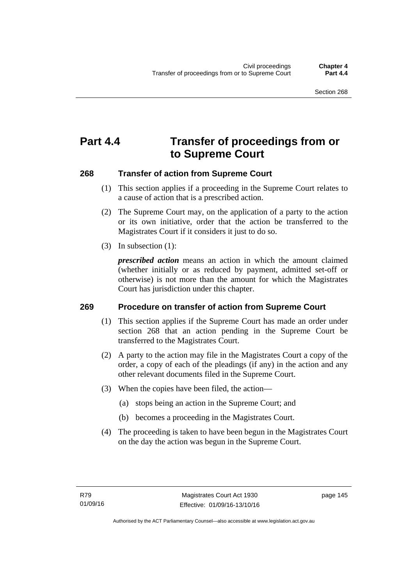# **Part 4.4 Transfer of proceedings from or to Supreme Court**

### **268 Transfer of action from Supreme Court**

- (1) This section applies if a proceeding in the Supreme Court relates to a cause of action that is a prescribed action.
- (2) The Supreme Court may, on the application of a party to the action or its own initiative, order that the action be transferred to the Magistrates Court if it considers it just to do so.
- (3) In subsection (1):

*prescribed action* means an action in which the amount claimed (whether initially or as reduced by payment, admitted set-off or otherwise) is not more than the amount for which the Magistrates Court has jurisdiction under this chapter.

### **269 Procedure on transfer of action from Supreme Court**

- (1) This section applies if the Supreme Court has made an order under section 268 that an action pending in the Supreme Court be transferred to the Magistrates Court.
- (2) A party to the action may file in the Magistrates Court a copy of the order, a copy of each of the pleadings (if any) in the action and any other relevant documents filed in the Supreme Court.
- (3) When the copies have been filed, the action—
	- (a) stops being an action in the Supreme Court; and
	- (b) becomes a proceeding in the Magistrates Court.
- (4) The proceeding is taken to have been begun in the Magistrates Court on the day the action was begun in the Supreme Court.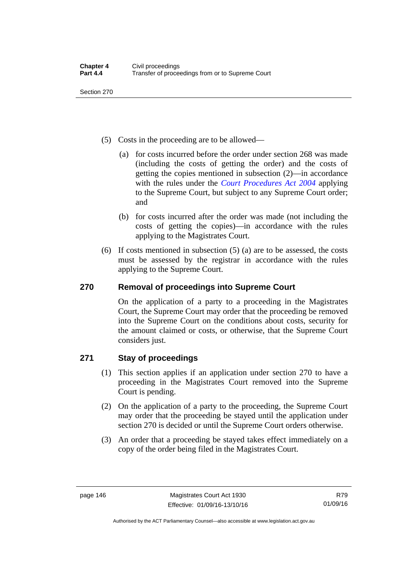Section 270

- (5) Costs in the proceeding are to be allowed—
	- (a) for costs incurred before the order under section 268 was made (including the costs of getting the order) and the costs of getting the copies mentioned in subsection (2)—in accordance with the rules under the *[Court Procedures Act 2004](http://www.legislation.act.gov.au/a/2004-59)* applying to the Supreme Court, but subject to any Supreme Court order; and
	- (b) for costs incurred after the order was made (not including the costs of getting the copies)—in accordance with the rules applying to the Magistrates Court.
- (6) If costs mentioned in subsection (5) (a) are to be assessed, the costs must be assessed by the registrar in accordance with the rules applying to the Supreme Court.

### **270 Removal of proceedings into Supreme Court**

On the application of a party to a proceeding in the Magistrates Court, the Supreme Court may order that the proceeding be removed into the Supreme Court on the conditions about costs, security for the amount claimed or costs, or otherwise, that the Supreme Court considers just.

### **271 Stay of proceedings**

- (1) This section applies if an application under section 270 to have a proceeding in the Magistrates Court removed into the Supreme Court is pending.
- (2) On the application of a party to the proceeding, the Supreme Court may order that the proceeding be stayed until the application under section 270 is decided or until the Supreme Court orders otherwise.
- (3) An order that a proceeding be stayed takes effect immediately on a copy of the order being filed in the Magistrates Court.

Authorised by the ACT Parliamentary Counsel—also accessible at www.legislation.act.gov.au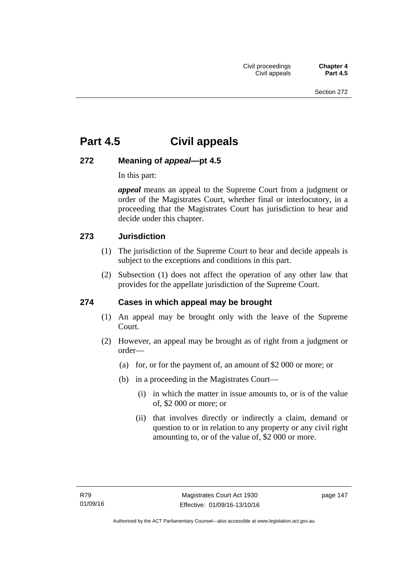# **Part 4.5 Civil appeals**

### **272 Meaning of** *appeal***—pt 4.5**

In this part:

*appeal* means an appeal to the Supreme Court from a judgment or order of the Magistrates Court, whether final or interlocutory, in a proceeding that the Magistrates Court has jurisdiction to hear and decide under this chapter.

### **273 Jurisdiction**

- (1) The jurisdiction of the Supreme Court to hear and decide appeals is subject to the exceptions and conditions in this part.
- (2) Subsection (1) does not affect the operation of any other law that provides for the appellate jurisdiction of the Supreme Court.

### **274 Cases in which appeal may be brought**

- (1) An appeal may be brought only with the leave of the Supreme Court.
- (2) However, an appeal may be brought as of right from a judgment or order—
	- (a) for, or for the payment of, an amount of \$2 000 or more; or
	- (b) in a proceeding in the Magistrates Court—
		- (i) in which the matter in issue amounts to, or is of the value of, \$2 000 or more; or
		- (ii) that involves directly or indirectly a claim, demand or question to or in relation to any property or any civil right amounting to, or of the value of, \$2 000 or more.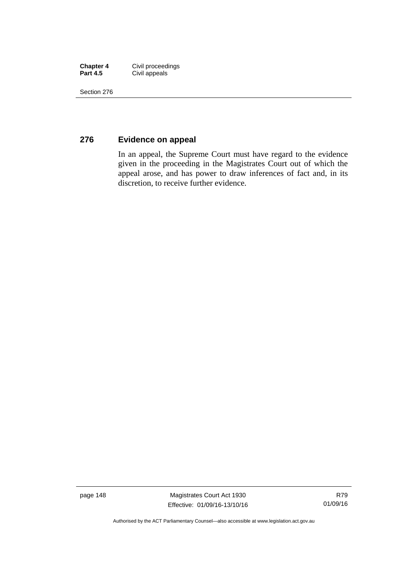| <b>Chapter 4</b> | Civil proceedings |
|------------------|-------------------|
| <b>Part 4.5</b>  | Civil appeals     |

Section 276

### **276 Evidence on appeal**

In an appeal, the Supreme Court must have regard to the evidence given in the proceeding in the Magistrates Court out of which the appeal arose, and has power to draw inferences of fact and, in its discretion, to receive further evidence.

page 148 Magistrates Court Act 1930 Effective: 01/09/16-13/10/16

Authorised by the ACT Parliamentary Counsel—also accessible at www.legislation.act.gov.au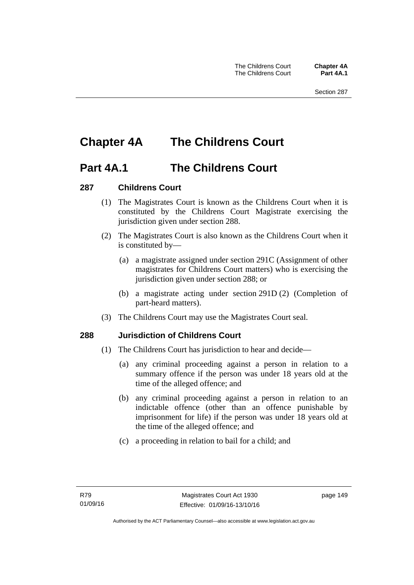# **Chapter 4A The Childrens Court**

### **Part 4A.1 The Childrens Court**

### **287 Childrens Court**

- (1) The Magistrates Court is known as the Childrens Court when it is constituted by the Childrens Court Magistrate exercising the jurisdiction given under section 288.
- (2) The Magistrates Court is also known as the Childrens Court when it is constituted by—
	- (a) a magistrate assigned under section 291C (Assignment of other magistrates for Childrens Court matters) who is exercising the jurisdiction given under section 288; or
	- (b) a magistrate acting under section 291D (2) (Completion of part-heard matters).
- (3) The Childrens Court may use the Magistrates Court seal.

### **288 Jurisdiction of Childrens Court**

- (1) The Childrens Court has jurisdiction to hear and decide—
	- (a) any criminal proceeding against a person in relation to a summary offence if the person was under 18 years old at the time of the alleged offence; and
	- (b) any criminal proceeding against a person in relation to an indictable offence (other than an offence punishable by imprisonment for life) if the person was under 18 years old at the time of the alleged offence; and
	- (c) a proceeding in relation to bail for a child; and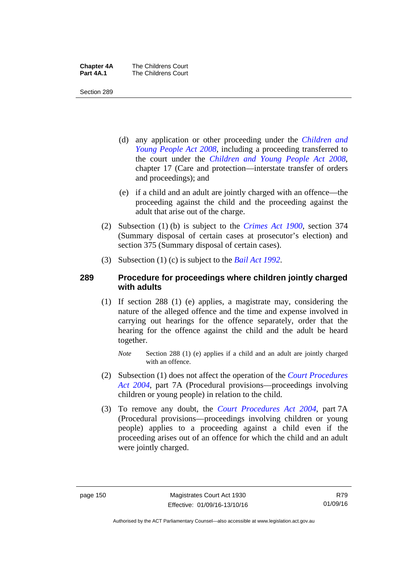| <b>Chapter 4A</b> | The Childrens Court |
|-------------------|---------------------|
| Part 4A.1         | The Childrens Court |

Section 289

- (d) any application or other proceeding under the *[Children and](http://www.legislation.act.gov.au/a/2008-19)  [Young People Act 2008](http://www.legislation.act.gov.au/a/2008-19)*, including a proceeding transferred to the court under the *[Children and Young People Act 2008](http://www.legislation.act.gov.au/a/2008-19)*, chapter 17 (Care and protection—interstate transfer of orders and proceedings); and
- (e) if a child and an adult are jointly charged with an offence—the proceeding against the child and the proceeding against the adult that arise out of the charge.
- (2) Subsection (1) (b) is subject to the *[Crimes Act 1900](http://www.legislation.act.gov.au/a/1900-40)*, section 374 (Summary disposal of certain cases at prosecutor's election) and section 375 (Summary disposal of certain cases).
- (3) Subsection (1) (c) is subject to the *[Bail Act 1992](http://www.legislation.act.gov.au/a/1992-8)*.

### **289 Procedure for proceedings where children jointly charged with adults**

- (1) If section 288 (1) (e) applies, a magistrate may, considering the nature of the alleged offence and the time and expense involved in carrying out hearings for the offence separately, order that the hearing for the offence against the child and the adult be heard together.
	- *Note* Section 288 (1) (e) applies if a child and an adult are jointly charged with an offence.
- (2) Subsection (1) does not affect the operation of the *[Court Procedures](http://www.legislation.act.gov.au/a/2004-59)  [Act 2004](http://www.legislation.act.gov.au/a/2004-59)*, part 7A (Procedural provisions—proceedings involving children or young people) in relation to the child.
- (3) To remove any doubt, the *[Court Procedures Act 2004](http://www.legislation.act.gov.au/a/2004-59)*, part 7A (Procedural provisions—proceedings involving children or young people) applies to a proceeding against a child even if the proceeding arises out of an offence for which the child and an adult were jointly charged.

Authorised by the ACT Parliamentary Counsel—also accessible at www.legislation.act.gov.au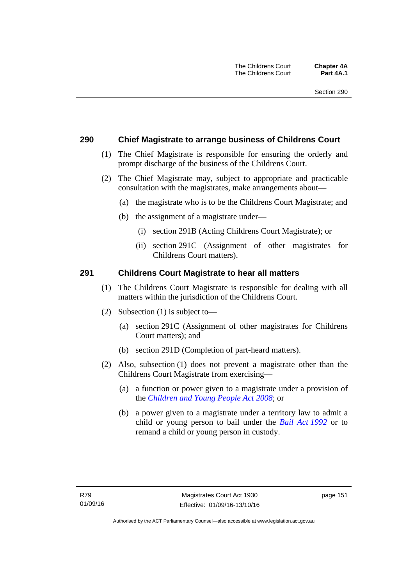### **290 Chief Magistrate to arrange business of Childrens Court**

- (1) The Chief Magistrate is responsible for ensuring the orderly and prompt discharge of the business of the Childrens Court.
- (2) The Chief Magistrate may, subject to appropriate and practicable consultation with the magistrates, make arrangements about—
	- (a) the magistrate who is to be the Childrens Court Magistrate; and
	- (b) the assignment of a magistrate under—
		- (i) section 291B (Acting Childrens Court Magistrate); or
		- (ii) section 291C (Assignment of other magistrates for Childrens Court matters).

### **291 Childrens Court Magistrate to hear all matters**

- (1) The Childrens Court Magistrate is responsible for dealing with all matters within the jurisdiction of the Childrens Court.
- (2) Subsection (1) is subject to—
	- (a) section 291C (Assignment of other magistrates for Childrens Court matters); and
	- (b) section 291D (Completion of part-heard matters).
- (2) Also, subsection (1) does not prevent a magistrate other than the Childrens Court Magistrate from exercising—
	- (a) a function or power given to a magistrate under a provision of the *[Children and Young People Act 2008](http://www.legislation.act.gov.au/a/2008-19)*; or
	- (b) a power given to a magistrate under a territory law to admit a child or young person to bail under the *[Bail Act 1992](http://www.legislation.act.gov.au/a/1992-8)* or to remand a child or young person in custody.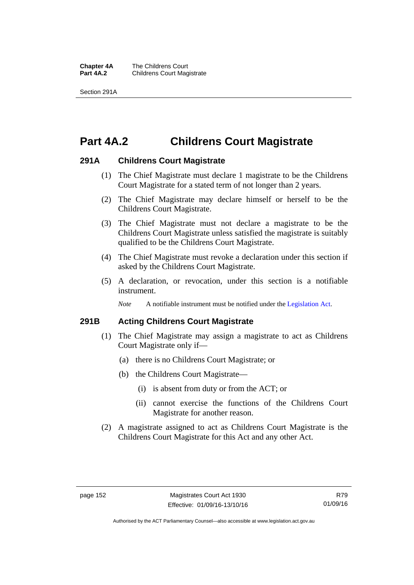**Chapter 4A** The Childrens Court<br>**Part 4A.2** Childrens Court Mag **Childrens Court Magistrate** 

Section 291A

# **Part 4A.2 Childrens Court Magistrate**

### **291A Childrens Court Magistrate**

- (1) The Chief Magistrate must declare 1 magistrate to be the Childrens Court Magistrate for a stated term of not longer than 2 years.
- (2) The Chief Magistrate may declare himself or herself to be the Childrens Court Magistrate.
- (3) The Chief Magistrate must not declare a magistrate to be the Childrens Court Magistrate unless satisfied the magistrate is suitably qualified to be the Childrens Court Magistrate.
- (4) The Chief Magistrate must revoke a declaration under this section if asked by the Childrens Court Magistrate.
- (5) A declaration, or revocation, under this section is a notifiable instrument.

*Note* A notifiable instrument must be notified under the [Legislation Act](http://www.legislation.act.gov.au/a/2001-14).

### **291B Acting Childrens Court Magistrate**

- (1) The Chief Magistrate may assign a magistrate to act as Childrens Court Magistrate only if—
	- (a) there is no Childrens Court Magistrate; or
	- (b) the Childrens Court Magistrate—
		- (i) is absent from duty or from the ACT; or
		- (ii) cannot exercise the functions of the Childrens Court Magistrate for another reason.
- (2) A magistrate assigned to act as Childrens Court Magistrate is the Childrens Court Magistrate for this Act and any other Act.

Authorised by the ACT Parliamentary Counsel—also accessible at www.legislation.act.gov.au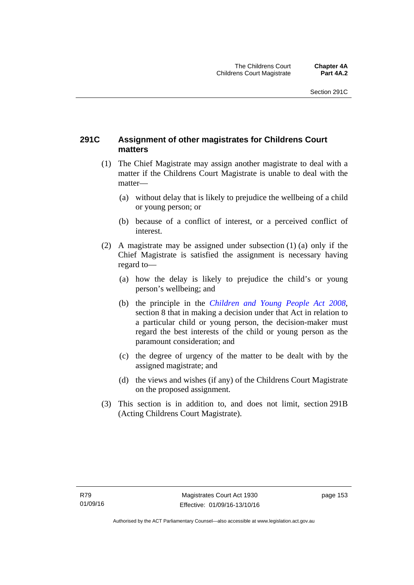### **291C Assignment of other magistrates for Childrens Court matters**

- (1) The Chief Magistrate may assign another magistrate to deal with a matter if the Childrens Court Magistrate is unable to deal with the matter—
	- (a) without delay that is likely to prejudice the wellbeing of a child or young person; or
	- (b) because of a conflict of interest, or a perceived conflict of interest.
- (2) A magistrate may be assigned under subsection (1) (a) only if the Chief Magistrate is satisfied the assignment is necessary having regard to—
	- (a) how the delay is likely to prejudice the child's or young person's wellbeing; and
	- (b) the principle in the *[Children and Young People Act 2008](http://www.legislation.act.gov.au/a/2008-19)*, section 8 that in making a decision under that Act in relation to a particular child or young person, the decision-maker must regard the best interests of the child or young person as the paramount consideration; and
	- (c) the degree of urgency of the matter to be dealt with by the assigned magistrate; and
	- (d) the views and wishes (if any) of the Childrens Court Magistrate on the proposed assignment.
- (3) This section is in addition to, and does not limit, section 291B (Acting Childrens Court Magistrate).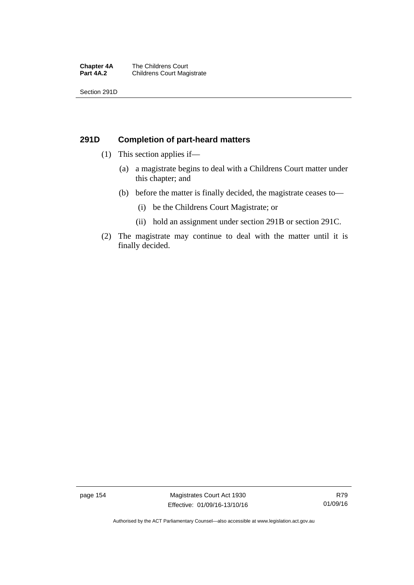#### **Chapter 4A** The Childrens Court<br>**Part 4A.2** Childrens Court Mag **Childrens Court Magistrate**

Section 291D

### **291D Completion of part-heard matters**

- (1) This section applies if—
	- (a) a magistrate begins to deal with a Childrens Court matter under this chapter; and
	- (b) before the matter is finally decided, the magistrate ceases to—
		- (i) be the Childrens Court Magistrate; or
		- (ii) hold an assignment under section 291B or section 291C.
- (2) The magistrate may continue to deal with the matter until it is finally decided.

page 154 Magistrates Court Act 1930 Effective: 01/09/16-13/10/16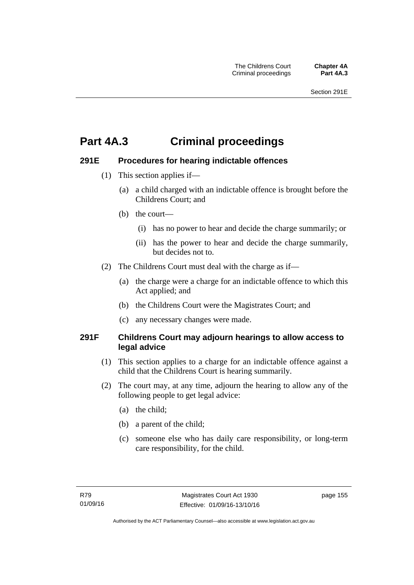# **Part 4A.3 Criminal proceedings**

### **291E Procedures for hearing indictable offences**

- (1) This section applies if—
	- (a) a child charged with an indictable offence is brought before the Childrens Court; and
	- (b) the court—
		- (i) has no power to hear and decide the charge summarily; or
		- (ii) has the power to hear and decide the charge summarily, but decides not to.
- (2) The Childrens Court must deal with the charge as if—
	- (a) the charge were a charge for an indictable offence to which this Act applied; and
	- (b) the Childrens Court were the Magistrates Court; and
	- (c) any necessary changes were made.

### **291F Childrens Court may adjourn hearings to allow access to legal advice**

- (1) This section applies to a charge for an indictable offence against a child that the Childrens Court is hearing summarily.
- (2) The court may, at any time, adjourn the hearing to allow any of the following people to get legal advice:
	- (a) the child;
	- (b) a parent of the child;
	- (c) someone else who has daily care responsibility, or long-term care responsibility, for the child.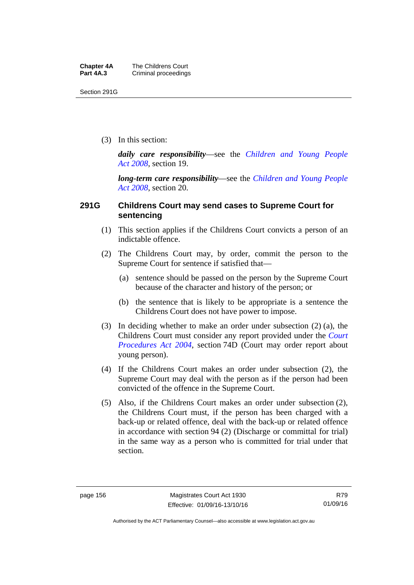Section 291G

(3) In this section:

*daily care responsibility*—see the *[Children and Young People](http://www.legislation.act.gov.au/a/2008-19)  [Act 2008](http://www.legislation.act.gov.au/a/2008-19)*, section 19.

*long-term care responsibility*—see the *[Children and Young People](http://www.legislation.act.gov.au/a/2008-19)  [Act 2008](http://www.legislation.act.gov.au/a/2008-19)*, section 20.

### **291G Childrens Court may send cases to Supreme Court for sentencing**

- (1) This section applies if the Childrens Court convicts a person of an indictable offence.
- (2) The Childrens Court may, by order, commit the person to the Supreme Court for sentence if satisfied that—
	- (a) sentence should be passed on the person by the Supreme Court because of the character and history of the person; or
	- (b) the sentence that is likely to be appropriate is a sentence the Childrens Court does not have power to impose.
- (3) In deciding whether to make an order under subsection (2) (a), the Childrens Court must consider any report provided under the *[Court](http://www.legislation.act.gov.au/a/2004-59)  [Procedures Act 2004](http://www.legislation.act.gov.au/a/2004-59)*, section 74D (Court may order report about young person).
- (4) If the Childrens Court makes an order under subsection (2), the Supreme Court may deal with the person as if the person had been convicted of the offence in the Supreme Court.
- (5) Also, if the Childrens Court makes an order under subsection (2), the Childrens Court must, if the person has been charged with a back-up or related offence, deal with the back-up or related offence in accordance with section 94 (2) (Discharge or committal for trial) in the same way as a person who is committed for trial under that section.

Authorised by the ACT Parliamentary Counsel—also accessible at www.legislation.act.gov.au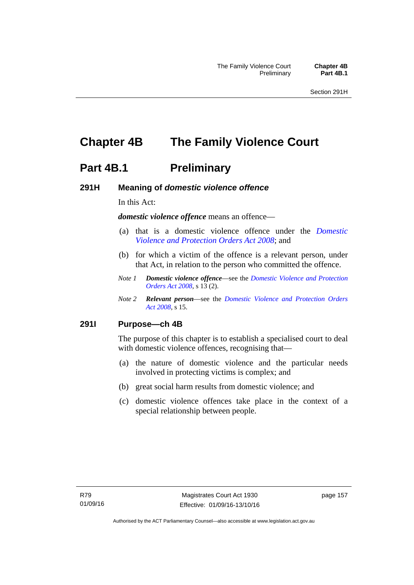# **Chapter 4B The Family Violence Court**

### **Part 4B.1** Preliminary

### **291H Meaning of** *domestic violence offence*

In this Act:

*domestic violence offence* means an offence—

- (a) that is a domestic violence offence under the *[Domestic](http://www.legislation.act.gov.au/a/2008-46)  [Violence and Protection Orders Act 2008](http://www.legislation.act.gov.au/a/2008-46)*; and
- (b) for which a victim of the offence is a relevant person, under that Act, in relation to the person who committed the offence.
- *Note 1 Domestic violence offence*—see the *[Domestic Violence and Protection](http://www.legislation.act.gov.au/a/2008-46)  [Orders Act 2008](http://www.legislation.act.gov.au/a/2008-46)*, s 13 (2).
- *Note 2 Relevant person*—see the *[Domestic Violence and Protection Orders](http://www.legislation.act.gov.au/a/2008-46)  [Act 2008](http://www.legislation.act.gov.au/a/2008-46)*, s 15.

### **291I Purpose—ch 4B**

The purpose of this chapter is to establish a specialised court to deal with domestic violence offences, recognising that—

- (a) the nature of domestic violence and the particular needs involved in protecting victims is complex; and
- (b) great social harm results from domestic violence; and
- (c) domestic violence offences take place in the context of a special relationship between people.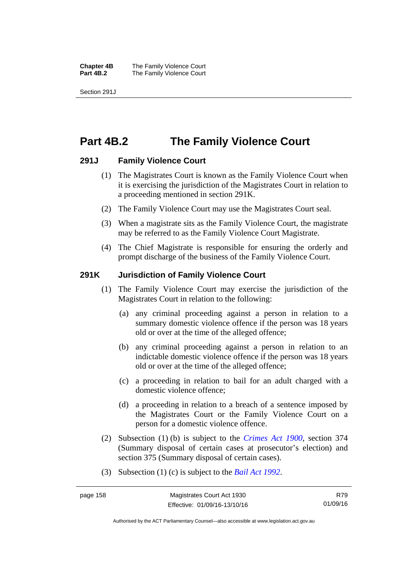**Chapter 4B** The Family Violence Court<br>**Part 4B.2** The Family Violence Court **The Family Violence Court** 

Section 291J

## **Part 4B.2 The Family Violence Court**

### **291J Family Violence Court**

- (1) The Magistrates Court is known as the Family Violence Court when it is exercising the jurisdiction of the Magistrates Court in relation to a proceeding mentioned in section 291K.
- (2) The Family Violence Court may use the Magistrates Court seal.
- (3) When a magistrate sits as the Family Violence Court, the magistrate may be referred to as the Family Violence Court Magistrate.
- (4) The Chief Magistrate is responsible for ensuring the orderly and prompt discharge of the business of the Family Violence Court.

### **291K Jurisdiction of Family Violence Court**

- (1) The Family Violence Court may exercise the jurisdiction of the Magistrates Court in relation to the following:
	- (a) any criminal proceeding against a person in relation to a summary domestic violence offence if the person was 18 years old or over at the time of the alleged offence;
	- (b) any criminal proceeding against a person in relation to an indictable domestic violence offence if the person was 18 years old or over at the time of the alleged offence;
	- (c) a proceeding in relation to bail for an adult charged with a domestic violence offence;
	- (d) a proceeding in relation to a breach of a sentence imposed by the Magistrates Court or the Family Violence Court on a person for a domestic violence offence.
- (2) Subsection (1) (b) is subject to the *[Crimes Act 1900](http://www.legislation.act.gov.au/a/1900-40)*, section 374 (Summary disposal of certain cases at prosecutor's election) and section 375 (Summary disposal of certain cases).
- (3) Subsection (1) (c) is subject to the *[Bail Act 1992](http://www.legislation.act.gov.au/a/1992-8)*.

R79 01/09/16

Authorised by the ACT Parliamentary Counsel—also accessible at www.legislation.act.gov.au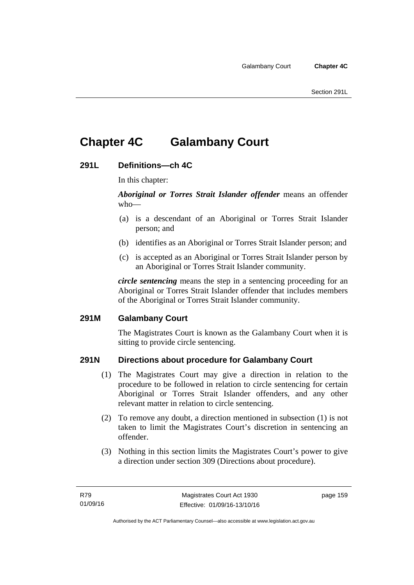# **Chapter 4C Galambany Court**

### **291L Definitions—ch 4C**

In this chapter:

*Aboriginal or Torres Strait Islander offender* means an offender who—

- (a) is a descendant of an Aboriginal or Torres Strait Islander person; and
- (b) identifies as an Aboriginal or Torres Strait Islander person; and
- (c) is accepted as an Aboriginal or Torres Strait Islander person by an Aboriginal or Torres Strait Islander community.

*circle sentencing* means the step in a sentencing proceeding for an Aboriginal or Torres Strait Islander offender that includes members of the Aboriginal or Torres Strait Islander community.

### **291M Galambany Court**

The Magistrates Court is known as the Galambany Court when it is sitting to provide circle sentencing.

### **291N Directions about procedure for Galambany Court**

- (1) The Magistrates Court may give a direction in relation to the procedure to be followed in relation to circle sentencing for certain Aboriginal or Torres Strait Islander offenders, and any other relevant matter in relation to circle sentencing.
- (2) To remove any doubt, a direction mentioned in subsection (1) is not taken to limit the Magistrates Court's discretion in sentencing an offender.
- (3) Nothing in this section limits the Magistrates Court's power to give a direction under section 309 (Directions about procedure).

page 159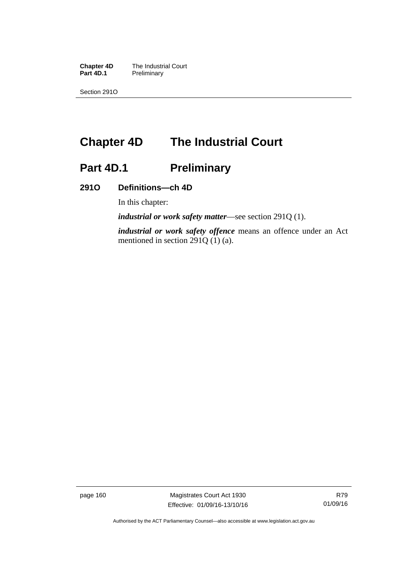**Chapter 4D** The Industrial Court<br>**Part 4D.1** Preliminary **Preliminary** 

Section 291O

# **Chapter 4D The Industrial Court**

# Part 4D.1 **Preliminary**

### **291O Definitions—ch 4D**

In this chapter:

*industrial or work safety matter*—see section 291Q (1).

*industrial or work safety offence* means an offence under an Act mentioned in section 291Q (1) (a).

page 160 Magistrates Court Act 1930 Effective: 01/09/16-13/10/16

Authorised by the ACT Parliamentary Counsel—also accessible at www.legislation.act.gov.au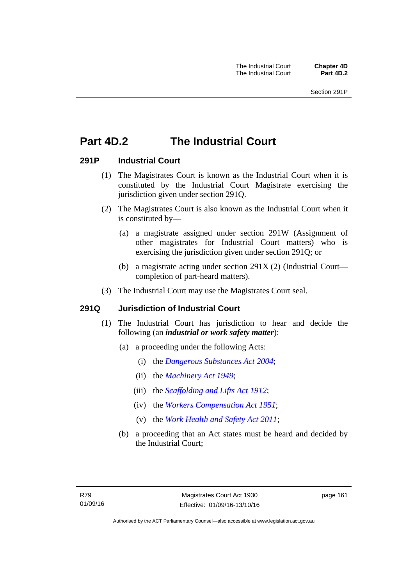# **Part 4D.2 The Industrial Court**

### **291P Industrial Court**

- (1) The Magistrates Court is known as the Industrial Court when it is constituted by the Industrial Court Magistrate exercising the jurisdiction given under section 291Q.
- (2) The Magistrates Court is also known as the Industrial Court when it is constituted by—
	- (a) a magistrate assigned under section 291W (Assignment of other magistrates for Industrial Court matters) who is exercising the jurisdiction given under section 291Q; or
	- (b) a magistrate acting under section 291X (2) (Industrial Court completion of part-heard matters).
- (3) The Industrial Court may use the Magistrates Court seal.

### **291Q Jurisdiction of Industrial Court**

- (1) The Industrial Court has jurisdiction to hear and decide the following (an *industrial or work safety matter*):
	- (a) a proceeding under the following Acts:
		- (i) the *[Dangerous Substances Act 2004](http://www.legislation.act.gov.au/a/2004-7)*;
		- (ii) the *[Machinery Act 1949](http://www.legislation.act.gov.au/a/1949-11)*;
		- (iii) the *[Scaffolding and Lifts Act 1912](http://www.legislation.act.gov.au/a/1912-38)*;
		- (iv) the *[Workers Compensation Act 1951](http://www.legislation.act.gov.au/a/1951-2)*;
		- (v) the *[Work Health and Safety Act 2011](http://www.legislation.act.gov.au/a/2011-35)*;
	- (b) a proceeding that an Act states must be heard and decided by the Industrial Court;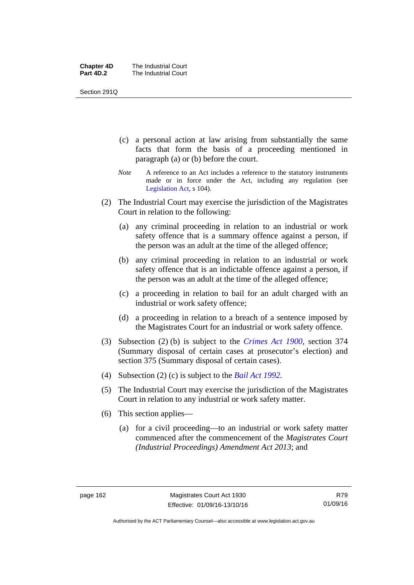| <b>Chapter 4D</b> | The Industrial Court |
|-------------------|----------------------|
| Part 4D.2         | The Industrial Court |

Section 291Q

- (c) a personal action at law arising from substantially the same facts that form the basis of a proceeding mentioned in paragraph (a) or (b) before the court.
- *Note* A reference to an Act includes a reference to the statutory instruments made or in force under the Act, including any regulation (see [Legislation Act,](http://www.legislation.act.gov.au/a/2001-14) s 104).
- (2) The Industrial Court may exercise the jurisdiction of the Magistrates Court in relation to the following:
	- (a) any criminal proceeding in relation to an industrial or work safety offence that is a summary offence against a person, if the person was an adult at the time of the alleged offence;
	- (b) any criminal proceeding in relation to an industrial or work safety offence that is an indictable offence against a person, if the person was an adult at the time of the alleged offence;
	- (c) a proceeding in relation to bail for an adult charged with an industrial or work safety offence;
	- (d) a proceeding in relation to a breach of a sentence imposed by the Magistrates Court for an industrial or work safety offence.
- (3) Subsection (2) (b) is subject to the *[Crimes Act 1900](http://www.legislation.act.gov.au/a/1900-40)*, section 374 (Summary disposal of certain cases at prosecutor's election) and section 375 (Summary disposal of certain cases).
- (4) Subsection (2) (c) is subject to the *[Bail Act 1992](http://www.legislation.act.gov.au/a/1992-8)*.
- (5) The Industrial Court may exercise the jurisdiction of the Magistrates Court in relation to any industrial or work safety matter.
- (6) This section applies—
	- (a) for a civil proceeding—to an industrial or work safety matter commenced after the commencement of the *Magistrates Court (Industrial Proceedings) Amendment Act 2013*; and

Authorised by the ACT Parliamentary Counsel—also accessible at www.legislation.act.gov.au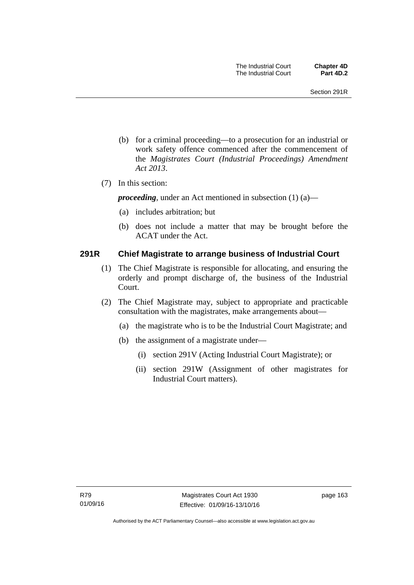- (b) for a criminal proceeding—to a prosecution for an industrial or work safety offence commenced after the commencement of the *Magistrates Court (Industrial Proceedings) Amendment Act 2013*.
- (7) In this section:

*proceeding*, under an Act mentioned in subsection (1) (a)—

- (a) includes arbitration; but
- (b) does not include a matter that may be brought before the ACAT under the Act.

### **291R Chief Magistrate to arrange business of Industrial Court**

- (1) The Chief Magistrate is responsible for allocating, and ensuring the orderly and prompt discharge of, the business of the Industrial Court.
- (2) The Chief Magistrate may, subject to appropriate and practicable consultation with the magistrates, make arrangements about—
	- (a) the magistrate who is to be the Industrial Court Magistrate; and
	- (b) the assignment of a magistrate under—
		- (i) section 291V (Acting Industrial Court Magistrate); or
		- (ii) section 291W (Assignment of other magistrates for Industrial Court matters).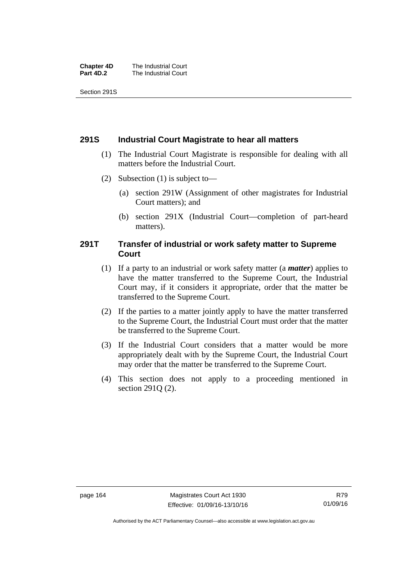| <b>Chapter 4D</b> | The Industrial Court |
|-------------------|----------------------|
| Part 4D.2         | The Industrial Court |

Section 291S

### **291S Industrial Court Magistrate to hear all matters**

- (1) The Industrial Court Magistrate is responsible for dealing with all matters before the Industrial Court.
- (2) Subsection (1) is subject to—
	- (a) section 291W (Assignment of other magistrates for Industrial Court matters); and
	- (b) section 291X (Industrial Court—completion of part-heard matters).

### **291T Transfer of industrial or work safety matter to Supreme Court**

- (1) If a party to an industrial or work safety matter (a *matter*) applies to have the matter transferred to the Supreme Court, the Industrial Court may, if it considers it appropriate, order that the matter be transferred to the Supreme Court.
- (2) If the parties to a matter jointly apply to have the matter transferred to the Supreme Court, the Industrial Court must order that the matter be transferred to the Supreme Court.
- (3) If the Industrial Court considers that a matter would be more appropriately dealt with by the Supreme Court, the Industrial Court may order that the matter be transferred to the Supreme Court.
- (4) This section does not apply to a proceeding mentioned in section 291Q (2).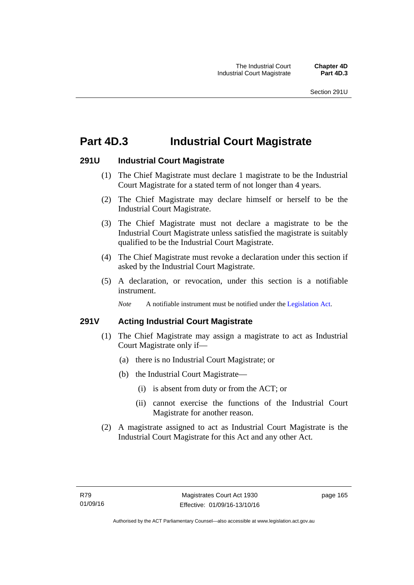# **Part 4D.3 Industrial Court Magistrate**

## **291U Industrial Court Magistrate**

- (1) The Chief Magistrate must declare 1 magistrate to be the Industrial Court Magistrate for a stated term of not longer than 4 years.
- (2) The Chief Magistrate may declare himself or herself to be the Industrial Court Magistrate.
- (3) The Chief Magistrate must not declare a magistrate to be the Industrial Court Magistrate unless satisfied the magistrate is suitably qualified to be the Industrial Court Magistrate.
- (4) The Chief Magistrate must revoke a declaration under this section if asked by the Industrial Court Magistrate.
- (5) A declaration, or revocation, under this section is a notifiable instrument.

*Note* A notifiable instrument must be notified under the [Legislation Act](http://www.legislation.act.gov.au/a/2001-14).

# **291V Acting Industrial Court Magistrate**

- (1) The Chief Magistrate may assign a magistrate to act as Industrial Court Magistrate only if—
	- (a) there is no Industrial Court Magistrate; or
	- (b) the Industrial Court Magistrate—
		- (i) is absent from duty or from the ACT; or
		- (ii) cannot exercise the functions of the Industrial Court Magistrate for another reason.
- (2) A magistrate assigned to act as Industrial Court Magistrate is the Industrial Court Magistrate for this Act and any other Act.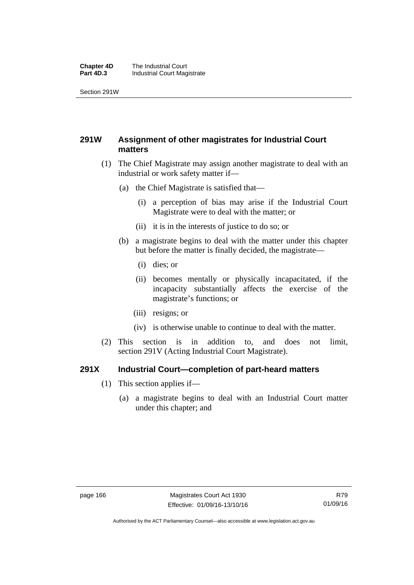#### **Chapter 4D** The Industrial Court<br>**Part 4D.3** Industrial Court Mag **Industrial Court Magistrate**

Section 291W

# **291W Assignment of other magistrates for Industrial Court matters**

- (1) The Chief Magistrate may assign another magistrate to deal with an industrial or work safety matter if—
	- (a) the Chief Magistrate is satisfied that—
		- (i) a perception of bias may arise if the Industrial Court Magistrate were to deal with the matter; or
		- (ii) it is in the interests of justice to do so; or
	- (b) a magistrate begins to deal with the matter under this chapter but before the matter is finally decided, the magistrate—
		- (i) dies; or
		- (ii) becomes mentally or physically incapacitated, if the incapacity substantially affects the exercise of the magistrate's functions; or
		- (iii) resigns; or
		- (iv) is otherwise unable to continue to deal with the matter.
- (2) This section is in addition to, and does not limit, section 291V (Acting Industrial Court Magistrate).

## **291X Industrial Court—completion of part-heard matters**

- (1) This section applies if—
	- (a) a magistrate begins to deal with an Industrial Court matter under this chapter; and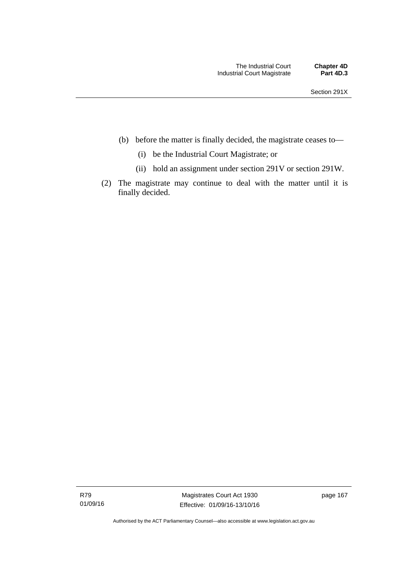- (b) before the matter is finally decided, the magistrate ceases to—
	- (i) be the Industrial Court Magistrate; or
	- (ii) hold an assignment under section 291V or section 291W.
- (2) The magistrate may continue to deal with the matter until it is finally decided.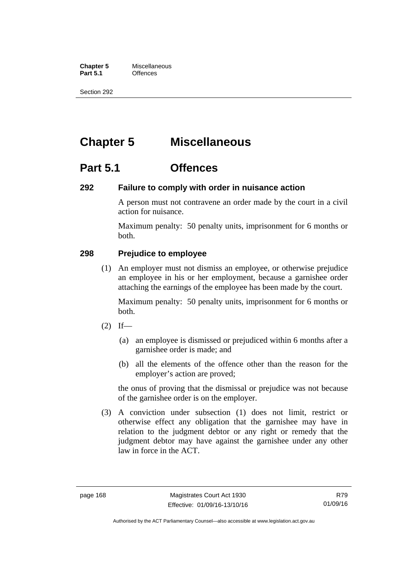**Chapter 5** Miscellaneous<br>**Part 5.1** Offences **Part 5.1** 

Section 292

# **Chapter 5 Miscellaneous**

# **Part 5.1 Offences**

## **292 Failure to comply with order in nuisance action**

A person must not contravene an order made by the court in a civil action for nuisance.

Maximum penalty: 50 penalty units, imprisonment for 6 months or both.

## **298 Prejudice to employee**

(1) An employer must not dismiss an employee, or otherwise prejudice an employee in his or her employment, because a garnishee order attaching the earnings of the employee has been made by the court.

Maximum penalty: 50 penalty units, imprisonment for 6 months or both.

- $(2)$  If—
	- (a) an employee is dismissed or prejudiced within 6 months after a garnishee order is made; and
	- (b) all the elements of the offence other than the reason for the employer's action are proved;

the onus of proving that the dismissal or prejudice was not because of the garnishee order is on the employer.

 (3) A conviction under subsection (1) does not limit, restrict or otherwise effect any obligation that the garnishee may have in relation to the judgment debtor or any right or remedy that the judgment debtor may have against the garnishee under any other law in force in the ACT.

R79 01/09/16

Authorised by the ACT Parliamentary Counsel—also accessible at www.legislation.act.gov.au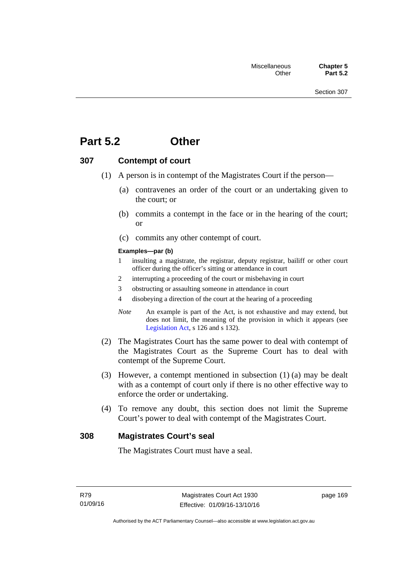# **Part 5.2 Other**

## **307 Contempt of court**

- (1) A person is in contempt of the Magistrates Court if the person—
	- (a) contravenes an order of the court or an undertaking given to the court; or
	- (b) commits a contempt in the face or in the hearing of the court; or
	- (c) commits any other contempt of court.

#### **Examples—par (b)**

- 1 insulting a magistrate, the registrar, deputy registrar, bailiff or other court officer during the officer's sitting or attendance in court
- 2 interrupting a proceeding of the court or misbehaving in court
- 3 obstructing or assaulting someone in attendance in court
- 4 disobeying a direction of the court at the hearing of a proceeding
- *Note* An example is part of the Act, is not exhaustive and may extend, but does not limit, the meaning of the provision in which it appears (see [Legislation Act,](http://www.legislation.act.gov.au/a/2001-14) s 126 and s 132).
- (2) The Magistrates Court has the same power to deal with contempt of the Magistrates Court as the Supreme Court has to deal with contempt of the Supreme Court.
- (3) However, a contempt mentioned in subsection (1) (a) may be dealt with as a contempt of court only if there is no other effective way to enforce the order or undertaking.
- (4) To remove any doubt, this section does not limit the Supreme Court's power to deal with contempt of the Magistrates Court.

## **308 Magistrates Court's seal**

The Magistrates Court must have a seal.

page 169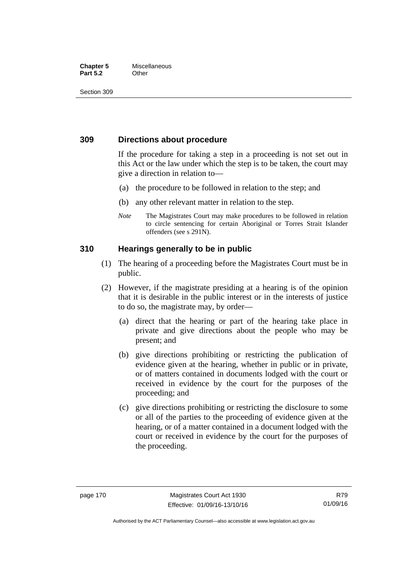## **Chapter 5** Miscellaneous **Part 5.2** Other

Section 309

## **309 Directions about procedure**

If the procedure for taking a step in a proceeding is not set out in this Act or the law under which the step is to be taken, the court may give a direction in relation to—

- (a) the procedure to be followed in relation to the step; and
- (b) any other relevant matter in relation to the step.
- *Note* The Magistrates Court may make procedures to be followed in relation to circle sentencing for certain Aboriginal or Torres Strait Islander offenders (see s 291N).

## **310 Hearings generally to be in public**

- (1) The hearing of a proceeding before the Magistrates Court must be in public.
- (2) However, if the magistrate presiding at a hearing is of the opinion that it is desirable in the public interest or in the interests of justice to do so, the magistrate may, by order—
	- (a) direct that the hearing or part of the hearing take place in private and give directions about the people who may be present; and
	- (b) give directions prohibiting or restricting the publication of evidence given at the hearing, whether in public or in private, or of matters contained in documents lodged with the court or received in evidence by the court for the purposes of the proceeding; and
	- (c) give directions prohibiting or restricting the disclosure to some or all of the parties to the proceeding of evidence given at the hearing, or of a matter contained in a document lodged with the court or received in evidence by the court for the purposes of the proceeding.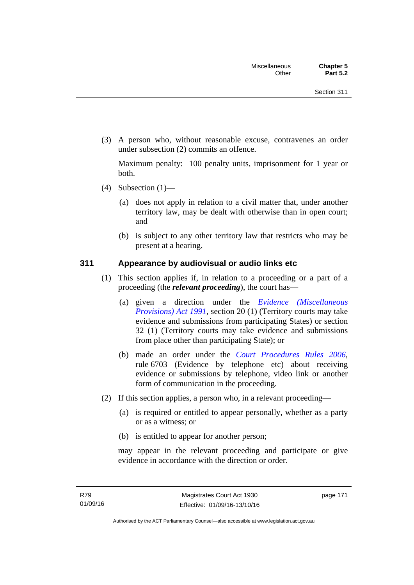(3) A person who, without reasonable excuse, contravenes an order under subsection (2) commits an offence.

Maximum penalty: 100 penalty units, imprisonment for 1 year or both.

- (4) Subsection  $(1)$ 
	- (a) does not apply in relation to a civil matter that, under another territory law, may be dealt with otherwise than in open court; and
	- (b) is subject to any other territory law that restricts who may be present at a hearing.

## **311 Appearance by audiovisual or audio links etc**

- (1) This section applies if, in relation to a proceeding or a part of a proceeding (the *relevant proceeding*), the court has—
	- (a) given a direction under the *[Evidence \(Miscellaneous](http://www.legislation.act.gov.au/a/1991-34)  [Provisions\) Act 1991](http://www.legislation.act.gov.au/a/1991-34)*, section 20 (1) (Territory courts may take evidence and submissions from participating States) or section 32 (1) (Territory courts may take evidence and submissions from place other than participating State); or
	- (b) made an order under the *[Court Procedures Rules 2006](http://www.legislation.act.gov.au/sl/2006-29)*, rule 6703 (Evidence by telephone etc) about receiving evidence or submissions by telephone, video link or another form of communication in the proceeding.
- (2) If this section applies, a person who, in a relevant proceeding—
	- (a) is required or entitled to appear personally, whether as a party or as a witness; or
	- (b) is entitled to appear for another person;

may appear in the relevant proceeding and participate or give evidence in accordance with the direction or order.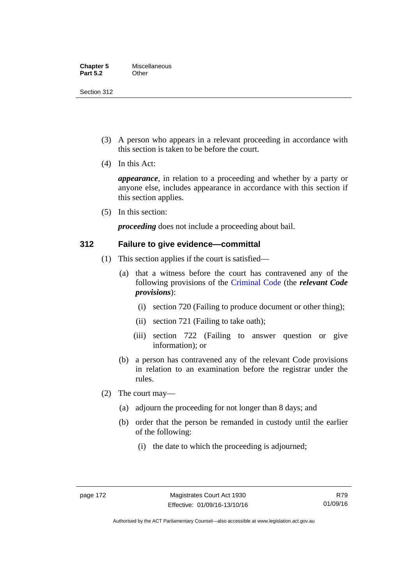Section 312

- (3) A person who appears in a relevant proceeding in accordance with this section is taken to be before the court.
- (4) In this Act:

*appearance*, in relation to a proceeding and whether by a party or anyone else, includes appearance in accordance with this section if this section applies.

(5) In this section:

*proceeding* does not include a proceeding about bail.

## **312 Failure to give evidence—committal**

- (1) This section applies if the court is satisfied—
	- (a) that a witness before the court has contravened any of the following provisions of the [Criminal Code](http://www.legislation.act.gov.au/a/2002-51) (the *relevant Code provisions*):
		- (i) section 720 (Failing to produce document or other thing);
		- (ii) section 721 (Failing to take oath);
		- (iii) section 722 (Failing to answer question or give information); or
	- (b) a person has contravened any of the relevant Code provisions in relation to an examination before the registrar under the rules.
- (2) The court may—
	- (a) adjourn the proceeding for not longer than 8 days; and
	- (b) order that the person be remanded in custody until the earlier of the following:
		- (i) the date to which the proceeding is adjourned;

R79 01/09/16

Authorised by the ACT Parliamentary Counsel—also accessible at www.legislation.act.gov.au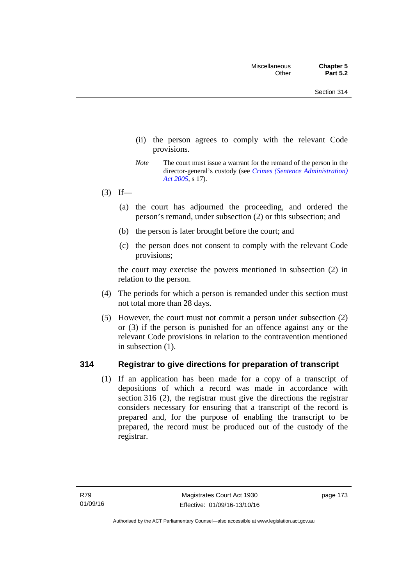- (ii) the person agrees to comply with the relevant Code provisions.
- *Note* The court must issue a warrant for the remand of the person in the director-general's custody (see *[Crimes \(Sentence Administration\)](http://www.legislation.act.gov.au/a/2005-59)  [Act 2005](http://www.legislation.act.gov.au/a/2005-59)*, s 17).
- $(3)$  If—
	- (a) the court has adjourned the proceeding, and ordered the person's remand, under subsection (2) or this subsection; and
	- (b) the person is later brought before the court; and
	- (c) the person does not consent to comply with the relevant Code provisions;

the court may exercise the powers mentioned in subsection (2) in relation to the person.

- (4) The periods for which a person is remanded under this section must not total more than 28 days.
- (5) However, the court must not commit a person under subsection (2) or (3) if the person is punished for an offence against any or the relevant Code provisions in relation to the contravention mentioned in subsection (1).

## **314 Registrar to give directions for preparation of transcript**

(1) If an application has been made for a copy of a transcript of depositions of which a record was made in accordance with section 316 (2), the registrar must give the directions the registrar considers necessary for ensuring that a transcript of the record is prepared and, for the purpose of enabling the transcript to be prepared, the record must be produced out of the custody of the registrar.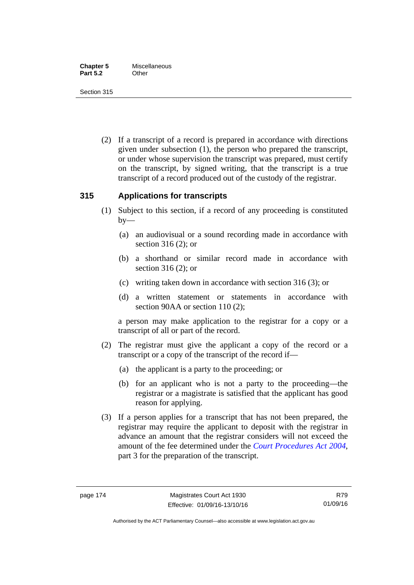Section 315

 (2) If a transcript of a record is prepared in accordance with directions given under subsection (1), the person who prepared the transcript, or under whose supervision the transcript was prepared, must certify on the transcript, by signed writing, that the transcript is a true transcript of a record produced out of the custody of the registrar.

## **315 Applications for transcripts**

- (1) Subject to this section, if a record of any proceeding is constituted  $by-$ 
	- (a) an audiovisual or a sound recording made in accordance with section 316 (2); or
	- (b) a shorthand or similar record made in accordance with section 316 (2); or
	- (c) writing taken down in accordance with section 316 (3); or
	- (d) a written statement or statements in accordance with section 90AA or section 110 (2);

a person may make application to the registrar for a copy or a transcript of all or part of the record.

- (2) The registrar must give the applicant a copy of the record or a transcript or a copy of the transcript of the record if—
	- (a) the applicant is a party to the proceeding; or
	- (b) for an applicant who is not a party to the proceeding—the registrar or a magistrate is satisfied that the applicant has good reason for applying.
- (3) If a person applies for a transcript that has not been prepared, the registrar may require the applicant to deposit with the registrar in advance an amount that the registrar considers will not exceed the amount of the fee determined under the *[Court Procedures Act 2004](http://www.legislation.act.gov.au/a/2004-59)*, part 3 for the preparation of the transcript.

R79 01/09/16

Authorised by the ACT Parliamentary Counsel—also accessible at www.legislation.act.gov.au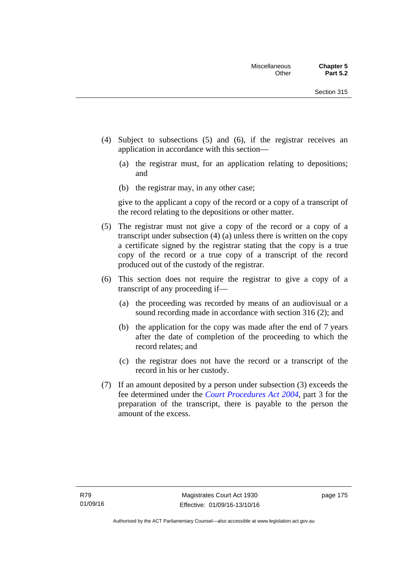- (4) Subject to subsections (5) and (6), if the registrar receives an application in accordance with this section—
	- (a) the registrar must, for an application relating to depositions; and
	- (b) the registrar may, in any other case;

give to the applicant a copy of the record or a copy of a transcript of the record relating to the depositions or other matter.

- (5) The registrar must not give a copy of the record or a copy of a transcript under subsection (4) (a) unless there is written on the copy a certificate signed by the registrar stating that the copy is a true copy of the record or a true copy of a transcript of the record produced out of the custody of the registrar.
- (6) This section does not require the registrar to give a copy of a transcript of any proceeding if—
	- (a) the proceeding was recorded by means of an audiovisual or a sound recording made in accordance with section 316 (2); and
	- (b) the application for the copy was made after the end of 7 years after the date of completion of the proceeding to which the record relates; and
	- (c) the registrar does not have the record or a transcript of the record in his or her custody.
- (7) If an amount deposited by a person under subsection (3) exceeds the fee determined under the *[Court Procedures Act 2004](http://www.legislation.act.gov.au/a/2004-59)*, part 3 for the preparation of the transcript, there is payable to the person the amount of the excess.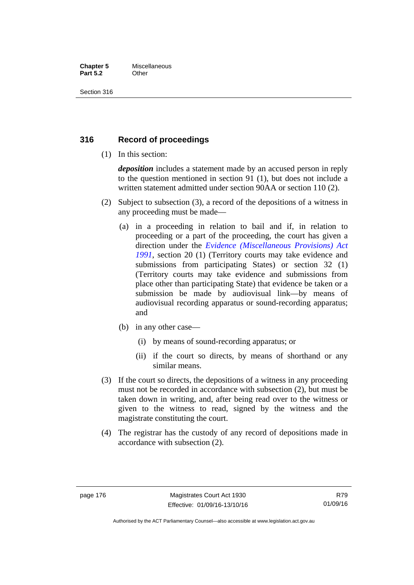## **Chapter 5** Miscellaneous **Part 5.2** Other

Section 316

# **316 Record of proceedings**

(1) In this section:

*deposition* includes a statement made by an accused person in reply to the question mentioned in section 91 (1), but does not include a written statement admitted under section 90AA or section 110 (2).

- (2) Subject to subsection (3), a record of the depositions of a witness in any proceeding must be made—
	- (a) in a proceeding in relation to bail and if, in relation to proceeding or a part of the proceeding, the court has given a direction under the *[Evidence \(Miscellaneous Provisions\) Act](http://www.legislation.act.gov.au/a/1991-34)  [1991](http://www.legislation.act.gov.au/a/1991-34)*, section 20 (1) (Territory courts may take evidence and submissions from participating States) or section 32 (1) (Territory courts may take evidence and submissions from place other than participating State) that evidence be taken or a submission be made by audiovisual link—by means of audiovisual recording apparatus or sound-recording apparatus; and
	- (b) in any other case—
		- (i) by means of sound-recording apparatus; or
		- (ii) if the court so directs, by means of shorthand or any similar means.
- (3) If the court so directs, the depositions of a witness in any proceeding must not be recorded in accordance with subsection (2), but must be taken down in writing, and, after being read over to the witness or given to the witness to read, signed by the witness and the magistrate constituting the court.
- (4) The registrar has the custody of any record of depositions made in accordance with subsection (2).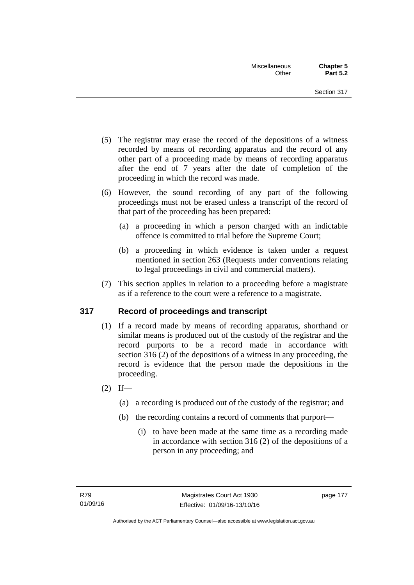- (5) The registrar may erase the record of the depositions of a witness recorded by means of recording apparatus and the record of any other part of a proceeding made by means of recording apparatus after the end of 7 years after the date of completion of the proceeding in which the record was made.
- (6) However, the sound recording of any part of the following proceedings must not be erased unless a transcript of the record of that part of the proceeding has been prepared:
	- (a) a proceeding in which a person charged with an indictable offence is committed to trial before the Supreme Court;
	- (b) a proceeding in which evidence is taken under a request mentioned in section 263 (Requests under conventions relating to legal proceedings in civil and commercial matters).
- (7) This section applies in relation to a proceeding before a magistrate as if a reference to the court were a reference to a magistrate.

# **317 Record of proceedings and transcript**

- (1) If a record made by means of recording apparatus, shorthand or similar means is produced out of the custody of the registrar and the record purports to be a record made in accordance with section 316 (2) of the depositions of a witness in any proceeding, the record is evidence that the person made the depositions in the proceeding.
- $(2)$  If—
	- (a) a recording is produced out of the custody of the registrar; and
	- (b) the recording contains a record of comments that purport—
		- (i) to have been made at the same time as a recording made in accordance with section 316 (2) of the depositions of a person in any proceeding; and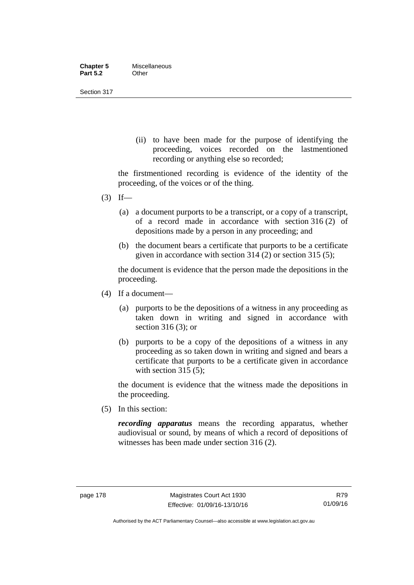| <b>Chapter 5</b> | Miscellaneous |
|------------------|---------------|
| <b>Part 5.2</b>  | Other         |

Section 317

(ii) to have been made for the purpose of identifying the proceeding, voices recorded on the lastmentioned recording or anything else so recorded;

the firstmentioned recording is evidence of the identity of the proceeding, of the voices or of the thing.

- $(3)$  If—
	- (a) a document purports to be a transcript, or a copy of a transcript, of a record made in accordance with section 316 (2) of depositions made by a person in any proceeding; and
	- (b) the document bears a certificate that purports to be a certificate given in accordance with section 314 (2) or section 315 (5);

the document is evidence that the person made the depositions in the proceeding.

- (4) If a document—
	- (a) purports to be the depositions of a witness in any proceeding as taken down in writing and signed in accordance with section 316 (3); or
	- (b) purports to be a copy of the depositions of a witness in any proceeding as so taken down in writing and signed and bears a certificate that purports to be a certificate given in accordance with section 315 (5):

the document is evidence that the witness made the depositions in the proceeding.

(5) In this section:

*recording apparatus* means the recording apparatus, whether audiovisual or sound, by means of which a record of depositions of witnesses has been made under section 316 (2).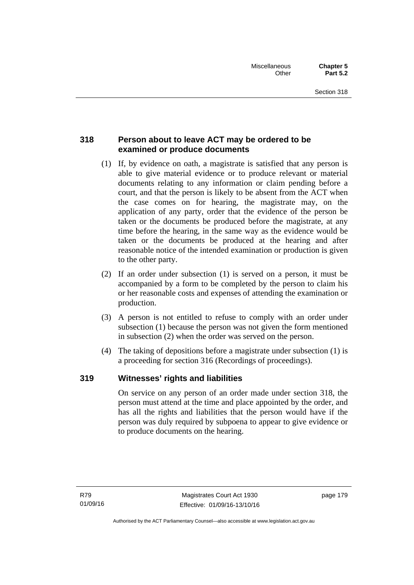# **318 Person about to leave ACT may be ordered to be examined or produce documents**

- (1) If, by evidence on oath, a magistrate is satisfied that any person is able to give material evidence or to produce relevant or material documents relating to any information or claim pending before a court, and that the person is likely to be absent from the ACT when the case comes on for hearing, the magistrate may, on the application of any party, order that the evidence of the person be taken or the documents be produced before the magistrate, at any time before the hearing, in the same way as the evidence would be taken or the documents be produced at the hearing and after reasonable notice of the intended examination or production is given to the other party.
- (2) If an order under subsection (1) is served on a person, it must be accompanied by a form to be completed by the person to claim his or her reasonable costs and expenses of attending the examination or production.
- (3) A person is not entitled to refuse to comply with an order under subsection (1) because the person was not given the form mentioned in subsection (2) when the order was served on the person.
- (4) The taking of depositions before a magistrate under subsection (1) is a proceeding for section 316 (Recordings of proceedings).

# **319 Witnesses' rights and liabilities**

On service on any person of an order made under section 318, the person must attend at the time and place appointed by the order, and has all the rights and liabilities that the person would have if the person was duly required by subpoena to appear to give evidence or to produce documents on the hearing.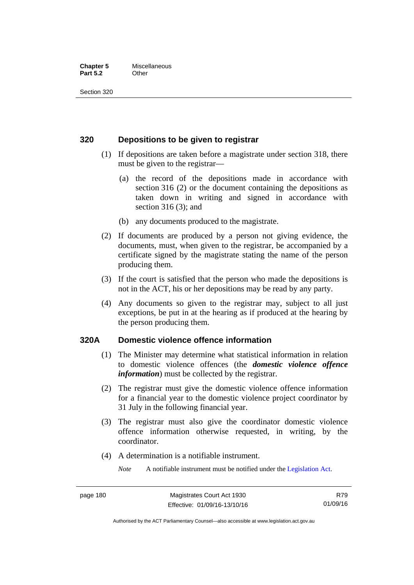### **Chapter 5** Miscellaneous **Part 5.2** Other

Section 320

## **320 Depositions to be given to registrar**

- (1) If depositions are taken before a magistrate under section 318, there must be given to the registrar—
	- (a) the record of the depositions made in accordance with section 316 (2) or the document containing the depositions as taken down in writing and signed in accordance with section 316 (3); and
	- (b) any documents produced to the magistrate.
- (2) If documents are produced by a person not giving evidence, the documents, must, when given to the registrar, be accompanied by a certificate signed by the magistrate stating the name of the person producing them.
- (3) If the court is satisfied that the person who made the depositions is not in the ACT, his or her depositions may be read by any party.
- (4) Any documents so given to the registrar may, subject to all just exceptions, be put in at the hearing as if produced at the hearing by the person producing them.

## **320A Domestic violence offence information**

- (1) The Minister may determine what statistical information in relation to domestic violence offences (the *domestic violence offence information*) must be collected by the registrar.
- (2) The registrar must give the domestic violence offence information for a financial year to the domestic violence project coordinator by 31 July in the following financial year.
- (3) The registrar must also give the coordinator domestic violence offence information otherwise requested, in writing, by the coordinator.
- (4) A determination is a notifiable instrument.

*Note* A notifiable instrument must be notified under the [Legislation Act](http://www.legislation.act.gov.au/a/2001-14).

R79 01/09/16

Authorised by the ACT Parliamentary Counsel—also accessible at www.legislation.act.gov.au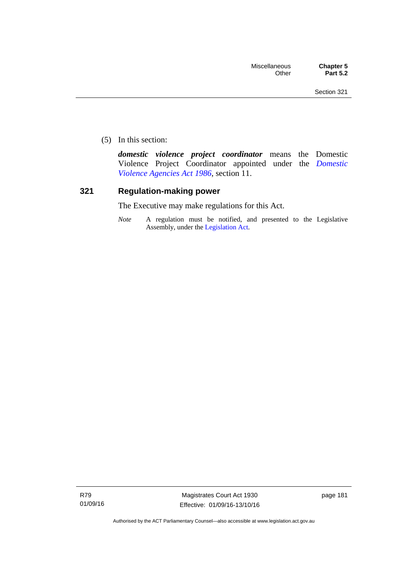(5) In this section:

*domestic violence project coordinator* means the Domestic Violence Project Coordinator appointed under the *[Domestic](http://www.legislation.act.gov.au/a/1986-52)  [Violence Agencies Act 1986](http://www.legislation.act.gov.au/a/1986-52)*, section 11.

## **321 Regulation-making power**

The Executive may make regulations for this Act.

*Note* A regulation must be notified, and presented to the Legislative Assembly, under the [Legislation Act](http://www.legislation.act.gov.au/a/2001-14).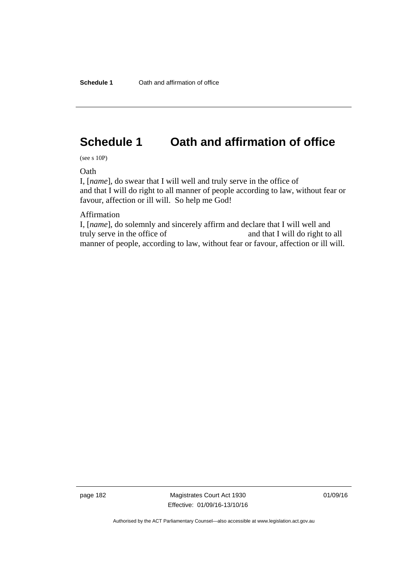# **Schedule 1 Oath and affirmation of office**

(see s 10P)

**Oath** 

I, [*name*], do swear that I will well and truly serve in the office of and that I will do right to all manner of people according to law, without fear or favour, affection or ill will. So help me God!

Affirmation

I, [*name*], do solemnly and sincerely affirm and declare that I will well and truly serve in the office of and that I will do right to all manner of people, according to law, without fear or favour, affection or ill will.

page 182 Magistrates Court Act 1930 Effective: 01/09/16-13/10/16 01/09/16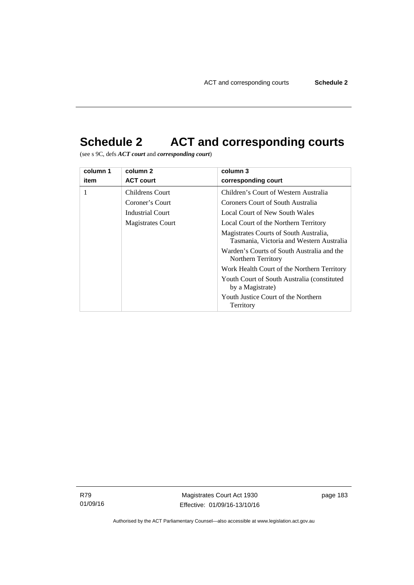# **Schedule 2 ACT and corresponding courts**

(see s 9C, defs *ACT court* and *corresponding court*)

| column 1 | column 2                 | column 3                                                                           |
|----------|--------------------------|------------------------------------------------------------------------------------|
| item     | <b>ACT court</b>         | corresponding court                                                                |
| 1        | Childrens Court          | Children's Court of Western Australia                                              |
|          | Coroner's Court          | Coroners Court of South Australia                                                  |
|          | <b>Industrial Court</b>  | Local Court of New South Wales                                                     |
|          | <b>Magistrates Court</b> | Local Court of the Northern Territory                                              |
|          |                          | Magistrates Courts of South Australia,<br>Tasmania, Victoria and Western Australia |
|          |                          | Warden's Courts of South Australia and the<br>Northern Territory                   |
|          |                          | Work Health Court of the Northern Territory                                        |
|          |                          | Youth Court of South Australia (constituted)<br>by a Magistrate)                   |
|          |                          | Youth Justice Court of the Northern<br>Territory                                   |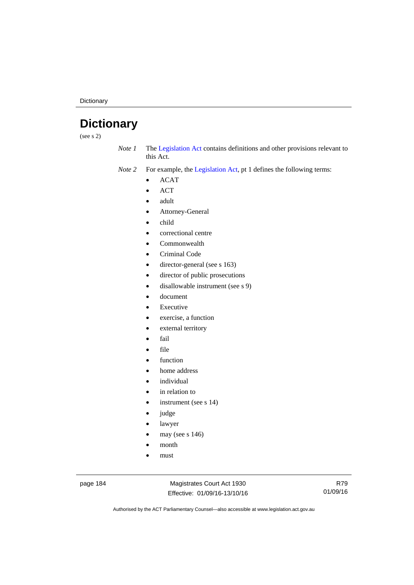**Dictionary** 

# **Dictionary**

(see s 2)

*Note 1* The [Legislation Act](http://www.legislation.act.gov.au/a/2001-14) contains definitions and other provisions relevant to this Act.

*Note 2* For example, the [Legislation Act,](http://www.legislation.act.gov.au/a/2001-14) pt 1 defines the following terms:

- ACAT
- ACT
- adult
- Attorney-General
- child
- correctional centre
- Commonwealth
- Criminal Code
- director-general (see s 163)
- director of public prosecutions
- disallowable instrument (see s 9)
- document
- Executive
- exercise, a function
- external territory
- fail
- file
- function
- home address
- individual
- in relation to
- instrument (see s 14)
- judge
- lawyer
- may (see s 146)
- month
- must

page 184 Magistrates Court Act 1930 Effective: 01/09/16-13/10/16

R79 01/09/16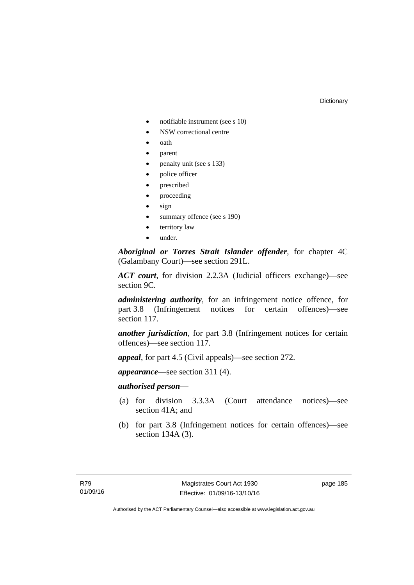#### **Dictionary**

- notifiable instrument (see s 10)
- NSW correctional centre
- oath
- parent
- penalty unit (see s 133)
- police officer
- prescribed
- proceeding
- sign
- summary offence (see s 190)
- territory law
- under.

*Aboriginal or Torres Strait Islander offender*, for chapter 4C (Galambany Court)—see section 291L.

*ACT court*, for division 2.2.3A (Judicial officers exchange)—see section 9C.

*administering authority*, for an infringement notice offence, for part 3.8 (Infringement notices for certain offences)—see section 117.

*another jurisdiction*, for part 3.8 (Infringement notices for certain offences)—see section 117.

*appeal*, for part 4.5 (Civil appeals)—see section 272.

*appearance*—see section 311 (4).

## *authorised person*—

- (a) for division 3.3.3A (Court attendance notices)—see section 41A; and
- (b) for part 3.8 (Infringement notices for certain offences)—see section 134A (3).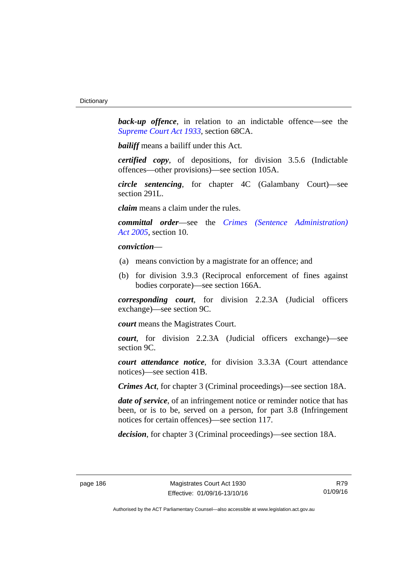**back-up** offence, in relation to an indictable offence—see the *[Supreme Court Act 1933](http://www.legislation.act.gov.au/a/1933-34)*, section 68CA.

*bailiff* means a bailiff under this Act.

*certified copy*, of depositions, for division 3.5.6 (Indictable offences—other provisions)—see section 105A.

*circle sentencing*, for chapter 4C (Galambany Court)—see section 291L.

*claim* means a claim under the rules.

*committal order*—see the *[Crimes \(Sentence Administration\)](http://www.legislation.act.gov.au/a/2005-59)  [Act 2005](http://www.legislation.act.gov.au/a/2005-59)*, section 10.

## *conviction*—

- (a) means conviction by a magistrate for an offence; and
- (b) for division 3.9.3 (Reciprocal enforcement of fines against bodies corporate)—see section 166A.

*corresponding court*, for division 2.2.3A (Judicial officers exchange)—see section 9C.

*court* means the Magistrates Court.

*court*, for division 2.2.3A (Judicial officers exchange)—see section 9C.

*court attendance notice*, for division 3.3.3A (Court attendance notices)—see section 41B.

*Crimes Act*, for chapter 3 (Criminal proceedings)—see section 18A.

*date of service*, of an infringement notice or reminder notice that has been, or is to be, served on a person, for part 3.8 (Infringement notices for certain offences)—see section 117.

*decision*, for chapter 3 (Criminal proceedings)—see section 18A.

R79 01/09/16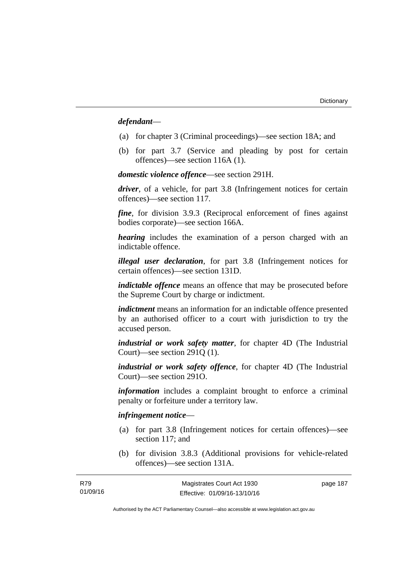## *defendant*—

- (a) for chapter 3 (Criminal proceedings)—see section 18A; and
- (b) for part 3.7 (Service and pleading by post for certain offences)—see section 116A (1).

*domestic violence offence*—see section 291H.

*driver*, of a vehicle, for part 3.8 (Infringement notices for certain offences)—see section 117.

*fine*, for division 3.9.3 (Reciprocal enforcement of fines against bodies corporate)—see section 166A.

*hearing* includes the examination of a person charged with an indictable offence.

*illegal user declaration*, for part 3.8 (Infringement notices for certain offences)—see section 131D.

*indictable offence* means an offence that may be prosecuted before the Supreme Court by charge or indictment.

*indictment* means an information for an indictable offence presented by an authorised officer to a court with jurisdiction to try the accused person.

*industrial or work safety matter*, for chapter 4D (The Industrial Court)—see section 291Q (1).

*industrial or work safety offence*, for chapter 4D (The Industrial Court)—see section 291O.

*information* includes a complaint brought to enforce a criminal penalty or forfeiture under a territory law.

## *infringement notice*—

- (a) for part 3.8 (Infringement notices for certain offences)—see section 117; and
- (b) for division 3.8.3 (Additional provisions for vehicle-related offences)—see section 131A.

| R79      | Magistrates Court Act 1930   | page 187 |
|----------|------------------------------|----------|
| 01/09/16 | Effective: 01/09/16-13/10/16 |          |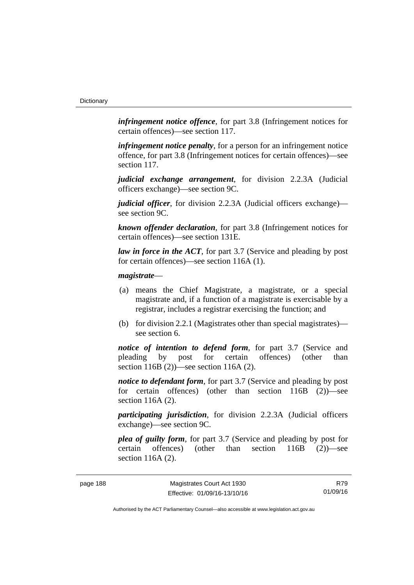*infringement notice offence*, for part 3.8 (Infringement notices for certain offences)—see section 117.

*infringement notice penalty*, for a person for an infringement notice offence, for part 3.8 (Infringement notices for certain offences)—see section 117.

*judicial exchange arrangement*, for division 2.2.3A (Judicial officers exchange)—see section 9C.

*judicial officer*, for division 2.2.3A (Judicial officers exchange) see section 9C.

*known offender declaration*, for part 3.8 (Infringement notices for certain offences)—see section 131E.

*law in force in the ACT*, for part 3.7 (Service and pleading by post for certain offences)—see section 116A (1).

## *magistrate*—

- (a) means the Chief Magistrate, a magistrate, or a special magistrate and, if a function of a magistrate is exercisable by a registrar, includes a registrar exercising the function; and
- (b) for division 2.2.1 (Magistrates other than special magistrates) see section 6.

*notice of intention to defend form*, for part 3.7 (Service and pleading by post for certain offences) (other than section 116B (2))—see section 116A (2).

*notice to defendant form*, for part 3.7 (Service and pleading by post) for certain offences) (other than section 116B (2))—see section 116A (2).

*participating jurisdiction*, for division 2.2.3A (Judicial officers exchange)—see section 9C.

*plea of guilty form*, for part 3.7 (Service and pleading by post for certain offences) (other than section 116B (2))—see section 116A (2).

R79 01/09/16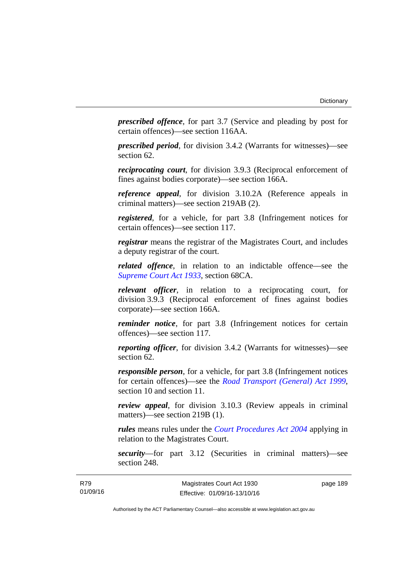*prescribed offence*, for part 3.7 (Service and pleading by post for certain offences)—see section 116AA.

*prescribed period*, for division 3.4.2 (Warrants for witnesses)—see section 62.

*reciprocating court*, for division 3.9.3 (Reciprocal enforcement of fines against bodies corporate)—see section 166A.

*reference appeal*, for division 3.10.2A (Reference appeals in criminal matters)—see section 219AB (2).

*registered*, for a vehicle, for part 3.8 (Infringement notices for certain offences)—see section 117.

*registrar* means the registrar of the Magistrates Court, and includes a deputy registrar of the court.

*related offence*, in relation to an indictable offence––see the *[Supreme Court Act 1933](http://www.legislation.act.gov.au/a/1933-34)*, section 68CA.

*relevant officer*, in relation to a reciprocating court, for division 3.9.3 (Reciprocal enforcement of fines against bodies corporate)—see section 166A.

*reminder notice*, for part 3.8 (Infringement notices for certain offences)—see section 117.

*reporting officer*, for division 3.4.2 (Warrants for witnesses)—see section 62.

*responsible person*, for a vehicle, for part 3.8 (Infringement notices for certain offences)—see the *[Road Transport \(General\) Act 1999](http://www.legislation.act.gov.au/a/1999-77)*, section 10 and section 11.

*review appeal*, for division 3.10.3 (Review appeals in criminal matters)—see section 219B (1).

*rules* means rules under the *[Court Procedures Act 2004](http://www.legislation.act.gov.au/a/2004-59)* applying in relation to the Magistrates Court.

*security*—for part 3.12 (Securities in criminal matters)—see section 248.

page 189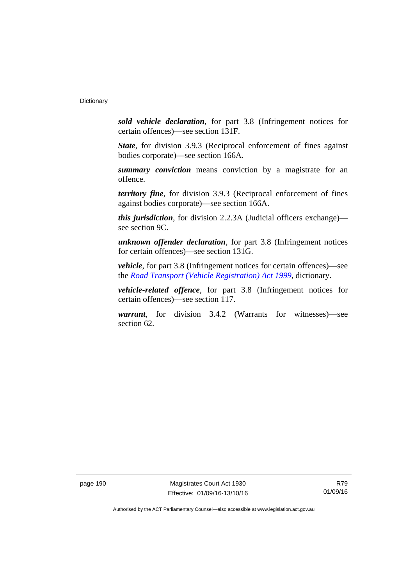*sold vehicle declaration*, for part 3.8 (Infringement notices for certain offences)—see section 131F.

*State*, for division 3.9.3 (Reciprocal enforcement of fines against bodies corporate)—see section 166A.

*summary conviction* means conviction by a magistrate for an offence.

*territory fine*, for division 3.9.3 (Reciprocal enforcement of fines against bodies corporate)—see section 166A.

*this jurisdiction*, for division 2.2.3A (Judicial officers exchange) see section 9C.

*unknown offender declaration*, for part 3.8 (Infringement notices for certain offences)—see section 131G.

*vehicle*, for part 3.8 (Infringement notices for certain offences)—see the *[Road Transport \(Vehicle Registration\) Act 1999](http://www.legislation.act.gov.au/a/1999-81)*, dictionary.

*vehicle-related offence*, for part 3.8 (Infringement notices for certain offences)—see section 117.

*warrant*, for division 3.4.2 (Warrants for witnesses)—see section 62.

page 190 Magistrates Court Act 1930 Effective: 01/09/16-13/10/16

R79 01/09/16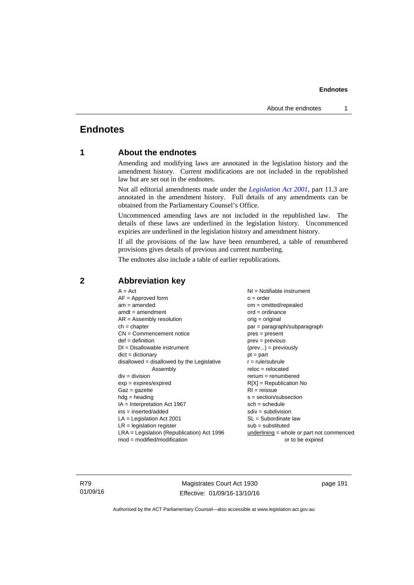# **Endnotes**

## **1 About the endnotes**

Amending and modifying laws are annotated in the legislation history and the amendment history. Current modifications are not included in the republished law but are set out in the endnotes.

Not all editorial amendments made under the *[Legislation Act 2001](http://www.legislation.act.gov.au/a/2001-14)*, part 11.3 are annotated in the amendment history. Full details of any amendments can be obtained from the Parliamentary Counsel's Office.

Uncommenced amending laws are not included in the republished law. The details of these laws are underlined in the legislation history. Uncommenced expiries are underlined in the legislation history and amendment history.

If all the provisions of the law have been renumbered, a table of renumbered provisions gives details of previous and current numbering.

The endnotes also include a table of earlier republications.

| $A = Act$                                    | NI = Notifiable instrument                  |
|----------------------------------------------|---------------------------------------------|
| $AF =$ Approved form                         | $o = order$                                 |
| $am = amended$                               | $om = omitted/repealed$                     |
| $amdt = amendment$                           | $ord = ordinance$                           |
| $AR = Assembly resolution$                   | $orig = original$                           |
| $ch = chapter$                               | par = paragraph/subparagraph                |
| $CN =$ Commencement notice                   | $pres = present$                            |
| $def = definition$                           | $prev = previous$                           |
| $DI = Disallowable instrument$               | $(\text{prev}) = \text{previously}$         |
| $dict = dictionary$                          | $pt = part$                                 |
| $disallowed = disallowed by the Legislative$ | $r = rule/subrule$                          |
| Assembly                                     | $reloc = relocated$                         |
| $div = division$                             | $renum = renumbered$                        |
| $exp = expires/expired$                      | $R[X]$ = Republication No                   |
| $Gaz = gazette$                              | $RI = reissue$                              |
| $hdg = heading$                              | $s = section/subsection$                    |
| $IA = Interpretation Act 1967$               | $sch = schedule$                            |
| ins = inserted/added                         | $sdiv = subdivision$                        |
| $LA =$ Legislation Act 2001                  | $SL = Subordinate$ law                      |
| $LR =$ legislation register                  | $sub =$ substituted                         |
| $LRA =$ Legislation (Republication) Act 1996 | $underlining = whole or part not commenced$ |
| $mod = modified/modification$                | or to be expired                            |
|                                              |                                             |

# **2 Abbreviation key**

R79 01/09/16

Magistrates Court Act 1930 Effective: 01/09/16-13/10/16 page 191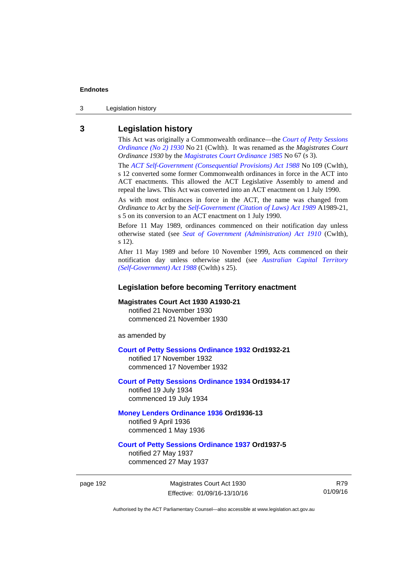3 Legislation history

## **3 Legislation history**

This Act was originally a Commonwealth ordinance—the *[Court of Petty Sessions](http://www.legislation.act.gov.au/a/1930-21)  [Ordinance \(No 2\) 1930](http://www.legislation.act.gov.au/a/1930-21)* No 21 (Cwlth). It was renamed as the *Magistrates Court Ordinance 1930* by the *[Magistrates Court Ordinance 1985](http://www.legislation.act.gov.au/a/1985-67)* No 67 (s 3).

The *[ACT Self-Government \(Consequential Provisions\) Act 1988](http://www.comlaw.gov.au/Details/C2004A03702)* No 109 (Cwlth), s 12 converted some former Commonwealth ordinances in force in the ACT into ACT enactments. This allowed the ACT Legislative Assembly to amend and repeal the laws. This Act was converted into an ACT enactment on 1 July 1990.

As with most ordinances in force in the ACT, the name was changed from *Ordinance* to *Act* by the *[Self-Government \(Citation of Laws\) Act 1989](http://www.legislation.act.gov.au/a/alt_ord1989-21/default.asp)* A1989-21, s 5 on its conversion to an ACT enactment on 1 July 1990.

Before 11 May 1989, ordinances commenced on their notification day unless otherwise stated (see *[Seat of Government \(Administration\) Act 1910](http://www.comlaw.gov.au/Current/C1910A00025)* (Cwlth), s 12).

After 11 May 1989 and before 10 November 1999, Acts commenced on their notification day unless otherwise stated (see *[Australian Capital Territory](http://www.comlaw.gov.au/Current/C2004A03699)  [\(Self-Government\) Act 1988](http://www.comlaw.gov.au/Current/C2004A03699)* (Cwlth) s 25).

## **Legislation before becoming Territory enactment**

## **Magistrates Court Act 1930 A1930-21**

notified 21 November 1930 commenced 21 November 1930

as amended by

### **[Court of Petty Sessions Ordinance 1932](http://www.legislation.act.gov.au/a/1932-21) Ord1932-21**

notified 17 November 1932 commenced 17 November 1932

## **[Court of Petty Sessions Ordinance 1934](http://www.legislation.act.gov.au/a/1934-17) Ord1934-17**  notified 19 July 1934

commenced 19 July 1934

## **[Money Lenders Ordinance 1936](http://www.legislation.act.gov.au/ord/1936-13) Ord1936-13**  notified 9 April 1936

commenced 1 May 1936

## **[Court of Petty Sessions Ordinance 1937](http://www.legislation.act.gov.au/a/1937-5) Ord1937-5**

notified 27 May 1937 commenced 27 May 1937

page 192 Magistrates Court Act 1930 Effective: 01/09/16-13/10/16

R79 01/09/16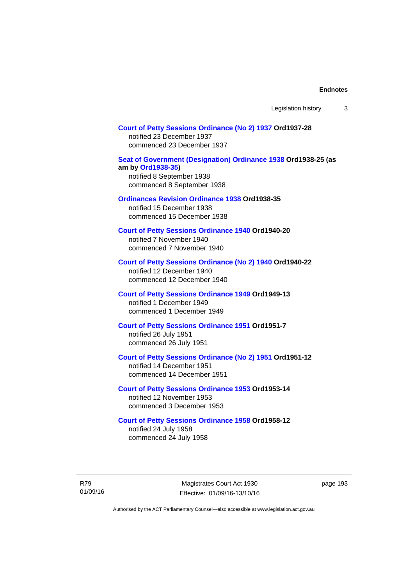## **[Court of Petty Sessions Ordinance \(No 2\) 1937](http://www.legislation.act.gov.au/a/1937-28) Ord1937-28**

notified 23 December 1937 commenced 23 December 1937

## **[Seat of Government \(Designation\) Ordinance 1938](http://www.legislation.act.gov.au/a/1938-25) Ord1938-25 (as am by [Ord1938-35](http://www.legislation.act.gov.au/a/1938-35))**  notified 8 September 1938

commenced 8 September 1938

## **[Ordinances Revision Ordinance 1938](http://www.legislation.act.gov.au/a/1938-35) Ord1938-35**

notified 15 December 1938 commenced 15 December 1938

**[Court of Petty Sessions Ordinance 1940](http://www.legislation.act.gov.au/a/1940-20) Ord1940-20**  notified 7 November 1940 commenced 7 November 1940

## **[Court of Petty Sessions Ordinance \(No 2\) 1940](http://www.legislation.act.gov.au/a/1940-22) Ord1940-22**

notified 12 December 1940 commenced 12 December 1940

## **[Court of Petty Sessions Ordinance 1949](http://www.legislation.act.gov.au/a/1949-13) Ord1949-13**

notified 1 December 1949 commenced 1 December 1949

## **[Court of Petty Sessions Ordinance 1951](http://www.legislation.act.gov.au/a/1951-7) Ord1951-7**  notified 26 July 1951

commenced 26 July 1951

## **[Court of Petty Sessions Ordinance \(No 2\) 1951](http://www.legislation.act.gov.au/a/1951-12) Ord1951-12**

notified 14 December 1951 commenced 14 December 1951

## **[Court of Petty Sessions Ordinance 1953](http://www.legislation.act.gov.au/a/1953-14) Ord1953-14**  notified 12 November 1953

commenced 3 December 1953

### **[Court of Petty Sessions Ordinance 1958](http://www.legislation.act.gov.au/a/1958-12) Ord1958-12**

notified 24 July 1958 commenced 24 July 1958

R79 01/09/16

Magistrates Court Act 1930 Effective: 01/09/16-13/10/16 page 193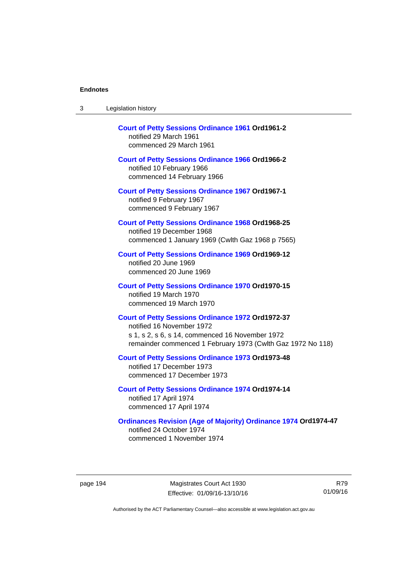| Legislation history<br>-3 |  |
|---------------------------|--|
|---------------------------|--|

| <b>Court of Petty Sessions Ordinance 1961 Ord1961-2</b><br>notified 29 March 1961<br>commenced 29 March 1961                                                                                            |
|---------------------------------------------------------------------------------------------------------------------------------------------------------------------------------------------------------|
| <b>Court of Petty Sessions Ordinance 1966 Ord1966-2</b><br>notified 10 February 1966<br>commenced 14 February 1966                                                                                      |
| <b>Court of Petty Sessions Ordinance 1967 Ord1967-1</b><br>notified 9 February 1967<br>commenced 9 February 1967                                                                                        |
| <b>Court of Petty Sessions Ordinance 1968 Ord1968-25</b><br>notified 19 December 1968<br>commenced 1 January 1969 (Cwlth Gaz 1968 p 7565)                                                               |
| <b>Court of Petty Sessions Ordinance 1969 Ord1969-12</b><br>notified 20 June 1969<br>commenced 20 June 1969                                                                                             |
| <b>Court of Petty Sessions Ordinance 1970 Ord1970-15</b><br>notified 19 March 1970<br>commenced 19 March 1970                                                                                           |
| <b>Court of Petty Sessions Ordinance 1972 Ord1972-37</b><br>notified 16 November 1972<br>s 1, s 2, s 6, s 14, commenced 16 November 1972<br>remainder commenced 1 February 1973 (Cwlth Gaz 1972 No 118) |
| <b>Court of Petty Sessions Ordinance 1973 Ord1973-48</b><br>notified 17 December 1973<br>commenced 17 December 1973                                                                                     |
| <b>Court of Petty Sessions Ordinance 1974 Ord1974-14</b><br>notified 17 April 1974<br>commenced 17 April 1974                                                                                           |
| <b>Ordinances Revision (Age of Majority) Ordinance 1974 Ord1974-47</b><br>notified 24 October 1974<br>commenced 1 November 1974                                                                         |

page 194 Magistrates Court Act 1930 Effective: 01/09/16-13/10/16

R79 01/09/16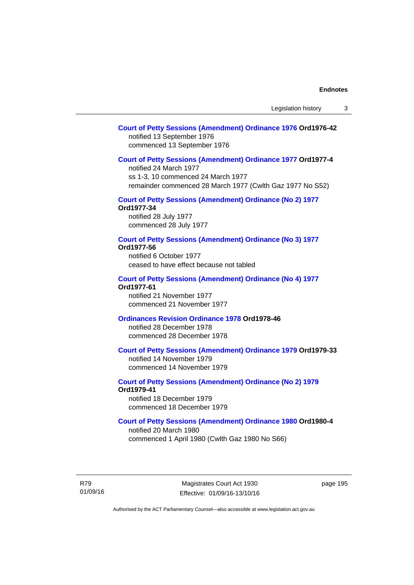## **[Court of Petty Sessions \(Amendment\) Ordinance 1976](http://www.legislation.act.gov.au/a/1976-42) Ord1976-42**  notified 13 September 1976 commenced 13 September 1976

### **[Court of Petty Sessions \(Amendment\) Ordinance 1977](http://www.legislation.act.gov.au/a/1977-4) Ord1977-4**

notified 24 March 1977 ss 1-3, 10 commenced 24 March 1977 remainder commenced 28 March 1977 (Cwlth Gaz 1977 No S52)

## **[Court of Petty Sessions \(Amendment\) Ordinance \(No 2\) 1977](http://www.legislation.act.gov.au/a/1977-34)**

**Ord1977-34**  notified 28 July 1977

commenced 28 July 1977

## **[Court of Petty Sessions \(Amendment\) Ordinance \(No 3\) 1977](http://www.legislation.act.gov.au/ord/1977-56)**

**Ord1977-56**  notified 6 October 1977 ceased to have effect because not tabled

#### **[Court of Petty Sessions \(Amendment\) Ordinance \(No 4\) 1977](http://www.legislation.act.gov.au/a/1977-61) Ord1977-61**

notified 21 November 1977 commenced 21 November 1977

## **[Ordinances Revision Ordinance 1978](http://www.legislation.act.gov.au/a/1978-46) Ord1978-46**

notified 28 December 1978 commenced 28 December 1978

## **[Court of Petty Sessions \(Amendment\) Ordinance 1979](http://www.legislation.act.gov.au/a/1979-33) Ord1979-33**

notified 14 November 1979 commenced 14 November 1979

## **[Court of Petty Sessions \(Amendment\) Ordinance \(No 2\) 1979](http://www.legislation.act.gov.au/a/1979-41) Ord1979-41**

notified 18 December 1979 commenced 18 December 1979

## **[Court of Petty Sessions \(Amendment\) Ordinance 1980](http://www.legislation.act.gov.au/a/1980-4) Ord1980-4**

notified 20 March 1980 commenced 1 April 1980 (Cwlth Gaz 1980 No S66)

R79 01/09/16

Magistrates Court Act 1930 Effective: 01/09/16-13/10/16 page 195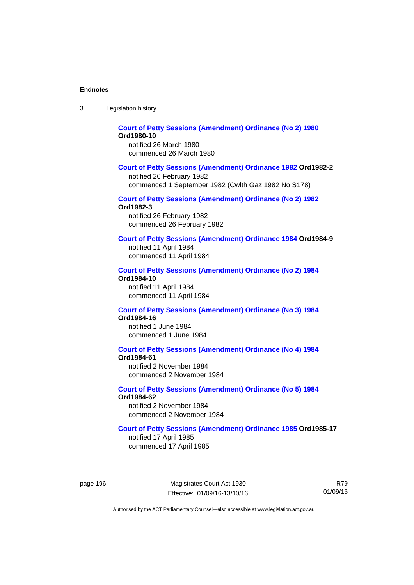| -3 | Legislation history |  |
|----|---------------------|--|
|----|---------------------|--|

#### **[Court of Petty Sessions \(Amendment\) Ordinance \(No 2\) 1980](http://www.legislation.act.gov.au/a/1980-10) Ord1980-10**  notified 26 March 1980

commenced 26 March 1980

## **[Court of Petty Sessions \(Amendment\) Ordinance 1982](http://www.legislation.act.gov.au/a/1982-2) Ord1982-2**

notified 26 February 1982 commenced 1 September 1982 (Cwlth Gaz 1982 No S178)

# **[Court of Petty Sessions \(Amendment\) Ordinance \(No 2\) 1982](http://www.legislation.act.gov.au/a/1982-3)**

**Ord1982-3** 

notified 26 February 1982 commenced 26 February 1982

## **[Court of Petty Sessions \(Amendment\) Ordinance 1984](http://www.legislation.act.gov.au/a/1984-9) Ord1984-9**

notified 11 April 1984 commenced 11 April 1984

#### **[Court of Petty Sessions \(Amendment\) Ordinance \(No 2\) 1984](http://www.legislation.act.gov.au/a/1984-10) Ord1984-10**

notified 11 April 1984 commenced 11 April 1984

#### **[Court of Petty Sessions \(Amendment\) Ordinance \(No 3\) 1984](http://www.legislation.act.gov.au/a/1984-16) Ord1984-16**

notified 1 June 1984 commenced 1 June 1984

# **[Court of Petty Sessions \(Amendment\) Ordinance \(No 4\) 1984](http://www.legislation.act.gov.au/a/1984-61)**

**Ord1984-61** 

notified 2 November 1984 commenced 2 November 1984

#### **[Court of Petty Sessions \(Amendment\) Ordinance \(No 5\) 1984](http://www.legislation.act.gov.au/a/1984-62) Ord1984-62**

notified 2 November 1984 commenced 2 November 1984

## **[Court of Petty Sessions \(Amendment\) Ordinance 1985](http://www.legislation.act.gov.au/a/1985-17) Ord1985-17**

notified 17 April 1985 commenced 17 April 1985

page 196 Magistrates Court Act 1930 Effective: 01/09/16-13/10/16

R79 01/09/16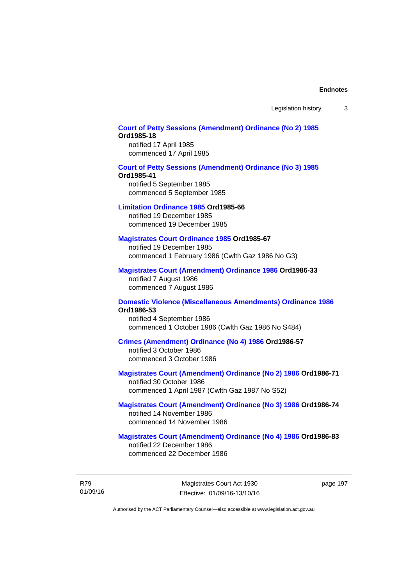Legislation history 3

## **[Court of Petty Sessions \(Amendment\) Ordinance \(No 2\) 1985](http://www.legislation.act.gov.au/a/1985-18) Ord1985-18**

notified 17 April 1985 commenced 17 April 1985

#### **[Court of Petty Sessions \(Amendment\) Ordinance \(No 3\) 1985](http://www.legislation.act.gov.au/a/1985-41)**

#### **Ord1985-41**

notified 5 September 1985 commenced 5 September 1985

#### **[Limitation Ordinance 1985](http://www.legislation.act.gov.au/a/1985-66) Ord1985-66**

notified 19 December 1985 commenced 19 December 1985

#### **[Magistrates Court Ordinance 1985](http://www.legislation.act.gov.au/a/1985-67) Ord1985-67**

notified 19 December 1985 commenced 1 February 1986 (Cwlth Gaz 1986 No G3)

## **[Magistrates Court \(Amendment\) Ordinance 1986](http://www.legislation.act.gov.au/a/1986-33) Ord1986-33**

notified 7 August 1986 commenced 7 August 1986

#### **[Domestic Violence \(Miscellaneous Amendments\) Ordinance 1986](http://www.legislation.act.gov.au/a/1986-53) Ord1986-53**

notified 4 September 1986 commenced 1 October 1986 (Cwlth Gaz 1986 No S484)

## **[Crimes \(Amendment\) Ordinance \(No 4\) 1986](http://www.legislation.act.gov.au/a/1986-57) Ord1986-57**

notified 3 October 1986 commenced 3 October 1986

## **[Magistrates Court \(Amendment\) Ordinance \(No 2\) 1986](http://www.legislation.act.gov.au/a/1986-71) Ord1986-71**

notified 30 October 1986 commenced 1 April 1987 (Cwlth Gaz 1987 No S52)

## **[Magistrates Court \(Amendment\) Ordinance \(No 3\) 1986](http://www.legislation.act.gov.au/a/1986-74) Ord1986-74**  notified 14 November 1986 commenced 14 November 1986

## **[Magistrates Court \(Amendment\) Ordinance \(No 4\) 1986](http://www.legislation.act.gov.au/a/1986-83) Ord1986-83**  notified 22 December 1986

commenced 22 December 1986

R79 01/09/16 page 197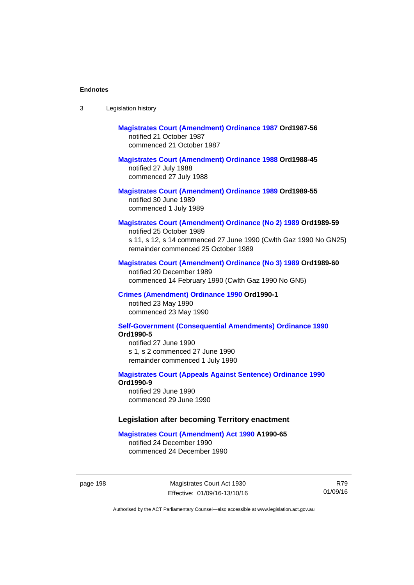| -3 | Legislation history |  |
|----|---------------------|--|
|----|---------------------|--|

# **[Magistrates Court \(Amendment\) Ordinance 1987](http://www.legislation.act.gov.au/a/1987-56) Ord1987-56**  notified 21 October 1987 commenced 21 October 1987

## **[Magistrates Court \(Amendment\) Ordinance 1988](http://www.legislation.act.gov.au/a/1988-45) Ord1988-45**

notified 27 July 1988 commenced 27 July 1988

**[Magistrates Court \(Amendment\) Ordinance 1989](http://www.legislation.act.gov.au/a/1989-55) Ord1989-55**  notified 30 June 1989 commenced 1 July 1989

## **[Magistrates Court \(Amendment\) Ordinance \(No 2\) 1989](http://www.legislation.act.gov.au/a/1989-59) Ord1989-59**

notified 25 October 1989 s 11, s 12, s 14 commenced 27 June 1990 (Cwlth Gaz 1990 No GN25) remainder commenced 25 October 1989

## **[Magistrates Court \(Amendment\) Ordinance \(No 3\) 1989](http://www.legislation.act.gov.au/a/1989-60) Ord1989-60**

notified 20 December 1989 commenced 14 February 1990 (Cwlth Gaz 1990 No GN5)

## **[Crimes \(Amendment\) Ordinance 1990](http://www.legislation.act.gov.au/a/alt_ord1990-1) Ord1990-1**

notified 23 May 1990 commenced 23 May 1990

## **[Self-Government \(Consequential Amendments\) Ordinance 1990](http://www.legislation.act.gov.au/a/alt_ord1990-5) Ord1990-5**

notified 27 June 1990 s 1, s 2 commenced 27 June 1990 remainder commenced 1 July 1990

#### **[Magistrates Court \(Appeals Against Sentence\) Ordinance 1990](http://www.legislation.act.gov.au/a/alt_ord1990-9) Ord1990-9**

notified 29 June 1990 commenced 29 June 1990

## **Legislation after becoming Territory enactment**

#### **[Magistrates Court \(Amendment\) Act 1990](http://www.legislation.act.gov.au/a/1990-65) A1990-65**

notified 24 December 1990 commenced 24 December 1990

page 198 Magistrates Court Act 1930 Effective: 01/09/16-13/10/16

R79 01/09/16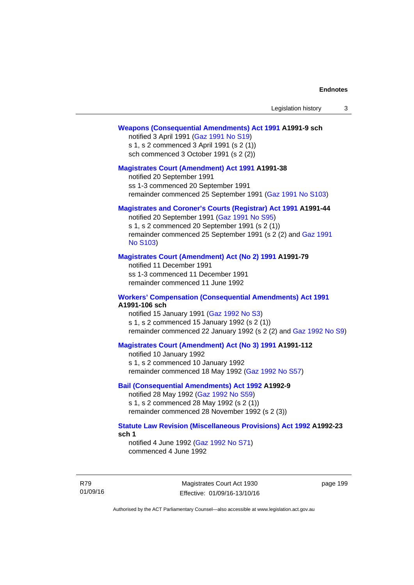#### **[Weapons \(Consequential Amendments\) Act 1991](http://www.legislation.act.gov.au/a/1991-9) A1991-9 sch**

notified 3 April 1991 ([Gaz 1991 No S19](http://www.legislation.act.gov.au/gaz/1991-S19/default.asp)) s 1, s 2 commenced 3 April 1991 (s 2 (1)) sch commenced 3 October 1991 (s 2 (2))

#### **[Magistrates Court \(Amendment\) Act 1991](http://www.legislation.act.gov.au/a/1991-38) A1991-38**

notified 20 September 1991 ss 1-3 commenced 20 September 1991 remainder commenced 25 September 1991 [\(Gaz 1991 No S103](http://www.legislation.act.gov.au/gaz/1991-S103/default.asp))

## **[Magistrates and Coroner's Courts \(Registrar\) Act 1991](http://www.legislation.act.gov.au/a/1991-44) A1991-44**

notified 20 September 1991 [\(Gaz 1991 No S95\)](http://www.legislation.act.gov.au/gaz/1991-S95/default.asp) s 1, s 2 commenced 20 September 1991 (s 2 (1)) remainder commenced 25 September 1991 (s 2 (2) and [Gaz 1991](http://www.legislation.act.gov.au/gaz/1991-S103/default.asp)  [No S103\)](http://www.legislation.act.gov.au/gaz/1991-S103/default.asp)

#### **[Magistrates Court \(Amendment\) Act \(No 2\) 1991](http://www.legislation.act.gov.au/a/1991-79) A1991-79**

notified 11 December 1991 ss 1-3 commenced 11 December 1991 remainder commenced 11 June 1992

#### **[Workers' Compensation \(Consequential Amendments\) Act 1991](http://www.legislation.act.gov.au/a/1991-106) A1991-106 sch**

notified 15 January 1991 ([Gaz 1992 No S3\)](http://www.legislation.act.gov.au/gaz/1992-S3/default.asp) s 1, s 2 commenced 15 January 1992 (s 2 (1)) remainder commenced 22 January 1992 (s 2 (2) and [Gaz 1992 No S9](http://www.legislation.act.gov.au/gaz/1992-S9/default.asp))

## **[Magistrates Court \(Amendment\) Act \(No 3\) 1991](http://www.legislation.act.gov.au/a/1991-112) A1991-112**

notified 10 January 1992 s 1, s 2 commenced 10 January 1992 remainder commenced 18 May 1992 [\(Gaz 1992 No S57\)](http://www.legislation.act.gov.au/gaz/1992-S57/default.asp)

## **[Bail \(Consequential Amendments\) Act 1992](http://www.legislation.act.gov.au/a/1992-9) A1992-9**

notified 28 May 1992 ([Gaz 1992 No S59](http://www.legislation.act.gov.au/gaz/1992-S59/default.asp)) s 1, s 2 commenced 28 May 1992 (s 2 (1)) remainder commenced 28 November 1992 (s 2 (3))

## **[Statute Law Revision \(Miscellaneous Provisions\) Act 1992](http://www.legislation.act.gov.au/a/1992-23) A1992-23 sch 1**

notified 4 June 1992 [\(Gaz 1992 No S71\)](http://www.legislation.act.gov.au/gaz/1992-S71/default.asp) commenced 4 June 1992

R79 01/09/16

Magistrates Court Act 1930 Effective: 01/09/16-13/10/16 page 199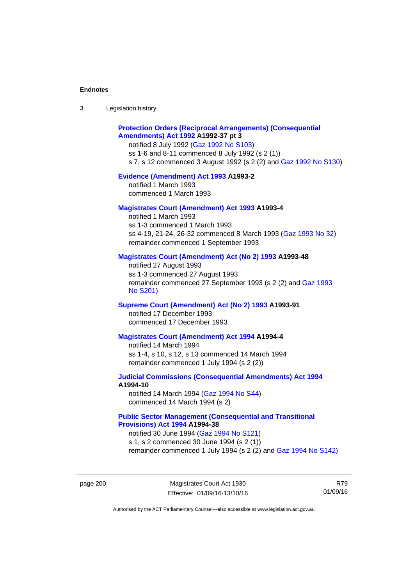| 3 | Legislation history |  |
|---|---------------------|--|
|---|---------------------|--|

## **[Protection Orders \(Reciprocal Arrangements\) \(Consequential](http://www.legislation.act.gov.au/a/1992-37)  [Amendments\) Act 1992](http://www.legislation.act.gov.au/a/1992-37) A1992-37 pt 3**

notified 8 July 1992 [\(Gaz 1992 No S103](http://www.legislation.act.gov.au/gaz/1992-S103/default.asp)) ss 1-6 and 8-11 commenced 8 July 1992 (s 2 (1)) s 7, s 12 commenced 3 August 1992 (s 2 (2) and [Gaz 1992 No S130](http://www.legislation.act.gov.au/gaz/1992-S130/default.asp))

## **[Evidence \(Amendment\) Act 1993](http://www.legislation.act.gov.au/a/1993-2) A1993-2**

notified 1 March 1993 commenced 1 March 1993

## **[Magistrates Court \(Amendment\) Act 1993](http://www.legislation.act.gov.au/a/1993-4) A1993-4**

notified 1 March 1993 ss 1-3 commenced 1 March 1993 ss 4-19, 21-24, 26-32 commenced 8 March 1993 [\(Gaz 1993 No 32](http://www.legislation.act.gov.au/gaz/1993-32/default.asp)) remainder commenced 1 September 1993

## **[Magistrates Court \(Amendment\) Act \(No 2\) 1993](http://www.legislation.act.gov.au/a/1993-48) A1993-48**

notified 27 August 1993 ss 1-3 commenced 27 August 1993 remainder commenced 27 September 1993 (s 2 (2) and [Gaz 1993](http://www.legislation.act.gov.au/gaz/1993-S201/default.asp)  [No S201\)](http://www.legislation.act.gov.au/gaz/1993-S201/default.asp)

#### **[Supreme Court \(Amendment\) Act \(No 2\) 1993](http://www.legislation.act.gov.au/a/1993-91) A1993-91**

notified 17 December 1993 commenced 17 December 1993

#### **[Magistrates Court \(Amendment\) Act 1994](http://www.legislation.act.gov.au/a/1994-4) A1994-4**

notified 14 March 1994 ss 1-4, s 10, s 12, s 13 commenced 14 March 1994 remainder commenced 1 July 1994 (s 2 (2))

## **[Judicial Commissions \(Consequential Amendments\) Act 1994](http://www.legislation.act.gov.au/a/1994-10) A1994-10**

notified 14 March 1994 ([Gaz 1994 No S44](http://www.legislation.act.gov.au/gaz/1994-S44/default.asp)) commenced 14 March 1994 (s 2)

## **[Public Sector Management \(Consequential and Transitional](http://www.legislation.act.gov.au/a/1994-38)  [Provisions\) Act 1994](http://www.legislation.act.gov.au/a/1994-38) A1994-38**

notified 30 June 1994 ([Gaz 1994 No S121\)](http://www.legislation.act.gov.au/gaz/1994-S121/default.asp) s 1, s 2 commenced 30 June 1994 (s 2 (1)) remainder commenced 1 July 1994 (s 2 (2) and [Gaz 1994 No S142\)](http://www.legislation.act.gov.au/gaz/1994-S142/default.asp)

page 200 Magistrates Court Act 1930 Effective: 01/09/16-13/10/16

R79 01/09/16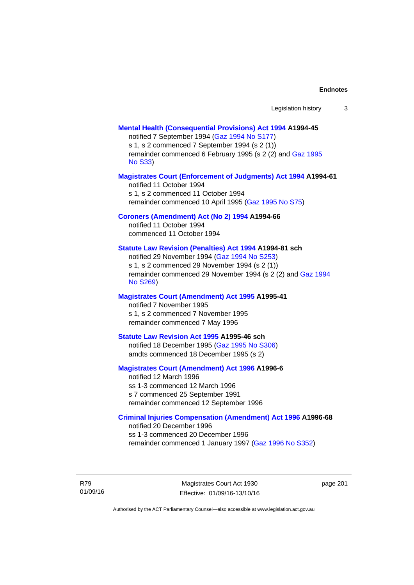| Legislation history |  |  |
|---------------------|--|--|
|---------------------|--|--|

### **[Mental Health \(Consequential Provisions\) Act 1994](http://www.legislation.act.gov.au/a/1994-45) A1994-45**

notified 7 September 1994 [\(Gaz 1994 No S177\)](http://www.legislation.act.gov.au/gaz/1994-S177/default.asp) s 1, s 2 commenced 7 September 1994 (s 2 (1)) remainder commenced 6 February 1995 (s 2 (2) and [Gaz 1995](http://www.legislation.act.gov.au/gaz/1995-S33/default.asp)  [No S33](http://www.legislation.act.gov.au/gaz/1995-S33/default.asp))

### **[Magistrates Court \(Enforcement of Judgments\) Act 1994](http://www.legislation.act.gov.au/a/1994-61) A1994-61**

notified 11 October 1994 s 1, s 2 commenced 11 October 1994 remainder commenced 10 April 1995 [\(Gaz 1995 No S75\)](http://www.legislation.act.gov.au/gaz/1995-S75/default.asp)

### **[Coroners \(Amendment\) Act \(No 2\) 1994](http://www.legislation.act.gov.au/a/1994-66) A1994-66**

notified 11 October 1994 commenced 11 October 1994

### **[Statute Law Revision \(Penalties\) Act 1994](http://www.legislation.act.gov.au/a/1994-81) A1994-81 sch**

notified 29 November 1994 [\(Gaz 1994 No S253](http://www.legislation.act.gov.au/gaz/1994-S253/default.asp)) s 1, s 2 commenced 29 November 1994 (s 2 (1)) remainder commenced 29 November 1994 (s 2 (2) and [Gaz 1994](http://www.legislation.act.gov.au/gaz/1994-S269/default.asp)  [No S269\)](http://www.legislation.act.gov.au/gaz/1994-S269/default.asp)

### **[Magistrates Court \(Amendment\) Act 1995](http://www.legislation.act.gov.au/a/1995-41) A1995-41**

notified 7 November 1995 s 1, s 2 commenced 7 November 1995 remainder commenced 7 May 1996

#### **[Statute Law Revision Act 1995](http://www.legislation.act.gov.au/a/1995-46) A1995-46 sch**

notified 18 December 1995 [\(Gaz 1995 No S306](http://www.legislation.act.gov.au/gaz/1995-S306/default.asp)) amdts commenced 18 December 1995 (s 2)

### **[Magistrates Court \(Amendment\) Act 1996](http://www.legislation.act.gov.au/a/1996-6) A1996-6**

notified 12 March 1996 ss 1-3 commenced 12 March 1996 s 7 commenced 25 September 1991 remainder commenced 12 September 1996

### **[Criminal Injuries Compensation \(Amendment\) Act 1996](http://www.legislation.act.gov.au/a/1996-68) A1996-68**

notified 20 December 1996 ss 1-3 commenced 20 December 1996 remainder commenced 1 January 1997 [\(Gaz 1996 No S352](http://www.legislation.act.gov.au/gaz/1996-S352/default.asp))

R79 01/09/16

Magistrates Court Act 1930 Effective: 01/09/16-13/10/16 page 201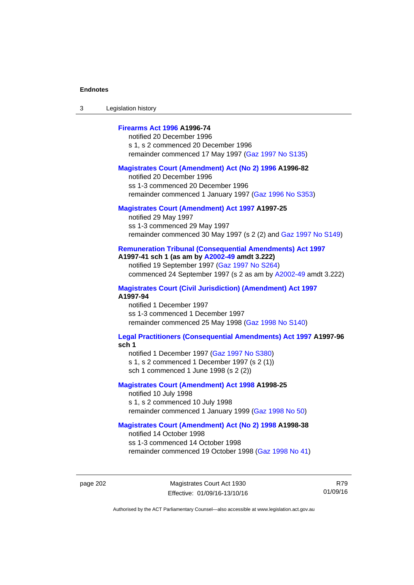3 Legislation history

## **[Firearms Act 1996](http://www.legislation.act.gov.au/a/1996-74) A1996-74**

notified 20 December 1996 s 1, s 2 commenced 20 December 1996 remainder commenced 17 May 1997 [\(Gaz 1997 No S135](http://www.legislation.act.gov.au/gaz/1997-S135/default.asp))

### **[Magistrates Court \(Amendment\) Act \(No 2\) 1996](http://www.legislation.act.gov.au/a/1996-82) A1996-82**

notified 20 December 1996 ss 1-3 commenced 20 December 1996 remainder commenced 1 January 1997 [\(Gaz 1996 No S353](http://www.legislation.act.gov.au/gaz/1996-S353/default.asp))

### **[Magistrates Court \(Amendment\) Act 1997](http://www.legislation.act.gov.au/a/1997-25) A1997-25**

notified 29 May 1997 ss 1-3 commenced 29 May 1997 remainder commenced 30 May 1997 (s 2 (2) and [Gaz 1997 No S149\)](http://www.legislation.act.gov.au/gaz/1997-S149/default.asp)

### **[Remuneration Tribunal \(Consequential Amendments\) Act 1997](http://www.legislation.act.gov.au/a/1997-41) A1997-41 sch 1 (as am by [A2002-49](http://www.legislation.act.gov.au/a/2002-49) amdt 3.222)**

notified 19 September 1997 [\(Gaz 1997 No S264](http://www.legislation.act.gov.au/gaz/1997-S264/default.asp)) commenced 24 September 1997 (s 2 as am by [A2002-49](http://www.legislation.act.gov.au/a/2002-49) amdt 3.222)

**[Magistrates Court \(Civil Jurisdiction\) \(Amendment\) Act 1997](http://www.legislation.act.gov.au/a/1997-94) A1997-94** 

notified 1 December 1997 ss 1-3 commenced 1 December 1997 remainder commenced 25 May 1998 [\(Gaz 1998 No S140](http://www.legislation.act.gov.au/gaz/1998-S140/default.asp))

#### **[Legal Practitioners \(Consequential Amendments\) Act 1997](http://www.legislation.act.gov.au/a/1997-96) A1997-96 sch 1**

notified 1 December 1997 ([Gaz 1997 No S380\)](http://www.legislation.act.gov.au/gaz/1997-S380/default.asp) s 1, s 2 commenced 1 December 1997 (s 2 (1))

sch 1 commenced 1 June 1998 (s 2 (2))

### **[Magistrates Court \(Amendment\) Act 1998](http://www.legislation.act.gov.au/a/1998-25) A1998-25**

notified 10 July 1998 s 1, s 2 commenced 10 July 1998 remainder commenced 1 January 1999 [\(Gaz 1998 No 50](http://www.legislation.act.gov.au/gaz/1998-50/default.asp))

### **[Magistrates Court \(Amendment\) Act \(No 2\) 1998](http://www.legislation.act.gov.au/a/1998-38) A1998-38**

notified 14 October 1998 ss 1-3 commenced 14 October 1998 remainder commenced 19 October 1998 ([Gaz 1998 No 41\)](http://www.legislation.act.gov.au/gaz/1998-41/default.asp)

R79 01/09/16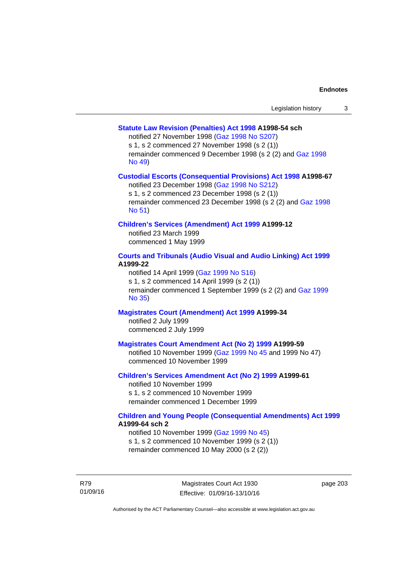## **[Statute Law Revision \(Penalties\) Act 1998](http://www.legislation.act.gov.au/a/1998-54) A1998-54 sch**

notified 27 November 1998 [\(Gaz 1998 No S207](http://www.legislation.act.gov.au/gaz/1998-S207/default.asp))

s 1, s 2 commenced 27 November 1998 (s 2 (1))

remainder commenced 9 December 1998 (s 2 (2) and [Gaz 1998](http://www.legislation.act.gov.au/gaz/1998-49/default.asp)  [No 49\)](http://www.legislation.act.gov.au/gaz/1998-49/default.asp)

### **[Custodial Escorts \(Consequential Provisions\) Act 1998](http://www.legislation.act.gov.au/a/1998-67) A1998-67**

notified 23 December 1998 [\(Gaz 1998 No S212](http://www.legislation.act.gov.au/gaz/1998-S212/default.asp)) s 1, s 2 commenced 23 December 1998 (s 2 (1)) remainder commenced 23 December 1998 (s 2 (2) and [Gaz 1998](http://www.legislation.act.gov.au/gaz/1998-51/default.asp)  [No 51\)](http://www.legislation.act.gov.au/gaz/1998-51/default.asp)

## **[Children's Services \(Amendment\) Act 1999](http://www.legislation.act.gov.au/a/1999-12) A1999-12**

notified 23 March 1999 commenced 1 May 1999

## **[Courts and Tribunals \(Audio Visual and Audio Linking\) Act 1999](http://www.legislation.act.gov.au/a/1999-22) A1999-22**

notified 14 April 1999 [\(Gaz 1999 No S16\)](http://www.legislation.act.gov.au/gaz/1999-S16/default.asp) s 1, s 2 commenced 14 April 1999 (s 2 (1)) remainder commenced 1 September 1999 (s 2 (2) and [Gaz 1999](http://www.legislation.act.gov.au/gaz/1999-35/default.asp)  [No 35\)](http://www.legislation.act.gov.au/gaz/1999-35/default.asp)

# **[Magistrates Court \(Amendment\) Act 1999](http://www.legislation.act.gov.au/a/1999-34) A1999-34**

notified 2 July 1999 commenced 2 July 1999

### **[Magistrates Court Amendment Act \(No 2\) 1999](http://www.legislation.act.gov.au/a/1999-59) A1999-59**

notified 10 November 1999 [\(Gaz 1999 No 45 a](http://www.legislation.act.gov.au/gaz/1999-45/default.asp)nd 1999 No 47) commenced 10 November 1999

### **[Children's Services Amendment Act \(No 2\) 1999](http://www.legislation.act.gov.au/a/1999-61) A1999-61**  notified 10 November 1999

s 1, s 2 commenced 10 November 1999 remainder commenced 1 December 1999

### **[Children and Young People \(Consequential Amendments\) Act 1999](http://www.legislation.act.gov.au/a/1999-64) A1999-64 sch 2**

notified 10 November 1999 [\(Gaz 1999 No 45](http://www.legislation.act.gov.au/gaz/1999-45/default.asp)) s 1, s 2 commenced 10 November 1999 (s 2 (1)) remainder commenced 10 May 2000 (s 2 (2))

R79 01/09/16 page 203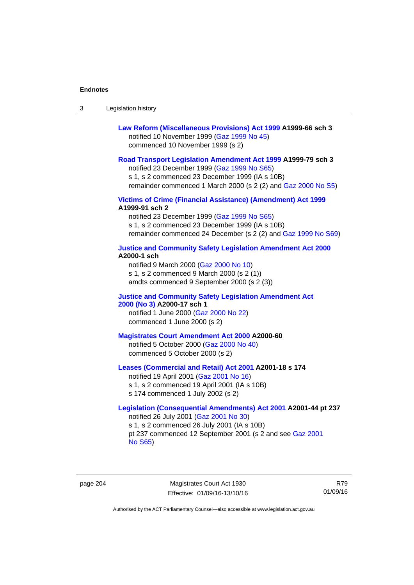| -3 | Legislation history |  |
|----|---------------------|--|
|----|---------------------|--|

| Law Reform (Miscellaneous Provisions) Act 1999 A1999-66 sch 3 |
|---------------------------------------------------------------|
| notified 10 November 1999 (Gaz 1999 No 45)                    |
| commenced 10 November 1999 (s 2)                              |

### **[Road Transport Legislation Amendment Act 1999](http://www.legislation.act.gov.au/a/1999-79) A1999-79 sch 3**

notified 23 December 1999 [\(Gaz 1999 No S65\)](http://www.legislation.act.gov.au/gaz/1999-S65/default.asp) s 1, s 2 commenced 23 December 1999 (IA s 10B) remainder commenced 1 March 2000 (s 2 (2) and [Gaz 2000 No S5\)](http://www.legislation.act.gov.au/gaz/2000-S5/default.asp)

**[Victims of Crime \(Financial Assistance\) \(Amendment\) Act 1999](http://www.legislation.act.gov.au/a/1999-91) A1999-91 sch 2** 

notified 23 December 1999 [\(Gaz 1999 No S65\)](http://www.legislation.act.gov.au/gaz/1999-S65/default.asp) s 1, s 2 commenced 23 December 1999 (IA s 10B) remainder commenced 24 December (s 2 (2) and [Gaz 1999 No S69](http://www.legislation.act.gov.au/gaz/1999-S69/default.asp))

#### **[Justice and Community Safety Legislation Amendment Act 2000](http://www.legislation.act.gov.au/a/2000-1) A2000-1 sch**

notified 9 March 2000 [\(Gaz 2000 No 10](http://www.legislation.act.gov.au/gaz/2000-10/default.asp)) s 1, s 2 commenced 9 March 2000 (s 2 (1)) amdts commenced 9 September 2000 (s 2 (3))

### **[Justice and Community Safety Legislation Amendment Act](http://www.legislation.act.gov.au/a/2000-17)  [2000 \(No 3\)](http://www.legislation.act.gov.au/a/2000-17) A2000-17 sch 1**

notified 1 June 2000 [\(Gaz 2000 No 22](http://www.legislation.act.gov.au/gaz/2000-22/default.asp)) commenced 1 June 2000 (s 2)

#### **[Magistrates Court Amendment Act 2000](http://www.legislation.act.gov.au/a/2000-60) A2000-60**

notified 5 October 2000 [\(Gaz 2000 No 40\)](http://www.legislation.act.gov.au/gaz/2000-40/default.asp) commenced 5 October 2000 (s 2)

### **[Leases \(Commercial and Retail\) Act 2001](http://www.legislation.act.gov.au/a/2001-18) A2001-18 s 174**

notified 19 April 2001 [\(Gaz 2001 No 16\)](http://www.legislation.act.gov.au/gaz/2001-16/default.asp) s 1, s 2 commenced 19 April 2001 (IA s 10B) s 174 commenced 1 July 2002 (s 2)

## **[Legislation \(Consequential Amendments\) Act 2001](http://www.legislation.act.gov.au/a/2001-44) A2001-44 pt 237**  notified 26 July 2001 ([Gaz 2001 No 30\)](http://www.legislation.act.gov.au/gaz/2001-30/default.asp)

s 1, s 2 commenced 26 July 2001 (IA s 10B) pt 237 commenced 12 September 2001 (s 2 and see [Gaz 2001](http://www.legislation.act.gov.au/gaz/2001-S65/default.asp)  [No S65](http://www.legislation.act.gov.au/gaz/2001-S65/default.asp))

page 204 Magistrates Court Act 1930 Effective: 01/09/16-13/10/16

R79 01/09/16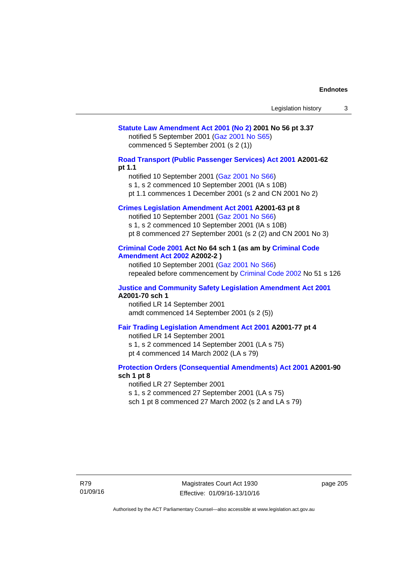## **[Statute Law Amendment Act 2001 \(No 2\)](http://www.legislation.act.gov.au/a/2001-56) 2001 No 56 pt 3.37**  notified 5 September 2001 [\(Gaz 2001 No S65\)](http://www.legislation.act.gov.au/gaz/2001-S65/default.asp) commenced 5 September 2001 (s 2 (1))

**[Road Transport \(Public Passenger Services\) Act 2001](http://www.legislation.act.gov.au/a/2001-62) A2001-62 pt 1.1** 

notified 10 September 2001 [\(Gaz 2001 No S66\)](http://www.legislation.act.gov.au/gaz/2001-S66/default.asp)

s 1, s 2 commenced 10 September 2001 (IA s 10B)

pt 1.1 commences 1 December 2001 (s 2 and CN 2001 No 2)

## **[Crimes Legislation Amendment Act 2001](http://www.legislation.act.gov.au/a/2001-63) A2001-63 pt 8**

notified 10 September 2001 [\(Gaz 2001 No S66\)](http://www.legislation.act.gov.au/gaz/2001-S66/default.asp) s 1, s 2 commenced 10 September 2001 (IA s 10B) pt 8 commenced 27 September 2001 (s 2 (2) and CN 2001 No 3)

## **[Criminal Code 2001](http://www.legislation.act.gov.au/a/2001-64) Act No 64 sch 1 (as am by [Criminal Code](http://www.legislation.act.gov.au/a/2002-2)  [Amendment Act 2002](http://www.legislation.act.gov.au/a/2002-2) A2002-2 )**

notified 10 September 2001 [\(Gaz 2001 No S66\)](http://www.legislation.act.gov.au/gaz/2001-S66/default.asp) repealed before commencement by [Criminal Code 2002](http://www.legislation.act.gov.au/a/2002-51) No 51 s 126

### **[Justice and Community Safety Legislation Amendment Act 2001](http://www.legislation.act.gov.au/a/2001-70) A2001-70 sch 1**

notified LR 14 September 2001 amdt commenced 14 September 2001 (s 2 (5))

### **[Fair Trading Legislation Amendment Act 2001](http://www.legislation.act.gov.au/a/2001-77) A2001-77 pt 4**

notified LR 14 September 2001 s 1, s 2 commenced 14 September 2001 (LA s 75) pt 4 commenced 14 March 2002 (LA s 79)

### **[Protection Orders \(Consequential Amendments\) Act 2001](http://www.legislation.act.gov.au/a/2001-90) A2001-90 sch 1 pt 8**

notified LR 27 September 2001

s 1, s 2 commenced 27 September 2001 (LA s 75)

sch 1 pt 8 commenced 27 March 2002 (s 2 and LA s 79)

page 205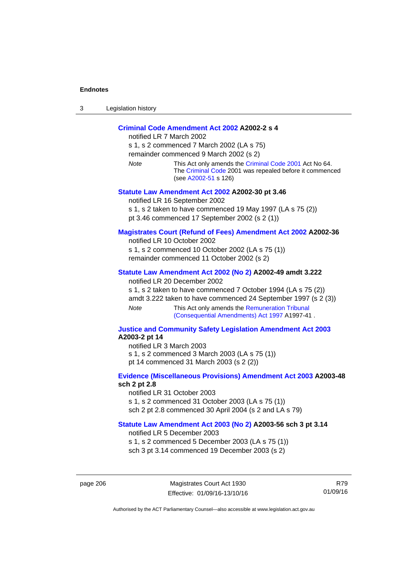| ⌒<br>- 3 | Legislation history |
|----------|---------------------|
|----------|---------------------|

## **[Criminal Code Amendment Act 2002](http://www.legislation.act.gov.au/a/2002-2) A2002-2 s 4**

notified LR 7 March 2002 s 1, s 2 commenced 7 March 2002 (LA s 75) remainder commenced 9 March 2002 (s 2) *Note* This Act only amends the [Criminal Code 2001](http://www.legislation.act.gov.au/a/2001-64) Act No 64. The [Criminal Code](http://www.legislation.act.gov.au/a/2002-51) 2001 was repealed before it commenced (see [A2002-51](http://www.legislation.act.gov.au/a/2002-51) s 126) **[Statute Law Amendment Act 2002](http://www.legislation.act.gov.au/a/2002-30) A2002-30 pt 3.46**  notified LR 16 September 2002

s 1, s 2 taken to have commenced 19 May 1997 (LA s 75 (2))

pt 3.46 commenced 17 September 2002 (s 2 (1))

### **[Magistrates Court \(Refund of Fees\) Amendment Act 2002](http://www.legislation.act.gov.au/a/2002-36) A2002-36**

notified LR 10 October 2002 s 1, s 2 commenced 10 October 2002 (LA s 75 (1))

remainder commenced 11 October 2002 (s 2)

### **[Statute Law Amendment Act 2002 \(No 2\)](http://www.legislation.act.gov.au/a/2002-49) A2002-49 amdt 3.222**

notified LR 20 December 2002

s 1, s 2 taken to have commenced 7 October 1994 (LA s 75 (2)) amdt 3.222 taken to have commenced 24 September 1997 (s 2 (3))

*Note* This Act only amends the Remuneration Tribunal [\(Consequential Amendments\) Act 1997](http://www.legislation.act.gov.au/a/1997-41) A1997-41 .

### **[Justice and Community Safety Legislation Amendment Act 2003](http://www.legislation.act.gov.au/a/2003-2) A2003-2 pt 14**

notified LR 3 March 2003 s 1, s 2 commenced 3 March 2003 (LA s 75 (1)) pt 14 commenced 31 March 2003 (s 2 (2))

### **[Evidence \(Miscellaneous Provisions\) Amendment Act 2003](http://www.legislation.act.gov.au/a/2003-48) A2003-48 sch 2 pt 2.8**

notified LR 31 October 2003 s 1, s 2 commenced 31 October 2003 (LA s 75 (1)) sch 2 pt 2.8 commenced 30 April 2004 (s 2 and LA s 79)

## **[Statute Law Amendment Act 2003 \(No 2\)](http://www.legislation.act.gov.au/a/2003-56) A2003-56 sch 3 pt 3.14**

notified LR 5 December 2003 s 1, s 2 commenced 5 December 2003 (LA s 75 (1)) sch 3 pt 3.14 commenced 19 December 2003 (s 2)

page 206 Magistrates Court Act 1930 Effective: 01/09/16-13/10/16

R79 01/09/16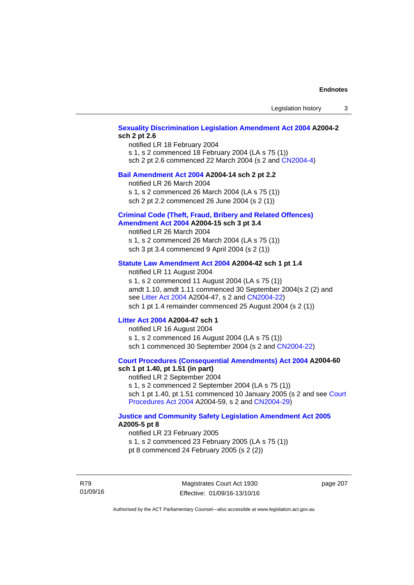## **[Sexuality Discrimination Legislation Amendment Act 2004](http://www.legislation.act.gov.au/a/2004-2) A2004-2 sch 2 pt 2.6**

notified LR 18 February 2004 s 1, s 2 commenced 18 February 2004 (LA s 75 (1)) sch 2 pt 2.6 commenced 22 March 2004 (s 2 and [CN2004-4\)](http://www.legislation.act.gov.au/cn/2004-4/default.asp)

### **[Bail Amendment Act 2004](http://www.legislation.act.gov.au/a/2004-14) A2004-14 sch 2 pt 2.2**

notified LR 26 March 2004

s 1, s 2 commenced 26 March 2004 (LA s 75 (1))

sch 2 pt 2.2 commenced 26 June 2004 (s 2 (1))

### **[Criminal Code \(Theft, Fraud, Bribery and Related Offences\)](http://www.legislation.act.gov.au/a/2004-15)  [Amendment Act 2004](http://www.legislation.act.gov.au/a/2004-15) A2004-15 sch 3 pt 3.4**

notified LR 26 March 2004 s 1, s 2 commenced 26 March 2004 (LA s 75 (1)) sch 3 pt 3.4 commenced 9 April 2004 (s 2 (1))

### **[Statute Law Amendment Act 2004](http://www.legislation.act.gov.au/a/2004-42) A2004-42 sch 1 pt 1.4**

notified LR 11 August 2004 s 1, s 2 commenced 11 August 2004 (LA s 75 (1)) amdt 1.10, amdt 1.11 commenced 30 September 2004(s 2 (2) and see [Litter Act 2004](http://www.legislation.act.gov.au/a/2004-47) A2004-47, s 2 and [CN2004-22\)](http://www.legislation.act.gov.au/cn/2004-22/default.asp) sch 1 pt 1.4 remainder commenced 25 August 2004 (s 2 (1))

### **[Litter Act 2004](http://www.legislation.act.gov.au/a/2004-47) A2004-47 sch 1**

notified LR 16 August 2004 s 1, s 2 commenced 16 August 2004 (LA s 75 (1)) sch 1 commenced 30 September 2004 (s 2 and [CN2004-22\)](http://www.legislation.act.gov.au/cn/2004-22/default.asp)

### **[Court Procedures \(Consequential Amendments\) Act 2004](http://www.legislation.act.gov.au/a/2004-60) A2004-60 sch 1 pt 1.40, pt 1.51 (in part)**

notified LR 2 September 2004 s 1, s 2 commenced 2 September 2004 (LA s 75 (1)) sch 1 pt 1.40, pt 1.51 commenced 10 January 2005 (s 2 and see [Court](http://www.legislation.act.gov.au/a/2004-59)  [Procedures Act 2004](http://www.legislation.act.gov.au/a/2004-59) A2004-59, s 2 and [CN2004-29\)](http://www.legislation.act.gov.au/cn/2004-29/default.asp)

### **[Justice and Community Safety Legislation Amendment Act 2005](http://www.legislation.act.gov.au/a/2005-5) A2005-5 pt 8**

notified LR 23 February 2005 s 1, s 2 commenced 23 February 2005 (LA s 75 (1)) pt 8 commenced 24 February 2005 (s 2 (2))

R79 01/09/16

Magistrates Court Act 1930 Effective: 01/09/16-13/10/16 page 207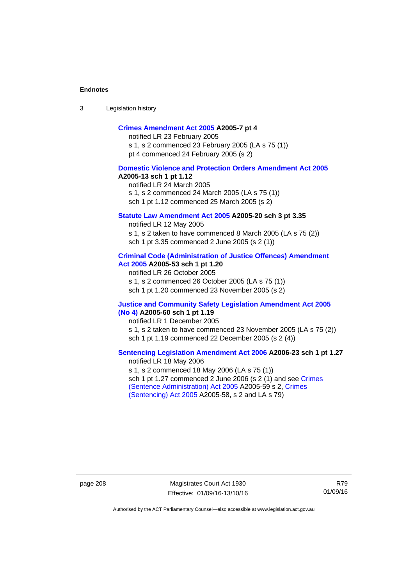3 Legislation history

## **[Crimes Amendment Act 2005](http://www.legislation.act.gov.au/a/2005-7) A2005-7 pt 4**

notified LR 23 February 2005 s 1, s 2 commenced 23 February 2005 (LA s 75 (1)) pt 4 commenced 24 February 2005 (s 2)

### **[Domestic Violence and Protection Orders Amendment Act 2005](http://www.legislation.act.gov.au/a/2005-13) A2005-13 sch 1 pt 1.12**

notified LR 24 March 2005 s 1, s 2 commenced 24 March 2005 (LA s 75 (1)) sch 1 pt 1.12 commenced 25 March 2005 (s 2)

### **[Statute Law Amendment Act 2005](http://www.legislation.act.gov.au/a/2005-20) A2005-20 sch 3 pt 3.35**

notified LR 12 May 2005 s 1, s 2 taken to have commenced 8 March 2005 (LA s 75 (2)) sch 1 pt 3.35 commenced 2 June 2005 (s 2 (1))

### **[Criminal Code \(Administration of Justice Offences\) Amendment](http://www.legislation.act.gov.au/a/2005-53)  [Act 2005](http://www.legislation.act.gov.au/a/2005-53) A2005-53 sch 1 pt 1.20**

notified LR 26 October 2005 s 1, s 2 commenced 26 October 2005 (LA s 75 (1)) sch 1 pt 1.20 commenced 23 November 2005 (s 2)

### **[Justice and Community Safety Legislation Amendment Act 2005](http://www.legislation.act.gov.au/a/2005-60)  [\(No 4\)](http://www.legislation.act.gov.au/a/2005-60) A2005-60 sch 1 pt 1.19**

notified LR 1 December 2005 s 1, s 2 taken to have commenced 23 November 2005 (LA s 75 (2)) sch 1 pt 1.19 commenced 22 December 2005 (s 2 (4))

### **[Sentencing Legislation Amendment Act 2006](http://www.legislation.act.gov.au/a/2006-23) A2006-23 sch 1 pt 1.27**  notified LR 18 May 2006

s 1, s 2 commenced 18 May 2006 (LA s 75 (1)) sch 1 pt 1.27 commenced 2 June 2006 (s 2 (1) and see [Crimes](http://www.legislation.act.gov.au/a/2005-59)  [\(Sentence Administration\) Act 2005](http://www.legislation.act.gov.au/a/2005-59) A2005-59 s 2, [Crimes](http://www.legislation.act.gov.au/a/2005-58)  [\(Sentencing\) Act 2005](http://www.legislation.act.gov.au/a/2005-58) A2005-58, s 2 and LA s 79)

page 208 Magistrates Court Act 1930 Effective: 01/09/16-13/10/16

R79 01/09/16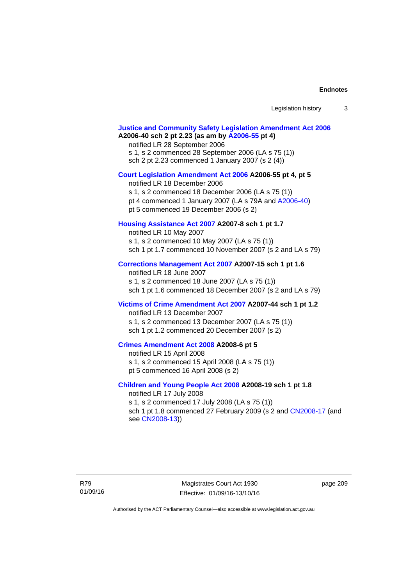| Legislation history |  |
|---------------------|--|
|---------------------|--|

# **[Justice and Community Safety Legislation Amendment Act 2006](http://www.legislation.act.gov.au/a/2006-40) A2006-40 sch 2 pt 2.23 (as am by [A2006-55](http://www.legislation.act.gov.au/a/2006-55) pt 4)**  notified LR 28 September 2006 s 1, s 2 commenced 28 September 2006 (LA s 75 (1)) sch 2 pt 2.23 commenced 1 January 2007 (s 2 (4)) **[Court Legislation Amendment Act 2006](http://www.legislation.act.gov.au/a/2006-55) A2006-55 pt 4, pt 5**  notified LR 18 December 2006 s 1, s 2 commenced 18 December 2006 (LA s 75 (1)) pt 4 commenced 1 January 2007 (LA s 79A and [A2006-40](http://www.legislation.act.gov.au/a/2006-40)) pt 5 commenced 19 December 2006 (s 2) **[Housing Assistance Act 2007](http://www.legislation.act.gov.au/a/2007-8) A2007-8 sch 1 pt 1.7**  notified LR 10 May 2007 s 1, s 2 commenced 10 May 2007 (LA s 75 (1)) sch 1 pt 1.7 commenced 10 November 2007 (s 2 and LA s 79) **[Corrections Management Act 2007](http://www.legislation.act.gov.au/a/2007-15) A2007-15 sch 1 pt 1.6**  notified LR 18 June 2007 s 1, s 2 commenced 18 June 2007 (LA s 75 (1)) sch 1 pt 1.6 commenced 18 December 2007 (s 2 and LA s 79) **[Victims of Crime Amendment Act 2007](http://www.legislation.act.gov.au/a/2007-44) A2007-44 sch 1 pt 1.2**  notified LR 13 December 2007 s 1, s 2 commenced 13 December 2007 (LA s 75 (1)) sch 1 pt 1.2 commenced 20 December 2007 (s 2) **[Crimes Amendment Act 2008](http://www.legislation.act.gov.au/a/2008-6) A2008-6 pt 5**  notified LR 15 April 2008 s 1, s 2 commenced 15 April 2008 (LA s 75 (1)) pt 5 commenced 16 April 2008 (s 2) **[Children and Young People Act 2008](http://www.legislation.act.gov.au/a/2008-19) A2008-19 sch 1 pt 1.8**  notified LR 17 July 2008 s 1, s 2 commenced 17 July 2008 (LA s 75 (1)) sch 1 pt 1.8 commenced 27 February 2009 (s 2 and [CN2008-17](http://www.legislation.act.gov.au/cn/2008-17/default.asp) (and see [CN2008-13](http://www.legislation.act.gov.au/cn/2008-13/default.asp)))

page 209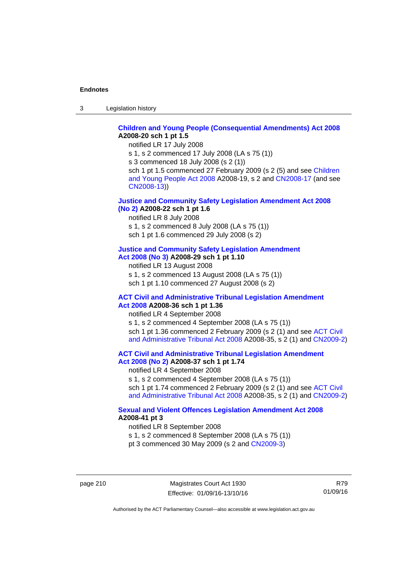3 Legislation history

## **[Children and Young People \(Consequential Amendments\) Act 2008](http://www.legislation.act.gov.au/a/2008-20) A2008-20 sch 1 pt 1.5**

notified LR 17 July 2008

s 1, s 2 commenced 17 July 2008 (LA s 75 (1))

s 3 commenced 18 July 2008 (s 2 (1))

sch 1 pt 1.5 commenced 27 February 2009 (s 2 (5) and see Children [and Young People Act 2008](http://www.legislation.act.gov.au/a/2008-19) A2008-19, s 2 and [CN2008-17 \(](http://www.legislation.act.gov.au/cn/2008-17/default.asp)and see [CN2008-13](http://www.legislation.act.gov.au/cn/2008-13/default.asp)))

### **[Justice and Community Safety Legislation Amendment Act 2008](http://www.legislation.act.gov.au/a/2008-22)  [\(No 2\)](http://www.legislation.act.gov.au/a/2008-22) A2008-22 sch 1 pt 1.6**

notified LR 8 July 2008

s 1, s 2 commenced 8 July 2008 (LA s 75 (1))

sch 1 pt 1.6 commenced 29 July 2008 (s 2)

## **[Justice and Community Safety Legislation Amendment](http://www.legislation.act.gov.au/a/2008-29)**

**[Act 2008 \(No 3\)](http://www.legislation.act.gov.au/a/2008-29) A2008-29 sch 1 pt 1.10** 

notified LR 13 August 2008 s 1, s 2 commenced 13 August 2008 (LA s 75 (1))

sch 1 pt 1.10 commenced 27 August 2008 (s 2)

### **[ACT Civil and Administrative Tribunal Legislation Amendment](http://www.legislation.act.gov.au/a/2008-36)  [Act 2008](http://www.legislation.act.gov.au/a/2008-36) A2008-36 sch 1 pt 1.36**

notified LR 4 September 2008

s 1, s 2 commenced 4 September 2008 (LA s 75 (1)) sch 1 pt 1.36 commenced 2 February 2009 (s 2 (1) and see [ACT Civil](http://www.legislation.act.gov.au/a/2008-35)  [and Administrative Tribunal Act 2008](http://www.legislation.act.gov.au/a/2008-35) A2008-35, s 2 (1) and [CN2009-2](http://www.legislation.act.gov.au/cn/2009-2/default.asp))

**[ACT Civil and Administrative Tribunal Legislation Amendment](http://www.legislation.act.gov.au/a/2008-37)  [Act 2008 \(No 2\)](http://www.legislation.act.gov.au/a/2008-37) A2008-37 sch 1 pt 1.74** 

notified LR 4 September 2008

s 1, s 2 commenced 4 September 2008 (LA s 75 (1)) sch 1 pt 1.74 commenced 2 February 2009 (s 2 (1) and see ACT Civil [and Administrative Tribunal Act 2008](http://www.legislation.act.gov.au/a/2008-35) A2008-35, s 2 (1) and [CN2009-2](http://www.legislation.act.gov.au/cn/2009-2/default.asp))

## **[Sexual and Violent Offences Legislation Amendment Act 2008](http://www.legislation.act.gov.au/a/2008-41) A2008-41 pt 3**

notified LR 8 September 2008

s 1, s 2 commenced 8 September 2008 (LA s 75 (1))

pt 3 commenced 30 May 2009 (s 2 and [CN2009-3\)](http://www.legislation.act.gov.au/cn/2009-3/default.asp)

page 210 Magistrates Court Act 1930 Effective: 01/09/16-13/10/16

R79 01/09/16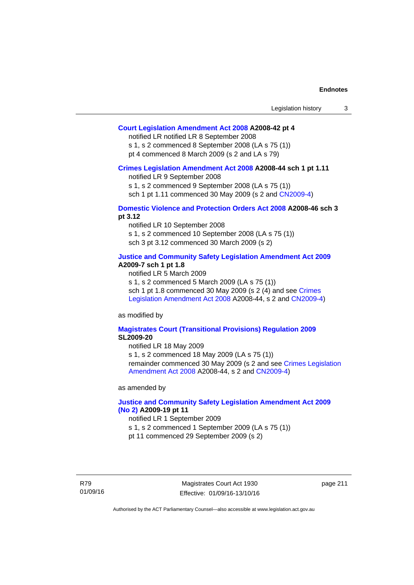### **[Court Legislation Amendment Act 2008](http://www.legislation.act.gov.au/a/2008-42) A2008-42 pt 4**

notified LR notified LR 8 September 2008

s 1, s 2 commenced 8 September 2008 (LA s 75 (1)) pt 4 commenced 8 March 2009 (s 2 and LA s 79)

#### **[Crimes Legislation Amendment Act 2008](http://www.legislation.act.gov.au/a/2008-44) A2008-44 sch 1 pt 1.11**

notified LR 9 September 2008

s 1, s 2 commenced 9 September 2008 (LA s 75 (1))

sch 1 pt 1.11 commenced 30 May 2009 (s 2 and [CN2009-4](http://www.legislation.act.gov.au/cn/2009-4/default.asp))

### **[Domestic Violence and Protection Orders Act 2008](http://www.legislation.act.gov.au/a/2008-46) A2008-46 sch 3 pt 3.12**

notified LR 10 September 2008 s 1, s 2 commenced 10 September 2008 (LA s 75 (1)) sch 3 pt 3.12 commenced 30 March 2009 (s 2)

### **[Justice and Community Safety Legislation Amendment Act 2009](http://www.legislation.act.gov.au/a/2009-7) A2009-7 sch 1 pt 1.8**

notified LR 5 March 2009

s 1, s 2 commenced 5 March 2009 (LA s 75 (1))

sch 1 pt 1.8 commenced 30 May 2009 (s 2 (4) and see Crimes [Legislation Amendment Act 2008](http://www.legislation.act.gov.au/a/2008-44) A2008-44, s 2 and [CN2009-4\)](http://www.legislation.act.gov.au/cn/2009-4/default.asp)

as modified by

### **[Magistrates Court \(Transitional Provisions\) Regulation 2009](http://www.legislation.act.gov.au/sl/2009-20) SL2009-20**

notified LR 18 May 2009

s 1, s 2 commenced 18 May 2009 (LA s 75 (1)) remainder commenced 30 May 2009 (s 2 and see [Crimes Legislation](http://www.legislation.act.gov.au/a/2008-44)  [Amendment Act 2008](http://www.legislation.act.gov.au/a/2008-44) A2008-44, s 2 and [CN2009-4](http://www.legislation.act.gov.au/cn/2009-4/default.asp))

as amended by

## **[Justice and Community Safety Legislation Amendment Act 2009](http://www.legislation.act.gov.au/a/2009-19)  [\(No 2\)](http://www.legislation.act.gov.au/a/2009-19) A2009-19 pt 11**

notified LR 1 September 2009

s 1, s 2 commenced 1 September 2009 (LA s 75 (1))

pt 11 commenced 29 September 2009 (s 2)

R79 01/09/16

Magistrates Court Act 1930 Effective: 01/09/16-13/10/16 page 211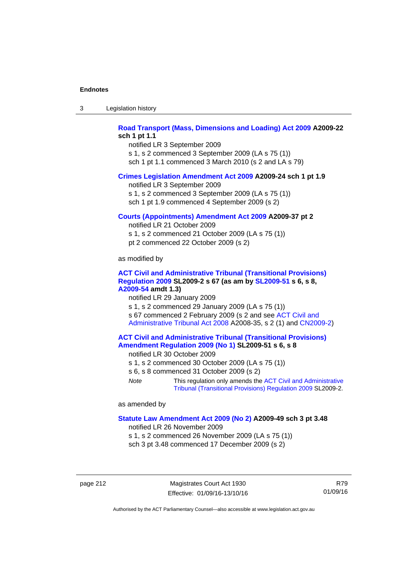| -3 | Legislation history |  |
|----|---------------------|--|
|----|---------------------|--|

## **[Road Transport \(Mass, Dimensions and Loading\) Act 2009](http://www.legislation.act.gov.au/a/2009-22) A2009-22 sch 1 pt 1.1**

notified LR 3 September 2009 s 1, s 2 commenced 3 September 2009 (LA s 75 (1)) sch 1 pt 1.1 commenced 3 March 2010 (s 2 and LA s 79)

### **[Crimes Legislation Amendment Act 2009](http://www.legislation.act.gov.au/a/2009-24) A2009-24 sch 1 pt 1.9**

notified LR 3 September 2009

s 1, s 2 commenced 3 September 2009 (LA s 75 (1))

sch 1 pt 1.9 commenced 4 September 2009 (s 2)

### **[Courts \(Appointments\) Amendment Act 2009](http://www.legislation.act.gov.au/a/2009-37) A2009-37 pt 2**

notified LR 21 October 2009 s 1, s 2 commenced 21 October 2009 (LA s 75 (1)) pt 2 commenced 22 October 2009 (s 2)

as modified by

### **[ACT Civil and Administrative Tribunal \(Transitional Provisions\)](http://www.legislation.act.gov.au/sl/2009-2)  [Regulation 2009](http://www.legislation.act.gov.au/sl/2009-2) SL2009-2 s 67 (as am by [SL2009-51](http://www.legislation.act.gov.au/sl/2009-51) s 6, s 8, [A2009-54](http://www.legislation.act.gov.au/a/2009-54) amdt 1.3)**

notified LR 29 January 2009

s 1, s 2 commenced 29 January 2009 (LA s 75 (1)) s 67 commenced 2 February 2009 (s 2 and see [ACT Civil and](http://www.legislation.act.gov.au/a/2008-35)  [Administrative Tribunal Act 2008](http://www.legislation.act.gov.au/a/2008-35) A2008-35, s 2 (1) and [CN2009-2\)](http://www.legislation.act.gov.au/cn/2009-2/default.asp)

### **[ACT Civil and Administrative Tribunal \(Transitional Provisions\)](http://www.legislation.act.gov.au/sl/2009-51)  [Amendment Regulation 2009 \(No 1\)](http://www.legislation.act.gov.au/sl/2009-51) SL2009-51 s 6, s 8**

notified LR 30 October 2009

- s 1, s 2 commenced 30 October 2009 (LA s 75 (1))
- s 6, s 8 commenced 31 October 2009 (s 2)
- *Note* This regulation only amends the [ACT Civil and Administrative](http://www.legislation.act.gov.au/sl/2009-2)  [Tribunal \(Transitional Provisions\) Regulation 2009](http://www.legislation.act.gov.au/sl/2009-2) SL2009-2.

as amended by

#### **[Statute Law Amendment Act 2009 \(No 2\)](http://www.legislation.act.gov.au/a/2009-49) A2009-49 sch 3 pt 3.48**

notified LR 26 November 2009

s 1, s 2 commenced 26 November 2009 (LA s 75 (1)) sch 3 pt 3.48 commenced 17 December 2009 (s 2)

page 212 Magistrates Court Act 1930 Effective: 01/09/16-13/10/16

R79 01/09/16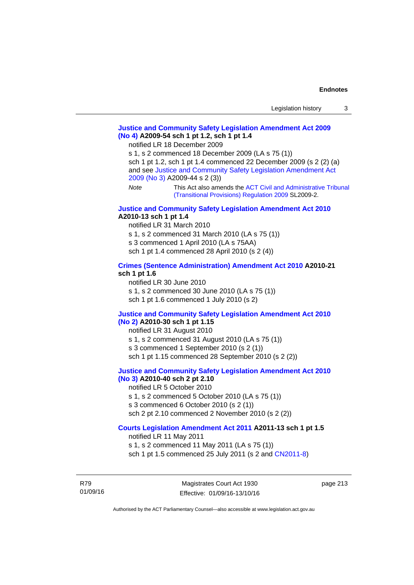## **[Justice and Community Safety Legislation Amendment Act 2009](http://www.legislation.act.gov.au/a/2009-54)  [\(No 4\)](http://www.legislation.act.gov.au/a/2009-54) A2009-54 sch 1 pt 1.2, sch 1 pt 1.4**

notified LR 18 December 2009

s 1, s 2 commenced 18 December 2009 (LA s 75 (1)) sch 1 pt 1.2, sch 1 pt 1.4 commenced 22 December 2009 (s 2 (2) (a) and see [Justice and Community Safety Legislation Amendment Act](http://www.legislation.act.gov.au/a/2009-44)  [2009 \(No 3\)](http://www.legislation.act.gov.au/a/2009-44) A2009-44 s 2 (3)) *Note* This Act also amends the [ACT Civil and Administrative Tribunal](http://www.legislation.act.gov.au/sl/2009-2) 

[\(Transitional Provisions\) Regulation 2009](http://www.legislation.act.gov.au/sl/2009-2) SL2009-2.

### **[Justice and Community Safety Legislation Amendment Act 2010](http://www.legislation.act.gov.au/a/2010-13) A2010-13 sch 1 pt 1.4**

notified LR 31 March 2010 s 1, s 2 commenced 31 March 2010 (LA s 75 (1)) s 3 commenced 1 April 2010 (LA s 75AA) sch 1 pt 1.4 commenced 28 April 2010 (s 2 (4))

### **[Crimes \(Sentence Administration\) Amendment Act 2010](http://www.legislation.act.gov.au/a/2010-21) A2010-21 sch 1 pt 1.6**

notified LR 30 June 2010 s 1, s 2 commenced 30 June 2010 (LA s 75 (1)) sch 1 pt 1.6 commenced 1 July 2010 (s 2)

### **[Justice and Community Safety Legislation Amendment Act 2010](http://www.legislation.act.gov.au/a/2010-30)**

#### **[\(No 2\)](http://www.legislation.act.gov.au/a/2010-30) A2010-30 sch 1 pt 1.15**

notified LR 31 August 2010

s 1, s 2 commenced 31 August 2010 (LA s 75 (1))

s 3 commenced 1 September 2010 (s 2 (1))

sch 1 pt 1.15 commenced 28 September 2010 (s 2 (2))

## **[Justice and Community Safety Legislation Amendment Act 2010](http://www.legislation.act.gov.au/a/2010-40)**

# **[\(No 3\)](http://www.legislation.act.gov.au/a/2010-40) A2010-40 sch 2 pt 2.10**

notified LR 5 October 2010

- s 1, s 2 commenced 5 October 2010 (LA s 75 (1))
- s 3 commenced 6 October 2010 (s 2 (1))
- sch 2 pt 2.10 commenced 2 November 2010 (s 2 (2))

## **[Courts Legislation Amendment Act 2011](http://www.legislation.act.gov.au/a/2011-13) A2011-13 sch 1 pt 1.5**

notified LR 11 May 2011 s 1, s 2 commenced 11 May 2011 (LA s 75 (1)) sch 1 pt 1.5 commenced 25 July 2011 (s 2 and [CN2011-8\)](http://www.legislation.act.gov.au/cn/2011-8/default.asp)

R79 01/09/16 page 213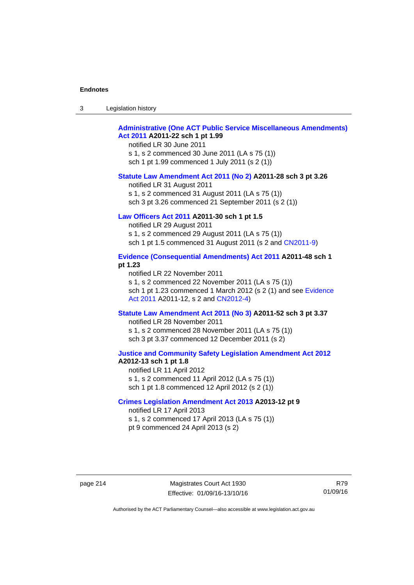| -3 | Legislation history |  |
|----|---------------------|--|
|----|---------------------|--|

## **[Administrative \(One ACT Public Service Miscellaneous Amendments\)](http://www.legislation.act.gov.au/a/2011-22)  [Act 2011](http://www.legislation.act.gov.au/a/2011-22) A2011-22 sch 1 pt 1.99**

notified LR 30 June 2011 s 1, s 2 commenced 30 June 2011 (LA s 75 (1)) sch 1 pt 1.99 commenced 1 July 2011 (s 2 (1))

#### **[Statute Law Amendment Act 2011 \(No 2\)](http://www.legislation.act.gov.au/a/2011-28) A2011-28 sch 3 pt 3.26**

notified LR 31 August 2011 s 1, s 2 commenced 31 August 2011 (LA s 75 (1)) sch 3 pt 3.26 commenced 21 September 2011 (s 2 (1))

## **[Law Officers Act 2011](http://www.legislation.act.gov.au/a/2011-30) A2011-30 sch 1 pt 1.5**

notified LR 29 August 2011 s 1, s 2 commenced 29 August 2011 (LA s 75 (1)) sch 1 pt 1.5 commenced 31 August 2011 (s 2 and [CN2011-9](http://www.legislation.act.gov.au/cn/2011-9/default.asp))

## **[Evidence \(Consequential Amendments\) Act 2011](http://www.legislation.act.gov.au/a/2011-48) A2011-48 sch 1 pt 1.23**

notified LR 22 November 2011 s 1, s 2 commenced 22 November 2011 (LA s 75 (1)) sch 1 pt 1.23 commenced 1 March 2012 (s 2 (1) and see [Evidence](http://www.legislation.act.gov.au/a/2011-12)  [Act 2011](http://www.legislation.act.gov.au/a/2011-12) A2011-12, s 2 and [CN2012-4](http://www.legislation.act.gov.au/cn/2012-4/default.asp))

#### **[Statute Law Amendment Act 2011 \(No 3\)](http://www.legislation.act.gov.au/a/2011-52) A2011-52 sch 3 pt 3.37**

notified LR 28 November 2011 s 1, s 2 commenced 28 November 2011 (LA s 75 (1)) sch 3 pt 3.37 commenced 12 December 2011 (s 2)

### **[Justice and Community Safety Legislation Amendment Act 2012](http://www.legislation.act.gov.au/a/2012-13) A2012-13 sch 1 pt 1.8**

notified LR 11 April 2012 s 1, s 2 commenced 11 April 2012 (LA s 75 (1)) sch 1 pt 1.8 commenced 12 April 2012 (s 2 (1))

### **[Crimes Legislation Amendment Act 2013](http://www.legislation.act.gov.au/a/2013-12) A2013-12 pt 9**  notified LR 17 April 2013

s 1, s 2 commenced 17 April 2013 (LA s 75 (1)) pt 9 commenced 24 April 2013 (s 2)

R79 01/09/16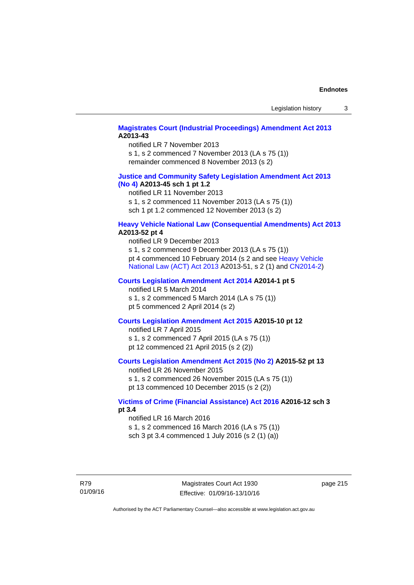## **[Magistrates Court \(Industrial Proceedings\) Amendment Act 2013](http://www.legislation.act.gov.au/a/2013-43) A2013-43**

notified LR 7 November 2013 s 1, s 2 commenced 7 November 2013 (LA s 75 (1)) remainder commenced 8 November 2013 (s 2)

### **[Justice and Community Safety Legislation Amendment Act 2013](http://www.legislation.act.gov.au/a/2013-45)  [\(No](http://www.legislation.act.gov.au/a/2013-45) 4) A2013-45 sch 1 pt 1.2**

notified LR 11 November 2013 s 1, s 2 commenced 11 November 2013 (LA s 75 (1)) sch 1 pt 1.2 commenced 12 November 2013 (s 2)

### **[Heavy Vehicle National Law \(Consequential Amendments\) Act 2013](http://www.legislation.act.gov.au/a/2013-52) A2013-52 pt 4**

notified LR 9 December 2013 s 1, s 2 commenced 9 December 2013 (LA s 75 (1)) pt 4 commenced 10 February 2014 (s 2 and see [Heavy Vehicle](http://www.legislation.act.gov.au/a/2013-51/default.asp)  [National Law \(ACT\) Act 2013](http://www.legislation.act.gov.au/a/2013-51/default.asp) A2013-51, s 2 (1) and [CN2014-2](http://www.legislation.act.gov.au/cn/2014-2/default.asp))

## **[Courts Legislation Amendment Act 2014](http://www.legislation.act.gov.au/a/2014-1) A2014-1 pt 5**

notified LR 5 March 2014

s 1, s 2 commenced 5 March 2014 (LA s 75 (1)) pt 5 commenced 2 April 2014 (s 2)

### **[Courts Legislation Amendment Act 2015](http://www.legislation.act.gov.au/a/2015-10) A2015-10 pt 12**

notified LR 7 April 2015 s 1, s 2 commenced 7 April 2015 (LA s 75 (1)) pt 12 commenced 21 April 2015 (s 2 (2))

## **[Courts Legislation Amendment Act 2015 \(No 2\)](http://www.legislation.act.gov.au/a/2015-52/default.asp) A2015-52 pt 13**

notified LR 26 November 2015 s 1, s 2 commenced 26 November 2015 (LA s 75 (1)) pt 13 commenced 10 December 2015 (s 2 (2))

## **[Victims of Crime \(Financial Assistance\) Act 2016](http://www.legislation.act.gov.au/a/2016-12/default.asp) A2016-12 sch 3 pt 3.4**

notified LR 16 March 2016 s 1, s 2 commenced 16 March 2016 (LA s 75 (1)) sch 3 pt 3.4 commenced 1 July 2016 (s 2 (1) (a))

R79 01/09/16

Magistrates Court Act 1930 Effective: 01/09/16-13/10/16 page 215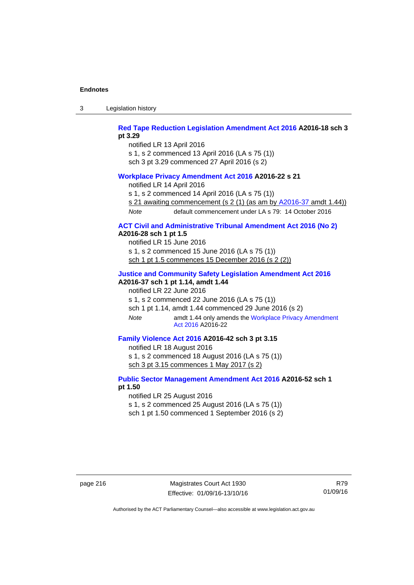3 Legislation history

**[Red Tape Reduction Legislation Amendment Act 2016](http://www.legislation.act.gov.au/a/2016-18) A2016-18 sch 3 pt 3.29** 

notified LR 13 April 2016

s 1, s 2 commenced 13 April 2016 (LA s 75 (1))

sch 3 pt 3.29 commenced 27 April 2016 (s 2)

### **[Workplace Privacy Amendment Act 2016](http://www.legislation.act.gov.au/a/2016-22/default.asp) A2016-22 s 21**

notified LR 14 April 2016

s 1, s 2 commenced 14 April 2016 (LA s 75 (1))

s 21 awaiting commencement (s 2 (1) (as am by [A2016-37](http://www.legislation.act.gov.au/a/2016-37/default.asp) amdt 1.44))

*Note* default commencement under LA s 79: 14 October 2016

## **[ACT Civil and Administrative Tribunal Amendment Act 2016 \(No 2\)](http://www.legislation.act.gov.au/a/2016-28/default.asp) A2016-28 sch 1 pt 1.5**

notified LR 15 June 2016 s 1, s 2 commenced 15 June 2016 (LA s 75 (1)) sch 1 pt 1.5 commences 15 December 2016 (s 2 (2))

# **[Justice and Community Safety Legislation Amendment Act 2016](http://www.legislation.act.gov.au/a/2016-37)**

**A2016-37 sch 1 pt 1.14, amdt 1.44** 

notified LR 22 June 2016 s 1, s 2 commenced 22 June 2016 (LA s 75 (1))

sch 1 pt 1.14, amdt 1.44 commenced 29 June 2016 (s 2)

*Note* amdt 1.44 only amends the [Workplace Privacy Amendment](http://www.legislation.act.gov.au/a/2016-22/default.asp)  [Act 2016](http://www.legislation.act.gov.au/a/2016-22/default.asp) A2016-22

## **[Family Violence Act 2016](http://www.legislation.act.gov.au/a/2016-42) A2016-42 sch 3 pt 3.15**

notified LR 18 August 2016 s 1, s 2 commenced 18 August 2016 (LA s 75 (1)) sch 3 pt 3.15 commences 1 May 2017 (s 2)

## **[Public Sector Management Amendment Act 2016](http://www.legislation.act.gov.au/a/2016-52/default.asp) A2016-52 sch 1 pt 1.50**

notified LR 25 August 2016

s 1, s 2 commenced 25 August 2016 (LA s 75 (1))

sch 1 pt 1.50 commenced 1 September 2016 (s 2)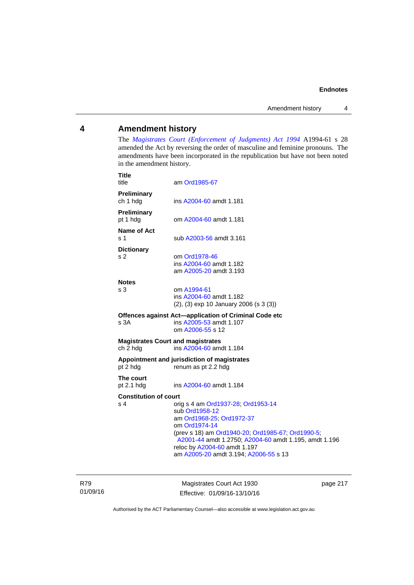## **4 Amendment history**

The *[Magistrates Court \(Enforcement of Judgments\) Act 1994](http://www.legislation.act.gov.au/a/1994-61/default.asp)* A1994-61 s 28 amended the Act by reversing the order of masculine and feminine pronouns. The amendments have been incorporated in the republication but have not been noted in the amendment history.

| <b>Title</b><br>title                                | am Ord1985-67                                                                                                                                                                                                                                                                             |
|------------------------------------------------------|-------------------------------------------------------------------------------------------------------------------------------------------------------------------------------------------------------------------------------------------------------------------------------------------|
| Preliminary<br>ch 1 hdg                              | ins A2004-60 amdt 1.181                                                                                                                                                                                                                                                                   |
| Preliminary<br>pt 1 hdg                              | om A2004-60 amdt 1.181                                                                                                                                                                                                                                                                    |
| Name of Act<br>s 1                                   | sub A2003-56 amdt 3.161                                                                                                                                                                                                                                                                   |
| <b>Dictionary</b><br>s <sub>2</sub>                  | om Ord1978-46<br>ins A2004-60 amdt 1.182<br>am A2005-20 amdt 3.193                                                                                                                                                                                                                        |
| <b>Notes</b><br>s 3                                  | om A1994-61<br>ins A2004-60 amdt 1.182<br>$(2)$ , $(3)$ exp 10 January 2006 (s 3 $(3)$ )                                                                                                                                                                                                  |
| s 3A                                                 | Offences against Act-application of Criminal Code etc<br>ins A2005-53 amdt 1.107<br>om A2006-55 s 12                                                                                                                                                                                      |
| <b>Magistrates Court and magistrates</b><br>ch 2 hdg | ins A2004-60 amdt 1.184                                                                                                                                                                                                                                                                   |
| pt 2 hdg                                             | Appointment and jurisdiction of magistrates<br>renum as pt 2.2 hdg                                                                                                                                                                                                                        |
| The court<br>pt $2.1$ hdg                            | ins A2004-60 amdt 1.184                                                                                                                                                                                                                                                                   |
| <b>Constitution of court</b><br>s 4                  | orig s 4 am Ord1937-28; Ord1953-14<br>sub Ord1958-12<br>am Ord1968-25; Ord1972-37<br>om Ord1974-14<br>(prev s 18) am Ord1940-20; Ord1985-67; Ord1990-5;<br>A2001-44 amdt 1.2750; A2004-60 amdt 1.195, amdt 1.196<br>reloc by A2004-60 amdt 1.197<br>am A2005-20 amdt 3.194; A2006-55 s 13 |

R79 01/09/16

Magistrates Court Act 1930 Effective: 01/09/16-13/10/16 page 217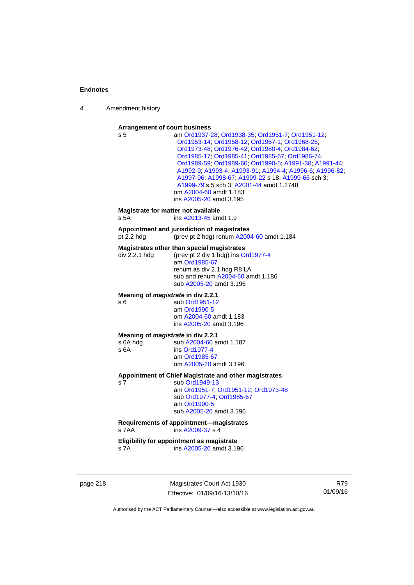4 Amendment history

#### **Arrangement of court business**

| s 5                                                    | am Ord1937-28; Ord1938-35; Ord1951-7; Ord1951-12;<br>Ord1953-14; Ord1958-12; Ord1967-1; Ord1968-25;<br>Ord1973-48; Ord1976-42; Ord1980-4; Ord1984-62;<br>Ord1985-17, Ord1985-41, Ord1985-67, Ord1986-74,<br>Ord1989-59; Ord1989-60; Ord1990-5; A1991-38; A1991-44;<br>A1992-9; A1993-4; A1993-91; A1994-4; A1996-6; A1996-82;<br>A1997-96, A1998-67, A1999-22 s 18; A1999-66 sch 3;<br>A1999-79 s 5 sch 3; A2001-44 amdt 1.2748<br>om A2004-60 amdt 1.183<br>ins A2005-20 amdt 3.195 |
|--------------------------------------------------------|--------------------------------------------------------------------------------------------------------------------------------------------------------------------------------------------------------------------------------------------------------------------------------------------------------------------------------------------------------------------------------------------------------------------------------------------------------------------------------------|
| Magistrate for matter not available<br>s 5A            | ins A2013-45 amdt 1.9                                                                                                                                                                                                                                                                                                                                                                                                                                                                |
| pt $2.2$ hdg                                           | Appointment and jurisdiction of magistrates<br>(prev pt 2 hdg) renum A2004-60 amdt 1.184                                                                                                                                                                                                                                                                                                                                                                                             |
| div 2.2.1 hdg                                          | Magistrates other than special magistrates<br>(prev pt 2 div 1 hdg) ins Ord1977-4<br>am Ord1985-67<br>renum as div 2.1 hdg R8 LA<br>sub and renum A2004-60 amdt 1.186<br>sub A2005-20 amdt 3.196                                                                                                                                                                                                                                                                                     |
| Meaning of <i>magistrate</i> in div 2.2.1<br>s 6       | sub Ord1951-12<br>am Ord1990-5<br>om A2004-60 amdt 1.183<br>ins A2005-20 amdt 3.196                                                                                                                                                                                                                                                                                                                                                                                                  |
| Meaning of magistrate in div 2.2.1<br>s 6A hdg<br>s 6A | sub A2004-60 amdt 1.187<br>ins Ord1977-4<br>am Ord1985-67<br>om A2005-20 amdt 3.196                                                                                                                                                                                                                                                                                                                                                                                                  |
| s <sub>7</sub>                                         | Appointment of Chief Magistrate and other magistrates<br>sub Ord1949-13<br>am Ord1951-7; Ord1951-12; Ord1973-48<br>sub Ord1977-4; Ord1985-67<br>am Ord1990-5<br>sub A2005-20 amdt 3.196                                                                                                                                                                                                                                                                                              |
| s 7AA                                                  | Requirements of appointment-magistrates<br>ins A2009-37 s 4                                                                                                                                                                                                                                                                                                                                                                                                                          |
| s 7A                                                   | Eligibility for appointment as magistrate<br>ins A2005-20 amdt 3.196                                                                                                                                                                                                                                                                                                                                                                                                                 |
|                                                        |                                                                                                                                                                                                                                                                                                                                                                                                                                                                                      |

page 218 Magistrates Court Act 1930 Effective: 01/09/16-13/10/16

R79 01/09/16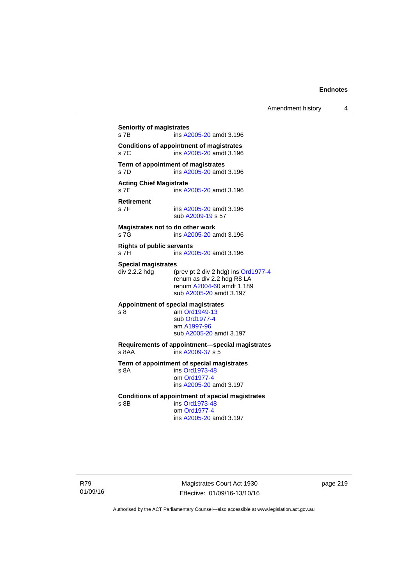**Seniority of magistrates**  s 7B ins [A2005-20](http://www.legislation.act.gov.au/a/2005-20) amdt 3.196 **Conditions of appointment of magistrates**  s 7C ins [A2005-20](http://www.legislation.act.gov.au/a/2005-20) amdt 3.196 **Term of appointment of magistrates**  s 7D ins [A2005-20](http://www.legislation.act.gov.au/a/2005-20) amdt 3.196 **Acting Chief Magistrate**  s 7E ins [A2005-20](http://www.legislation.act.gov.au/a/2005-20) amdt 3.196 **Retirement**  ins [A2005-20](http://www.legislation.act.gov.au/a/2005-20) amdt 3.196 sub [A2009-19](http://www.legislation.act.gov.au/a/2009-19) s 57 **Magistrates not to do other work**  s 7G **ins [A2005-20](http://www.legislation.act.gov.au/a/2005-20)** amdt 3.196 **Rights of public servants**  s 7H ins [A2005-20](http://www.legislation.act.gov.au/a/2005-20) amdt 3.196 **Special magistrates**<br>div 2.2.2 hdg (p (prev pt 2 div 2 hdg) ins [Ord1977-4](http://www.legislation.act.gov.au/a/1977-4) renum as div 2.2 hdg R8 LA renum [A2004-60](http://www.legislation.act.gov.au/a/2004-60) amdt 1.189 sub [A2005-20](http://www.legislation.act.gov.au/a/2005-20) amdt 3.197 **Appointment of special magistrates**  s 8 am [Ord1949-13](http://www.legislation.act.gov.au/a/1949-13) sub [Ord1977-4](http://www.legislation.act.gov.au/a/1977-4) am [A1997-96](http://www.legislation.act.gov.au/a/1997-96) sub [A2005-20](http://www.legislation.act.gov.au/a/2005-20) amdt 3.197 **Requirements of appointment—special magistrates**  s 8AA ins [A2009-37](http://www.legislation.act.gov.au/a/2009-37) s 5 **Term of appointment of special magistrates**  s 8A ins [Ord1973-48](http://www.legislation.act.gov.au/a/1973-48) om [Ord1977-4](http://www.legislation.act.gov.au/a/1977-4) ins [A2005-20](http://www.legislation.act.gov.au/a/2005-20) amdt 3.197 **Conditions of appointment of special magistrates**  s 8B ins [Ord1973-48](http://www.legislation.act.gov.au/a/1973-48) om [Ord1977-4](http://www.legislation.act.gov.au/a/1977-4) ins [A2005-20](http://www.legislation.act.gov.au/a/2005-20) amdt 3.197

R79 01/09/16

Magistrates Court Act 1930 Effective: 01/09/16-13/10/16 page 219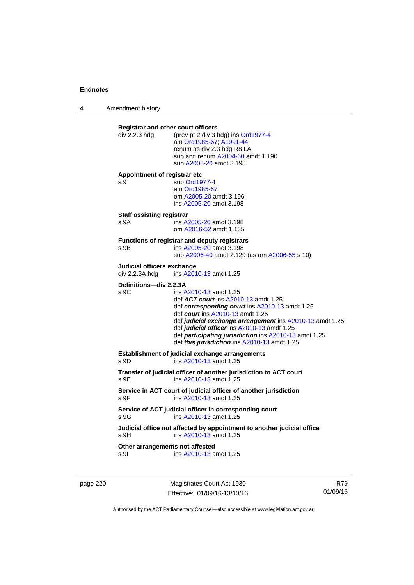4 Amendment history

| div 2.2.3 hdg                                | <b>Registrar and other court officers</b><br>(prev pt 2 div 3 hdg) ins Ord1977-4<br>am Ord1985-67; A1991-44<br>renum as div 2.3 hdg R8 LA<br>sub and renum A2004-60 amdt 1.190<br>sub A2005-20 amdt 3.198                                                                                                                                                                              |
|----------------------------------------------|----------------------------------------------------------------------------------------------------------------------------------------------------------------------------------------------------------------------------------------------------------------------------------------------------------------------------------------------------------------------------------------|
| Appointment of registrar etc<br>s 9          | sub Ord1977-4<br>am Ord1985-67<br>om A2005-20 amdt 3.196<br>ins A2005-20 amdt 3.198                                                                                                                                                                                                                                                                                                    |
| <b>Staff assisting registrar</b><br>s 9A     | ins A2005-20 amdt 3.198<br>om A2016-52 amdt 1.135                                                                                                                                                                                                                                                                                                                                      |
| s 9B                                         | Functions of registrar and deputy registrars<br>ins A2005-20 amdt 3.198<br>sub A2006-40 amdt 2.129 (as am A2006-55 s 10)                                                                                                                                                                                                                                                               |
| Judicial officers exchange<br>div 2.2.3A hdg | ins A2010-13 amdt 1.25                                                                                                                                                                                                                                                                                                                                                                 |
| Definitions-div 2.2.3A<br>s 9C               | ins A2010-13 amdt 1.25<br>def <b>ACT court</b> ins A2010-13 amdt 1.25<br>def corresponding court ins A2010-13 amdt 1.25<br>def <i>court</i> ins A2010-13 amdt 1.25<br>def judicial exchange arrangement ins A2010-13 amdt 1.25<br>def judicial officer ins A2010-13 amdt 1.25<br>def participating jurisdiction ins A2010-13 amdt 1.25<br>def this jurisdiction ins A2010-13 amdt 1.25 |
| s 9D                                         | Establishment of judicial exchange arrangements<br>ins A2010-13 amdt 1.25                                                                                                                                                                                                                                                                                                              |
|                                              | Transfer of judicial officer of another jurisdiction to ACT court<br>ins A2010-13 amdt 1.25                                                                                                                                                                                                                                                                                            |
| s 9E                                         |                                                                                                                                                                                                                                                                                                                                                                                        |
| s 9F                                         | Service in ACT court of judicial officer of another jurisdiction<br>ins A2010-13 amdt 1.25                                                                                                                                                                                                                                                                                             |
| s 9G                                         | Service of ACT judicial officer in corresponding court<br>ins A2010-13 amdt 1.25                                                                                                                                                                                                                                                                                                       |
| s 9H                                         | Judicial office not affected by appointment to another judicial office<br>ins A2010-13 amdt 1.25                                                                                                                                                                                                                                                                                       |

page 220 Magistrates Court Act 1930 Effective: 01/09/16-13/10/16

R79 01/09/16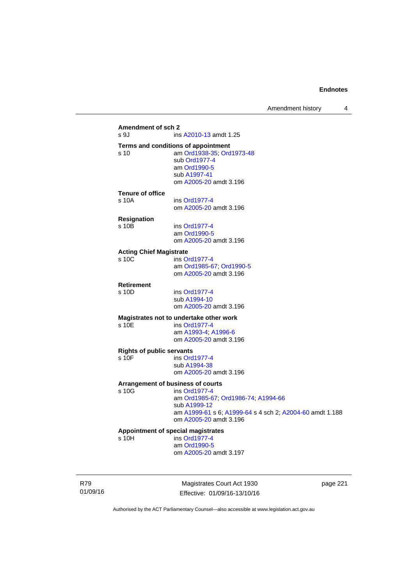## **Amendment of sch 2**  ins [A2010-13](http://www.legislation.act.gov.au/a/2010-13) amdt 1.25 **Terms and conditions of appointment**  s 10 am [Ord1938-35](http://www.legislation.act.gov.au/a/1938-35); [Ord1973-48](http://www.legislation.act.gov.au/a/1973-48) sub [Ord1977-4](http://www.legislation.act.gov.au/a/1977-4) am [Ord1990-5](http://www.legislation.act.gov.au/a/alt_ord1990-5) sub [A1997-41](http://www.legislation.act.gov.au/a/1997-41) om [A2005-20](http://www.legislation.act.gov.au/a/2005-20) amdt 3.196 **Tenure of office**  s 10A ins [Ord1977-4](http://www.legislation.act.gov.au/a/1977-4) om [A2005-20](http://www.legislation.act.gov.au/a/2005-20) amdt 3.196 **Resignation**  ins [Ord1977-4](http://www.legislation.act.gov.au/a/1977-4) am [Ord1990-5](http://www.legislation.act.gov.au/a/alt_ord1990-5) om [A2005-20](http://www.legislation.act.gov.au/a/2005-20) amdt 3.196 **Acting Chief Magistrate**  s 10C ins [Ord1977-4](http://www.legislation.act.gov.au/a/1977-4) am [Ord1985-67](http://www.legislation.act.gov.au/a/1985-67); [Ord1990-5](http://www.legislation.act.gov.au/a/alt_ord1990-5) om [A2005-20](http://www.legislation.act.gov.au/a/2005-20) amdt 3.196 **Retirement**  s 10D ins [Ord1977-4](http://www.legislation.act.gov.au/a/1977-4) sub [A1994-10](http://www.legislation.act.gov.au/a/1994-10) om [A2005-20](http://www.legislation.act.gov.au/a/2005-20) amdt 3.196 **Magistrates not to undertake other work**  ins [Ord1977-4](http://www.legislation.act.gov.au/a/1977-4) am [A1993-4;](http://www.legislation.act.gov.au/a/1993-4) [A1996-6](http://www.legislation.act.gov.au/a/1996-6) om [A2005-20](http://www.legislation.act.gov.au/a/2005-20) amdt 3.196 **Rights of public servants**  s 10F ins [Ord1977-4](http://www.legislation.act.gov.au/a/1977-4) sub [A1994-38](http://www.legislation.act.gov.au/a/1994-38) om [A2005-20](http://www.legislation.act.gov.au/a/2005-20) amdt 3.196 **Arrangement of business of courts**  ins [Ord1977-4](http://www.legislation.act.gov.au/a/1977-4) am [Ord1985-67](http://www.legislation.act.gov.au/a/1985-67); [Ord1986-74](http://www.legislation.act.gov.au/a/1986-74); [A1994-66](http://www.legislation.act.gov.au/a/1994-66) sub [A1999-12](http://www.legislation.act.gov.au/a/1999-12) am [A1999-61](http://www.legislation.act.gov.au/a/1999-61) s 6; [A1999-64](http://www.legislation.act.gov.au/a/1999-64) s 4 sch 2; [A2004-60](http://www.legislation.act.gov.au/a/2004-60) amdt 1.188 om [A2005-20](http://www.legislation.act.gov.au/a/2005-20) amdt 3.196 **Appointment of special magistrates**  s 10H ins [Ord1977-4](http://www.legislation.act.gov.au/a/1977-4) am [Ord1990-5](http://www.legislation.act.gov.au/a/alt_ord1990-5) om [A2005-20](http://www.legislation.act.gov.au/a/2005-20) amdt 3.197

R79 01/09/16

Magistrates Court Act 1930 Effective: 01/09/16-13/10/16 page 221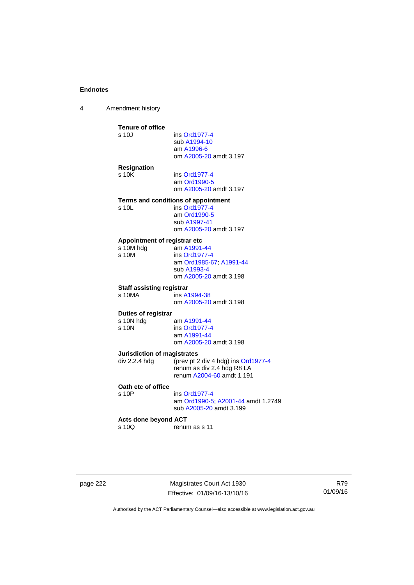4 Amendment history

| ins Ord1977-4                          |
|----------------------------------------|
|                                        |
| sub A1994-10<br>am A1996-6             |
| om A2005-20 amdt 3.197                 |
|                                        |
|                                        |
| ins Ord1977-4                          |
| am Ord1990-5<br>om A2005-20 amdt 3.197 |
|                                        |
| Terms and conditions of appointment    |
| ins Ord1977-4                          |
| am Ord1990-5                           |
| sub A1997-41                           |
| om A2005-20 amdt 3.197                 |
| Appointment of registrar etc           |
| am A1991-44                            |
| ins Ord1977-4                          |
| am Ord1985-67; A1991-44                |
| sub A1993-4<br>om A2005-20 amdt 3.198  |
|                                        |
| <b>Staff assisting registrar</b>       |
| ins A1994-38                           |
| om A2005-20 amdt 3.198                 |
| Duties of registrar                    |
| am A1991-44                            |
| ins Ord1977-4                          |
| am A1991-44                            |
| om A2005-20 amdt 3.198                 |
| <b>Jurisdiction of magistrates</b>     |
| (prev pt 2 div 4 hdg) ins Ord1977-4    |
| renum as div 2.4 hdg R8 LA             |
| renum A2004-60 amdt 1.191              |
|                                        |
| ins Ord1977-4                          |
| am Ord1990-5; A2001-44 amdt 1.2749     |
| sub A2005-20 amdt 3.199                |
| <b>Acts done beyond ACT</b>            |
|                                        |
| renum as s 11                          |
|                                        |

page 222 Magistrates Court Act 1930 Effective: 01/09/16-13/10/16

R79 01/09/16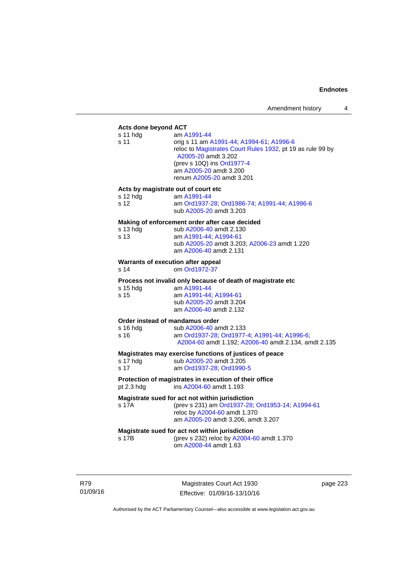#### **Acts done beyond ACT**

| Acts done beyond ACT                                    |                                                                                                                                                                                                                                   |
|---------------------------------------------------------|-----------------------------------------------------------------------------------------------------------------------------------------------------------------------------------------------------------------------------------|
| s 11 hdg<br>s 11                                        | am A1991-44<br>orig s 11 am A1991-44; A1994-61; A1996-6<br>reloc to Magistrates Court Rules 1932, pt 19 as rule 99 by<br>A2005-20 amdt 3.202<br>(prev s 10Q) ins Ord1977-4<br>am A2005-20 amdt 3.200<br>renum A2005-20 amdt 3.201 |
| Acts by magistrate out of court etc<br>s 12 hdg<br>s 12 | am A1991-44<br>am Ord1937-28; Ord1986-74; A1991-44; A1996-6                                                                                                                                                                       |
|                                                         | sub A2005-20 amdt 3.203<br>Making of enforcement order after case decided                                                                                                                                                         |
| s 13 hdg<br>s 13                                        | sub A2006-40 amdt 2.130<br>am A1991-44; A1994-61<br>sub A2005-20 amdt 3.203; A2006-23 amdt 1.220<br>am A2006-40 amdt 2.131                                                                                                        |
| Warrants of execution after appeal<br>s 14              | om Ord1972-37                                                                                                                                                                                                                     |
| s 15 hdg<br>s 15                                        | Process not invalid only because of death of magistrate etc<br>am A1991-44<br>am A1991-44; A1994-61<br>sub A2005-20 amdt 3.204<br>am A2006-40 amdt 2.132                                                                          |
| Order instead of mandamus order                         |                                                                                                                                                                                                                                   |
| s 16 hdg<br>s 16                                        | sub A2006-40 amdt 2.133<br>am Ord1937-28, Ord1977-4, A1991-44, A1996-6,<br>A2004-60 amdt 1.192; A2006-40 amdt 2.134, amdt 2.135                                                                                                   |
|                                                         | Magistrates may exercise functions of justices of peace                                                                                                                                                                           |
| s 17 hdg<br>s 17                                        | sub A2005-20 amdt 3.205<br>am Ord1937-28; Ord1990-5                                                                                                                                                                               |
| pt 2.3 hdg                                              | Protection of magistrates in execution of their office<br>ins A2004-60 amdt 1.193                                                                                                                                                 |
| s 17A                                                   | Magistrate sued for act not within jurisdiction<br>(prev s 231) am Ord1937-28; Ord1953-14; A1994-61<br>reloc by A2004-60 amdt 1.370<br>am A2005-20 amdt 3.206, amdt 3.207                                                         |
| s 17B                                                   | Magistrate sued for act not within jurisdiction<br>(prev s 232) reloc by A2004-60 amdt 1.370<br>om A2008-44 amdt 1.63                                                                                                             |

R79 01/09/16

Magistrates Court Act 1930 Effective: 01/09/16-13/10/16 page 223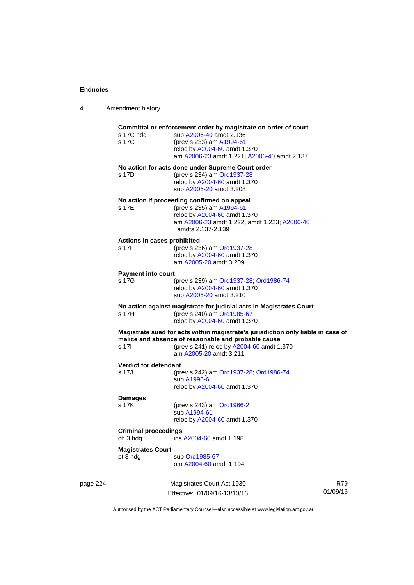4 Amendment history

|          | s 17C hdg<br>s 17C                      | Committal or enforcement order by magistrate on order of court<br>sub A2006-40 amdt 2.136<br>(prev s 233) am A1994-61<br>reloc by A2004-60 amdt 1.370<br>am A2006-23 amdt 1.221; A2006-40 amdt 2.137           |                 |
|----------|-----------------------------------------|----------------------------------------------------------------------------------------------------------------------------------------------------------------------------------------------------------------|-----------------|
|          | s 17D                                   | No action for acts done under Supreme Court order<br>(prev s 234) am Ord1937-28<br>reloc by A2004-60 amdt 1.370<br>sub A2005-20 amdt 3.208                                                                     |                 |
|          | s 17E                                   | No action if proceeding confirmed on appeal<br>(prev s 235) am A1994-61<br>reloc by A2004-60 amdt 1.370<br>am A2006-23 amdt 1.222, amdt 1.223; A2006-40<br>amdts 2.137-2.139                                   |                 |
|          | Actions in cases prohibited<br>s 17F    | (prev s 236) am Ord1937-28<br>reloc by A2004-60 amdt 1.370<br>am A2005-20 amdt 3.209                                                                                                                           |                 |
|          | <b>Payment into court</b><br>s 17G      | (prev s 239) am Ord1937-28; Ord1986-74<br>reloc by A2004-60 amdt 1.370<br>sub A2005-20 amdt 3.210                                                                                                              |                 |
|          | s 17H                                   | No action against magistrate for judicial acts in Magistrates Court<br>(prev s 240) am Ord1985-67<br>reloc by A2004-60 amdt 1.370                                                                              |                 |
|          | s 17I                                   | Magistrate sued for acts within magistrate's jurisdiction only liable in case of<br>malice and absence of reasonable and probable cause<br>(prev s 241) reloc by A2004-60 amdt 1.370<br>am A2005-20 amdt 3.211 |                 |
|          | <b>Verdict for defendant</b><br>s 17J   | (prev s 242) am Ord1937-28; Ord1986-74<br>sub A1996-6<br>reloc by A2004-60 amdt 1.370                                                                                                                          |                 |
|          | <b>Damages</b><br>s 17K                 | (prev s 243) am Ord1966-2<br>sub A1994-61<br>reloc by A2004-60 amdt 1.370                                                                                                                                      |                 |
|          | <b>Criminal proceedings</b><br>ch 3 hdg | ins A2004-60 amdt 1.198                                                                                                                                                                                        |                 |
|          | <b>Magistrates Court</b><br>pt 3 hdg    | sub Ord1985-67<br>om A2004-60 amdt 1.194                                                                                                                                                                       |                 |
| page 224 |                                         | Magistrates Court Act 1930<br>Effective: 01/09/16-13/10/16                                                                                                                                                     | R79<br>01/09/16 |

Authorised by the ACT Parliamentary Counsel—also accessible at www.legislation.act.gov.au

Effective: 01/09/16-13/10/16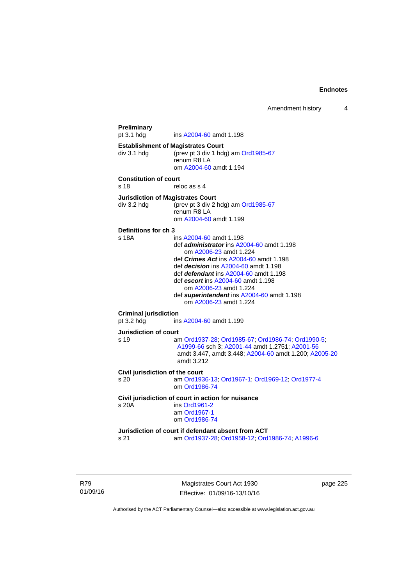Amendment history 4

```
Preliminary 
                 A2004-60 amdt 1.198
Establishment of Magistrates Court 
div 3.1 hdg (prev pt 3 div 1 hdg) am Ord1985-67
                 renum R8 LA 
                  om A2004-60 amdt 1.194
Constitution of court 
s 18 reloc as s 4
Jurisdiction of Magistrates Court 
div 3.2 hdg (prev pt 3 div 2 hdg) am Ord1985-67
                 renum R8 LA 
                  om A2004-60 amdt 1.199
Definitions for ch 3 
s 18A ins A2004-60 amdt 1.198 
                  def administrator ins A2004-60 amdt 1.198 
                      om A2006-23 amdt 1.224
                  def Crimes Act ins A2004-60 amdt 1.198
                  def decision ins A2004-60 amdt 1.198 
                  def defendant ins A2004-60 amdt 1.198 
                  def escort ins A2004-60 amdt 1.198 
                      om A2006-23 amdt 1.224
                  def superintendent ins A2004-60 amdt 1.198 
                     om A2006-23 amdt 1.224
Criminal jurisdiction 
pt 3.2 hdg ins A2004-60 amdt 1.199 
Jurisdiction of court 
s 19 am Ord1937-28; Ord1985-67; Ord1986-74; Ord1990-5; 
                  A1999-66 sch 3; A2001-44 amdt 1.2751; A2001-56
                  amdt 3.447, amdt 3.448; A2004-60 amdt 1.200; A2005-20
                  amdt 3.212
Civil jurisdiction of the court 
s 20 am Ord1936-13; Ord1967-1; Ord1969-12; Ord1977-4
                  om Ord1986-74
Civil jurisdiction of court in action for nuisance 
s 20A ins Ord1961-2
                  am Ord1967-1
                  om Ord1986-74
Jurisdiction of court if defendant absent from ACT 
s 21 am Ord1937-28; Ord1958-12; Ord1986-74; A1996-6
```
R79 01/09/16

Magistrates Court Act 1930 Effective: 01/09/16-13/10/16 page 225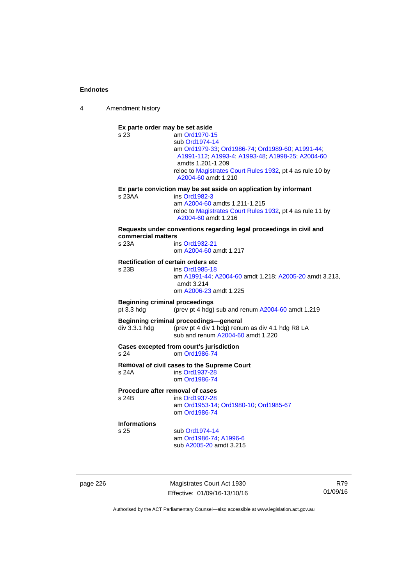4 Amendment history

**Ex parte order may be set aside**  s 23 am [Ord1970-15](http://www.legislation.act.gov.au/a/1970-15) sub [Ord1974-14](http://www.legislation.act.gov.au/a/1974-14) am [Ord1979-33](http://www.legislation.act.gov.au/a/1979-33); [Ord1986-74;](http://www.legislation.act.gov.au/a/1986-74) [Ord1989-60](http://www.legislation.act.gov.au/a/1989-60); [A1991-44](http://www.legislation.act.gov.au/a/1991-44); [A1991-112;](http://www.legislation.act.gov.au/a/1991-112) [A1993-4](http://www.legislation.act.gov.au/a/1993-4); [A1993-48](http://www.legislation.act.gov.au/a/1993-48); [A1998-25](http://www.legislation.act.gov.au/a/1998-25); [A2004-60](http://www.legislation.act.gov.au/a/2004-60) amdts 1.201-1.209 reloc to [Magistrates Court Rules 1932](http://www.legislation.act.gov.au/sl/1932-4/default.asp), pt 4 as rule 10 by [A2004-60](http://www.legislation.act.gov.au/a/2004-60) amdt 1.210 **Ex parte conviction may be set aside on application by informant**  s 23AA ins [Ord1982-3](http://www.legislation.act.gov.au/a/1982-3) am [A2004-60](http://www.legislation.act.gov.au/a/2004-60) amdts 1.211-1.215 reloc to [Magistrates Court Rules 1932](http://www.legislation.act.gov.au/sl/1932-4/default.asp), pt 4 as rule 11 by [A2004-60](http://www.legislation.act.gov.au/a/2004-60) amdt 1.216 **Requests under conventions regarding legal proceedings in civil and commercial matters**  s 23A ins [Ord1932-21](http://www.legislation.act.gov.au/a/1932-21) om [A2004-60](http://www.legislation.act.gov.au/a/2004-60) amdt 1.217 **Rectification of certain orders etc**  ins [Ord1985-18](http://www.legislation.act.gov.au/a/1985-18) am [A1991-44](http://www.legislation.act.gov.au/a/1991-44); [A2004-60](http://www.legislation.act.gov.au/a/2004-60) amdt 1.218; [A2005-20](http://www.legislation.act.gov.au/a/2005-20) amdt 3.213, amdt 3.214 om [A2006-23](http://www.legislation.act.gov.au/a/2006-23) amdt 1.225 **Beginning criminal proceedings**  pt 3.3 hdg (prev pt 4 hdg) sub and renum [A2004-60](http://www.legislation.act.gov.au/a/2004-60) amdt 1.219 **Beginning criminal proceedings—general**  div 3.3.1 hdg (prev pt 4 div 1 hdg) renum as div 4.1 hdg R8 LA sub and renum [A2004-60](http://www.legislation.act.gov.au/a/2004-60) amdt 1.220 **Cases excepted from court's jurisdiction**  s 24 om [Ord1986-74](http://www.legislation.act.gov.au/a/1986-74) **Removal of civil cases to the Supreme Court**  s 24A ins [Ord1937-28](http://www.legislation.act.gov.au/a/1937-28) om [Ord1986-74](http://www.legislation.act.gov.au/a/1986-74) **Procedure after removal of cases**  s 24B ins [Ord1937-28](http://www.legislation.act.gov.au/a/1937-28) am [Ord1953-14](http://www.legislation.act.gov.au/a/1953-14); [Ord1980-10;](http://www.legislation.act.gov.au/a/1980-10) [Ord1985-67](http://www.legislation.act.gov.au/a/1985-67) om [Ord1986-74](http://www.legislation.act.gov.au/a/1986-74) **Informations** sub [Ord1974-14](http://www.legislation.act.gov.au/a/1974-14) am [Ord1986-74](http://www.legislation.act.gov.au/a/1986-74); [A1996-6](http://www.legislation.act.gov.au/a/1996-6) sub [A2005-20](http://www.legislation.act.gov.au/a/2005-20) amdt 3.215

page 226 Magistrates Court Act 1930 Effective: 01/09/16-13/10/16

R79 01/09/16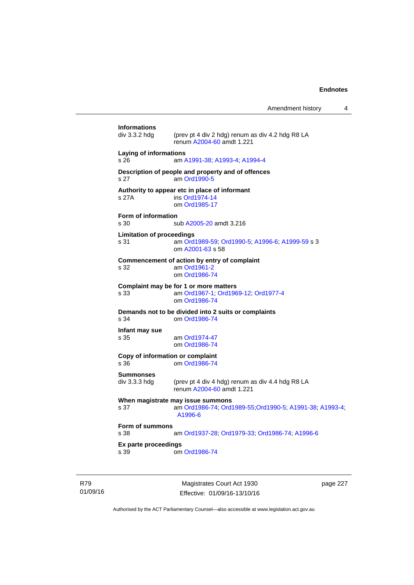Amendment history 4

|                                          | Manietratee Court Act 1030                                                                               | naga 227 |
|------------------------------------------|----------------------------------------------------------------------------------------------------------|----------|
| s 39                                     | om Ord1986-74                                                                                            |          |
| s 38<br>Ex parte proceedings             | am Ord1937-28; Ord1979-33; Ord1986-74; A1996-6                                                           |          |
| Form of summons                          |                                                                                                          |          |
| s 37                                     | When magistrate may issue summons<br>am Ord1986-74; Ord1989-55; Ord1990-5; A1991-38; A1993-4;<br>A1996-6 |          |
| Summonses<br>div 3.3.3 hdg               | (prev pt 4 div 4 hdg) renum as div 4.4 hdg R8 LA<br>renum A2004-60 amdt 1.221                            |          |
| Copy of information or complaint<br>s 36 | om Ord1986-74                                                                                            |          |
| Infant may sue<br>s 35                   | am Ord1974-47<br>om Ord1986-74                                                                           |          |
| s 34                                     | Demands not to be divided into 2 suits or complaints<br>om Ord1986-74                                    |          |
| s 33                                     | Complaint may be for 1 or more matters<br>am Ord1967-1; Ord1969-12; Ord1977-4<br>om Ord1986-74           |          |
| s 32                                     | Commencement of action by entry of complaint<br>am Ord1961-2<br>om Ord1986-74                            |          |
| <b>Limitation of proceedings</b><br>s 31 | am Ord1989-59; Ord1990-5; A1996-6; A1999-59 s 3<br>om A2001-63 s 58                                      |          |
| Form of information<br>s 30              | sub A2005-20 amdt 3.216                                                                                  |          |
| s 27A                                    | Authority to appear etc in place of informant<br>ins Ord1974-14<br>om Ord1985-17                         |          |
| s 27                                     | Description of people and property and of offences<br>am Ord1990-5                                       |          |
| Laying of informations<br>s 26           | am A1991-38, A1993-4, A1994-4                                                                            |          |
| <b>Informations</b><br>div 3.3.2 hdg     | (prev pt 4 div 2 hdg) renum as div 4.2 hdg R8 LA<br>renum A2004-60 amdt 1.221                            |          |
|                                          |                                                                                                          |          |

R79 01/09/16

Magistrates Court Act 1930 Effective: 01/09/16-13/10/16 page 227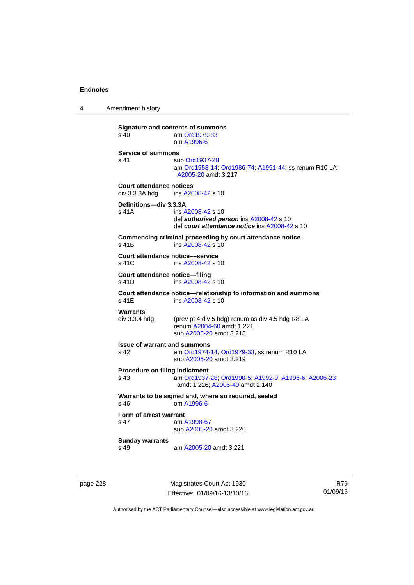4 Amendment history

**Signature and contents of summons**<br>s 40 am Ord1979-33 am [Ord1979-33](http://www.legislation.act.gov.au/a/1979-33) om [A1996-6](http://www.legislation.act.gov.au/a/1996-6) **Service of summons**  s 41 sub [Ord1937-28](http://www.legislation.act.gov.au/a/1937-28) am [Ord1953-14](http://www.legislation.act.gov.au/a/1953-14); [Ord1986-74](http://www.legislation.act.gov.au/a/1986-74); [A1991-44](http://www.legislation.act.gov.au/a/1991-44); ss renum R10 LA; [A2005-20](http://www.legislation.act.gov.au/a/2005-20) amdt 3.217 **Court attendance notices**<br>div 3.3.3A hdq ins A20 ins [A2008-42](http://www.legislation.act.gov.au/a/2008-42) s 10 **Definitions—div 3.3.3A**  s 41A ins [A2008-42](http://www.legislation.act.gov.au/a/2008-42) s 10 def *authorised person* ins [A2008-42](http://www.legislation.act.gov.au/a/2008-42) s 10 def *court attendance notice* ins [A2008-42](http://www.legislation.act.gov.au/a/2008-42) s 10 **Commencing criminal proceeding by court attendance notice**  s 41B ins [A2008-42](http://www.legislation.act.gov.au/a/2008-42) s 10 **Court attendance notice—service**<br>s 41C ins A2008-42 s ins [A2008-42](http://www.legislation.act.gov.au/a/2008-42) s 10 **Court attendance notice—filing**  s 41D ins [A2008-42](http://www.legislation.act.gov.au/a/2008-42) s 10 **Court attendance notice—relationship to information and summons**  ins [A2008-42](http://www.legislation.act.gov.au/a/2008-42) s 10 **Warrants**  div 3.3.4 hdg (prev pt 4 div 5 hdg) renum as div 4.5 hdg R8 LA renum [A2004-60](http://www.legislation.act.gov.au/a/2004-60) amdt 1.221 sub [A2005-20](http://www.legislation.act.gov.au/a/2005-20) amdt 3.218 **Issue of warrant and summons**  s 42 am [Ord1974-14](http://www.legislation.act.gov.au/a/1974-14), [Ord1979-33](http://www.legislation.act.gov.au/a/1979-33); ss renum R10 LA sub [A2005-20](http://www.legislation.act.gov.au/a/2005-20) amdt 3.219 **Procedure on filing indictment**  s 43 am [Ord1937-28](http://www.legislation.act.gov.au/a/1937-28); [Ord1990-5](http://www.legislation.act.gov.au/a/alt_ord1990-5); [A1992-9](http://www.legislation.act.gov.au/a/1992-9); [A1996-6](http://www.legislation.act.gov.au/a/1996-6); [A2006-23](http://www.legislation.act.gov.au/a/2006-23) amdt 1.226; [A2006-40](http://www.legislation.act.gov.au/a/2006-40) amdt 2.140 **Warrants to be signed and, where so required, sealed**  s 46 om [A1996-6](http://www.legislation.act.gov.au/a/1996-6) **Form of arrest warrant**<br>**s** 47 am / am [A1998-67](http://www.legislation.act.gov.au/a/1998-67) sub [A2005-20](http://www.legislation.act.gov.au/a/2005-20) amdt 3.220 **Sunday warrants**  s 49 am [A2005-20](http://www.legislation.act.gov.au/a/2005-20) amdt 3.221

page 228 Magistrates Court Act 1930 Effective: 01/09/16-13/10/16

R79 01/09/16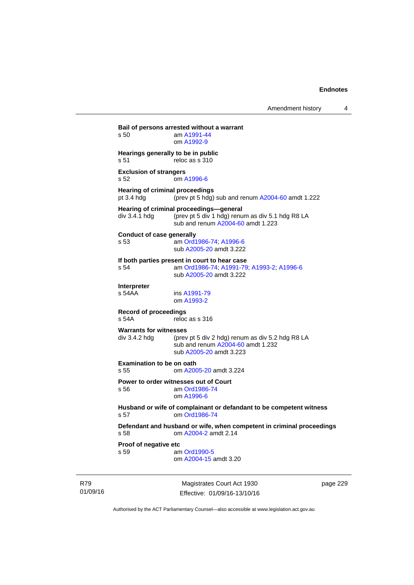**Bail of persons arrested without a warrant**  s 50 am [A1991-44](http://www.legislation.act.gov.au/a/1991-44) om [A1992-9](http://www.legislation.act.gov.au/a/1992-9) **Hearings generally to be in public**  s 51 reloc as s 310 **Exclusion of strangers**  s 52 om [A1996-6](http://www.legislation.act.gov.au/a/1996-6) **Hearing of criminal proceedings**  pt 3.4 hdg (prev pt 5 hdg) sub and renum [A2004-60](http://www.legislation.act.gov.au/a/2004-60) amdt 1.222 **Hearing of criminal proceedings—general**  div 3.4.1 hdg (prev pt 5 div 1 hdg) renum as div 5.1 hdg R8 LA sub and renum [A2004-60](http://www.legislation.act.gov.au/a/2004-60) amdt 1.223 **Conduct of case generally**  s 53 am [Ord1986-74](http://www.legislation.act.gov.au/a/1986-74); [A1996-6](http://www.legislation.act.gov.au/a/1996-6) sub [A2005-20](http://www.legislation.act.gov.au/a/2005-20) amdt 3.222 **If both parties present in court to hear case**  s 54 am [Ord1986-74](http://www.legislation.act.gov.au/a/1986-74); [A1991-79](http://www.legislation.act.gov.au/a/1991-79); [A1993-2](http://www.legislation.act.gov.au/a/1993-2); [A1996-6](http://www.legislation.act.gov.au/a/1996-6) sub [A2005-20](http://www.legislation.act.gov.au/a/2005-20) amdt 3.222 **Interpreter**  ins [A1991-79](http://www.legislation.act.gov.au/a/1991-79) om [A1993-2](http://www.legislation.act.gov.au/a/1993-2) **Record of proceedings**  s 54A reloc as s 316 **Warrants for witnesses**<br>div 3.4.2 hda (prev (prev pt 5 div 2 hdg) renum as div 5.2 hdg R8 LA sub and renum [A2004-60](http://www.legislation.act.gov.au/a/2004-60) amdt 1.232 sub [A2005-20](http://www.legislation.act.gov.au/a/2005-20) amdt 3.223 **Examination to be on oath**  s 55 om [A2005-20](http://www.legislation.act.gov.au/a/2005-20) amdt 3.224 **Power to order witnesses out of Court**  s 56 am [Ord1986-74](http://www.legislation.act.gov.au/a/1986-74) om [A1996-6](http://www.legislation.act.gov.au/a/1996-6) **Husband or wife of complainant or defandant to be competent witness**  s 57 om [Ord1986-74](http://www.legislation.act.gov.au/a/1986-74) **Defendant and husband or wife, when competent in criminal proceedings**  s 58 om [A2004-2](http://www.legislation.act.gov.au/a/2004-2) amdt 2.14 **Proof of negative etc**  s 59 am [Ord1990-5](http://www.legislation.act.gov.au/a/alt_ord1990-5) om [A2004-15](http://www.legislation.act.gov.au/a/2004-15) amdt 3.20

R79 01/09/16

Magistrates Court Act 1930 Effective: 01/09/16-13/10/16 page 229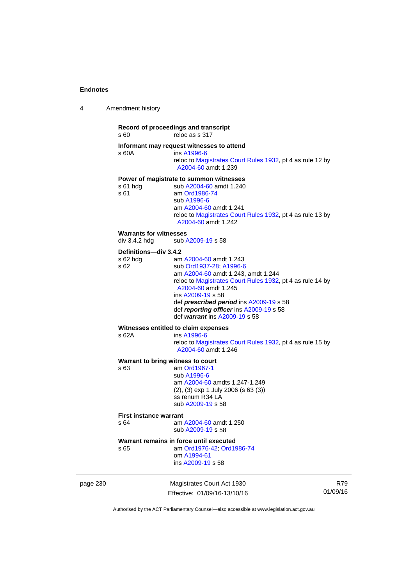| 4 | Amendment history |  |
|---|-------------------|--|
|   |                   |  |

### **Record of proceedings and transcript**  s 60 reloc as s 317 **Informant may request witnesses to attend**  s 60A ins [A1996-6](http://www.legislation.act.gov.au/a/1996-6) reloc to [Magistrates Court Rules 1932](http://www.legislation.act.gov.au/sl/1932-4/default.asp), pt 4 as rule 12 by [A2004-60](http://www.legislation.act.gov.au/a/2004-60) amdt 1.239 **Power of magistrate to summon witnesses**  s 61 hdg sub [A2004-60](http://www.legislation.act.gov.au/a/2004-60) amdt 1.240<br>s 61 am Ord1986-74 am [Ord1986-74](http://www.legislation.act.gov.au/a/1986-74) sub [A1996-6](http://www.legislation.act.gov.au/a/1996-6) am [A2004-60](http://www.legislation.act.gov.au/a/2004-60) amdt 1.241 reloc to [Magistrates Court Rules 1932](http://www.legislation.act.gov.au/sl/1932-4/default.asp), pt 4 as rule 13 by [A2004-60](http://www.legislation.act.gov.au/a/2004-60) amdt 1.242 **Warrants for witnesses**<br>div 3.4.2 hdg sub / sub [A2009-19](http://www.legislation.act.gov.au/a/2009-19) s 58 **Definitions—div 3.4.2**  s 62 hdg am [A2004-60](http://www.legislation.act.gov.au/a/2004-60) amdt 1.243 s 62 sub [Ord1937-28](http://www.legislation.act.gov.au/a/1937-28); [A1996-6](http://www.legislation.act.gov.au/a/1996-6) am [A2004-60](http://www.legislation.act.gov.au/a/2004-60) amdt 1.243, amdt 1.244 reloc to [Magistrates Court Rules 1932](http://www.legislation.act.gov.au/sl/1932-4/default.asp), pt 4 as rule 14 by [A2004-60](http://www.legislation.act.gov.au/a/2004-60) amdt 1.245 ins [A2009-19](http://www.legislation.act.gov.au/a/2009-19) s 58 def *prescribed period* ins [A2009-19](http://www.legislation.act.gov.au/a/2009-19) s 58 def *reporting officer* ins [A2009-19](http://www.legislation.act.gov.au/a/2009-19) s 58 def *warrant* ins [A2009-19](http://www.legislation.act.gov.au/a/2009-19) s 58 **Witnesses entitled to claim expenses**  s 62A ins [A1996-6](http://www.legislation.act.gov.au/a/1996-6) reloc to [Magistrates Court Rules 1932](http://www.legislation.act.gov.au/sl/1932-4/default.asp), pt 4 as rule 15 by [A2004-60](http://www.legislation.act.gov.au/a/2004-60) amdt 1.246 **Warrant to bring witness to court**  s 63 am [Ord1967-1](http://www.legislation.act.gov.au/a/1967-1) sub [A1996-6](http://www.legislation.act.gov.au/a/1996-6) am [A2004-60](http://www.legislation.act.gov.au/a/2004-60) amdts 1.247-1.249

(2), (3) exp 1 July 2006 (s 63 (3)) ss renum R34 LA sub [A2009-19](http://www.legislation.act.gov.au/a/2009-19) s 58

#### **First instance warrant**

s 64 am [A2004-60](http://www.legislation.act.gov.au/a/2004-60) amdt 1.250 sub [A2009-19](http://www.legislation.act.gov.au/a/2009-19) s 58

#### **Warrant remains in force until executed**

s 65 am [Ord1976-42](http://www.legislation.act.gov.au/a/1976-42); [Ord1986-74](http://www.legislation.act.gov.au/a/1986-74) om [A1994-61](http://www.legislation.act.gov.au/a/1994-61) ins [A2009-19](http://www.legislation.act.gov.au/a/2009-19) s 58

page 230 Magistrates Court Act 1930 Effective: 01/09/16-13/10/16

R79 01/09/16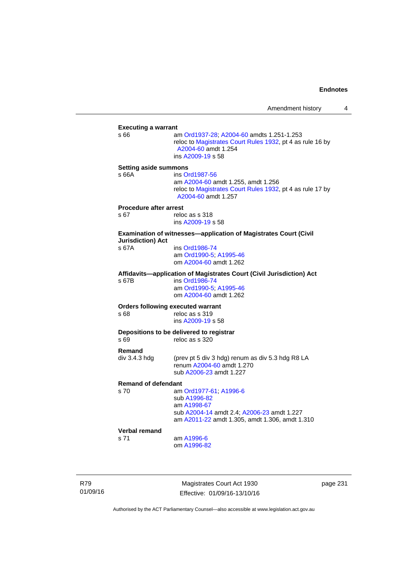| <b>Executing a warrant</b>    |                                                                                                                                                    |
|-------------------------------|----------------------------------------------------------------------------------------------------------------------------------------------------|
| s 66                          | am Ord1937-28; A2004-60 amdts 1.251-1.253<br>reloc to Magistrates Court Rules 1932, pt 4 as rule 16 by<br>A2004-60 amdt 1.254<br>ins A2009-19 s 58 |
| <b>Setting aside summons</b>  |                                                                                                                                                    |
| s 66A                         | ins Ord1987-56                                                                                                                                     |
|                               | am A2004-60 amdt 1.255, amdt 1.256<br>reloc to Magistrates Court Rules 1932, pt 4 as rule 17 by<br>A2004-60 amdt 1.257                             |
| <b>Procedure after arrest</b> |                                                                                                                                                    |
| s 67                          | reloc as s 318                                                                                                                                     |
|                               | ins A2009-19 s 58                                                                                                                                  |
| <b>Jurisdiction) Act</b>      | Examination of witnesses-application of Magistrates Court (Civil                                                                                   |
| s 67A                         | ins Ord1986-74                                                                                                                                     |
|                               | am Ord1990-5; A1995-46                                                                                                                             |
|                               | om A2004-60 amdt 1.262                                                                                                                             |
|                               | Affidavits-application of Magistrates Court (Civil Jurisdiction) Act                                                                               |
| s 67B                         | ins Ord1986-74                                                                                                                                     |
|                               | am Ord1990-5; A1995-46                                                                                                                             |
|                               | om A2004-60 amdt 1.262                                                                                                                             |
|                               | <b>Orders following executed warrant</b>                                                                                                           |
| s 68                          | reloc as s 319                                                                                                                                     |
|                               | ins A2009-19 s 58                                                                                                                                  |
|                               | Depositions to be delivered to registrar                                                                                                           |
| s 69                          | reloc as s 320                                                                                                                                     |
| Remand                        |                                                                                                                                                    |
| div 3.4.3 hdg                 | (prev pt 5 div 3 hdg) renum as div 5.3 hdg R8 LA<br>renum A2004-60 amdt 1.270                                                                      |
|                               | sub A2006-23 amdt 1.227                                                                                                                            |
|                               |                                                                                                                                                    |
| <b>Remand of defendant</b>    |                                                                                                                                                    |
| s 70                          | am Ord1977-61; A1996-6                                                                                                                             |
|                               | sub A1996-82                                                                                                                                       |
|                               | am A1998-67                                                                                                                                        |
|                               | sub A2004-14 amdt 2.4; A2006-23 amdt 1.227<br>am A2011-22 amdt 1.305, amdt 1.306, amdt 1.310                                                       |
| <b>Verbal remand</b>          |                                                                                                                                                    |
| s 71                          | am A1996-6                                                                                                                                         |
|                               | om A1996-82                                                                                                                                        |
|                               |                                                                                                                                                    |

R79 01/09/16

Magistrates Court Act 1930 Effective: 01/09/16-13/10/16 page 231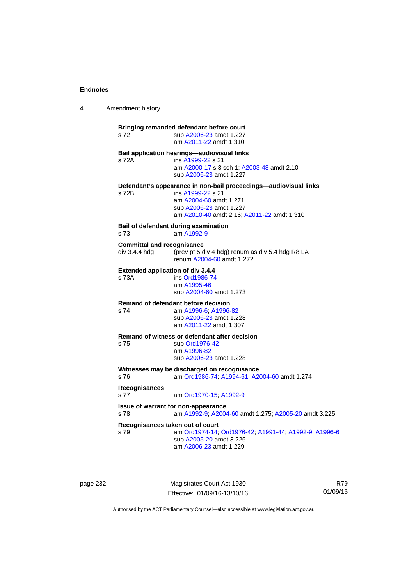4 Amendment history

**Bringing remanded defendant before court**  s 72 sub [A2006-23](http://www.legislation.act.gov.au/a/2006-23) amdt 1.227 am [A2011-22](http://www.legislation.act.gov.au/a/2011-22) amdt 1.310 **Bail application hearings—audiovisual links**  s 72A ins [A1999-22](http://www.legislation.act.gov.au/a/1999-22) s 21 am [A2000-17](http://www.legislation.act.gov.au/a/2000-17) s 3 sch 1; [A2003-48](http://www.legislation.act.gov.au/a/2003-48) amdt 2.10 sub [A2006-23](http://www.legislation.act.gov.au/a/2006-23) amdt 1.227 **Defendant's appearance in non-bail proceedings—audiovisual links**  s 72B ins [A1999-22](http://www.legislation.act.gov.au/a/1999-22) s 21 am [A2004-60](http://www.legislation.act.gov.au/a/2004-60) amdt 1.271 sub [A2006-23](http://www.legislation.act.gov.au/a/2006-23) amdt 1.227 am [A2010-40](http://www.legislation.act.gov.au/a/2010-40) amdt 2.16; [A2011-22](http://www.legislation.act.gov.au/a/2011-22) amdt 1.310 **Bail of defendant during examination**  s 73 am [A1992-9](http://www.legislation.act.gov.au/a/1992-9) **Committal and recognisance**  div 3.4.4 hdg (prev pt 5 div 4 hdg) renum as div 5.4 hdg R8 LA renum [A2004-60](http://www.legislation.act.gov.au/a/2004-60) amdt 1.272 **Extended application of div 3.4.4**  ins [Ord1986-74](http://www.legislation.act.gov.au/a/1986-74) am [A1995-46](http://www.legislation.act.gov.au/a/1995-46) sub [A2004-60](http://www.legislation.act.gov.au/a/2004-60) amdt 1.273 **Remand of defendant before decision**  s 74 am [A1996-6;](http://www.legislation.act.gov.au/a/1996-6) [A1996-82](http://www.legislation.act.gov.au/a/1996-82) sub [A2006-23](http://www.legislation.act.gov.au/a/2006-23) amdt 1.228 am [A2011-22](http://www.legislation.act.gov.au/a/2011-22) amdt 1.307 **Remand of witness or defendant after decision**  s 75 sub [Ord1976-42](http://www.legislation.act.gov.au/a/1976-42) am [A1996-82](http://www.legislation.act.gov.au/a/1996-82) sub [A2006-23](http://www.legislation.act.gov.au/a/2006-23) amdt 1.228 **Witnesses may be discharged on recognisance**<br>s 76 am Ord1986-74: A1994-61: A2 s 76 am [Ord1986-74](http://www.legislation.act.gov.au/a/1986-74); [A1994-61](http://www.legislation.act.gov.au/a/1994-61); [A2004-60](http://www.legislation.act.gov.au/a/2004-60) amdt 1.274 **Recognisances**  s 77 am [Ord1970-15](http://www.legislation.act.gov.au/a/1970-15); [A1992-9](http://www.legislation.act.gov.au/a/1992-9) **Issue of warrant for non-appearance**  s 78 am [A1992-9;](http://www.legislation.act.gov.au/a/1992-9) [A2004-60](http://www.legislation.act.gov.au/a/2004-60) amdt 1.275; [A2005-20](http://www.legislation.act.gov.au/a/2005-20) amdt 3.225 **Recognisances taken out of court**  s 79 am [Ord1974-14](http://www.legislation.act.gov.au/a/1974-14); [Ord1976-42](http://www.legislation.act.gov.au/a/1976-42); [A1991-44](http://www.legislation.act.gov.au/a/1991-44); [A1992-9](http://www.legislation.act.gov.au/a/1992-9); [A1996-6](http://www.legislation.act.gov.au/a/1996-6) sub [A2005-20](http://www.legislation.act.gov.au/a/2005-20) amdt 3.226 am [A2006-23](http://www.legislation.act.gov.au/a/2006-23) amdt 1.229

page 232 Magistrates Court Act 1930 Effective: 01/09/16-13/10/16

R79 01/09/16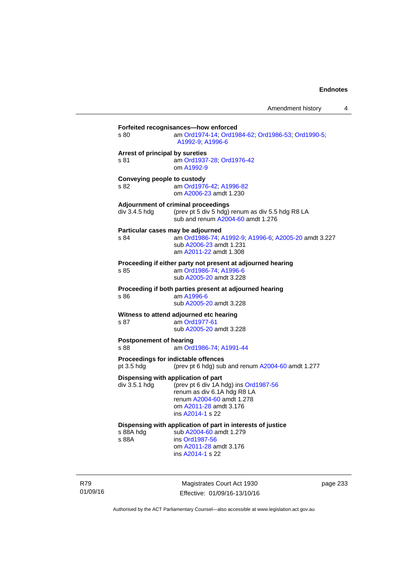| s 80                                    | am Ord1974-14; Ord1984-62; Ord1986-53; Ord1990-5;<br>A1992-9, A1996-6                                                                                                                  |
|-----------------------------------------|----------------------------------------------------------------------------------------------------------------------------------------------------------------------------------------|
| Arrest of principal by sureties<br>s 81 | am Ord1937-28; Ord1976-42<br>om A1992-9                                                                                                                                                |
| Conveying people to custody<br>S.82     | am Ord1976-42; A1996-82<br>om A2006-23 amdt 1.230                                                                                                                                      |
| div 3.4.5 hdg                           | Adjournment of criminal proceedings<br>(prev pt 5 div 5 hdg) renum as div 5.5 hdg R8 LA<br>sub and renum A2004-60 amdt 1.276                                                           |
| s 84                                    | Particular cases may be adjourned<br>am Ord1986-74, A1992-9, A1996-6, A2005-20 amdt 3.227<br>sub A2006-23 amdt 1.231<br>am A2011-22 amdt 1.308                                         |
| s 85                                    | Proceeding if either party not present at adjourned hearing<br>am Ord1986-74: A1996-6<br>sub A2005-20 amdt 3.228                                                                       |
| s 86                                    | Proceeding if both parties present at adjourned hearing<br>am A1996-6<br>sub A2005-20 amdt 3.228                                                                                       |
| s 87                                    | Witness to attend adjourned etc hearing<br>am Ord1977-61<br>sub A2005-20 amdt 3.228                                                                                                    |
| <b>Postponement of hearing</b><br>s 88  | am Ord1986-74; A1991-44                                                                                                                                                                |
| pt 3.5 hdg                              | Proceedings for indictable offences<br>(prev pt 6 hdg) sub and renum A2004-60 amdt 1.277                                                                                               |
| div 3.5.1 hdg                           | Dispensing with application of part<br>(prev pt 6 div 1A hdg) ins Ord1987-56<br>renum as div 6.1A hdg R8 LA<br>renum A2004-60 amdt 1.278<br>om A2011-28 amdt 3.176<br>ins A2014-1 s 22 |
| s 88A hdg<br>s 88A                      | Dispensing with application of part in interests of justice<br>sub A2004-60 amdt 1.279<br>ins Ord1987-56<br>om A2011-28 amdt 3.176<br>ins A2014-1 s 22                                 |

R79 01/09/16

Magistrates Court Act 1930 Effective: 01/09/16-13/10/16 page 233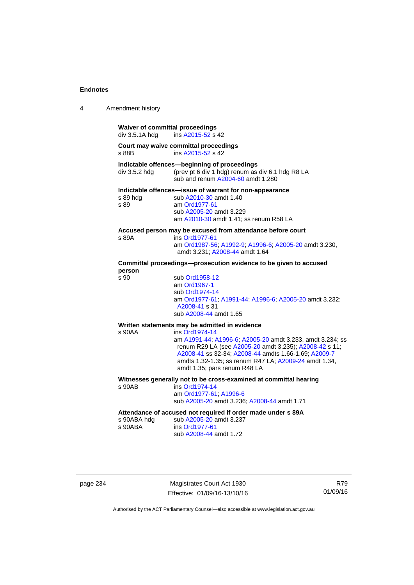| 4 | Amendment history                                        |                                                                                                                                                                                                                                                                                        |
|---|----------------------------------------------------------|----------------------------------------------------------------------------------------------------------------------------------------------------------------------------------------------------------------------------------------------------------------------------------------|
|   | <b>Waiver of committal proceedings</b><br>div 3.5.1A hdg | ins A2015-52 s 42                                                                                                                                                                                                                                                                      |
|   | s 88B                                                    | Court may waive committal proceedings<br>ins A2015-52 s 42                                                                                                                                                                                                                             |
|   | div 3.5.2 hdg                                            | Indictable offences-beginning of proceedings<br>(prev pt 6 div 1 hdg) renum as div 6.1 hdg R8 LA<br>sub and renum A2004-60 amdt 1.280                                                                                                                                                  |
|   | s 89 hda<br>s 89                                         | Indictable offences-issue of warrant for non-appearance<br>sub A2010-30 amdt 1.40<br>am Ord1977-61<br>sub A2005-20 amdt 3.229<br>am A2010-30 amdt 1.41; ss renum R58 LA                                                                                                                |
|   | s 89A                                                    | Accused person may be excused from attendance before court<br>ins Ord1977-61<br>am Ord1987-56; A1992-9; A1996-6; A2005-20 amdt 3.230,<br>amdt 3.231; A2008-44 amdt 1.64                                                                                                                |
|   | person                                                   | Committal proceedings--prosecution evidence to be given to accused                                                                                                                                                                                                                     |
|   | s 90                                                     | sub Ord1958-12<br>am Ord1967-1<br>sub Ord1974-14<br>am Ord1977-61, A1991-44, A1996-6; A2005-20 amdt 3.232;<br>A2008-41 s 31<br>sub A2008-44 amdt 1.65                                                                                                                                  |
|   |                                                          | Written statements may be admitted in evidence                                                                                                                                                                                                                                         |
|   | s 90AA                                                   | ins Ord1974-14<br>am A1991-44; A1996-6; A2005-20 amdt 3.233, amdt 3.234; ss<br>renum R29 LA (see A2005-20 amdt 3.235); A2008-42 s 11;<br>A2008-41 ss 32-34; A2008-44 amdts 1.66-1.69; A2009-7<br>amdts 1.32-1.35; ss renum R47 LA; A2009-24 amdt 1.34,<br>amdt 1.35; pars renum R48 LA |
|   | $s$ 90 $AB$                                              | Witnesses generally not to be cross-examined at committal hearing<br>ins Ord1974-14<br>am Ord1977-61; A1996-6<br>sub A2005-20 amdt 3.236; A2008-44 amdt 1.71                                                                                                                           |
|   | s 90ABA hdg<br>s 90ABA                                   | Attendance of accused not required if order made under s 89A<br>sub A2005-20 amdt 3.237<br>ins Ord1977-61<br>sub A2008-44 amdt 1.72                                                                                                                                                    |

page 234 Magistrates Court Act 1930 Effective: 01/09/16-13/10/16

R79 01/09/16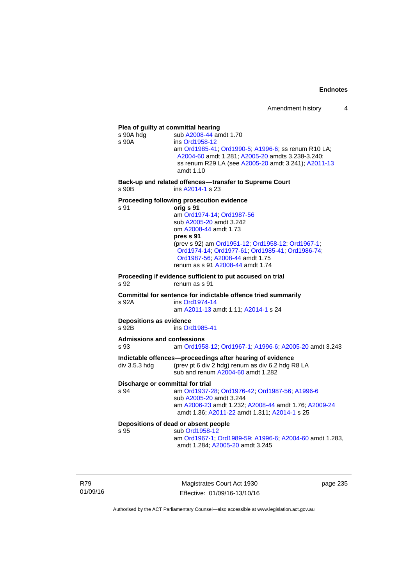## **Plea of guilty at committal hearing**  s 90A hdg sub [A2008-44](http://www.legislation.act.gov.au/a/2008-44) amdt 1.70 s 90A ins [Ord1958-12](http://www.legislation.act.gov.au/a/1958-12) am [Ord1985-41](http://www.legislation.act.gov.au/a/1985-41); [Ord1990-5](http://www.legislation.act.gov.au/a/alt_ord1990-5); [A1996-6](http://www.legislation.act.gov.au/a/1996-6); ss renum R10 LA; [A2004-60](http://www.legislation.act.gov.au/a/2004-60) amdt 1.281; [A2005-20](http://www.legislation.act.gov.au/a/2005-20) amdts 3.238-3.240; ss renum R29 LA (see [A2005-20](http://www.legislation.act.gov.au/a/2005-20) amdt 3.241); [A2011-13](http://www.legislation.act.gov.au/a/2011-13) amdt 1.10 **Back-up and related offences––transfer to Supreme Court**  s 90B ins [A2014-1](http://www.legislation.act.gov.au/a/2014-1) s 23 **Proceeding following prosecution evidence**  s 91 **orig s 91** am [Ord1974-14](http://www.legislation.act.gov.au/a/1974-14); [Ord1987-56](http://www.legislation.act.gov.au/a/1987-56) sub [A2005-20](http://www.legislation.act.gov.au/a/2005-20) amdt 3.242 om [A2008-44](http://www.legislation.act.gov.au/a/2008-44) amdt 1.73 **pres s 91** (prev s 92) am [Ord1951-12;](http://www.legislation.act.gov.au/a/1951-12) [Ord1958-12;](http://www.legislation.act.gov.au/a/1958-12) [Ord1967-1;](http://www.legislation.act.gov.au/a/1967-1) [Ord1974-14;](http://www.legislation.act.gov.au/a/1974-14) [Ord1977-61](http://www.legislation.act.gov.au/a/1977-61); [Ord1985-41](http://www.legislation.act.gov.au/a/1985-41); [Ord1986-74](http://www.legislation.act.gov.au/a/1986-74); [Ord1987-56;](http://www.legislation.act.gov.au/a/1987-56) [A2008-44](http://www.legislation.act.gov.au/a/2008-44) amdt 1.75 renum as s 91 [A2008-44](http://www.legislation.act.gov.au/a/2008-44) amdt 1.74 **Proceeding if evidence sufficient to put accused on trial**  s 92 renum as s 91 **Committal for sentence for indictable offence tried summarily**  s 92A ins [Ord1974-14](http://www.legislation.act.gov.au/a/1974-14) am [A2011-13](http://www.legislation.act.gov.au/a/2011-13) amdt 1.11; [A2014-1](http://www.legislation.act.gov.au/a/2014-1) s 24 **Depositions as evidence**  s 92B ins [Ord1985-41](http://www.legislation.act.gov.au/a/1985-41) **Admissions and confessions**  s 93 am [Ord1958-12](http://www.legislation.act.gov.au/a/1958-12); [Ord1967-1](http://www.legislation.act.gov.au/a/1967-1); [A1996-6](http://www.legislation.act.gov.au/a/1996-6); [A2005-20](http://www.legislation.act.gov.au/a/2005-20) amdt 3.243 **Indictable offences—proceedings after hearing of evidence**  div 3.5.3 hdg (prev pt 6 div 2 hdg) renum as div 6.2 hdg R8 LA sub and renum [A2004-60](http://www.legislation.act.gov.au/a/2004-60) amdt 1.282 **Discharge or committal for trial**  s 94 am [Ord1937-28](http://www.legislation.act.gov.au/a/1937-28); [Ord1976-42](http://www.legislation.act.gov.au/a/1976-42); [Ord1987-56](http://www.legislation.act.gov.au/a/1987-56); [A1996-6](http://www.legislation.act.gov.au/a/1996-6) sub [A2005-20](http://www.legislation.act.gov.au/a/2005-20) amdt 3.244 am [A2006-23](http://www.legislation.act.gov.au/a/2006-23) amdt 1.232; [A2008-44](http://www.legislation.act.gov.au/a/2008-44) amdt 1.76; [A2009-24](http://www.legislation.act.gov.au/a/2009-24) amdt 1.36; [A2011-22](http://www.legislation.act.gov.au/a/2011-22) amdt 1.311; [A2014-1](http://www.legislation.act.gov.au/a/2014-1) s 25 **Depositions of dead or absent people**  sub [Ord1958-12](http://www.legislation.act.gov.au/a/1958-12) am [Ord1967-1;](http://www.legislation.act.gov.au/a/1967-1) [Ord1989-59](http://www.legislation.act.gov.au/a/1989-59); [A1996-6](http://www.legislation.act.gov.au/a/1996-6); [A2004-60](http://www.legislation.act.gov.au/a/2004-60) amdt 1.283, amdt 1.284; [A2005-20](http://www.legislation.act.gov.au/a/2005-20) amdt 3.245

R79 01/09/16

Magistrates Court Act 1930 Effective: 01/09/16-13/10/16 page 235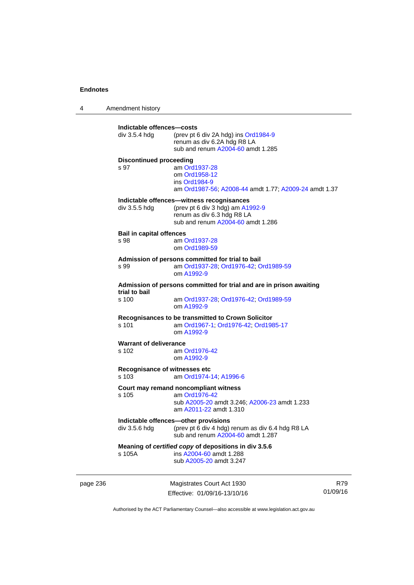4 Amendment history page 236 Magistrates Court Act 1930 01/09/16 **Indictable offences—costs**  div 3.5.4 hdg (prev pt 6 div 2A hdg) ins [Ord1984-9](http://www.legislation.act.gov.au/a/1984-9) renum as div 6.2A hdg R8 LA sub and renum [A2004-60](http://www.legislation.act.gov.au/a/2004-60) amdt 1.285 **Discontinued proceeding**  s 97 am [Ord1937-28](http://www.legislation.act.gov.au/a/1937-28) om [Ord1958-12](http://www.legislation.act.gov.au/a/1958-12) ins [Ord1984-9](http://www.legislation.act.gov.au/a/1984-9) am [Ord1987-56](http://www.legislation.act.gov.au/a/1987-56); [A2008-44](http://www.legislation.act.gov.au/a/2008-44) amdt 1.77; [A2009-24](http://www.legislation.act.gov.au/a/2009-24) amdt 1.37 **Indictable offences—witness recognisances**  div 3.5.5 hdg (prev pt 6 div 3 hdg) am [A1992-9](http://www.legislation.act.gov.au/a/1992-9) renum as div 6.3 hdg R8 LA sub and renum [A2004-60](http://www.legislation.act.gov.au/a/2004-60) amdt 1.286 **Bail in capital offences**  s 98 am [Ord1937-28](http://www.legislation.act.gov.au/a/1937-28) om [Ord1989-59](http://www.legislation.act.gov.au/a/1989-59) **Admission of persons committed for trial to bail**  s 99 am [Ord1937-28](http://www.legislation.act.gov.au/a/1937-28); [Ord1976-42](http://www.legislation.act.gov.au/a/1976-42); [Ord1989-59](http://www.legislation.act.gov.au/a/1989-59) om [A1992-9](http://www.legislation.act.gov.au/a/1992-9) **Admission of persons committed for trial and are in prison awaiting trial to bail**  am [Ord1937-28](http://www.legislation.act.gov.au/a/1937-28); [Ord1976-42;](http://www.legislation.act.gov.au/a/1976-42) [Ord1989-59](http://www.legislation.act.gov.au/a/1989-59) om [A1992-9](http://www.legislation.act.gov.au/a/1992-9) **Recognisances to be transmitted to Crown Solicitor**  s 101 am [Ord1967-1;](http://www.legislation.act.gov.au/a/1967-1) [Ord1976-42](http://www.legislation.act.gov.au/a/1976-42); [Ord1985-17](http://www.legislation.act.gov.au/a/1985-17) om [A1992-9](http://www.legislation.act.gov.au/a/1992-9) **Warrant of deliverance**  s 102 am [Ord1976-42](http://www.legislation.act.gov.au/a/1976-42) om [A1992-9](http://www.legislation.act.gov.au/a/1992-9) **Recognisance of witnesses etc**  am [Ord1974-14](http://www.legislation.act.gov.au/a/1974-14); [A1996-6](http://www.legislation.act.gov.au/a/1996-6) **Court may remand noncompliant witness**  s 105 am [Ord1976-42](http://www.legislation.act.gov.au/a/1976-42) sub [A2005-20](http://www.legislation.act.gov.au/a/2005-20) amdt 3.246; [A2006-23](http://www.legislation.act.gov.au/a/2006-23) amdt 1.233 am [A2011-22](http://www.legislation.act.gov.au/a/2011-22) amdt 1.310 **Indictable offences—other provisions**  div 3.5.6 hdg (prev pt 6 div 4 hdg) renum as div 6.4 hdg R8 LA sub and renum [A2004-60](http://www.legislation.act.gov.au/a/2004-60) amdt 1.287 **Meaning of** *certified copy* **of depositions in div 3.5.6**  s 105A ins [A2004-60](http://www.legislation.act.gov.au/a/2004-60) amdt 1.288 sub [A2005-20](http://www.legislation.act.gov.au/a/2005-20) amdt 3.247

Authorised by the ACT Parliamentary Counsel—also accessible at www.legislation.act.gov.au

R79

Effective: 01/09/16-13/10/16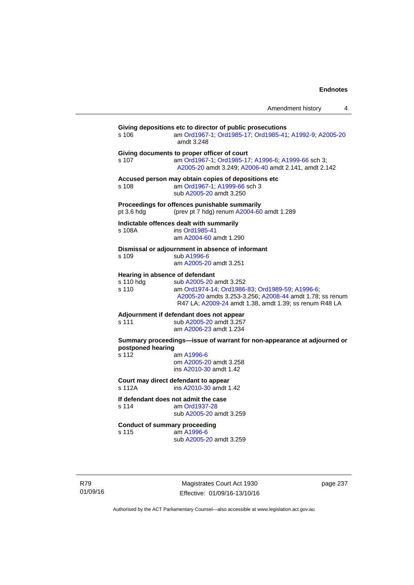| Amendment history |  |
|-------------------|--|
|                   |  |

| s 106              | Giving depositions etc to director of public prosecutions<br>am Ord1967-1; Ord1985-17; Ord1985-41; A1992-9; A2005-20<br>amdt 3.248                                                                                                  |
|--------------------|-------------------------------------------------------------------------------------------------------------------------------------------------------------------------------------------------------------------------------------|
| s 107              | Giving documents to proper officer of court<br>am Ord1967-1; Ord1985-17; A1996-6; A1999-66 sch 3;<br>A2005-20 amdt 3.249; A2006-40 amdt 2.141, amdt 2.142                                                                           |
| s 108              | Accused person may obtain copies of depositions etc<br>am Ord1967-1; A1999-66 sch 3<br>sub A2005-20 amdt 3.250                                                                                                                      |
| pt 3.6 hdg         | Proceedings for offences punishable summarily<br>(prev pt 7 hdg) renum A2004-60 amdt 1.289                                                                                                                                          |
| s 108A             | Indictable offences dealt with summarily<br>ins Ord1985-41<br>am A2004-60 amdt 1.290                                                                                                                                                |
| s 109              | Dismissal or adjournment in absence of informant<br>sub A1996-6<br>am A2005-20 amdt 3.251                                                                                                                                           |
| s 110 hdg<br>s 110 | Hearing in absence of defendant<br>sub A2005-20 amdt 3.252<br>am Ord1974-14; Ord1986-83; Ord1989-59; A1996-6;<br>A2005-20 amdts 3.253-3.256; A2008-44 amdt 1.78; ss renum<br>R47 LA; A2009-24 amdt 1.38, amdt 1.39; ss renum R48 LA |
| s 111              | Adjournment if defendant does not appear<br>sub A2005-20 amdt 3.257<br>am A2006-23 amdt 1.234                                                                                                                                       |
| postponed hearing  | Summary proceedings-issue of warrant for non-appearance at adjourned or                                                                                                                                                             |
| s 112              | am A1996-6<br>om A2005-20 amdt 3.258<br>ins A2010-30 amdt 1.42                                                                                                                                                                      |
| s 112A             | Court may direct defendant to appear<br>ins A2010-30 amdt 1.42                                                                                                                                                                      |
| s 114              | If defendant does not admit the case<br>am Ord1937-28<br>sub A2005-20 amdt 3.259                                                                                                                                                    |
| s 115              | <b>Conduct of summary proceeding</b><br>am A1996-6<br>sub A2005-20 amdt 3.259                                                                                                                                                       |

R79 01/09/16

Magistrates Court Act 1930 Effective: 01/09/16-13/10/16 page 237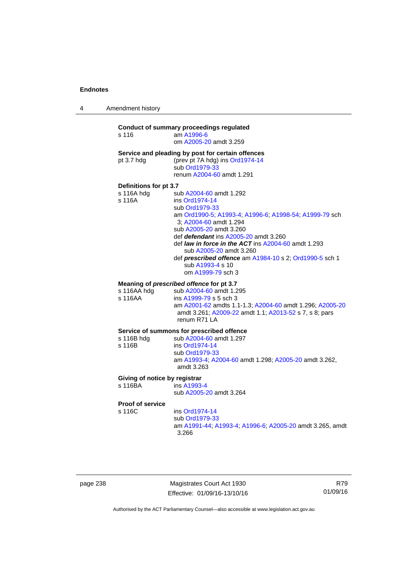4 Amendment history

# **Conduct of summary proceedings regulated**  s 116 am [A1996-6](http://www.legislation.act.gov.au/a/1996-6) om [A2005-20](http://www.legislation.act.gov.au/a/2005-20) amdt 3.259 **Service and pleading by post for certain offences**  pt 3.7 hdg (prev pt 7A hdg) ins [Ord1974-14](http://www.legislation.act.gov.au/a/1974-14) sub [Ord1979-33](http://www.legislation.act.gov.au/a/1979-33) renum [A2004-60](http://www.legislation.act.gov.au/a/2004-60) amdt 1.291 **Definitions for pt 3.7**  sub [A2004-60](http://www.legislation.act.gov.au/a/2004-60) amdt 1.292 s 116A ins [Ord1974-14](http://www.legislation.act.gov.au/a/1974-14) sub [Ord1979-33](http://www.legislation.act.gov.au/a/1979-33) am [Ord1990-5;](http://www.legislation.act.gov.au/a/alt_ord1990-5) [A1993-4](http://www.legislation.act.gov.au/a/1993-4); [A1996-6](http://www.legislation.act.gov.au/a/1996-6); [A1998-54](http://www.legislation.act.gov.au/a/1998-54); [A1999-79](http://www.legislation.act.gov.au/a/1999-79) sch 3; [A2004-60](http://www.legislation.act.gov.au/a/2004-60) amdt 1.294 sub [A2005-20](http://www.legislation.act.gov.au/a/2005-20) amdt 3.260 def *defendant* ins [A2005-20](http://www.legislation.act.gov.au/a/2005-20) amdt 3.260 def *law in force in the ACT* ins [A2004-60](http://www.legislation.act.gov.au/a/2004-60) amdt 1.293 sub [A2005-20](http://www.legislation.act.gov.au/a/2005-20) amdt 3.260 def *prescribed offence* am [A1984-10](http://www.legislation.act.gov.au/a/1984-10) s 2; [Ord1990-5](http://www.legislation.act.gov.au/a/alt_ord1990-5) sch 1 sub [A1993-4](http://www.legislation.act.gov.au/a/1993-4) s 10 om [A1999-79](http://www.legislation.act.gov.au/a/1999-79) sch 3 **Meaning of** *prescribed offence* **for pt 3.7**  s 116AA hdg sub [A2004-60](http://www.legislation.act.gov.au/a/2004-60) amdt 1.295 s 116AA ins [A1999-79](http://www.legislation.act.gov.au/a/1999-79) s 5 sch 3 am [A2001-62](http://www.legislation.act.gov.au/a/2001-62) amdts 1.1-1.3; [A2004-60](http://www.legislation.act.gov.au/a/2004-60) amdt 1.296; [A2005-20](http://www.legislation.act.gov.au/a/2005-20) amdt 3.261; [A2009-22](http://www.legislation.act.gov.au/a/2009-22) amdt 1.1; [A2013-52](http://www.legislation.act.gov.au/a/2013-52) s 7, s 8; pars renum R71 LA **Service of summons for prescribed offence**  s 116B hdg sub [A2004-60](http://www.legislation.act.gov.au/a/2004-60) amdt 1.297<br>s 116B ins Ord1974-14 ins [Ord1974-14](http://www.legislation.act.gov.au/a/1974-14) sub [Ord1979-33](http://www.legislation.act.gov.au/a/1979-33) am [A1993-4;](http://www.legislation.act.gov.au/a/1993-4) [A2004-60](http://www.legislation.act.gov.au/a/2004-60) amdt 1.298; [A2005-20](http://www.legislation.act.gov.au/a/2005-20) amdt 3.262, amdt 3.263 **Giving of notice by registrar**  s 116BA ins [A1993-4](http://www.legislation.act.gov.au/a/1993-4) sub [A2005-20](http://www.legislation.act.gov.au/a/2005-20) amdt 3.264

**Proof of service** 

s 116C ins [Ord1974-14](http://www.legislation.act.gov.au/a/1974-14) sub [Ord1979-33](http://www.legislation.act.gov.au/a/1979-33)

 am [A1991-44](http://www.legislation.act.gov.au/a/1991-44); [A1993-4](http://www.legislation.act.gov.au/a/1993-4); [A1996-6](http://www.legislation.act.gov.au/a/1996-6); [A2005-20](http://www.legislation.act.gov.au/a/2005-20) amdt 3.265, amdt 3.266

| page 238 |  |
|----------|--|
|----------|--|

page 238 Magistrates Court Act 1930 Effective: 01/09/16-13/10/16

R79 01/09/16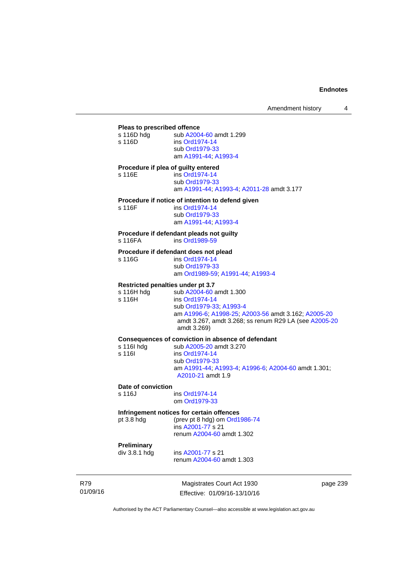| Pleas to prescribed offence<br>s 116D hdg<br>s 116D              | sub A2004-60 amdt 1.299<br>ins Ord1974-14<br>sub Ord1979-33<br>am A1991-44, A1993-4                                                                                                                 |
|------------------------------------------------------------------|-----------------------------------------------------------------------------------------------------------------------------------------------------------------------------------------------------|
| Procedure if plea of guilty entered<br>s 116E                    | ins Ord1974-14<br>sub Ord1979-33<br>am A1991-44; A1993-4; A2011-28 amdt 3.177                                                                                                                       |
| s 116F                                                           | Procedure if notice of intention to defend given<br>ins Ord1974-14<br>sub Ord1979-33<br>am A1991-44, A1993-4                                                                                        |
| s 116FA                                                          | Procedure if defendant pleads not guilty<br>ins Ord1989-59                                                                                                                                          |
| s 116G                                                           | Procedure if defendant does not plead<br>ins Ord1974-14<br>sub Ord1979-33<br>am Ord1989-59, A1991-44, A1993-4                                                                                       |
| <b>Restricted penalties under pt 3.7</b><br>s 116H hdg<br>s 116H | sub A2004-60 amdt 1.300<br>ins Ord1974-14<br>sub Ord1979-33, A1993-4<br>am A1996-6, A1998-25; A2003-56 amdt 3.162; A2005-20<br>amdt 3.267, amdt 3.268; ss renum R29 LA (see A2005-20<br>amdt 3.269) |
| s 116I hdg<br>s 116l                                             | Consequences of conviction in absence of defendant<br>sub A2005-20 amdt 3.270<br>ins Ord1974-14<br>sub Ord1979-33<br>am A1991-44; A1993-4; A1996-6; A2004-60 amdt 1.301;<br>A2010-21 amdt 1.9       |
| Date of conviction<br>s 116J                                     | ins Ord1974-14<br>om Ord1979-33                                                                                                                                                                     |
|                                                                  | Infringement notices for certain offences                                                                                                                                                           |

**Infringem**<br>pt 3.8 hdg (prev pt 8 hdg) om [Ord1986-74](http://www.legislation.act.gov.au/a/1986-74)

 ins [A2001-77](http://www.legislation.act.gov.au/a/2001-77) s 21 renum [A2004-60](http://www.legislation.act.gov.au/a/2004-60) amdt 1.302

# **Preliminary**

ins [A2001-77](http://www.legislation.act.gov.au/a/2001-77) s 21 renum [A2004-60](http://www.legislation.act.gov.au/a/2004-60) amdt 1.303

R79 01/09/16

Magistrates Court Act 1930 Effective: 01/09/16-13/10/16 page 239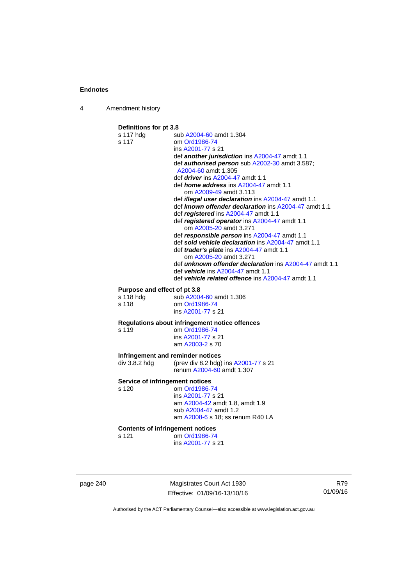4 Amendment history

# **Definitions for pt 3.8**  s 117 hdg sub [A2004-60](http://www.legislation.act.gov.au/a/2004-60) amdt 1.304 s 117 om [Ord1986-74](http://www.legislation.act.gov.au/a/1986-74) ins [A2001-77](http://www.legislation.act.gov.au/a/2001-77) s 21 def *another jurisdiction* ins [A2004-47](http://www.legislation.act.gov.au/a/2004-47) amdt 1.1 def *authorised person* sub [A2002-30](http://www.legislation.act.gov.au/a/2002-30) amdt 3.587; [A2004-60](http://www.legislation.act.gov.au/a/2004-60) amdt 1.305 def *driver* ins [A2004-47](http://www.legislation.act.gov.au/a/2004-47) amdt 1.1 def *home address* ins [A2004-47](http://www.legislation.act.gov.au/a/2004-47) amdt 1.1 om [A2009-49](http://www.legislation.act.gov.au/a/2009-49) amdt 3.113 def *illegal user declaration* ins [A2004-47](http://www.legislation.act.gov.au/a/2004-47) amdt 1.1 def *known offender declaration* ins [A2004-47](http://www.legislation.act.gov.au/a/2004-47) amdt 1.1 def *registered* ins [A2004-47](http://www.legislation.act.gov.au/a/2004-47) amdt 1.1 def *registered operator* ins [A2004-47](http://www.legislation.act.gov.au/a/2004-47) amdt 1.1 om [A2005-20](http://www.legislation.act.gov.au/a/2005-20) amdt 3.271 def *responsible person* ins [A2004-47](http://www.legislation.act.gov.au/a/2004-47) amdt 1.1 def *sold vehicle declaration* ins [A2004-47](http://www.legislation.act.gov.au/a/2004-47) amdt 1.1 def *trader's plate* ins [A2004-47](http://www.legislation.act.gov.au/a/2004-47) amdt 1.1 om [A2005-20](http://www.legislation.act.gov.au/a/2005-20) amdt 3.271 def *unknown offender declaration* ins [A2004-47](http://www.legislation.act.gov.au/a/2004-47) amdt 1.1 def *vehicle* ins [A2004-47](http://www.legislation.act.gov.au/a/2004-47) amdt 1.1 def *vehicle related offence* ins [A2004-47](http://www.legislation.act.gov.au/a/2004-47) amdt 1.1 **Purpose and effect of pt 3.8**<br>s 118 hdg sub A2004 sub [A2004-60](http://www.legislation.act.gov.au/a/2004-60) amdt 1.306 s 118 om [Ord1986-74](http://www.legislation.act.gov.au/a/1986-74) ins [A2001-77](http://www.legislation.act.gov.au/a/2001-77) s 21 **Regulations about infringement notice offences**  om [Ord1986-74](http://www.legislation.act.gov.au/a/1986-74) ins [A2001-77](http://www.legislation.act.gov.au/a/2001-77) s 21 am [A2003-2](http://www.legislation.act.gov.au/a/2003-2) s 70 **Infringement and reminder notices<br>
div 3.8.2 hdg (prev div 8.2 hdg)** (prev div 8.2 hdg) ins  $A2001-77$  s 21 renum [A2004-60](http://www.legislation.act.gov.au/a/2004-60) amdt 1.307 **Service of infringement notices**  s 120 om [Ord1986-74](http://www.legislation.act.gov.au/a/1986-74) ins [A2001-77](http://www.legislation.act.gov.au/a/2001-77) s 21 am [A2004-42](http://www.legislation.act.gov.au/a/2004-42) amdt 1.8, amdt 1.9 sub [A2004-47](http://www.legislation.act.gov.au/a/2004-47) amdt 1.2 am [A2008-6](http://www.legislation.act.gov.au/a/2008-6) s 18; ss renum R40 LA **Contents of infringement notices**  s 121 om [Ord1986-74](http://www.legislation.act.gov.au/a/1986-74) ins [A2001-77](http://www.legislation.act.gov.au/a/2001-77) s 21

page 240 Magistrates Court Act 1930 Effective: 01/09/16-13/10/16

R79 01/09/16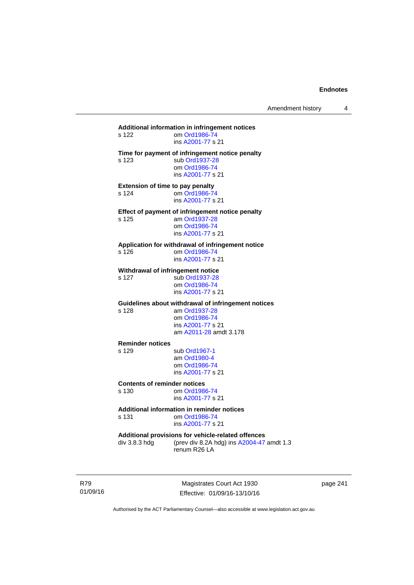# **Additional information in infringement notices**  om [Ord1986-74](http://www.legislation.act.gov.au/a/1986-74) ins [A2001-77](http://www.legislation.act.gov.au/a/2001-77) s 21 **Time for payment of infringement notice penalty**  s 123 sub [Ord1937-28](http://www.legislation.act.gov.au/a/1937-28) om [Ord1986-74](http://www.legislation.act.gov.au/a/1986-74) ins [A2001-77](http://www.legislation.act.gov.au/a/2001-77) s 21 **Extension of time to pay penalty**<br>s 124 om Ord1986-7 om [Ord1986-74](http://www.legislation.act.gov.au/a/1986-74) ins [A2001-77](http://www.legislation.act.gov.au/a/2001-77) s 21 **Effect of payment of infringement notice penalty**<br>s 125 am Ord1937-28 am [Ord1937-28](http://www.legislation.act.gov.au/a/1937-28) om [Ord1986-74](http://www.legislation.act.gov.au/a/1986-74) ins [A2001-77](http://www.legislation.act.gov.au/a/2001-77) s 21 **Application for withdrawal of infringement notice**  s 126 om [Ord1986-74](http://www.legislation.act.gov.au/a/1986-74) ins [A2001-77](http://www.legislation.act.gov.au/a/2001-77) s 21 **Withdrawal of infringement notice**<br>s 127 sub Ord1937-28 sub [Ord1937-28](http://www.legislation.act.gov.au/a/1937-28) om [Ord1986-74](http://www.legislation.act.gov.au/a/1986-74) ins [A2001-77](http://www.legislation.act.gov.au/a/2001-77) s 21 **Guidelines about withdrawal of infringement notices**  s 128 am [Ord1937-28](http://www.legislation.act.gov.au/a/1937-28) om [Ord1986-74](http://www.legislation.act.gov.au/a/1986-74) ins [A2001-77](http://www.legislation.act.gov.au/a/2001-77) s 21 am [A2011-28](http://www.legislation.act.gov.au/a/2011-28) amdt 3.178 **Reminder notices**  s 129 sub [Ord1967-1](http://www.legislation.act.gov.au/a/1967-1) am [Ord1980-4](http://www.legislation.act.gov.au/a/1980-4) om [Ord1986-74](http://www.legislation.act.gov.au/a/1986-74) ins [A2001-77](http://www.legislation.act.gov.au/a/2001-77) s 21 **Contents of reminder notices**  om [Ord1986-74](http://www.legislation.act.gov.au/a/1986-74) ins [A2001-77](http://www.legislation.act.gov.au/a/2001-77) s 21 **Additional information in reminder notices**  s 131 om [Ord1986-74](http://www.legislation.act.gov.au/a/1986-74) ins [A2001-77](http://www.legislation.act.gov.au/a/2001-77) s 21 **Additional provisions for vehicle-related offences**  div 3.8.3 hdg (prev div 8.2A hdg) ins [A2004-47](http://www.legislation.act.gov.au/a/2004-47) amdt 1.3 renum R26 LA

R79 01/09/16

Magistrates Court Act 1930 Effective: 01/09/16-13/10/16 page 241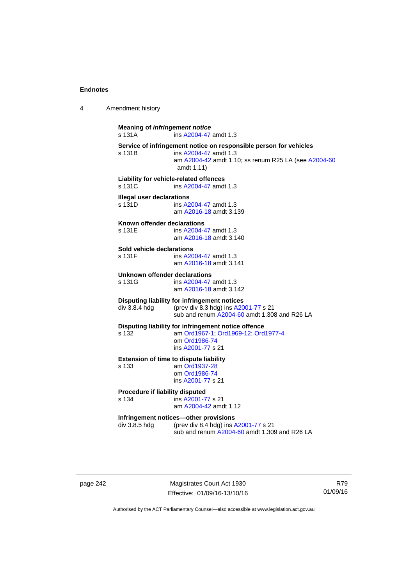4 Amendment history

**Meaning of** *infringement notice* s 131A ins [A2004-47](http://www.legislation.act.gov.au/a/2004-47) amdt 1.3 **Service of infringement notice on responsible person for vehicles**  ins [A2004-47](http://www.legislation.act.gov.au/a/2004-47) amdt 1.3 am [A2004-42](http://www.legislation.act.gov.au/a/2004-42) amdt 1.10; ss renum R25 LA (see [A2004-60](http://www.legislation.act.gov.au/a/2004-60) amdt 1.11) **Liability for vehicle-related offences**  s 131C ins [A2004-47](http://www.legislation.act.gov.au/a/2004-47) amdt 1.3 **Illegal user declarations**  s 131D ins [A2004-47](http://www.legislation.act.gov.au/a/2004-47) amdt 1.3 am [A2016-18](http://www.legislation.act.gov.au/a/2016-18/default.asp) amdt 3.139 **Known offender declarations**  s 131E ins [A2004-47](http://www.legislation.act.gov.au/a/2004-47) amdt 1.3 am [A2016-18](http://www.legislation.act.gov.au/a/2016-18/default.asp) amdt 3.140 **Sold vehicle declarations**  ins [A2004-47](http://www.legislation.act.gov.au/a/2004-47) amdt 1.3 am [A2016-18](http://www.legislation.act.gov.au/a/2016-18/default.asp) amdt 3.141 **Unknown offender declarations**  s 131G ins [A2004-47](http://www.legislation.act.gov.au/a/2004-47) amdt 1.3 am [A2016-18](http://www.legislation.act.gov.au/a/2016-18/default.asp) amdt 3.142 **Disputing liability for infringement notices**  div 3.8.4 hdg (prev div 8.3 hdg) ins [A2001-77](http://www.legislation.act.gov.au/a/2001-77) s 21 sub and renum [A2004-60](http://www.legislation.act.gov.au/a/2004-60) amdt 1.308 and R26 LA **Disputing liability for infringement notice offence**  s 132 am [Ord1967-1;](http://www.legislation.act.gov.au/a/1967-1) [Ord1969-12](http://www.legislation.act.gov.au/a/1969-12); [Ord1977-4](http://www.legislation.act.gov.au/a/1977-4) om [Ord1986-74](http://www.legislation.act.gov.au/a/1986-74) ins [A2001-77](http://www.legislation.act.gov.au/a/2001-77) s 21 **Extension of time to dispute liability**  s 133 am [Ord1937-28](http://www.legislation.act.gov.au/a/1937-28) om [Ord1986-74](http://www.legislation.act.gov.au/a/1986-74) ins [A2001-77](http://www.legislation.act.gov.au/a/2001-77) s 21 **Procedure if liability disputed**  s 134 ins [A2001-77](http://www.legislation.act.gov.au/a/2001-77) s 21 am [A2004-42](http://www.legislation.act.gov.au/a/2004-42) amdt 1.12 **Infringement notices—other provisions**  div 3.8.5 hdg (prev div 8.4 hdg) ins [A2001-77](http://www.legislation.act.gov.au/a/2001-77) s 21 sub and renum [A2004-60](http://www.legislation.act.gov.au/a/2004-60) amdt 1.309 and R26 LA

page 242 Magistrates Court Act 1930 Effective: 01/09/16-13/10/16

R79 01/09/16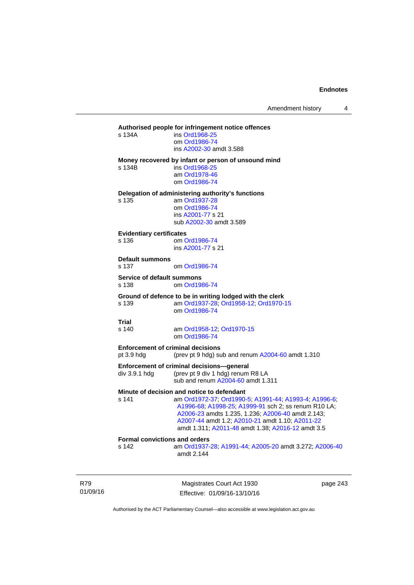# **Authorised people for infringement notice offences**

| s 134A | ins Ord1968-25          |
|--------|-------------------------|
|        | om Ord1986-74           |
|        | ins A2002-30 amdt 3.588 |
|        |                         |

#### **Money recovered by infant or person of unsound mind**

s 134B ins [Ord1968-25](http://www.legislation.act.gov.au/a/1968-25)

 am [Ord1978-46](http://www.legislation.act.gov.au/a/1978-46) om [Ord1986-74](http://www.legislation.act.gov.au/a/1986-74)

**Delegation of administering authority's functions** 

s 135 am [Ord1937-28](http://www.legislation.act.gov.au/a/1937-28) om [Ord1986-74](http://www.legislation.act.gov.au/a/1986-74) ins [A2001-77](http://www.legislation.act.gov.au/a/2001-77) s 21 sub [A2002-30](http://www.legislation.act.gov.au/a/2002-30) amdt 3.589

#### **Evidentiary certificates**

s 136 om [Ord1986-74](http://www.legislation.act.gov.au/a/1986-74) ins [A2001-77](http://www.legislation.act.gov.au/a/2001-77) s 21

#### **Default summons**

s 137 om [Ord1986-74](http://www.legislation.act.gov.au/a/1986-74)

#### **Service of default summons**

s 138 om [Ord1986-74](http://www.legislation.act.gov.au/a/1986-74)

#### **Ground of defence to be in writing lodged with the clerk**

s 139 am [Ord1937-28](http://www.legislation.act.gov.au/a/1937-28); [Ord1958-12;](http://www.legislation.act.gov.au/a/1958-12) [Ord1970-15](http://www.legislation.act.gov.au/a/1970-15) om [Ord1986-74](http://www.legislation.act.gov.au/a/1986-74)

# **Trial**

s 140 am [Ord1958-12](http://www.legislation.act.gov.au/a/1958-12); [Ord1970-15](http://www.legislation.act.gov.au/a/1970-15) om [Ord1986-74](http://www.legislation.act.gov.au/a/1986-74)

# **Enforcement of criminal decisions**

pt 3.9 hdg (prev pt 9 hdg) sub and renum [A2004-60](http://www.legislation.act.gov.au/a/2004-60) amdt 1.310

#### **Enforcement of criminal decisions—general**

div 3.9.1 hdg (prev pt 9 div 1 hdg) renum R8 LA sub and renum [A2004-60](http://www.legislation.act.gov.au/a/2004-60) amdt 1.311

## **Minute of decision and notice to defendant**

s 141 am [Ord1972-37](http://www.legislation.act.gov.au/a/1972-37); [Ord1990-5](http://www.legislation.act.gov.au/a/alt_ord1990-5); [A1991-44](http://www.legislation.act.gov.au/a/1991-44); [A1993-4](http://www.legislation.act.gov.au/a/1993-4); [A1996-6](http://www.legislation.act.gov.au/a/1996-6); [A1996-68;](http://www.legislation.act.gov.au/a/1996-68) [A1998-25](http://www.legislation.act.gov.au/a/1998-25); [A1999-91](http://www.legislation.act.gov.au/a/1999-91) sch 2; ss renum R10 LA; [A2006-23](http://www.legislation.act.gov.au/a/2006-23) amdts 1.235, 1.236; [A2006-40](http://www.legislation.act.gov.au/a/2006-40) amdt 2.143; [A2007-44](http://www.legislation.act.gov.au/a/2007-44) amdt 1.2; [A2010-21](http://www.legislation.act.gov.au/a/2010-21) amdt 1.10; [A2011-22](http://www.legislation.act.gov.au/a/2011-22) amdt 1.311; [A2011-48](http://www.legislation.act.gov.au/a/2011-48) amdt 1.38; [A2016-12](http://www.legislation.act.gov.au/a/2016-12/default.asp) amdt 3.5

# **Formal convictions and orders**

s 142 am [Ord1937-28](http://www.legislation.act.gov.au/a/1937-28); [A1991-44;](http://www.legislation.act.gov.au/a/1991-44) [A2005-20](http://www.legislation.act.gov.au/a/2005-20) amdt 3.272; [A2006-40](http://www.legislation.act.gov.au/a/2006-40) amdt 2.144

R79 01/09/16

Magistrates Court Act 1930 Effective: 01/09/16-13/10/16 page 243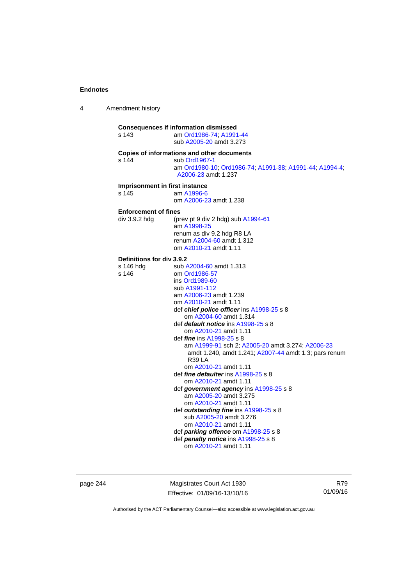4 Amendment history

| <b>Consequences if information dismissed</b><br>s 143<br>am Ord1986-74; A1991-44<br>sub A2005-20 amdt 3.273                                                                                                                                                                                                                                                                                                                                                                                                                                                                                                                                                                                                                                                  |                                                                                                           |
|--------------------------------------------------------------------------------------------------------------------------------------------------------------------------------------------------------------------------------------------------------------------------------------------------------------------------------------------------------------------------------------------------------------------------------------------------------------------------------------------------------------------------------------------------------------------------------------------------------------------------------------------------------------------------------------------------------------------------------------------------------------|-----------------------------------------------------------------------------------------------------------|
| Copies of informations and other documents<br>s 144<br>sub Ord1967-1<br>A2006-23 amdt 1.237                                                                                                                                                                                                                                                                                                                                                                                                                                                                                                                                                                                                                                                                  | am Ord1980-10; Ord1986-74; A1991-38; A1991-44; A1994-4;                                                   |
| Imprisonment in first instance<br>s 145<br>am A1996-6<br>om A2006-23 amdt 1.238                                                                                                                                                                                                                                                                                                                                                                                                                                                                                                                                                                                                                                                                              |                                                                                                           |
| <b>Enforcement of fines</b><br>(prev pt 9 div 2 hdg) sub A1994-61<br>div 3.9.2 hdg<br>am A1998-25<br>renum as div 9.2 hdg R8 LA<br>renum A2004-60 amdt 1.312<br>om A2010-21 amdt 1.11                                                                                                                                                                                                                                                                                                                                                                                                                                                                                                                                                                        |                                                                                                           |
| Definitions for div 3.9.2<br>s 146 hdg<br>sub A2004-60 amdt 1.313<br>s 146<br>om Ord1986-57<br>ins Ord1989-60<br>sub A1991-112<br>am A2006-23 amdt 1.239<br>om A2010-21 amdt 1.11<br>def chief police officer ins A1998-25 s 8<br>om A2004-60 amdt 1.314<br>def <i>default notice</i> ins A1998-25 s 8<br>om A2010-21 amdt 1.11<br>def <i>fine</i> ins A1998-25 s 8<br>R39 LA<br>om A2010-21 amdt 1.11<br>def <i>fine defaulter</i> ins A1998-25 s 8<br>om A2010-21 amdt 1.11<br>def government agency ins A1998-25 s 8<br>am A2005-20 amdt 3.275<br>om A2010-21 amdt 1.11<br>def outstanding fine ins A1998-25 s 8<br>sub A2005-20 amdt 3.276<br>om A2010-21 amdt 1.11<br>def <i>parking</i> offence om A1998-25 s 8<br>def penalty notice ins A1998-25 s 8 | am A1999-91 sch 2; A2005-20 amdt 3.274; A2006-23<br>amdt 1.240, amdt 1.241; A2007-44 amdt 1.3; pars renum |

page 244 Magistrates Court Act 1930 Effective: 01/09/16-13/10/16

R79 01/09/16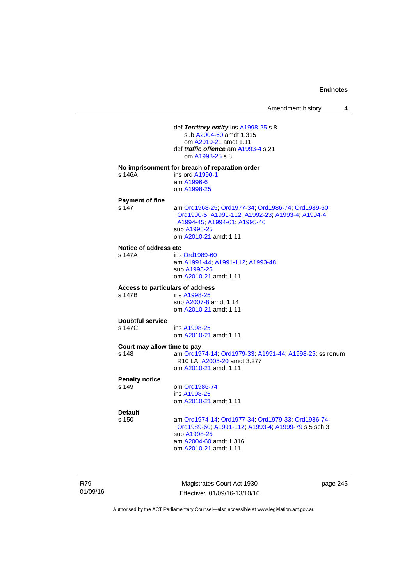| Amendment history |  |
|-------------------|--|
|-------------------|--|

 def *Territory entity* ins [A1998-25](http://www.legislation.act.gov.au/a/1998-25) s 8 sub [A2004-60](http://www.legislation.act.gov.au/a/2004-60) amdt 1.315 om [A2010-21](http://www.legislation.act.gov.au/a/2010-21) amdt 1.11 def *traffic offence* am [A1993-4](http://www.legislation.act.gov.au/a/1993-4) s 21 om [A1998-25](http://www.legislation.act.gov.au/a/1998-25) s 8 **No imprisonment for breach of reparation order**  s 146A ins ord [A1990-1](http://www.legislation.act.gov.au/a/alt_ord1990-1) am [A1996-6](http://www.legislation.act.gov.au/a/1996-6) om [A1998-25](http://www.legislation.act.gov.au/a/1998-25) **Payment of fine**  s 147 am [Ord1968-25](http://www.legislation.act.gov.au/a/1968-25); [Ord1977-34](http://www.legislation.act.gov.au/a/1977-34); [Ord1986-74](http://www.legislation.act.gov.au/a/1986-74); [Ord1989-60](http://www.legislation.act.gov.au/a/1989-60); [Ord1990-5;](http://www.legislation.act.gov.au/a/alt_ord1990-5) [A1991-112;](http://www.legislation.act.gov.au/a/1991-112) [A1992-23](http://www.legislation.act.gov.au/a/1992-23); [A1993-4](http://www.legislation.act.gov.au/a/1993-4); [A1994-4](http://www.legislation.act.gov.au/a/1994-4); [A1994-45;](http://www.legislation.act.gov.au/a/1994-45) [A1994-61](http://www.legislation.act.gov.au/a/1994-61); [A1995-46](http://www.legislation.act.gov.au/a/1995-46) sub [A1998-25](http://www.legislation.act.gov.au/a/1998-25) om [A2010-21](http://www.legislation.act.gov.au/a/2010-21) amdt 1.11 **Notice of address etc**  s 147A ins [Ord1989-60](http://www.legislation.act.gov.au/a/1989-60) am [A1991-44](http://www.legislation.act.gov.au/a/1991-44); [A1991-112](http://www.legislation.act.gov.au/a/1991-112); [A1993-48](http://www.legislation.act.gov.au/a/1993-48) sub [A1998-25](http://www.legislation.act.gov.au/a/1998-25) om [A2010-21](http://www.legislation.act.gov.au/a/2010-21) amdt 1.11 **Access to particulars of address**  ins [A1998-25](http://www.legislation.act.gov.au/a/1998-25) sub [A2007-8](http://www.legislation.act.gov.au/a/2007-8) amdt 1.14 om [A2010-21](http://www.legislation.act.gov.au/a/2010-21) amdt 1.11 **Doubtful service**  s 147C ins [A1998-25](http://www.legislation.act.gov.au/a/1998-25) om [A2010-21](http://www.legislation.act.gov.au/a/2010-21) amdt 1.11 **Court may allow time to pay**  s 148 am [Ord1974-14](http://www.legislation.act.gov.au/a/1974-14); [Ord1979-33](http://www.legislation.act.gov.au/a/1979-33); [A1991-44](http://www.legislation.act.gov.au/a/1991-44); [A1998-25](http://www.legislation.act.gov.au/a/1998-25); ss renum R10 LA; [A2005-20](http://www.legislation.act.gov.au/a/2005-20) amdt 3.277 om [A2010-21](http://www.legislation.act.gov.au/a/2010-21) amdt 1.11 **Penalty notice**  om [Ord1986-74](http://www.legislation.act.gov.au/a/1986-74) ins [A1998-25](http://www.legislation.act.gov.au/a/1998-25) om [A2010-21](http://www.legislation.act.gov.au/a/2010-21) amdt 1.11 **Default**  s 150 am [Ord1974-14](http://www.legislation.act.gov.au/a/1974-14); [Ord1977-34](http://www.legislation.act.gov.au/a/1977-34); [Ord1979-33](http://www.legislation.act.gov.au/a/1979-33); [Ord1986-74](http://www.legislation.act.gov.au/a/1986-74); [Ord1989-60](http://www.legislation.act.gov.au/a/1989-60); [A1991-112](http://www.legislation.act.gov.au/a/1991-112); [A1993-4](http://www.legislation.act.gov.au/a/1993-4); [A1999-79](http://www.legislation.act.gov.au/a/1999-79) s 5 sch 3 sub [A1998-25](http://www.legislation.act.gov.au/a/1998-25) am [A2004-60](http://www.legislation.act.gov.au/a/2004-60) amdt 1.316 om [A2010-21](http://www.legislation.act.gov.au/a/2010-21) amdt 1.11

R79 01/09/16

Magistrates Court Act 1930 Effective: 01/09/16-13/10/16 page 245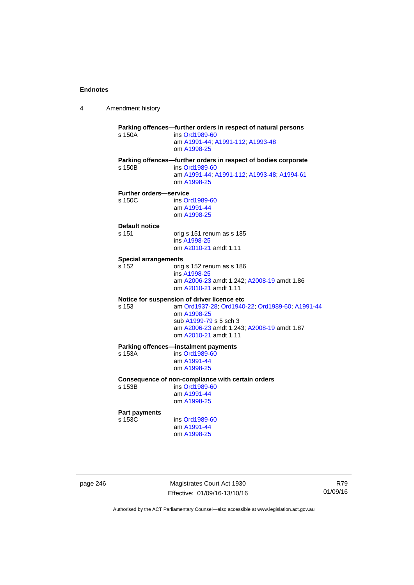4 Amendment history

**Parking offences—further orders in respect of natural persons**  s 150A ins [Ord1989-60](http://www.legislation.act.gov.au/a/1989-60) am [A1991-44](http://www.legislation.act.gov.au/a/1991-44); [A1991-112](http://www.legislation.act.gov.au/a/1991-112); [A1993-48](http://www.legislation.act.gov.au/a/1993-48) om [A1998-25](http://www.legislation.act.gov.au/a/1998-25) **Parking offences—further orders in respect of bodies corporate**  s 150B ins [Ord1989-60](http://www.legislation.act.gov.au/a/1989-60) am [A1991-44](http://www.legislation.act.gov.au/a/1991-44); [A1991-112](http://www.legislation.act.gov.au/a/1991-112); [A1993-48](http://www.legislation.act.gov.au/a/1993-48); [A1994-61](http://www.legislation.act.gov.au/a/1994-61) om [A1998-25](http://www.legislation.act.gov.au/a/1998-25) **Further orders—service**  s 150C ins [Ord1989-60](http://www.legislation.act.gov.au/a/1989-60) am [A1991-44](http://www.legislation.act.gov.au/a/1991-44) om [A1998-25](http://www.legislation.act.gov.au/a/1998-25) **Default notice**  s 151 orig s 151 renum as s 185 ins [A1998-25](http://www.legislation.act.gov.au/a/1998-25) om [A2010-21](http://www.legislation.act.gov.au/a/2010-21) amdt 1.11 **Special arrangements**  s 152 orig s 152 renum as s 186 ins [A1998-25](http://www.legislation.act.gov.au/a/1998-25) am [A2006-23](http://www.legislation.act.gov.au/a/2006-23) amdt 1.242; [A2008-19](http://www.legislation.act.gov.au/a/2008-19) amdt 1.86 om [A2010-21](http://www.legislation.act.gov.au/a/2010-21) amdt 1.11 **Notice for suspension of driver licence etc**  s 153 am [Ord1937-28](http://www.legislation.act.gov.au/a/1937-28); [Ord1940-22](http://www.legislation.act.gov.au/a/1940-22); [Ord1989-60](http://www.legislation.act.gov.au/a/1989-60); [A1991-44](http://www.legislation.act.gov.au/a/1991-44) om [A1998-25](http://www.legislation.act.gov.au/a/1998-25) sub [A1999-79](http://www.legislation.act.gov.au/a/1999-79) s 5 sch 3 am [A2006-23](http://www.legislation.act.gov.au/a/2006-23) amdt 1.243; [A2008-19](http://www.legislation.act.gov.au/a/2008-19) amdt 1.87 om [A2010-21](http://www.legislation.act.gov.au/a/2010-21) amdt 1.11 **Parking offences—instalment payments**<br>s 153A **ins Ord1989-60** ins [Ord1989-60](http://www.legislation.act.gov.au/a/1989-60) am [A1991-44](http://www.legislation.act.gov.au/a/1991-44) om [A1998-25](http://www.legislation.act.gov.au/a/1998-25) **Consequence of non-compliance with certain orders**  ins [Ord1989-60](http://www.legislation.act.gov.au/a/1989-60) am [A1991-44](http://www.legislation.act.gov.au/a/1991-44) om [A1998-25](http://www.legislation.act.gov.au/a/1998-25) **Part payments**  s 153C ins [Ord1989-60](http://www.legislation.act.gov.au/a/1989-60) am [A1991-44](http://www.legislation.act.gov.au/a/1991-44) om [A1998-25](http://www.legislation.act.gov.au/a/1998-25)

page 246 Magistrates Court Act 1930 Effective: 01/09/16-13/10/16

R79 01/09/16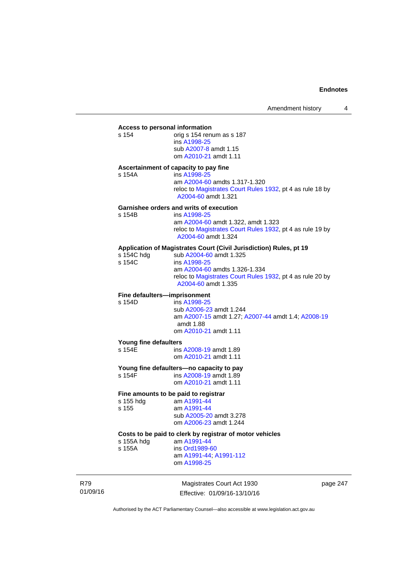# **Access to personal information**

orig s 154 renum as s 187 ins [A1998-25](http://www.legislation.act.gov.au/a/1998-25) sub [A2007-8](http://www.legislation.act.gov.au/a/2007-8) amdt 1.15 om [A2010-21](http://www.legislation.act.gov.au/a/2010-21) amdt 1.11

## **Ascertainment of capacity to pay fine**

s 154A ins [A1998-25](http://www.legislation.act.gov.au/a/1998-25) am [A2004-60](http://www.legislation.act.gov.au/a/2004-60) amdts 1.317-1.320 reloc to [Magistrates Court Rules 1932](http://www.legislation.act.gov.au/sl/1932-4/default.asp), pt 4 as rule 18 by [A2004-60](http://www.legislation.act.gov.au/a/2004-60) amdt 1.321

#### **Garnishee orders and writs of execution**

| s 154B | ins A1998-25                                                                     |
|--------|----------------------------------------------------------------------------------|
|        | am A2004-60 amdt 1.322, amdt 1.323                                               |
|        | reloc to Magistrates Court Rules 1932, pt 4 as rule 19 by<br>A2004-60 amdt 1.324 |

# **Application of Magistrates Court (Civil Jurisdiction) Rules, pt 19**

| s 154C hdg | sub A2004-60 amdt 1.325                                                          |
|------------|----------------------------------------------------------------------------------|
| s 154C     | ins A1998-25                                                                     |
|            | am A2004-60 amdts 1.326-1.334                                                    |
|            | reloc to Magistrates Court Rules 1932, pt 4 as rule 20 by<br>A2004-60 amdt 1.335 |
|            |                                                                                  |

# **Fine defaulters—imprisonment**<br>s 154D **ins A1998-25**

ins [A1998-25](http://www.legislation.act.gov.au/a/1998-25) sub [A2006-23](http://www.legislation.act.gov.au/a/2006-23) amdt 1.244 am [A2007-15](http://www.legislation.act.gov.au/a/2007-15) amdt 1.27; [A2007-44](http://www.legislation.act.gov.au/a/2007-44) amdt 1.4; [A2008-19](http://www.legislation.act.gov.au/a/2008-19) amdt 1.88 om [A2010-21](http://www.legislation.act.gov.au/a/2010-21) amdt 1.11

#### **Young fine defaulters**

s 154E **ins [A2008-19](http://www.legislation.act.gov.au/a/2008-19)** amdt 1.89 om [A2010-21](http://www.legislation.act.gov.au/a/2010-21) amdt 1.11

# **Young fine defaulters—no capacity to pay**<br>s 154F **ins A2008-19** amdt 1.89

ins [A2008-19](http://www.legislation.act.gov.au/a/2008-19) amdt 1.89 om [A2010-21](http://www.legislation.act.gov.au/a/2010-21) amdt 1.11

# **Fine amounts to be paid to registrar**

| s 155 hdg | am A1991-44             |
|-----------|-------------------------|
| s 155     | am A1991-44             |
|           | sub A2005-20 amdt 3.278 |
|           | om A2006-23 amdt 1.244  |
|           |                         |

# **Costs to be paid to clerk by registrar of motor vehicles**

am [A1991-44](http://www.legislation.act.gov.au/a/1991-44) s 155A ins [Ord1989-60](http://www.legislation.act.gov.au/a/1989-60)

am [A1991-44](http://www.legislation.act.gov.au/a/1991-44); [A1991-112](http://www.legislation.act.gov.au/a/1991-112)

om [A1998-25](http://www.legislation.act.gov.au/a/1998-25)

R79 01/09/16

Magistrates Court Act 1930 Effective: 01/09/16-13/10/16 page 247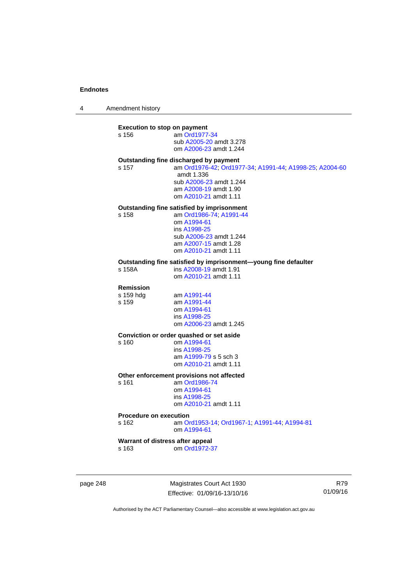4 Amendment history

## **Execution to stop on payment**

| s 156 | am Ord1977-34           |
|-------|-------------------------|
|       | sub A2005-20 amdt 3.278 |
|       | om A2006-23 amdt 1.244  |

# **Outstanding fine discharged by payment**

s 157 am [Ord1976-42](http://www.legislation.act.gov.au/a/1976-42); [Ord1977-34](http://www.legislation.act.gov.au/a/1977-34); [A1991-44](http://www.legislation.act.gov.au/a/1991-44); [A1998-25](http://www.legislation.act.gov.au/a/1998-25); [A2004-60](http://www.legislation.act.gov.au/a/2004-60) amdt 1.336 sub [A2006-23](http://www.legislation.act.gov.au/a/2006-23) amdt 1.244 am [A2008-19](http://www.legislation.act.gov.au/a/2008-19) amdt 1.90 om [A2010-21](http://www.legislation.act.gov.au/a/2010-21) amdt 1.11

## **Outstanding fine satisfied by imprisonment**

s 158 am [Ord1986-74](http://www.legislation.act.gov.au/a/1986-74); [A1991-44](http://www.legislation.act.gov.au/a/1991-44)

 om [A1994-61](http://www.legislation.act.gov.au/a/1994-61) ins [A1998-25](http://www.legislation.act.gov.au/a/1998-25) sub [A2006-23](http://www.legislation.act.gov.au/a/2006-23) amdt 1.244 am [A2007-15](http://www.legislation.act.gov.au/a/2007-15) amdt 1.28 om [A2010-21](http://www.legislation.act.gov.au/a/2010-21) amdt 1.11

# **Outstanding fine satisfied by imprisonment—young fine defaulter**

ins [A2008-19](http://www.legislation.act.gov.au/a/2008-19) amdt 1.91 om [A2010-21](http://www.legislation.act.gov.au/a/2010-21) amdt 1.11

# **Remission**

s 159 hdg am [A1991-44](http://www.legislation.act.gov.au/a/1991-44)<br>s 159 am A1991-44 am [A1991-44](http://www.legislation.act.gov.au/a/1991-44) om [A1994-61](http://www.legislation.act.gov.au/a/1994-61) ins [A1998-25](http://www.legislation.act.gov.au/a/1998-25) om [A2006-23](http://www.legislation.act.gov.au/a/2006-23) amdt 1.245

#### **Conviction or order quashed or set aside**

s 160 om [A1994-61](http://www.legislation.act.gov.au/a/1994-61) ins [A1998-25](http://www.legislation.act.gov.au/a/1998-25) am [A1999-79](http://www.legislation.act.gov.au/a/1999-79) s 5 sch 3 om [A2010-21](http://www.legislation.act.gov.au/a/2010-21) amdt 1.11

## **Other enforcement provisions not affected**

s 161 am [Ord1986-74](http://www.legislation.act.gov.au/a/1986-74) om [A1994-61](http://www.legislation.act.gov.au/a/1994-61) ins [A1998-25](http://www.legislation.act.gov.au/a/1998-25) om [A2010-21](http://www.legislation.act.gov.au/a/2010-21) amdt 1.11

### **Procedure on execution**

s 162 am [Ord1953-14](http://www.legislation.act.gov.au/a/1953-14); [Ord1967-1](http://www.legislation.act.gov.au/a/1967-1); [A1991-44](http://www.legislation.act.gov.au/a/1991-44); [A1994-81](http://www.legislation.act.gov.au/a/1994-81) om [A1994-61](http://www.legislation.act.gov.au/a/1994-61)

# **Warrant of distress after appeal**

s 163 om [Ord1972-37](http://www.legislation.act.gov.au/a/1972-37)

page 248 Magistrates Court Act 1930 Effective: 01/09/16-13/10/16

R79 01/09/16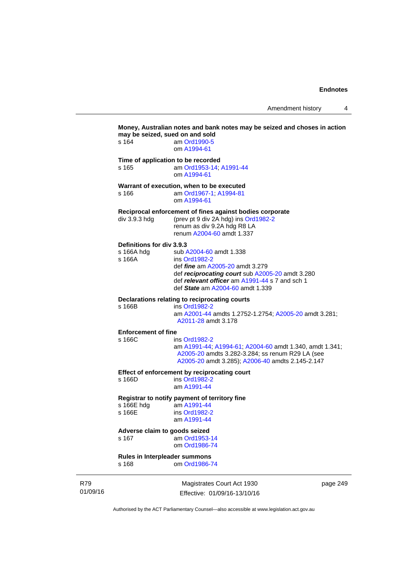Amendment history 4

|                 | s 164                                             | Money, Australian notes and bank notes may be seized and choses in action<br>may be seized, sued on and sold<br>am Ord1990-5<br>om A1994-61                                                                                 |
|-----------------|---------------------------------------------------|-----------------------------------------------------------------------------------------------------------------------------------------------------------------------------------------------------------------------------|
|                 | s 165                                             | Time of application to be recorded<br>am Ord1953-14; A1991-44<br>om A1994-61                                                                                                                                                |
|                 | s 166                                             | Warrant of execution, when to be executed<br>am Ord1967-1; A1994-81<br>om A1994-61                                                                                                                                          |
|                 | div 3.9.3 hdg                                     | Reciprocal enforcement of fines against bodies corporate<br>(prev pt 9 div 2A hdg) ins Ord1982-2<br>renum as div 9.2A hdg R8 LA<br>renum A2004-60 amdt 1.337                                                                |
|                 | Definitions for div 3.9.3<br>s 166A hdg<br>s 166A | sub A2004-60 amdt 1.338<br>ins Ord1982-2<br>def <i>fine</i> am A2005-20 amdt 3.279<br>def reciprocating court sub A2005-20 amdt 3.280<br>def relevant officer am A1991-44 s 7 and sch 1<br>def State am A2004-60 amdt 1.339 |
|                 | s 166B                                            | Declarations relating to reciprocating courts<br>ins Ord1982-2<br>am A2001-44 amdts 1.2752-1.2754; A2005-20 amdt 3.281;<br>A2011-28 amdt 3.178                                                                              |
|                 | <b>Enforcement of fine</b><br>s 166C              | ins Ord1982-2<br>am A1991-44; A1994-61; A2004-60 amdt 1.340, amdt 1.341;<br>A2005-20 amdts 3.282-3.284; ss renum R29 LA (see<br>A2005-20 amdt 3.285); A2006-40 amdts 2.145-2.147                                            |
|                 | s 166D                                            | Effect of enforcement by reciprocating court<br>ins Ord1982-2<br>am A1991-44                                                                                                                                                |
|                 | s 166E hdg<br>s 166E                              | Registrar to notify payment of territory fine<br>am A1991-44<br>ins Ord1982-2<br>am A1991-44                                                                                                                                |
|                 | Adverse claim to goods seized<br>s 167            | am Ord1953-14<br>om Ord1986-74                                                                                                                                                                                              |
|                 | Rules in Interpleader summons<br>s 168            | om Ord1986-74                                                                                                                                                                                                               |
| R79<br>01/09/16 |                                                   | Magistrates Court Act 1930<br>page 249<br>Effective: 01/09/16-13/10/16                                                                                                                                                      |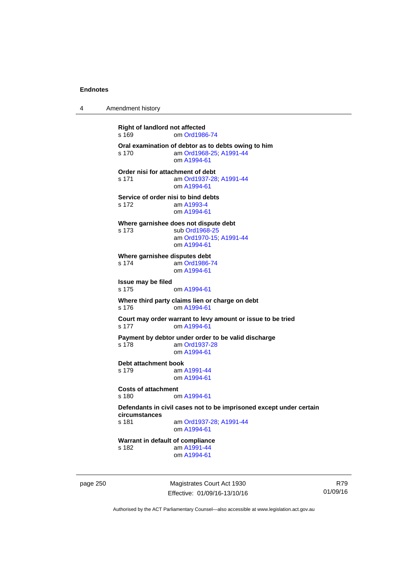4 Amendment history

**Right of landlord not affected**  s 169 om [Ord1986-74](http://www.legislation.act.gov.au/a/1986-74) **Oral examination of debtor as to debts owing to him**  s 170 am [Ord1968-25](http://www.legislation.act.gov.au/a/1968-25); [A1991-44](http://www.legislation.act.gov.au/a/1991-44) om [A1994-61](http://www.legislation.act.gov.au/a/1994-61) **Order nisi for attachment of debt**  s 171 am [Ord1937-28](http://www.legislation.act.gov.au/a/1937-28); [A1991-44](http://www.legislation.act.gov.au/a/1991-44) om [A1994-61](http://www.legislation.act.gov.au/a/1994-61) **Service of order nisi to bind debts**  s 172 am [A1993-4](http://www.legislation.act.gov.au/a/1993-4) om [A1994-61](http://www.legislation.act.gov.au/a/1994-61) **Where garnishee does not dispute debt**  s 173 sub [Ord1968-25](http://www.legislation.act.gov.au/a/1968-25) am [Ord1970-15](http://www.legislation.act.gov.au/a/1970-15); [A1991-44](http://www.legislation.act.gov.au/a/1991-44) om [A1994-61](http://www.legislation.act.gov.au/a/1994-61) **Where garnishee disputes debt**  s 174 am [Ord1986-74](http://www.legislation.act.gov.au/a/1986-74) om [A1994-61](http://www.legislation.act.gov.au/a/1994-61) **Issue may be filed**  s 175 om [A1994-61](http://www.legislation.act.gov.au/a/1994-61) **Where third party claims lien or charge on debt**  s 176 om [A1994-61](http://www.legislation.act.gov.au/a/1994-61) **Court may order warrant to levy amount or issue to be tried**  s 177 om [A1994-61](http://www.legislation.act.gov.au/a/1994-61) **Payment by debtor under order to be valid discharge**  s 178 am [Ord1937-28](http://www.legislation.act.gov.au/a/1937-28) om [A1994-61](http://www.legislation.act.gov.au/a/1994-61) **Debt attachment book**  s 179 am [A1991-44](http://www.legislation.act.gov.au/a/1991-44) om [A1994-61](http://www.legislation.act.gov.au/a/1994-61) **Costs of attachment**  s 180 om [A1994-61](http://www.legislation.act.gov.au/a/1994-61) **Defendants in civil cases not to be imprisoned except under certain circumstances**  am [Ord1937-28](http://www.legislation.act.gov.au/a/1937-28); [A1991-44](http://www.legislation.act.gov.au/a/1991-44) om [A1994-61](http://www.legislation.act.gov.au/a/1994-61) **Warrant in default of compliance**  s 182 am [A1991-44](http://www.legislation.act.gov.au/a/1991-44) om [A1994-61](http://www.legislation.act.gov.au/a/1994-61)

page 250 Magistrates Court Act 1930 Effective: 01/09/16-13/10/16

R79 01/09/16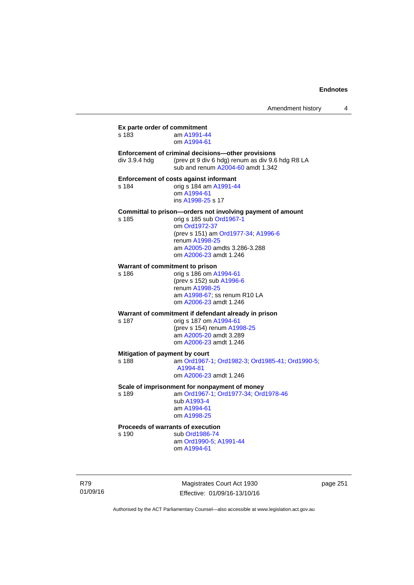|               | Magistrates Court Act 1930                                                                    |  |
|---------------|-----------------------------------------------------------------------------------------------|--|
|               | am Ord1990-5; A1991-44<br>om A1994-61                                                         |  |
| s 190         | Proceeds of warrants of execution<br>sub Ord1986-74                                           |  |
|               | om A1998-25                                                                                   |  |
|               | am A1994-61                                                                                   |  |
| s 189         | am Ord1967-1, Ord1977-34, Ord1978-46<br>sub A1993-4                                           |  |
|               | Scale of imprisonment for nonpayment of money                                                 |  |
|               | om A2006-23 amdt 1.246                                                                        |  |
| s 188         | Mitigation of payment by court<br>am Ord1967-1; Ord1982-3; Ord1985-41; Ord1990-5;<br>A1994-81 |  |
|               | om A2006-23 amdt 1.246                                                                        |  |
|               | am A2005-20 amdt 3.289                                                                        |  |
|               | orig s 187 om A1994-61<br>(prev s 154) renum A1998-25                                         |  |
| s 187         | Warrant of commitment if defendant already in prison                                          |  |
|               | om A2006-23 amdt 1.246                                                                        |  |
|               | am A1998-67; ss renum R10 LA                                                                  |  |
|               | renum A1998-25                                                                                |  |
| s 186         | orig s 186 om A1994-61<br>(prev s 152) sub A1996-6                                            |  |
|               | Warrant of commitment to prison                                                               |  |
|               | om A2006-23 amdt 1.246                                                                        |  |
|               | am A2005-20 amdts 3.286-3.288                                                                 |  |
|               | renum A1998-25                                                                                |  |
|               | om Ord1972-37<br>(prev s 151) am Ord1977-34; A1996-6                                          |  |
| s 185         | orig s 185 sub Ord1967-1                                                                      |  |
|               | Committal to prison-orders not involving payment of amount                                    |  |
|               | ins A1998-25 s 17                                                                             |  |
| s 184         | orig s 184 am A1991-44<br>om A1994-61                                                         |  |
|               | Enforcement of costs against informant                                                        |  |
|               | sub and renum A2004-60 amdt 1.342                                                             |  |
| div 3.9.4 hdg | (prev pt 9 div 6 hdg) renum as div 9.6 hdg R8 LA                                              |  |
|               | Enforcement of criminal decisions-other provisions                                            |  |
|               | om A1994-61                                                                                   |  |
| s 183         | am A1991-44                                                                                   |  |

Authorised by the ACT Parliamentary Counsel—also accessible at www.legislation.act.gov.au

Effective: 01/09/16-13/10/16

R79 01/09/16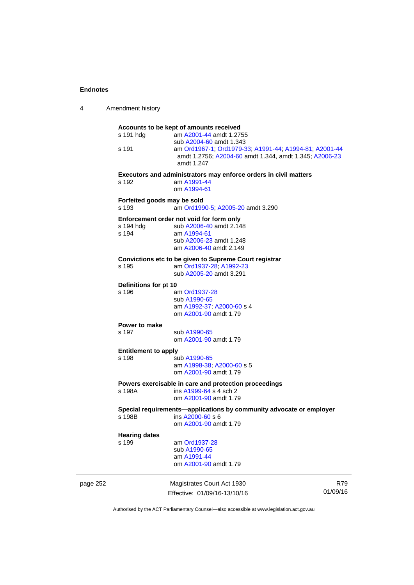| 4        | Amendment history                    |                                                                                                                                                         |                 |
|----------|--------------------------------------|---------------------------------------------------------------------------------------------------------------------------------------------------------|-----------------|
|          | s 191 hdg<br>s 191                   | Accounts to be kept of amounts received<br>am A2001-44 amdt 1.2755<br>sub A2004-60 amdt 1.343<br>am Ord1967-1, Ord1979-33, A1991-44, A1994-81, A2001-44 |                 |
|          |                                      | amdt 1.2756; A2004-60 amdt 1.344, amdt 1.345; A2006-23<br>amdt 1.247                                                                                    |                 |
|          | s 192                                | Executors and administrators may enforce orders in civil matters<br>am A1991-44<br>om A1994-61                                                          |                 |
|          | Forfeited goods may be sold<br>s 193 | am Ord1990-5; A2005-20 amdt 3.290                                                                                                                       |                 |
|          | s 194 hdg<br>s 194                   | Enforcement order not void for form only<br>sub A2006-40 amdt 2.148<br>am A1994-61<br>sub A2006-23 amdt 1.248<br>am A2006-40 amdt 2.149                 |                 |
|          | s 195                                | Convictions etc to be given to Supreme Court registrar<br>am Ord1937-28; A1992-23<br>sub A2005-20 amdt 3.291                                            |                 |
|          | Definitions for pt 10<br>s 196       | am Ord1937-28                                                                                                                                           |                 |
|          |                                      | sub A1990-65<br>am A1992-37, A2000-60 s 4<br>om A2001-90 amdt 1.79                                                                                      |                 |
|          | Power to make<br>s 197               | sub A1990-65<br>om A2001-90 amdt 1.79                                                                                                                   |                 |
|          | <b>Entitlement to apply</b><br>s 198 | sub A1990-65<br>am A1998-38, A2000-60 s 5<br>om A2001-90 amdt 1.79                                                                                      |                 |
|          | s 198A                               | Powers exercisable in care and protection proceedings<br>ins A1999-64 s 4 sch 2<br>om A2001-90 amdt 1.79                                                |                 |
|          | s 198B                               | Special requirements-applications by community advocate or employer<br>ins A2000-60 s 6<br>om A2001-90 amdt 1.79                                        |                 |
|          | <b>Hearing dates</b><br>s 199        | am Ord1937-28<br>sub A1990-65<br>am A1991-44<br>om A2001-90 amdt 1.79                                                                                   |                 |
| page 252 |                                      | Magistrates Court Act 1930<br>Effective: 01/09/16-13/10/16                                                                                              | R79<br>01/09/16 |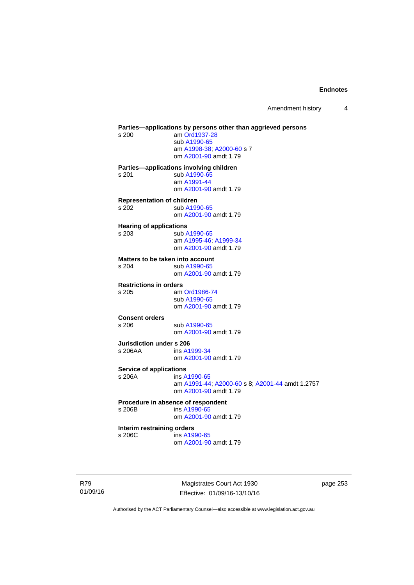Amendment history 4

**Parties—applications by persons other than aggrieved persons <br>s 200 am Ord1937-28** am [Ord1937-28](http://www.legislation.act.gov.au/a/1937-28) sub [A1990-65](http://www.legislation.act.gov.au/a/1990-65) am [A1998-38](http://www.legislation.act.gov.au/a/1998-38); [A2000-60](http://www.legislation.act.gov.au/a/2000-60) s 7 om [A2001-90](http://www.legislation.act.gov.au/a/2001-90) amdt 1.79 **Parties—applications involving children**  s 201 sub [A1990-65](http://www.legislation.act.gov.au/a/1990-65) am [A1991-44](http://www.legislation.act.gov.au/a/1991-44) om [A2001-90](http://www.legislation.act.gov.au/a/2001-90) amdt 1.79 **Representation of children**  s 202 sub [A1990-65](http://www.legislation.act.gov.au/a/1990-65) om [A2001-90](http://www.legislation.act.gov.au/a/2001-90) amdt 1.79 **Hearing of applications**  s 203 sub [A1990-65](http://www.legislation.act.gov.au/a/1990-65) am [A1995-46](http://www.legislation.act.gov.au/a/1995-46); [A1999-34](http://www.legislation.act.gov.au/a/1999-34) om [A2001-90](http://www.legislation.act.gov.au/a/2001-90) amdt 1.79 **Matters to be taken into account**  s 204 sub [A1990-65](http://www.legislation.act.gov.au/a/1990-65) om [A2001-90](http://www.legislation.act.gov.au/a/2001-90) amdt 1.79 **Restrictions in orders**  s 205 am [Ord1986-74](http://www.legislation.act.gov.au/a/1986-74) sub [A1990-65](http://www.legislation.act.gov.au/a/1990-65) om [A2001-90](http://www.legislation.act.gov.au/a/2001-90) amdt 1.79 **Consent orders**  s 206 sub [A1990-65](http://www.legislation.act.gov.au/a/1990-65) om [A2001-90](http://www.legislation.act.gov.au/a/2001-90) amdt 1.79 **Jurisdiction under s 206**  s 206AA ins [A1999-34](http://www.legislation.act.gov.au/a/1999-34) om [A2001-90](http://www.legislation.act.gov.au/a/2001-90) amdt 1.79 **Service of applications**<br> **s** 206A **ins A** ins [A1990-65](http://www.legislation.act.gov.au/a/1990-65) am [A1991-44](http://www.legislation.act.gov.au/a/1991-44); [A2000-60](http://www.legislation.act.gov.au/a/2000-60) s 8; [A2001-44](http://www.legislation.act.gov.au/a/2001-44) amdt 1.2757 om [A2001-90](http://www.legislation.act.gov.au/a/2001-90) amdt 1.79 **Procedure in absence of respondent**  s 206B ins [A1990-65](http://www.legislation.act.gov.au/a/1990-65) om [A2001-90](http://www.legislation.act.gov.au/a/2001-90) amdt 1.79 **Interim restraining orders**  s 206C ins [A1990-65](http://www.legislation.act.gov.au/a/1990-65) om [A2001-90](http://www.legislation.act.gov.au/a/2001-90) amdt 1.79

R79 01/09/16

Magistrates Court Act 1930 Effective: 01/09/16-13/10/16 page 253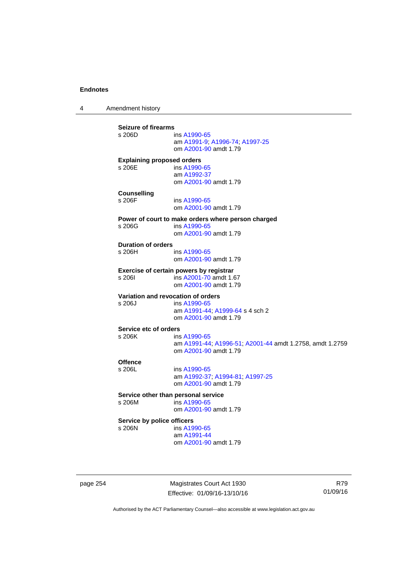4 Amendment history

**Seizure of firearms**  ins [A1990-65](http://www.legislation.act.gov.au/a/1990-65) am [A1991-9;](http://www.legislation.act.gov.au/a/1991-9) [A1996-74](http://www.legislation.act.gov.au/a/1996-74); [A1997-25](http://www.legislation.act.gov.au/a/1997-25) om [A2001-90](http://www.legislation.act.gov.au/a/2001-90) amdt 1.79 **Explaining proposed orders**  s 206E ins [A1990-65](http://www.legislation.act.gov.au/a/1990-65) am [A1992-37](http://www.legislation.act.gov.au/a/1992-37) om [A2001-90](http://www.legislation.act.gov.au/a/2001-90) amdt 1.79 **Counselling**  s 206F ins [A1990-65](http://www.legislation.act.gov.au/a/1990-65) om [A2001-90](http://www.legislation.act.gov.au/a/2001-90) amdt 1.79 **Power of court to make orders where person charged**  s 206G ins [A1990-65](http://www.legislation.act.gov.au/a/1990-65) om [A2001-90](http://www.legislation.act.gov.au/a/2001-90) amdt 1.79 **Duration of orders**  ins [A1990-65](http://www.legislation.act.gov.au/a/1990-65) om [A2001-90](http://www.legislation.act.gov.au/a/2001-90) amdt 1.79 **Exercise of certain powers by registrar**<br>s 206l **ins A2001-70** amdt 1.6 s 206I ins [A2001-70](http://www.legislation.act.gov.au/a/2001-70) amdt 1.67 om [A2001-90](http://www.legislation.act.gov.au/a/2001-90) amdt 1.79 **Variation and revocation of orders**  s 206J ins [A1990-65](http://www.legislation.act.gov.au/a/1990-65) am [A1991-44](http://www.legislation.act.gov.au/a/1991-44); [A1999-64](http://www.legislation.act.gov.au/a/1999-64) s 4 sch 2 om [A2001-90](http://www.legislation.act.gov.au/a/2001-90) amdt 1.79 **Service etc of orders**<br>s 206K ins ins [A1990-65](http://www.legislation.act.gov.au/a/1990-65) am [A1991-44](http://www.legislation.act.gov.au/a/1991-44); [A1996-51](http://www.legislation.act.gov.au/a/1996-51); [A2001-44](http://www.legislation.act.gov.au/a/2001-44) amdt 1.2758, amdt 1.2759 om [A2001-90](http://www.legislation.act.gov.au/a/2001-90) amdt 1.79 Offence<br>s 206L ins [A1990-65](http://www.legislation.act.gov.au/a/1990-65) am [A1992-37](http://www.legislation.act.gov.au/a/1992-37); [A1994-81](http://www.legislation.act.gov.au/a/1994-81); [A1997-25](http://www.legislation.act.gov.au/a/1997-25) om [A2001-90](http://www.legislation.act.gov.au/a/2001-90) amdt 1.79 **Service other than personal service**<br>s 206M ins A1990-65  $ins A1990-65$  $ins A1990-65$  om [A2001-90](http://www.legislation.act.gov.au/a/2001-90) amdt 1.79 **Service by police officers**  s 206N ins [A1990-65](http://www.legislation.act.gov.au/a/1990-65) am [A1991-44](http://www.legislation.act.gov.au/a/1991-44) om [A2001-90](http://www.legislation.act.gov.au/a/2001-90) amdt 1.79

page 254 Magistrates Court Act 1930 Effective: 01/09/16-13/10/16

R79 01/09/16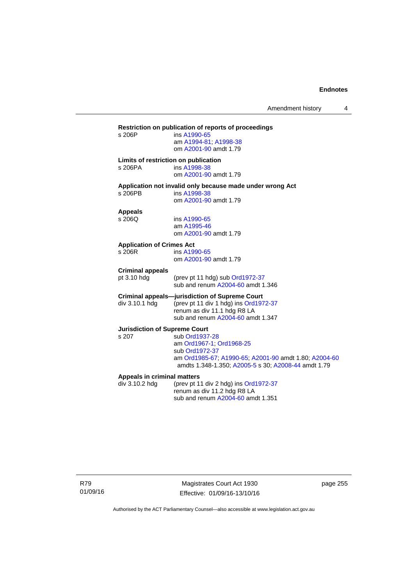# **Restriction on publication of reports of proceedings**  ins [A1990-65](http://www.legislation.act.gov.au/a/1990-65) am [A1994-81](http://www.legislation.act.gov.au/a/1994-81); [A1998-38](http://www.legislation.act.gov.au/a/1998-38) om [A2001-90](http://www.legislation.act.gov.au/a/2001-90) amdt 1.79 **Limits of restriction on publication**  s 206PA ins [A1998-38](http://www.legislation.act.gov.au/a/1998-38) om [A2001-90](http://www.legislation.act.gov.au/a/2001-90) amdt 1.79 **Application not invalid only because made under wrong Act**  ins [A1998-38](http://www.legislation.act.gov.au/a/1998-38) om [A2001-90](http://www.legislation.act.gov.au/a/2001-90) amdt 1.79 **Appeals**  ins [A1990-65](http://www.legislation.act.gov.au/a/1990-65) am [A1995-46](http://www.legislation.act.gov.au/a/1995-46) om [A2001-90](http://www.legislation.act.gov.au/a/2001-90) amdt 1.79 **Application of Crimes Act**  ins [A1990-65](http://www.legislation.act.gov.au/a/1990-65) om [A2001-90](http://www.legislation.act.gov.au/a/2001-90) amdt 1.79 **Criminal appeals**  (prev pt 11 hdg) sub [Ord1972-37](http://www.legislation.act.gov.au/a/1972-37) sub and renum [A2004-60](http://www.legislation.act.gov.au/a/2004-60) amdt 1.346 **Criminal appeals—jurisdiction of Supreme Court**  div 3.10.1 hdg (prev pt 11 div 1 hdg) ins [Ord1972-37](http://www.legislation.act.gov.au/a/1972-37) renum as div 11.1 hdg R8 LA sub and renum [A2004-60](http://www.legislation.act.gov.au/a/2004-60) amdt 1.347 **Jurisdiction of Supreme Court**  s 207 sub [Ord1937-28](http://www.legislation.act.gov.au/a/1937-28) am [Ord1967-1;](http://www.legislation.act.gov.au/a/1967-1) [Ord1968-25](http://www.legislation.act.gov.au/a/1968-25) sub [Ord1972-37](http://www.legislation.act.gov.au/a/1972-37) am [Ord1985-67](http://www.legislation.act.gov.au/a/1985-67); [A1990-65;](http://www.legislation.act.gov.au/a/1990-65) [A2001-90](http://www.legislation.act.gov.au/a/2001-90) amdt 1.80; [A2004-60](http://www.legislation.act.gov.au/a/2004-60) amdts 1.348-1.350; [A2005-5](http://www.legislation.act.gov.au/a/2005-5) s 30; [A2008-44](http://www.legislation.act.gov.au/a/2008-44) amdt 1.79 **Appeals in criminal matters**  div 3.10.2 hdg (prev pt 11 div 2 hdg) ins [Ord1972-37](http://www.legislation.act.gov.au/a/1972-37) renum as div 11.2 hdg R8 LA sub and renum [A2004-60](http://www.legislation.act.gov.au/a/2004-60) amdt 1.351

R79 01/09/16

Magistrates Court Act 1930 Effective: 01/09/16-13/10/16 page 255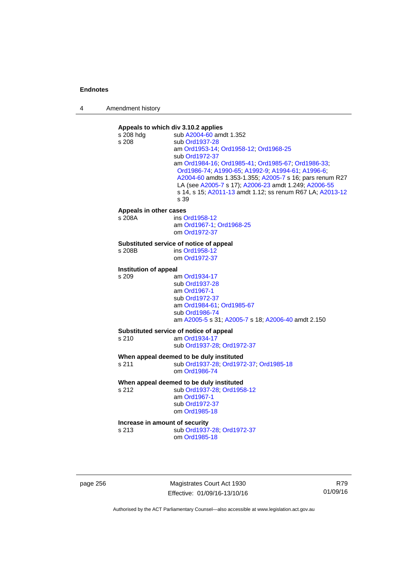| 4 | Amendment history |
|---|-------------------|
|---|-------------------|



page 256 Magistrates Court Act 1930 Effective: 01/09/16-13/10/16

R79 01/09/16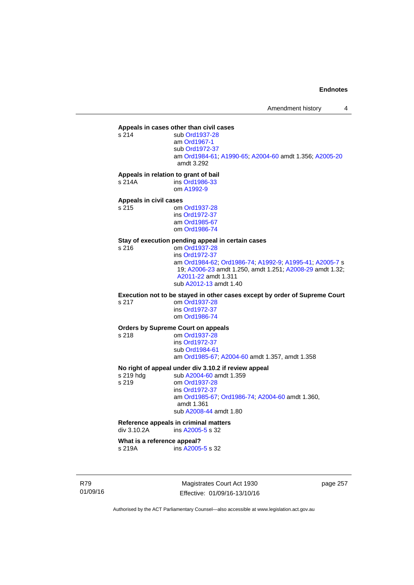# **Appeals in cases other than civil cases**

sub [Ord1937-28](http://www.legislation.act.gov.au/a/1937-28) am [Ord1967-1](http://www.legislation.act.gov.au/a/1967-1) sub [Ord1972-37](http://www.legislation.act.gov.au/a/1972-37) am [Ord1984-61](http://www.legislation.act.gov.au/a/1984-61); [A1990-65;](http://www.legislation.act.gov.au/a/1990-65) [A2004-60](http://www.legislation.act.gov.au/a/2004-60) amdt 1.356; [A2005-20](http://www.legislation.act.gov.au/a/2005-20) amdt 3.292

**Appeals in relation to grant of bail** 

s 214A ins [Ord1986-33](http://www.legislation.act.gov.au/a/1986-33) om [A1992-9](http://www.legislation.act.gov.au/a/1992-9)

# **Appeals in civil cases**

om [Ord1937-28](http://www.legislation.act.gov.au/a/1937-28) ins [Ord1972-37](http://www.legislation.act.gov.au/a/1972-37) am [Ord1985-67](http://www.legislation.act.gov.au/a/1985-67) om [Ord1986-74](http://www.legislation.act.gov.au/a/1986-74)

# **Stay of execution pending appeal in certain cases**

om [Ord1937-28](http://www.legislation.act.gov.au/a/1937-28) ins [Ord1972-37](http://www.legislation.act.gov.au/a/1972-37) am [Ord1984-62](http://www.legislation.act.gov.au/a/1984-62); [Ord1986-74;](http://www.legislation.act.gov.au/a/1986-74) [A1992-9](http://www.legislation.act.gov.au/a/1992-9); [A1995-41](http://www.legislation.act.gov.au/a/1995-41); [A2005-7](http://www.legislation.act.gov.au/a/2005-7) s 19; [A2006-23](http://www.legislation.act.gov.au/a/2006-23) amdt 1.250, amdt 1.251; [A2008-29](http://www.legislation.act.gov.au/a/2008-29) amdt 1.32; [A2011-22](http://www.legislation.act.gov.au/a/2011-22) amdt 1.311 sub [A2012-13](http://www.legislation.act.gov.au/a/2012-13) amdt 1.40

**Execution not to be stayed in other cases except by order of Supreme Court** 

s 217 om [Ord1937-28](http://www.legislation.act.gov.au/a/1937-28) ins [Ord1972-37](http://www.legislation.act.gov.au/a/1972-37) om [Ord1986-74](http://www.legislation.act.gov.au/a/1986-74)

## **Orders by Supreme Court on appeals**

s 218 om [Ord1937-28](http://www.legislation.act.gov.au/a/1937-28)

 ins [Ord1972-37](http://www.legislation.act.gov.au/a/1972-37) sub [Ord1984-61](http://www.legislation.act.gov.au/a/1984-61) am [Ord1985-67](http://www.legislation.act.gov.au/a/1985-67); [A2004-60](http://www.legislation.act.gov.au/a/2004-60) amdt 1.357, amdt 1.358

# **No right of appeal under div 3.10.2 if review appeal**

s 219 hdg sub [A2004-60](http://www.legislation.act.gov.au/a/2004-60) amdt 1.359 s 219 om [Ord1937-28](http://www.legislation.act.gov.au/a/1937-28) ins [Ord1972-37](http://www.legislation.act.gov.au/a/1972-37) am [Ord1985-67;](http://www.legislation.act.gov.au/a/1985-67) [Ord1986-74;](http://www.legislation.act.gov.au/a/1986-74) [A2004-60](http://www.legislation.act.gov.au/a/2004-60) amdt 1.360, amdt 1.361 sub [A2008-44](http://www.legislation.act.gov.au/a/2008-44) amdt 1.80

# **Reference appeals in criminal matters**

div 3.10.2A ins [A2005-5](http://www.legislation.act.gov.au/a/2005-5) s 32

# **What is a reference appeal?**

s 219A ins [A2005-5](http://www.legislation.act.gov.au/a/2005-5) s 32

R79 01/09/16

Magistrates Court Act 1930 Effective: 01/09/16-13/10/16 page 257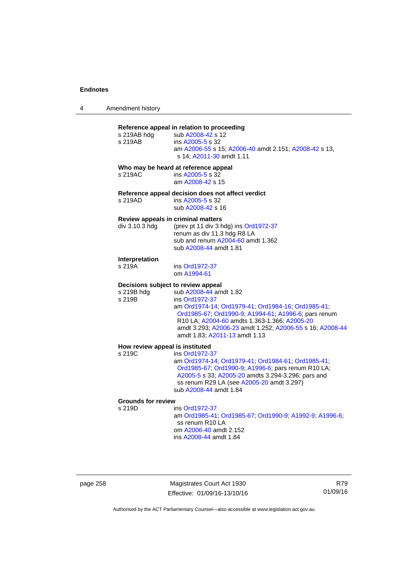# **Reference appeal in relation to proceeding**

| s 219AB                                   | s 219AB hdg sub A2008-42 s 12<br>ins A2005-5 s 32<br>am A2006-55 s 15; A2006-40 amdt 2.151; A2008-42 s 13,<br>s 14; A2011-30 amdt 1.11                                                                                                                                                                                                    |
|-------------------------------------------|-------------------------------------------------------------------------------------------------------------------------------------------------------------------------------------------------------------------------------------------------------------------------------------------------------------------------------------------|
| s 219AC                                   | Who may be heard at reference appeal<br>ins A2005-5 s 32<br>am A2008-42 s 15                                                                                                                                                                                                                                                              |
| s 219AD                                   | Reference appeal decision does not affect verdict<br>ins A2005-5 s 32<br>sub A2008-42 s 16                                                                                                                                                                                                                                                |
| div 3.10.3 hdg                            | Review appeals in criminal matters<br>(prev pt 11 div 3 hdg) ins Ord1972-37<br>renum as div 11.3 hdg R8 LA<br>sub and renum A2004-60 amdt 1.362<br>sub A2008-44 amdt 1.81                                                                                                                                                                 |
| Interpretation<br>s 219A                  | ins Ord1972-37<br>om A1994-61                                                                                                                                                                                                                                                                                                             |
| s 219B hdg<br>s 219B                      | Decisions subject to review appeal<br>sub A2008-44 amdt 1.82<br>ins Ord1972-37<br>am Ord1974-14; Ord1979-41; Ord1984-16; Ord1985-41;<br>Ord1985-67; Ord1990-9; A1994-61; A1996-6; pars renum<br>R10 LA; A2004-60 amdts 1.363-1.366; A2005-20<br>amdt 3.293; A2006-23 amdt 1.252; A2006-55 s 16; A2008-44<br>amdt 1.83; A2011-13 amdt 1.13 |
| How review appeal is instituted<br>s 219C | ins Ord1972-37<br>am Ord1974-14; Ord1979-41; Ord1984-61; Ord1985-41;<br>Ord1985-67; Ord1990-9; A1996-6; pars renum R10 LA;<br>A2005-5 s 33; A2005-20 amdts 3.294-3.296; pars and<br>ss renum R29 LA (see A2005-20 amdt 3.297)                                                                                                             |

sub [A2008-44](http://www.legislation.act.gov.au/a/2008-44) amdt 1.84

# **Grounds for review**

ins [Ord1972-37](http://www.legislation.act.gov.au/a/1972-37) am [Ord1985-41](http://www.legislation.act.gov.au/a/1985-41); [Ord1985-67;](http://www.legislation.act.gov.au/a/1985-67) [Ord1990-9](http://www.legislation.act.gov.au/a/alt_ord1990-9); [A1992-9](http://www.legislation.act.gov.au/a/1992-9); [A1996-6](http://www.legislation.act.gov.au/a/1996-6); ss renum R10 LA om [A2006-40](http://www.legislation.act.gov.au/a/2006-40) amdt 2.152 ins [A2008-44](http://www.legislation.act.gov.au/a/2008-44) amdt 1.84

page 258 Magistrates Court Act 1930 Effective: 01/09/16-13/10/16

R79 01/09/16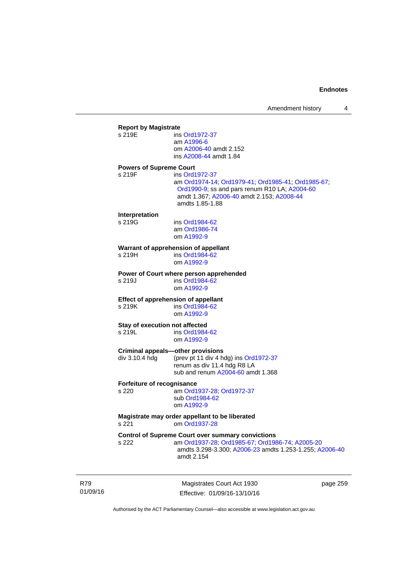| <b>Report by Magistrate</b>    |                                                                            |
|--------------------------------|----------------------------------------------------------------------------|
| s 219F                         | ins Ord1972-37                                                             |
|                                | am A1996-6                                                                 |
|                                | om A2006-40 amdt 2.152                                                     |
|                                | ins A2008-44 amdt 1.84                                                     |
| <b>Powers of Supreme Court</b> |                                                                            |
| s 219F                         | ins Ord1972-37                                                             |
|                                | am Ord1974-14; Ord1979-41; Ord1985-41; Ord1985-67;                         |
|                                | Ord1990-9; ss and pars renum R10 LA; A2004-60                              |
|                                | amdt 1.367; A2006-40 amdt 2.153; A2008-44                                  |
|                                | amdts 1.85-1.88                                                            |
|                                |                                                                            |
| Interpretation                 |                                                                            |
| s 219G                         | ins Ord1984-62                                                             |
|                                | am Ord1986-74                                                              |
|                                | om A1992-9                                                                 |
|                                | Warrant of apprehension of appellant                                       |
| s 219H                         | ins Ord1984-62                                                             |
|                                | om A1992-9                                                                 |
|                                |                                                                            |
| s 219J                         | Power of Court where person apprehended<br>ins Ord1984-62                  |
|                                | om A1992-9                                                                 |
|                                |                                                                            |
|                                | <b>Effect of apprehension of appellant</b>                                 |
| s 219K                         | ins Ord1984-62                                                             |
|                                | om A1992-9                                                                 |
| Stay of execution not affected |                                                                            |
| s 219L                         | ins Ord1984-62                                                             |
|                                | om A1992-9                                                                 |
|                                |                                                                            |
| div 3.10.4 hdg                 | Criminal appeals—other provisions<br>(prev pt 11 div 4 hdg) ins Ord1972-37 |
|                                | renum as div 11.4 hdg R8 LA                                                |
|                                | sub and renum A2004-60 amdt 1.368                                          |
|                                |                                                                            |
| Forfeiture of recognisance     |                                                                            |
| s 220                          | am Ord1937-28; Ord1972-37                                                  |
|                                | sub Ord1984-62                                                             |
|                                | om A1992-9                                                                 |
|                                | Magistrate may order appellant to be liberated                             |
| s 221                          | om Ord1937-28                                                              |
|                                |                                                                            |
|                                | <b>Control of Supreme Court over summary convictions</b>                   |
| s 222                          | am Ord1937-28; Ord1985-67; Ord1986-74; A2005-20                            |
|                                | amdts 3.298-3.300; A2006-23 amdts 1.253-1.255; A2006-40                    |
|                                | amdt 2.154                                                                 |
|                                |                                                                            |
|                                |                                                                            |

R79 01/09/16

Magistrates Court Act 1930 Effective: 01/09/16-13/10/16 page 259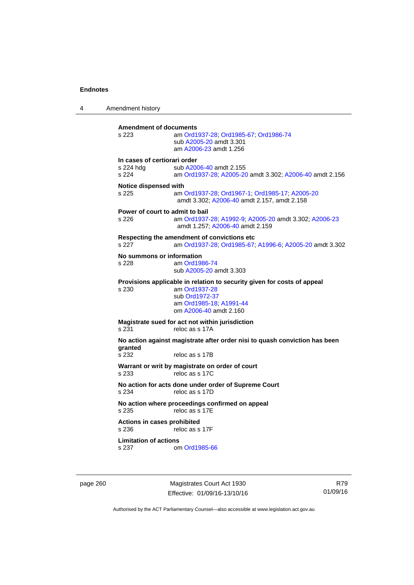4 Amendment history **Amendment of documents**  s 223 am [Ord1937-28](http://www.legislation.act.gov.au/a/1937-28); [Ord1985-67](http://www.legislation.act.gov.au/a/1985-67); [Ord1986-74](http://www.legislation.act.gov.au/a/1986-74) sub [A2005-20](http://www.legislation.act.gov.au/a/2005-20) amdt 3.301 am [A2006-23](http://www.legislation.act.gov.au/a/2006-23) amdt 1.256 **In cases of certiorari order**  s 224 hdg sub [A2006-40](http://www.legislation.act.gov.au/a/2006-40) amdt 2.155<br>s 224 am Ord1937-28: A2005-20 am [Ord1937-28](http://www.legislation.act.gov.au/a/1937-28); [A2005-20](http://www.legislation.act.gov.au/a/2005-20) amdt 3.302; [A2006-40](http://www.legislation.act.gov.au/a/2006-40) amdt 2.156 **Notice dispensed with**  s 225 am [Ord1937-28](http://www.legislation.act.gov.au/a/1937-28); [Ord1967-1](http://www.legislation.act.gov.au/a/1967-1); [Ord1985-17](http://www.legislation.act.gov.au/a/1985-17); [A2005-20](http://www.legislation.act.gov.au/a/2005-20) amdt 3.302; [A2006-40](http://www.legislation.act.gov.au/a/2006-40) amdt 2.157, amdt 2.158 **Power of court to admit to bail**  s 226 am [Ord1937-28](http://www.legislation.act.gov.au/a/1937-28); [A1992-9](http://www.legislation.act.gov.au/a/1992-9); [A2005-20](http://www.legislation.act.gov.au/a/2005-20) amdt 3.302; [A2006-23](http://www.legislation.act.gov.au/a/2006-23) amdt 1.257; [A2006-40](http://www.legislation.act.gov.au/a/2006-40) amdt 2.159 **Respecting the amendment of convictions etc**  s 227 am [Ord1937-28](http://www.legislation.act.gov.au/a/1937-28); [Ord1985-67;](http://www.legislation.act.gov.au/a/1985-67) [A1996-6](http://www.legislation.act.gov.au/a/1996-6); [A2005-20](http://www.legislation.act.gov.au/a/2005-20) amdt 3.302 **No summons or information**  s 228 am [Ord1986-74](http://www.legislation.act.gov.au/a/1986-74) sub [A2005-20](http://www.legislation.act.gov.au/a/2005-20) amdt 3.303 **Provisions applicable in relation to security given for costs of appeal**  s 230 am [Ord1937-28](http://www.legislation.act.gov.au/a/1937-28) sub [Ord1972-37](http://www.legislation.act.gov.au/a/1972-37) am [Ord1985-18;](http://www.legislation.act.gov.au/a/1985-18) [A1991-44](http://www.legislation.act.gov.au/a/1991-44) om [A2006-40](http://www.legislation.act.gov.au/a/2006-40) amdt 2.160 **Magistrate sued for act not within jurisdiction**  s 231 reloc as s 17A **No action against magistrate after order nisi to quash conviction has been granted**  reloc as s 17B **Warrant or writ by magistrate on order of court**  s 233 reloc as s 17C **No action for acts done under order of Supreme Court**<br>s 234 reloc as s 17D reloc as s 17D **No action where proceedings confirmed on appeal**  s 235 reloc as s 17E **Actions in cases prohibited**  s 236 reloc as s 17F **Limitation of actions**  s 237 om [Ord1985-66](http://www.legislation.act.gov.au/a/1985-66)

page 260 Magistrates Court Act 1930 Effective: 01/09/16-13/10/16

R79 01/09/16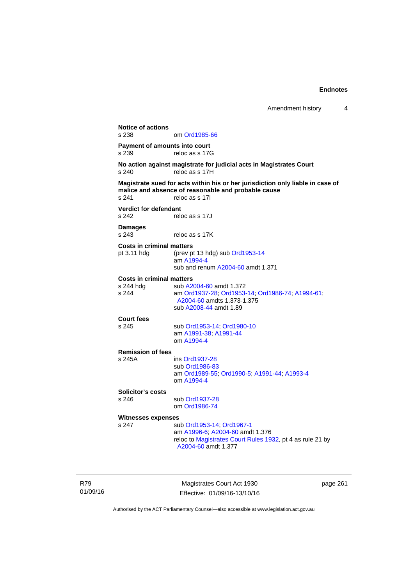**Notice of actions**  om [Ord1985-66](http://www.legislation.act.gov.au/a/1985-66) **Payment of amounts into court**  s 239 reloc as s 17G **No action against magistrate for judicial acts in Magistrates Court**  s 240 reloc as s 17H **Magistrate sued for acts within his or her jurisdiction only liable in case of malice and absence of reasonable and probable cause**  s 241 reloc as s 17I **Verdict for defendant**  s 242 reloc as s 17J **Damages**  s 243 reloc as s 17K **Costs in criminal matters**  pt 3.11 hdg (prev pt 13 hdg) sub [Ord1953-14](http://www.legislation.act.gov.au/a/1953-14) am [A1994-4](http://www.legislation.act.gov.au/a/1994-4) sub and renum [A2004-60](http://www.legislation.act.gov.au/a/2004-60) amdt 1.371 **Costs in criminal matters**  s 244 hdg sub [A2004-60](http://www.legislation.act.gov.au/a/2004-60) amdt 1.372<br>s 244 am Ord1937-28: Ord1953 s 244 am [Ord1937-28](http://www.legislation.act.gov.au/a/1937-28); [Ord1953-14;](http://www.legislation.act.gov.au/a/1953-14) [Ord1986-74](http://www.legislation.act.gov.au/a/1986-74); [A1994-61](http://www.legislation.act.gov.au/a/1994-61); [A2004-60](http://www.legislation.act.gov.au/a/2004-60) amdts 1.373-1.375 sub [A2008-44](http://www.legislation.act.gov.au/a/2008-44) amdt 1.89 **Court fees**  s 245 sub [Ord1953-14](http://www.legislation.act.gov.au/a/1953-14); [Ord1980-10](http://www.legislation.act.gov.au/a/1980-10) am [A1991-38;](http://www.legislation.act.gov.au/a/1991-38) [A1991-44](http://www.legislation.act.gov.au/a/1991-44) om [A1994-4](http://www.legislation.act.gov.au/a/1994-4) **Remission of fees**  s 245A ins [Ord1937-28](http://www.legislation.act.gov.au/a/1937-28) sub [Ord1986-83](http://www.legislation.act.gov.au/a/1986-83) am [Ord1989-55](http://www.legislation.act.gov.au/a/1989-55); [Ord1990-5](http://www.legislation.act.gov.au/a/alt_ord1990-5); [A1991-44](http://www.legislation.act.gov.au/a/1991-44); [A1993-4](http://www.legislation.act.gov.au/a/1993-4) om [A1994-4](http://www.legislation.act.gov.au/a/1994-4) **Solicitor's costs**  s 246 sub [Ord1937-28](http://www.legislation.act.gov.au/a/1937-28) om [Ord1986-74](http://www.legislation.act.gov.au/a/1986-74) **Witnesses expenses**  s 247 sub [Ord1953-14](http://www.legislation.act.gov.au/a/1953-14); [Ord1967-1](http://www.legislation.act.gov.au/a/1967-1) am [A1996-6;](http://www.legislation.act.gov.au/a/1996-6) [A2004-60](http://www.legislation.act.gov.au/a/2004-60) amdt 1.376 reloc to [Magistrates Court Rules 1932](http://www.legislation.act.gov.au/sl/1932-4/default.asp), pt 4 as rule 21 by [A2004-60](http://www.legislation.act.gov.au/a/2004-60) amdt 1.377

R79 01/09/16

Magistrates Court Act 1930 Effective: 01/09/16-13/10/16 page 261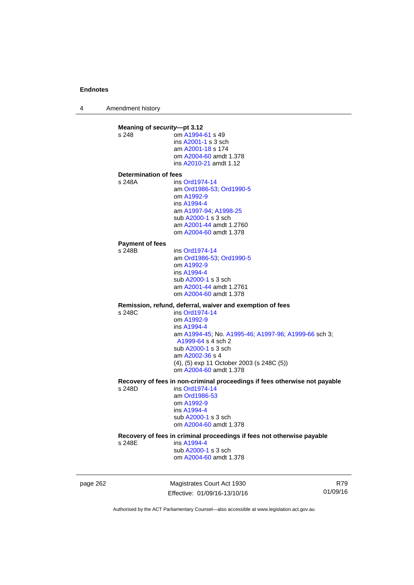4 Amendment history

**Meaning of** *security***—pt 3.12**<br>s 248 **com A1994** om [A1994-61](http://www.legislation.act.gov.au/a/1994-61) s 49 ins [A2001-1](http://www.legislation.act.gov.au/a/2001-1) s 3 sch am [A2001-18](http://www.legislation.act.gov.au/a/2001-18) s 174 om [A2004-60](http://www.legislation.act.gov.au/a/2004-60) amdt 1.378 ins [A2010-21](http://www.legislation.act.gov.au/a/2010-21) amdt 1.12 **Determination of fees**  s 248A ins [Ord1974-14](http://www.legislation.act.gov.au/a/1974-14) am [Ord1986-53](http://www.legislation.act.gov.au/a/1986-53); [Ord1990-5](http://www.legislation.act.gov.au/a/alt_ord1990-5) om [A1992-9](http://www.legislation.act.gov.au/a/1992-9) ins [A1994-4](http://www.legislation.act.gov.au/a/1994-4) am [A1997-94](http://www.legislation.act.gov.au/a/1997-94); [A1998-25](http://www.legislation.act.gov.au/a/1998-25) sub [A2000-1](http://www.legislation.act.gov.au/a/2000-1) s 3 sch am [A2001-44](http://www.legislation.act.gov.au/a/2001-44) amdt 1.2760 om [A2004-60](http://www.legislation.act.gov.au/a/2004-60) amdt 1.378 **Payment of fees**  s 248B ins [Ord1974-14](http://www.legislation.act.gov.au/a/1974-14) am [Ord1986-53](http://www.legislation.act.gov.au/a/1986-53); [Ord1990-5](http://www.legislation.act.gov.au/a/alt_ord1990-5) om [A1992-9](http://www.legislation.act.gov.au/a/1992-9) ins [A1994-4](http://www.legislation.act.gov.au/a/1994-4) sub [A2000-1](http://www.legislation.act.gov.au/a/2000-1) s 3 sch am [A2001-44](http://www.legislation.act.gov.au/a/2001-44) amdt 1.2761 om [A2004-60](http://www.legislation.act.gov.au/a/2004-60) amdt 1.378 **Remission, refund, deferral, waiver and exemption of fees**   $ins$  [Ord1974-14](http://www.legislation.act.gov.au/a/1974-14) om [A1992-9](http://www.legislation.act.gov.au/a/1992-9) ins [A1994-4](http://www.legislation.act.gov.au/a/1994-4) am [A1994-45](http://www.legislation.act.gov.au/a/1994-45); No. [A1995-46;](http://www.legislation.act.gov.au/a/1995-46) [A1997-96;](http://www.legislation.act.gov.au/a/1997-96) [A1999-66](http://www.legislation.act.gov.au/a/1999-66) sch 3; [A1999-64](http://www.legislation.act.gov.au/a/1999-64) s 4 sch 2 sub [A2000-1](http://www.legislation.act.gov.au/a/2000-1) s 3 sch am [A2002-36](http://www.legislation.act.gov.au/a/2002-36) s 4 (4), (5) exp 11 October 2003 (s 248C (5)) om [A2004-60](http://www.legislation.act.gov.au/a/2004-60) amdt 1.378 **Recovery of fees in non-criminal proceedings if fees otherwise not payable**  s 248D ins [Ord1974-14](http://www.legislation.act.gov.au/a/1974-14) am [Ord1986-53](http://www.legislation.act.gov.au/a/1986-53) om [A1992-9](http://www.legislation.act.gov.au/a/1992-9) ins [A1994-4](http://www.legislation.act.gov.au/a/1994-4) sub [A2000-1](http://www.legislation.act.gov.au/a/2000-1) s 3 sch om [A2004-60](http://www.legislation.act.gov.au/a/2004-60) amdt 1.378 **Recovery of fees in criminal proceedings if fees not otherwise payable**  s 248E ins [A1994-4](http://www.legislation.act.gov.au/a/1994-4) sub [A2000-1](http://www.legislation.act.gov.au/a/2000-1) s 3 sch om [A2004-60](http://www.legislation.act.gov.au/a/2004-60) amdt 1.378

page 262 Magistrates Court Act 1930 Effective: 01/09/16-13/10/16

R79 01/09/16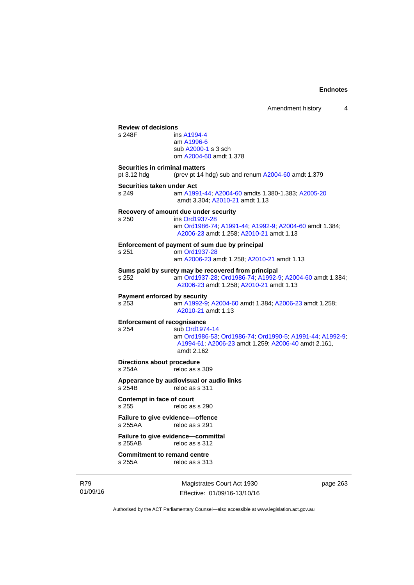|                                               |                                                                                                                                                              | Amendment history | 4 |
|-----------------------------------------------|--------------------------------------------------------------------------------------------------------------------------------------------------------------|-------------------|---|
| <b>Review of decisions</b><br>s 248F          | ins A1994-4<br>am A1996-6<br>sub A2000-1 s 3 sch<br>om A2004-60 amdt 1.378                                                                                   |                   |   |
| Securities in criminal matters<br>pt 3.12 hdg | (prev pt 14 hdg) sub and renum A2004-60 amdt 1.379                                                                                                           |                   |   |
| Securities taken under Act<br>s 249           | am A1991-44, A2004-60 amdts 1.380-1.383; A2005-20<br>amdt 3.304; A2010-21 amdt 1.13                                                                          |                   |   |
| s 250                                         | Recovery of amount due under security<br>ins Ord1937-28<br>am Ord1986-74; A1991-44; A1992-9; A2004-60 amdt 1.384;<br>A2006-23 amdt 1.258; A2010-21 amdt 1.13 |                   |   |
| s 251                                         | Enforcement of payment of sum due by principal<br>om Ord1937-28<br>am A2006-23 amdt 1.258; A2010-21 amdt 1.13                                                |                   |   |
| s 252                                         | Sums paid by surety may be recovered from principal<br>am Ord1937-28, Ord1986-74, A1992-9, A2004-60 amdt 1.384;<br>A2006-23 amdt 1.258; A2010-21 amdt 1.13   |                   |   |
| <b>Payment enforced by security</b><br>s 253  | am A1992-9; A2004-60 amdt 1.384; A2006-23 amdt 1.258;<br>A2010-21 amdt 1.13                                                                                  |                   |   |
| <b>Enforcement of recognisance</b><br>s 254   | sub Ord1974-14<br>am Ord1986-53, Ord1986-74, Ord1990-5, A1991-44, A1992-9;<br>A1994-61; A2006-23 amdt 1.259; A2006-40 amdt 2.161,<br>amdt 2.162              |                   |   |
| Directions about procedure<br>s 254A          | reloc as s 309                                                                                                                                               |                   |   |
| s 254B                                        | Appearance by audiovisual or audio links<br>reloc as s 311                                                                                                   |                   |   |
| <b>Contempt in face of court</b><br>s 255     | reloc as s 290                                                                                                                                               |                   |   |
| Failure to give evidence-offence<br>s 255AA   | reloc as s 291                                                                                                                                               |                   |   |
| s 255AB                                       | Failure to give evidence-committal<br>reloc as s 312                                                                                                         |                   |   |
| <b>Commitment to remand centre</b><br>s 255A  | reloc as s 313                                                                                                                                               |                   |   |

R79 01/09/16

Magistrates Court Act 1930 Effective: 01/09/16-13/10/16 page 263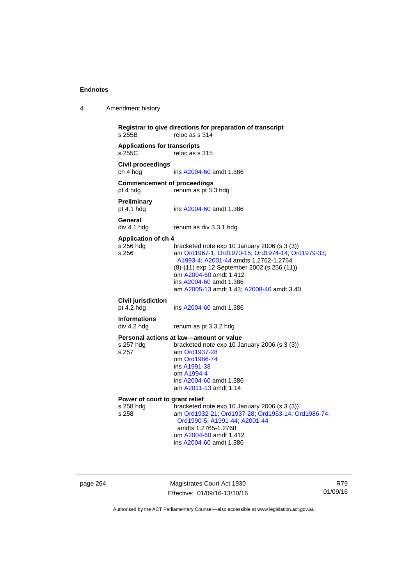| 4 | Amendment history |
|---|-------------------|
|---|-------------------|

```
Registrar to give directions for preparation of transcript 
                  reloc as s 314Applications for transcripts 
                  reloc as s 315
Civil proceedings 
ch 4 hdg ins A2004-60 amdt 1.386 
Commencement of proceedings 
pt 4 hdg renum as pt 3.3 hdg 
Preliminary 
                  A2004-60 amdt 1.386
General 
div 4.1 hdg renum as div 3.3.1 hdg 
Application of ch 4 
                  bracketed note exp 10 January 2006 (s 3 (3))
s 256 am Ord1967-1; Ord1970-15; Ord1974-14; Ord1979-33; 
                   A1993-4; A2001-44 amdts 1.2762-1.2764 
                  (8)-(11) exp 12 September 2002 (s 256 (11)) 
                   om A2004-60 amdt 1.412
                   ins A2004-60 amdt 1.386 
                   am A2005-13 amdt 1.43; A2008-46 amdt 3.40 
Civil jurisdiction 
A2004-60 amdt 1.386
Informations 
div 4.2 hdg renum as pt 3.3.2 hdg 
Personal actions at law—amount or value 
s 257 hdg bracketed note exp 10 January 2006 (s 3 (3))
s 257 am Ord1937-28
                   om Ord1986-74
                   ins A1991-38
                   om A1994-4
                   ins A2004-60 amdt 1.386 
                   am A2011-13 amdt 1.14
Power of court to grant relief<br>s 258 hdg bracketed r
s 258 hdg bracketed note exp 10 January 2006 (s 3 (3)) 
                  s 258 am Ord1932-21; Ord1937-28; Ord1953-14; Ord1986-74; 
                   Ord1990-5; A1991-44; A2001-44 
                   amdts 1.2765-1.2768 
                   om A2004-60 amdt 1.412
                   ins A2004-60 amdt 1.386
```
page 264 Magistrates Court Act 1930 Effective: 01/09/16-13/10/16

R79 01/09/16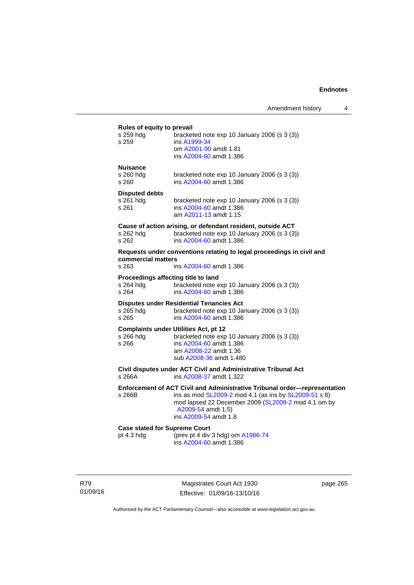#### **Rules of equity to prevail**

| $\frac{1}{2}$<br>s 259 hdg<br>s 259                       | bracketed note exp 10 January 2006 (s 3 (3))<br>ins A1999-34<br>om A2001-90 amdt 1.81<br>ins A2004-60 amdt 1.386                                                                                                                         |
|-----------------------------------------------------------|------------------------------------------------------------------------------------------------------------------------------------------------------------------------------------------------------------------------------------------|
| <b>Nuisance</b><br>s 260 hda<br>s 260                     | bracketed note exp 10 January 2006 (s 3 (3))<br>ins A2004-60 amdt 1.386                                                                                                                                                                  |
| <b>Disputed debts</b><br>s 261 hdg<br>s 261               | bracketed note exp 10 January 2006 (s 3 (3))<br>ins A2004-60 amdt 1.386<br>am A2011-13 amdt 1.15                                                                                                                                         |
| s 262 hdg<br>s 262                                        | Cause of action arising, or defendant resident, outside ACT<br>bracketed note exp 10 January 2006 (s 3 (3))<br>ins A2004-60 amdt 1.386                                                                                                   |
| commercial matters<br>s 263                               | Requests under conventions relating to legal proceedings in civil and<br>ins A2004-60 amdt 1.386                                                                                                                                         |
| Proceedings affecting title to land<br>s 264 hdg<br>s 264 | bracketed note exp 10 January 2006 (s 3 (3))<br>ins A2004-60 amdt 1.386                                                                                                                                                                  |
| s 265 hdg — — — —<br>s 265                                | <b>Disputes under Residential Tenancies Act</b><br>bracketed note exp 10 January 2006 (s 3 (3))<br>ins A2004-60 amdt 1.386                                                                                                               |
| s 266 hda<br>s 266                                        | <b>Complaints under Utilities Act, pt 12</b><br>bracketed note exp 10 January 2006 (s 3 (3))<br>ins A2004-60 amdt 1.386<br>am A2008-22 amdt 1.36<br>sub A2008-36 amdt 1.480                                                              |
| s 266A                                                    | Civil disputes under ACT Civil and Administrative Tribunal Act<br>ins A2008-37 amdt 1.322                                                                                                                                                |
| s 266B                                                    | Enforcement of ACT Civil and Administrative Tribunal order-representation<br>ins as mod SL2009-2 mod 4.1 (as ins by SL2009-51 s 8)<br>mod lapsed 22 December 2009 (SL2009-2 mod 4.1 om by<br>A2009-54 amdt 1.5)<br>ins A2009-54 amdt 1.8 |

**Case stated for Supreme Court** pt 4.3 hdg (prev pt 4 div pt 4.3 hdg (prev pt 4 div 3 hdg) om [A1986-74](http://www.legislation.act.gov.au/a/1986-74) ins [A2004-60](http://www.legislation.act.gov.au/a/2004-60) amdt 1.386

R79 01/09/16

Magistrates Court Act 1930 Effective: 01/09/16-13/10/16 page 265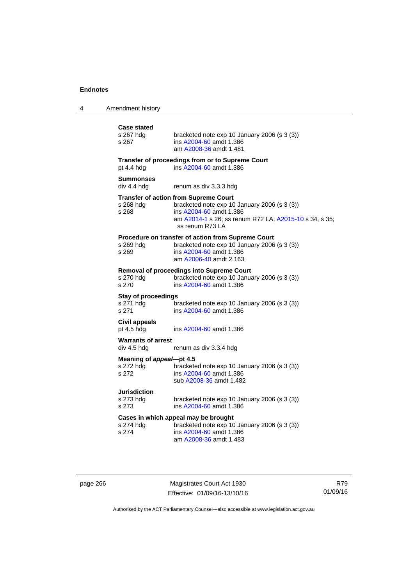| 4 | Amendment history |
|---|-------------------|
|---|-------------------|

| <b>Case stated</b><br>s 267 hdg<br>s 267         | bracketed note exp 10 January 2006 (s 3 (3))<br>ins A2004-60 amdt 1.386<br>am A2008-36 amdt 1.481                                                                                                    |
|--------------------------------------------------|------------------------------------------------------------------------------------------------------------------------------------------------------------------------------------------------------|
| pt 4.4 hdg                                       | Transfer of proceedings from or to Supreme Court<br>ins A2004-60 amdt 1.386                                                                                                                          |
| <b>Summonses</b><br>div 4.4 hdg                  | renum as div 3.3.3 hdg                                                                                                                                                                               |
| s 268 hdq<br>s 268                               | <b>Transfer of action from Supreme Court</b><br>bracketed note exp 10 January 2006 (s 3 (3))<br>ins A2004-60 amdt 1.386<br>am A2014-1 s 26; ss renum R72 LA; A2015-10 s 34, s 35;<br>ss renum R73 LA |
| s 269 hdg<br>s 269                               | Procedure on transfer of action from Supreme Court<br>bracketed note exp 10 January 2006 (s 3 (3))<br>ins A2004-60 amdt 1.386<br>am A2006-40 amdt 2.163                                              |
| s 270 hdg<br>s 270                               | Removal of proceedings into Supreme Court<br>bracketed note exp 10 January 2006 (s 3 (3))<br>ins A2004-60 amdt 1.386                                                                                 |
| <b>Stay of proceedings</b><br>s 271 hdg<br>s 271 | bracketed note exp 10 January 2006 (s 3 (3))<br>ins A2004-60 amdt 1.386                                                                                                                              |
| <b>Civil appeals</b><br>pt 4.5 hdg               | ins A2004-60 amdt 1.386                                                                                                                                                                              |
| <b>Warrants of arrest</b><br>div 4.5 hdg         | renum as div 3.3.4 hdg                                                                                                                                                                               |
| Meaning of appeal-pt 4.5<br>s 272 hdg<br>s 272   | bracketed note exp 10 January 2006 (s 3 (3))<br>ins A2004-60 amdt 1.386<br>sub A2008-36 amdt 1.482                                                                                                   |
| <b>Jurisdiction</b><br>s 273 hdg<br>s 273        | bracketed note exp 10 January 2006 (s 3 (3))<br>ins A2004-60 amdt 1.386                                                                                                                              |
| s 274 hdg<br>s 274                               | Cases in which appeal may be brought<br>bracketed note exp 10 January 2006 (s 3 (3))<br>ins A2004-60 amdt 1.386<br>am A2008-36 amdt 1.483                                                            |

page 266 Magistrates Court Act 1930 Effective: 01/09/16-13/10/16

R79 01/09/16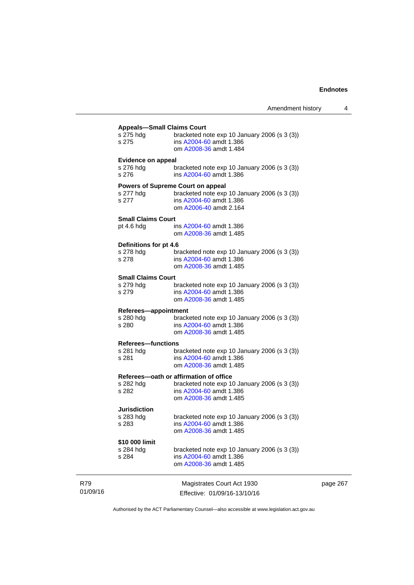|                                        | <b>Appeals-Small Claims Court</b>              |
|----------------------------------------|------------------------------------------------|
| s 275 hdg                              | bracketed note exp 10 January 2006 (s 3 (3))   |
| s 275                                  | ins A2004-60 amdt 1.386                        |
|                                        | om A2008-36 amdt 1.484                         |
|                                        |                                                |
| <b>Evidence on appeal</b><br>s 276 hdg |                                                |
|                                        | bracketed note $exp 10$ January 2006 (s 3 (3)) |
| s 276                                  | ins A2004-60 amdt 1.386                        |
|                                        | <b>Powers of Supreme Court on appeal</b>       |
| s 277 hdg                              | bracketed note exp 10 January 2006 (s 3 (3))   |
| s 277                                  | ins A2004-60 amdt 1.386                        |
|                                        | om A2006-40 amdt 2.164                         |
|                                        |                                                |
| <b>Small Claims Court</b>              |                                                |
| pt 4.6 hdg                             | ins A2004-60 amdt 1.386                        |
|                                        | om A2008-36 amdt 1.485                         |
| Definitions for pt 4.6                 |                                                |
| s 278 hdg                              | bracketed note exp 10 January 2006 (s 3 (3))   |
| s 278                                  | ins A2004-60 amdt 1.386                        |
|                                        | om A2008-36 amdt 1.485                         |
|                                        |                                                |
| <b>Small Claims Court</b>              |                                                |
| s 279 hdg                              | bracketed note $exp 10$ January 2006 (s 3 (3)) |
| s 279                                  | ins A2004-60 amdt 1.386                        |
|                                        | om A2008-36 amdt 1.485                         |
| Referees-appointment                   |                                                |
| s 280 hdg                              | bracketed note $exp 10$ January 2006 (s 3 (3)) |
| s 280                                  | ins A2004-60 amdt 1.386                        |
|                                        | om A2008-36 amdt 1.485                         |
| <b>Referees-functions</b>              |                                                |
| s 281 hdg                              | bracketed note $exp 10$ January 2006 (s 3 (3)) |
| s 281                                  | ins A2004-60 amdt 1.386                        |
|                                        | om A2008-36 amdt 1.485                         |
|                                        |                                                |
|                                        | Referees-oath or affirmation of office         |
| s 282 hdg                              | bracketed note exp 10 January 2006 (s 3 (3))   |
| s 282                                  | ins A2004-60 amdt 1.386                        |
|                                        | om A2008-36 amdt 1.485                         |
| Jurisdiction                           |                                                |
| s 283 hdg                              | bracketed note exp 10 January 2006 (s 3 (3))   |
| s 283                                  | ins A2004-60 amdt 1.386                        |
|                                        | om A2008-36 amdt 1.485                         |
|                                        |                                                |
| \$10 000 limit                         |                                                |
| s 284 hdg                              | bracketed note exp 10 January 2006 (s 3 (3))   |
| s 284                                  | ins A2004-60 amdt 1.386                        |
|                                        | om A2008-36 amdt 1.485                         |
|                                        |                                                |
|                                        |                                                |
|                                        | Magistrates Court Act 1930                     |
|                                        | Effective: 01/09/16-13/10/16                   |

page 267

Authorised by the ACT Parliamentary Counsel—also accessible at www.legislation.act.gov.au

R79 01/09/16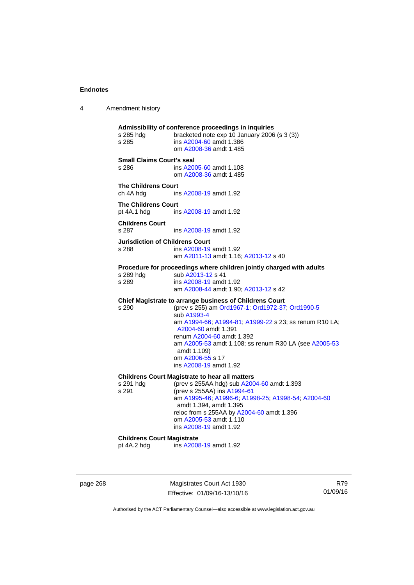4 Amendment history

**Admissibility of conference proceedings in inquiries**  bracketed note exp 10 January 2006 (s  $3$  (3)) s 285 ins [A2004-60](http://www.legislation.act.gov.au/a/2004-60) amdt 1.386 om [A2008-36](http://www.legislation.act.gov.au/a/2008-36) amdt 1.485 **Small Claims Court's seal**  s 286 ins [A2005-60](http://www.legislation.act.gov.au/a/2005-60) amdt 1.108 om [A2008-36](http://www.legislation.act.gov.au/a/2008-36) amdt 1.485 **The Childrens Court**  ch 4A hdg ins [A2008-19](http://www.legislation.act.gov.au/a/2008-19) amdt 1.92 **The Childrens Court**  pt 4A.1 hdg ins [A2008-19](http://www.legislation.act.gov.au/a/2008-19) amdt 1.92 **Childrens Court**  s 287 ins [A2008-19](http://www.legislation.act.gov.au/a/2008-19) amdt 1.92 **Jurisdiction of Childrens Court**  s 288 ins [A2008-19](http://www.legislation.act.gov.au/a/2008-19) amdt 1.92 am [A2011-13](http://www.legislation.act.gov.au/a/2011-13) amdt 1.16; [A2013-12](http://www.legislation.act.gov.au/a/2013-12) s 40 **Procedure for proceedings where children jointly charged with adults**  s 289 hdg sub [A2013-12](http://www.legislation.act.gov.au/a/2013-12) s 41 s 289 ins [A2008-19](http://www.legislation.act.gov.au/a/2008-19) amdt 1.92 am [A2008-44](http://www.legislation.act.gov.au/a/2008-44) amdt 1.90; [A2013-12](http://www.legislation.act.gov.au/a/2013-12) s 42 **Chief Magistrate to arrange business of Childrens Court**  s 290 (prev s 255) am [Ord1967-1](http://www.legislation.act.gov.au/a/1967-1); [Ord1972-37;](http://www.legislation.act.gov.au/a/1972-37) [Ord1990-5](http://www.legislation.act.gov.au/a/alt_ord1990-5) sub [A1993-4](http://www.legislation.act.gov.au/a/1993-4) am [A1994-66](http://www.legislation.act.gov.au/a/1994-66); [A1994-81](http://www.legislation.act.gov.au/a/1994-81); [A1999-22](http://www.legislation.act.gov.au/a/1999-22) s 23; ss renum R10 LA; [A2004-60](http://www.legislation.act.gov.au/a/2004-60) amdt 1.391 renum [A2004-60](http://www.legislation.act.gov.au/a/2004-60) amdt 1.392 am [A2005-53](http://www.legislation.act.gov.au/a/2005-53) amdt 1.108; ss renum R30 LA (see [A2005-53](http://www.legislation.act.gov.au/a/2005-53) amdt 1.109) om [A2006-55](http://www.legislation.act.gov.au/a/2006-55) s 17 ins [A2008-19](http://www.legislation.act.gov.au/a/2008-19) amdt 1.92 **Childrens Court Magistrate to hear all matters**  s 291 hdg (prev s 255AA hdg) sub [A2004-60](http://www.legislation.act.gov.au/a/2004-60) amdt 1.393<br>s 291 (prev s 255AA) ins A1994-61 (prev s 255AA) ins [A1994-61](http://www.legislation.act.gov.au/a/1994-61) am [A1995-46](http://www.legislation.act.gov.au/a/1995-46); [A1996-6;](http://www.legislation.act.gov.au/a/1996-6) [A1998-25](http://www.legislation.act.gov.au/a/1998-25); [A1998-54](http://www.legislation.act.gov.au/a/1998-54); [A2004-60](http://www.legislation.act.gov.au/a/2004-60) amdt 1.394, amdt 1.395 reloc from s 255AA by [A2004-60](http://www.legislation.act.gov.au/a/2004-60) amdt 1.396 om [A2005-53](http://www.legislation.act.gov.au/a/2005-53) amdt 1.110 ins [A2008-19](http://www.legislation.act.gov.au/a/2008-19) amdt 1.92 **Childrens Court Magistrate**<br>
ot 4A.2 hdg ins A200 ins [A2008-19](http://www.legislation.act.gov.au/a/2008-19) amdt 1.92

page 268 Magistrates Court Act 1930 Effective: 01/09/16-13/10/16

R79 01/09/16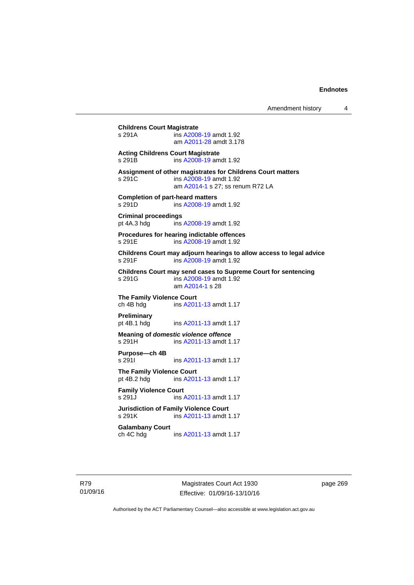# **Childrens Court Magistrate**  ins [A2008-19](http://www.legislation.act.gov.au/a/2008-19) amdt 1.92 am [A2011-28](http://www.legislation.act.gov.au/a/2011-28) amdt 3.178 **Acting Childrens Court Magistrate**  s 291B ins [A2008-19](http://www.legislation.act.gov.au/a/2008-19) amdt 1.92 **Assignment of other magistrates for Childrens Court matters**  s 291C ins [A2008-19](http://www.legislation.act.gov.au/a/2008-19) amdt 1.92 am [A2014-1](http://www.legislation.act.gov.au/a/2014-1) s 27; ss renum R72 LA **Completion of part-heard matters**  s 291D ins [A2008-19](http://www.legislation.act.gov.au/a/2008-19) amdt 1.92 **Criminal proceedings**  pt 4A.3 hdg ins [A2008-19](http://www.legislation.act.gov.au/a/2008-19) amdt 1.92 **Procedures for hearing indictable offences**  s 291E ins [A2008-19](http://www.legislation.act.gov.au/a/2008-19) amdt 1.92 **Childrens Court may adjourn hearings to allow access to legal advice**  ins [A2008-19](http://www.legislation.act.gov.au/a/2008-19) amdt 1.92 **Childrens Court may send cases to Supreme Court for sentencing**  ins [A2008-19](http://www.legislation.act.gov.au/a/2008-19) amdt 1.92 am [A2014-1](http://www.legislation.act.gov.au/a/2014-1) s 28 **The Family Violence Court**  ch 4B hdg ins [A2011-13](http://www.legislation.act.gov.au/a/2011-13) amdt 1.17 **Preliminary**  pt 4B.1 hdg ins [A2011-13](http://www.legislation.act.gov.au/a/2011-13) amdt 1.17 **Meaning of** *domestic violence offence* s 291H ins [A2011-13](http://www.legislation.act.gov.au/a/2011-13) amdt 1.17 **Purpose—ch 4B**  s 291I **ins [A2011-13](http://www.legislation.act.gov.au/a/2011-13) amdt 1.17 The Family Violence Court**  pt 4B.2 hdg ins [A2011-13](http://www.legislation.act.gov.au/a/2011-13) amdt 1.17 **Family Violence Court**  s 291J ins [A2011-13](http://www.legislation.act.gov.au/a/2011-13) amdt 1.17 **Jurisdiction of Family Violence Court**  ins [A2011-13](http://www.legislation.act.gov.au/a/2011-13) amdt 1.17 **Galambany Court**  ch 4C hdg ins [A2011-13](http://www.legislation.act.gov.au/a/2011-13) amdt 1.17

R79 01/09/16

Magistrates Court Act 1930 Effective: 01/09/16-13/10/16 page 269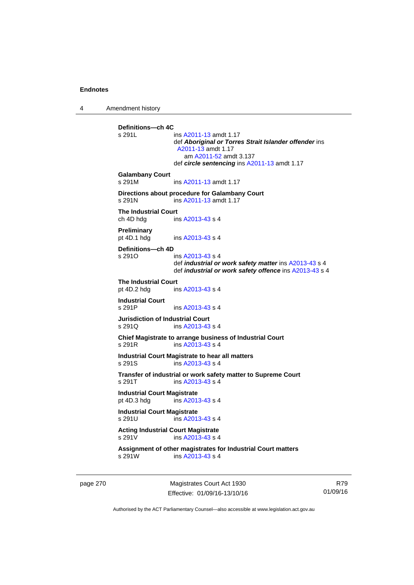4 Amendment history

**Definitions—ch 4C**  ins [A2011-13](http://www.legislation.act.gov.au/a/2011-13) amdt 1.17 def *Aboriginal or Torres Strait Islander offender* ins [A2011-13](http://www.legislation.act.gov.au/a/2011-13) amdt 1.17 am [A2011-52](http://www.legislation.act.gov.au/a/2011-52) amdt 3.137 def *circle sentencing* ins [A2011-13](http://www.legislation.act.gov.au/a/2011-13) amdt 1.17 **Galambany Court**  s 291M ins [A2011-13](http://www.legislation.act.gov.au/a/2011-13) amdt 1.17 **Directions about procedure for Galambany Court**  s 291N ins [A2011-13](http://www.legislation.act.gov.au/a/2011-13) amdt 1.17 **The Industrial Court**  ch 4D hdg ins [A2013-43](http://www.legislation.act.gov.au/a/2013-43) s 4 **Preliminary**  pt 4D.1 hdg ins [A2013-43](http://www.legislation.act.gov.au/a/2013-43) s 4 **Definitions—ch 4D**   $ins A2013-43 s 4$  $ins A2013-43 s 4$  $ins A2013-43 s 4$  def *industrial or work safety matter* ins [A2013-43](http://www.legislation.act.gov.au/a/2013-43) s 4 def *industrial or work safety offence* ins [A2013-43](http://www.legislation.act.gov.au/a/2013-43) s 4 **The Industrial Court** pt 4D.2 hdg in ins  $A2013-43 s 4$ **Industrial Court**  s 291P ins [A2013-43](http://www.legislation.act.gov.au/a/2013-43) s 4 **Jurisdiction of Industrial Court**  s 291Q ins [A2013-43](http://www.legislation.act.gov.au/a/2013-43) s 4 **Chief Magistrate to arrange business of Industrial Court**  s 291R ins [A2013-43](http://www.legislation.act.gov.au/a/2013-43) s 4 **Industrial Court Magistrate to hear all matters**  s 291S ins [A2013-43](http://www.legislation.act.gov.au/a/2013-43) s 4 **Transfer of industrial or work safety matter to Supreme Court**  s 291T ins [A2013-43](http://www.legislation.act.gov.au/a/2013-43) s 4 **Industrial Court Magistrate**<br>
pt 4D.3 hdq ins A201  $ins$  [A2013-43](http://www.legislation.act.gov.au/a/2013-43) s 4 **Industrial Court Magistrate**  s 291U ins [A2013-43](http://www.legislation.act.gov.au/a/2013-43) s 4 **Acting Industrial Court Magistrate**  s 291V ins [A2013-43](http://www.legislation.act.gov.au/a/2013-43) s 4 **Assignment of other magistrates for Industrial Court matters**  s 291W ins [A2013-43](http://www.legislation.act.gov.au/a/2013-43) s 4

page 270 Magistrates Court Act 1930 Effective: 01/09/16-13/10/16

R79 01/09/16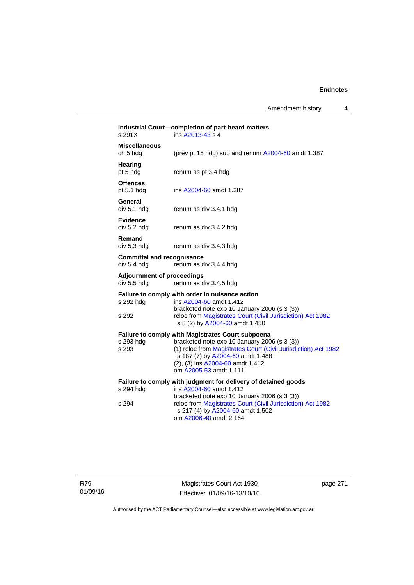Amendment history 4

| s 291X                                           | Industrial Court-completion of part-heard matters<br>ins A2013-43 s 4                                                                                                                                                                                                        |
|--------------------------------------------------|------------------------------------------------------------------------------------------------------------------------------------------------------------------------------------------------------------------------------------------------------------------------------|
| <b>Miscellaneous</b><br>ch 5 hdg                 | (prev pt 15 hdg) sub and renum A2004-60 amdt 1.387                                                                                                                                                                                                                           |
| Hearing<br>pt 5 hdg                              | renum as pt 3.4 hdg                                                                                                                                                                                                                                                          |
| <b>Offences</b><br>pt $5.1$ hdg                  | ins A2004-60 amdt 1.387                                                                                                                                                                                                                                                      |
| General<br>div 5.1 hdg                           | renum as div 3.4.1 hdg                                                                                                                                                                                                                                                       |
| <b>Evidence</b><br>div 5.2 hdg                   | renum as div 3.4.2 hdg                                                                                                                                                                                                                                                       |
| Remand<br>div 5.3 hdg                            | renum as div 3.4.3 hdg                                                                                                                                                                                                                                                       |
| <b>Committal and recognisance</b><br>div 5.4 hdg | renum as div 3.4.4 hdg                                                                                                                                                                                                                                                       |
| <b>Adjournment of proceedings</b><br>div 5.5 hdg | renum as div 3.4.5 hdg                                                                                                                                                                                                                                                       |
| s 292 hdg<br>s 292                               | Failure to comply with order in nuisance action<br>ins A2004-60 amdt 1.412<br>bracketed note exp 10 January 2006 (s 3 (3))<br>reloc from Magistrates Court (Civil Jurisdiction) Act 1982<br>s 8 (2) by A2004-60 amdt 1.450                                                   |
| s 293 hdg<br>s 293                               | <b>Failure to comply with Magistrates Court subpoena</b><br>bracketed note exp 10 January 2006 (s 3 (3))<br>(1) reloc from Magistrates Court (Civil Jurisdiction) Act 1982<br>s 187 (7) by A2004-60 amdt 1.488<br>(2), (3) ins A2004-60 amdt 1.412<br>om A2005-53 amdt 1.111 |
| s 294 hdg<br>s 294                               | Failure to comply with judgment for delivery of detained goods<br>ins A2004-60 amdt 1.412<br>bracketed note exp 10 January 2006 (s 3 (3))<br>reloc from Magistrates Court (Civil Jurisdiction) Act 1982<br>s 217 (4) by A2004-60 amdt 1.502<br>om A2006-40 amdt 2.164        |
|                                                  |                                                                                                                                                                                                                                                                              |

Magistrates Court Act 1930 Effective: 01/09/16-13/10/16 page 271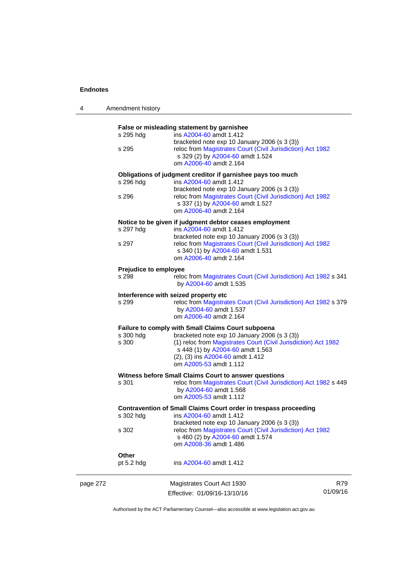4 Amendment history

|          |                                                                  | False or misleading statement by garnishee                                                                 |  |
|----------|------------------------------------------------------------------|------------------------------------------------------------------------------------------------------------|--|
|          | s 295 hdg                                                        | ins A2004-60 amdt 1.412                                                                                    |  |
|          |                                                                  | bracketed note exp 10 January 2006 (s 3 (3))                                                               |  |
|          | s 295                                                            | reloc from Magistrates Court (Civil Jurisdiction) Act 1982                                                 |  |
|          |                                                                  | s 329 (2) by A2004-60 amdt 1.524                                                                           |  |
|          |                                                                  | om A2006-40 amdt 2.164                                                                                     |  |
|          |                                                                  |                                                                                                            |  |
|          |                                                                  | Obligations of judgment creditor if garnishee pays too much                                                |  |
|          | s 296 hdg                                                        | ins A2004-60 amdt 1.412                                                                                    |  |
|          | s 296                                                            | bracketed note exp 10 January 2006 (s 3 (3))<br>reloc from Magistrates Court (Civil Jurisdiction) Act 1982 |  |
|          |                                                                  |                                                                                                            |  |
|          |                                                                  | s 337 (1) by A2004-60 amdt 1.527                                                                           |  |
|          |                                                                  | om A2006-40 amdt 2.164                                                                                     |  |
|          |                                                                  | Notice to be given if judgment debtor ceases employment                                                    |  |
|          | s 297 hdg                                                        | ins A2004-60 amdt 1.412                                                                                    |  |
|          |                                                                  | bracketed note exp 10 January 2006 (s 3 (3))                                                               |  |
|          | s 297                                                            | reloc from Magistrates Court (Civil Jurisdiction) Act 1982                                                 |  |
|          |                                                                  | s 340 (1) by A2004-60 amdt 1.531                                                                           |  |
|          |                                                                  | om A2006-40 amdt 2.164                                                                                     |  |
|          |                                                                  |                                                                                                            |  |
|          | Prejudice to employee                                            |                                                                                                            |  |
|          | s 298                                                            | reloc from Magistrates Court (Civil Jurisdiction) Act 1982 s 341                                           |  |
|          |                                                                  | by A2004-60 amdt 1.535                                                                                     |  |
|          |                                                                  | Interference with seized property etc                                                                      |  |
|          | s 299                                                            | reloc from Magistrates Court (Civil Jurisdiction) Act 1982 s 379                                           |  |
|          |                                                                  | by A2004-60 amdt 1.537                                                                                     |  |
|          |                                                                  | om A2006-40 amdt 2.164                                                                                     |  |
|          |                                                                  |                                                                                                            |  |
|          |                                                                  | Failure to comply with Small Claims Court subpoena                                                         |  |
|          | s 300 hdg                                                        | bracketed note exp 10 January 2006 (s 3 (3))                                                               |  |
|          | s 300                                                            | (1) reloc from Magistrates Court (Civil Jurisdiction) Act 1982                                             |  |
|          |                                                                  | s 448 (1) by A2004-60 amdt 1.563                                                                           |  |
|          |                                                                  | (2), (3) ins A2004-60 amdt 1.412                                                                           |  |
|          |                                                                  | om A2005-53 amdt 1.112                                                                                     |  |
|          |                                                                  | Witness before Small Claims Court to answer questions                                                      |  |
|          | s 301                                                            | reloc from Magistrates Court (Civil Jurisdiction) Act 1982 s 449                                           |  |
|          |                                                                  | by A2004-60 amdt 1.568                                                                                     |  |
|          |                                                                  | om A2005-53 amdt 1.112                                                                                     |  |
|          |                                                                  |                                                                                                            |  |
|          | Contravention of Small Claims Court order in trespass proceeding |                                                                                                            |  |
|          | s 302 hdg                                                        | ins A2004-60 amdt 1.412                                                                                    |  |
|          |                                                                  | bracketed note exp 10 January 2006 (s 3 (3))                                                               |  |
|          | s 302                                                            | reloc from Magistrates Court (Civil Jurisdiction) Act 1982                                                 |  |
|          |                                                                  | s 460 (2) by A2004-60 amdt 1.574                                                                           |  |
|          |                                                                  | om A2008-36 amdt 1.486                                                                                     |  |
|          | Other                                                            |                                                                                                            |  |
|          | pt $5.2$ hdg                                                     | ins A2004-60 amdt 1.412                                                                                    |  |
|          |                                                                  |                                                                                                            |  |
| page 272 |                                                                  | Magistrates Court Act 1930<br>R79                                                                          |  |
|          |                                                                  | 01/09/16<br>Effective: 01/09/16-13/10/16                                                                   |  |
|          |                                                                  |                                                                                                            |  |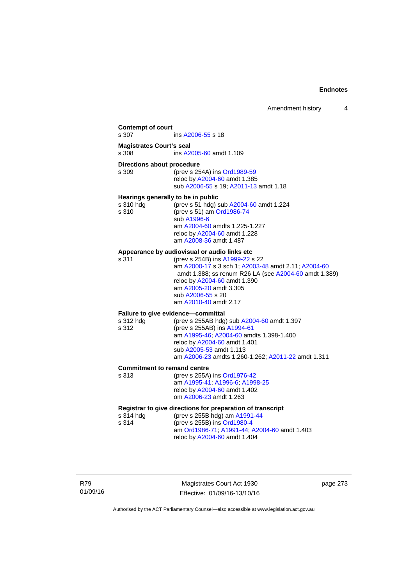### **Contempt of court**  s 307 ins [A2006-55](http://www.legislation.act.gov.au/a/2006-55) s 18 **Magistrates Court's seal**  s 308 ins [A2005-60](http://www.legislation.act.gov.au/a/2005-60) amdt 1.109 **Directions about procedure**<br>s 309 (prev s 25) (prev s 254A) ins [Ord1989-59](http://www.legislation.act.gov.au/a/1989-59) reloc by [A2004-60](http://www.legislation.act.gov.au/a/2004-60) amdt 1.385 sub [A2006-55](http://www.legislation.act.gov.au/a/2006-55) s 19; [A2011-13](http://www.legislation.act.gov.au/a/2011-13) amdt 1.18 **Hearings generally to be in public**  s 310 hdg (prev s 51 hdg) sub [A2004-60](http://www.legislation.act.gov.au/a/2004-60) amdt 1.224 s 310 (prev s 51) am [Ord1986-74](http://www.legislation.act.gov.au/a/1986-74) sub [A1996-6](http://www.legislation.act.gov.au/a/1996-6) am [A2004-60](http://www.legislation.act.gov.au/a/2004-60) amdts 1.225-1.227 reloc by [A2004-60](http://www.legislation.act.gov.au/a/2004-60) amdt 1.228 am [A2008-36](http://www.legislation.act.gov.au/a/2008-36) amdt 1.487 **Appearance by audiovisual or audio links etc**  s 311 (prev s 254B) ins [A1999-22](http://www.legislation.act.gov.au/a/1999-22) s 22 am [A2000-17](http://www.legislation.act.gov.au/a/2000-17) s 3 sch 1; [A2003-48](http://www.legislation.act.gov.au/a/2003-48) amdt 2.11; [A2004-60](http://www.legislation.act.gov.au/a/2004-60) amdt 1.388; ss renum R26 LA (see [A2004-60](http://www.legislation.act.gov.au/a/2004-60) amdt 1.389) reloc by [A2004-60](http://www.legislation.act.gov.au/a/2004-60) amdt 1.390 am [A2005-20](http://www.legislation.act.gov.au/a/2005-20) amdt 3.305 sub [A2006-55](http://www.legislation.act.gov.au/a/2006-55) s 20 am [A2010-40](http://www.legislation.act.gov.au/a/2010-40) amdt 2.17 **Failure to give evidence—committal**  s 312 hdg (prev s 255AB hdg) sub [A2004-60](http://www.legislation.act.gov.au/a/2004-60) amdt 1.397 s 312 (prev s 255AB) ins [A1994-61](http://www.legislation.act.gov.au/a/1994-61) am [A1995-46](http://www.legislation.act.gov.au/a/1995-46); [A2004-60](http://www.legislation.act.gov.au/a/2004-60) amdts 1.398-1.400 reloc by [A2004-60](http://www.legislation.act.gov.au/a/2004-60) amdt 1.401 sub [A2005-53](http://www.legislation.act.gov.au/a/2005-53) amdt 1.113 am [A2006-23](http://www.legislation.act.gov.au/a/2006-23) amdts 1.260-1.262; [A2011-22](http://www.legislation.act.gov.au/a/2011-22) amdt 1.311 **Commitment to remand centre**  s 313 (prev s 255A) ins [Ord1976-42](http://www.legislation.act.gov.au/a/1976-42) am [A1995-41](http://www.legislation.act.gov.au/a/1995-41); [A1996-6](http://www.legislation.act.gov.au/a/1996-6); [A1998-25](http://www.legislation.act.gov.au/a/1998-25) reloc by [A2004-60](http://www.legislation.act.gov.au/a/2004-60) amdt 1.402 om [A2006-23](http://www.legislation.act.gov.au/a/2006-23) amdt 1.263 **Registrar to give directions for preparation of transcript**<br>s 314 hdd (prev s 255B hdd) am A1991-44 (prev s 255B hdg) am [A1991-44](http://www.legislation.act.gov.au/a/1991-44) s 314 (prev s 255B) ins [Ord1980-4](http://www.legislation.act.gov.au/a/1980-4) am [Ord1986-71](http://www.legislation.act.gov.au/a/1986-71); [A1991-44](http://www.legislation.act.gov.au/a/1991-44); [A2004-60](http://www.legislation.act.gov.au/a/2004-60) amdt 1.403 reloc by [A2004-60](http://www.legislation.act.gov.au/a/2004-60) amdt 1.404

Magistrates Court Act 1930 Effective: 01/09/16-13/10/16 page 273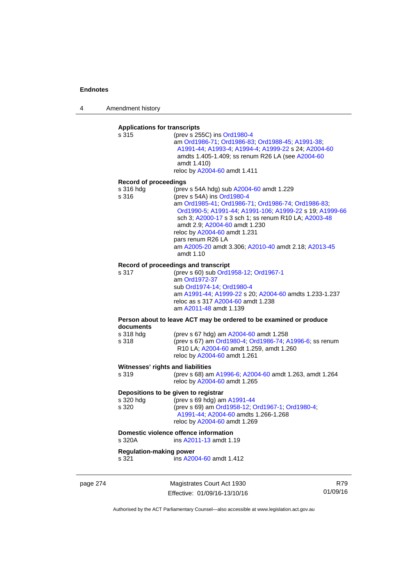4 Amendment history

# **Applications for transcripts**

s 315 (prev s 255C) ins [Ord1980-4](http://www.legislation.act.gov.au/a/1980-4) am [Ord1986-71](http://www.legislation.act.gov.au/a/1986-71); [Ord1986-83;](http://www.legislation.act.gov.au/a/1986-83) [Ord1988-45](http://www.legislation.act.gov.au/a/1988-45); [A1991-38](http://www.legislation.act.gov.au/a/1991-38); [A1991-44;](http://www.legislation.act.gov.au/a/1991-44) [A1993-4;](http://www.legislation.act.gov.au/a/1993-4) [A1994-4](http://www.legislation.act.gov.au/a/1994-4); [A1999-22](http://www.legislation.act.gov.au/a/1999-22) s 24; [A2004-60](http://www.legislation.act.gov.au/a/2004-60) amdts 1.405-1.409; ss renum R26 LA (see [A2004-60](http://www.legislation.act.gov.au/a/2004-60) amdt 1.410) reloc by [A2004-60](http://www.legislation.act.gov.au/a/2004-60) amdt 1.411

#### **Record of proceedings**

| s 316 hda | (prev s 54A hdg) sub A2004-60 amdt 1.229                |
|-----------|---------------------------------------------------------|
| s 316     | (prev s 54A) ins Ord1980-4                              |
|           | am Ord1985-41, Ord1986-71, Ord1986-74, Ord1986-83,      |
|           | Ord1990-5; A1991-44; A1991-106; A1999-22 s 19; A1999-66 |
|           | sch 3; A2000-17 s 3 sch 1; ss renum R10 LA; A2003-48    |
|           | amdt 2.9: A2004-60 amdt 1.230                           |
|           | reloc by A2004-60 amdt 1.231                            |
|           | pars renum R26 LA                                       |
|           | am A2005-20 amdt 3.306; A2010-40 amdt 2.18; A2013-45    |
|           | amdt 1.10                                               |

#### **Record of proceedings and transcript**

s 317 (prev s 60) sub [Ord1958-12](http://www.legislation.act.gov.au/a/1958-12); [Ord1967-1](http://www.legislation.act.gov.au/a/1967-1) am [Ord1972-37](http://www.legislation.act.gov.au/a/1972-37) sub [Ord1974-14](http://www.legislation.act.gov.au/a/1974-14); [Ord1980-4](http://www.legislation.act.gov.au/a/1980-4) am [A1991-44](http://www.legislation.act.gov.au/a/1991-44); [A1999-22](http://www.legislation.act.gov.au/a/1999-22) s 20; [A2004-60](http://www.legislation.act.gov.au/a/2004-60) amdts 1.233-1.237 reloc as s 317 [A2004-60](http://www.legislation.act.gov.au/a/2004-60) amdt 1.238 am [A2011-48](http://www.legislation.act.gov.au/a/2011-48) amdt 1.139

#### **Person about to leave ACT may be ordered to be examined or produce documents**

| s 318 hda | (prev s 67 hdg) am A2004-60 amdt 1.258                  |
|-----------|---------------------------------------------------------|
| s 318     | (prev s 67) am Ord1980-4; Ord1986-74; A1996-6; ss renum |
|           | R10 LA: A2004-60 amdt 1.259, amdt 1.260                 |
|           | reloc by A2004-60 amdt 1.261                            |

#### **Witnesses' rights and liabilities**

| s 319 | (prev s 68) am A1996-6, A2004-60 amdt 1.263, amdt 1.264 |
|-------|---------------------------------------------------------|
|       | reloc by A2004-60 amdt 1.265                            |

### **Depositions to be given to registrar**

| s 320 hdg | (prev s 69 hdg) am $A1991-44$                    |
|-----------|--------------------------------------------------|
| s 320     | (prev s 69) am Ord1958-12, Ord1967-1, Ord1980-4, |
|           | A1991-44: A2004-60 amdts 1.266-1.268             |
|           | reloc by A2004-60 amdt 1.269                     |

# **Domestic violence offence information**<br>s 320A **ins A2011-13** amdt 1.

ins [A2011-13](http://www.legislation.act.gov.au/a/2011-13) amdt 1.19

### **Regulation-making power**

s 321 ins [A2004-60](http://www.legislation.act.gov.au/a/2004-60) amdt 1.412

page 274 Magistrates Court Act 1930 Effective: 01/09/16-13/10/16

R79 01/09/16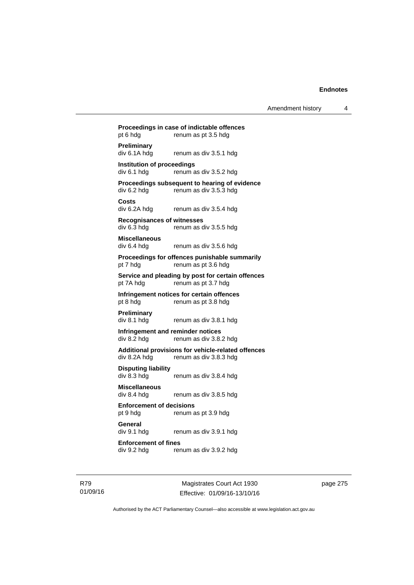## **Proceedings in case of indictable offences**  pt 6 hdg renum as pt 3.5 hdg **Preliminary**  div 6.1A hdg renum as div 3.5.1 hdg **Institution of proceedings**   $div 6.1$  hdg renum as div  $3.5.2$  hdg **Proceedings subsequent to hearing of evidence**  div 6.2 hdg renum as div 3.5.3 hdg **Costs**  renum as div 3.5.4 hdg **Recognisances of witnesses**  div 6.3 hdg renum as div 3.5.5 hdg **Miscellaneous**  div 6.4 hdg renum as div 3.5.6 hdg **Proceedings for offences punishable summarily**  pt 7 hdg renum as pt 3.6 hdg **Service and pleading by post for certain offences**  pt 7A hdg renum as pt 3.7 hdg **Infringement notices for certain offences**  pt 8 hdg renum as pt 3.8 hdg **Preliminary**  div 8.1 hdg renum as div 3.8.1 hdg **Infringement and reminder notices**  div 8.2 hdg renum as div 3.8.2 hdg **Additional provisions for vehicle-related offences**  div 8.2A hdg renum as div 3.8.3 hdg **Disputing liability**  div 8.3 hdg renum as div 3.8.4 hdg **Miscellaneous**  renum as div 3.8.5 hdg **Enforcement of decisions**  pt 9 hdg renum as pt 3.9 hdg **General**  div 9.1 hdg renum as div 3.9.1 hdg **Enforcement of fines**  div 9.2 hdg renum as div 3.9.2 hdg

R79 01/09/16

Magistrates Court Act 1930 Effective: 01/09/16-13/10/16 page 275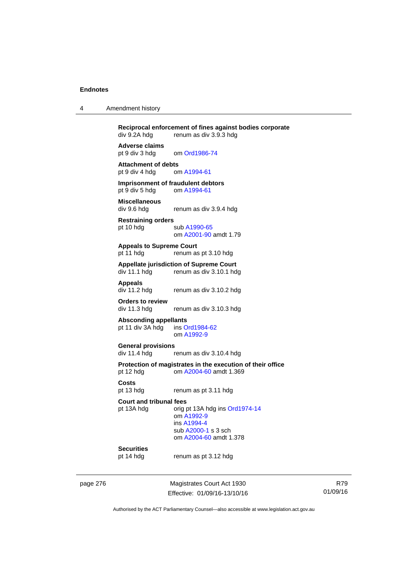| 4 | Amendment history |  |
|---|-------------------|--|
|---|-------------------|--|

**Reciprocal enforcement of fines against bodies corporate**<br>div 9.2A hdg renum as div 3.9.3 hdg renum as div 3.9.3 hdg **Adverse claims** 

pt 9 div 3 hdg om [Ord1986-74](http://www.legislation.act.gov.au/a/1986-74)

**Attachment of debts**<br>
pt 9 div 4 hdg om A1994-61 pt 9 div 4 hdg

**Imprisonment of fraudulent debtors**  pt 9 div 5 hdg om [A1994-61](http://www.legislation.act.gov.au/a/1994-61)

**Miscellaneous**  renum as div 3.9.4 hdg

**Restraining orders**  pt 10 hdg sub [A1990-65](http://www.legislation.act.gov.au/a/1990-65) om [A2001-90](http://www.legislation.act.gov.au/a/2001-90) amdt 1.79

**Appeals to Supreme Court**  pt 11 hdg renum as pt 3.10 hdg

# **Appellate jurisdiction of Supreme Court**

renum as div 3.10.1 hdg

**Appeals** 

div 11.2 hdg renum as div 3.10.2 hdg

**Orders to review** 

renum as div 3.10.3 hdg

**Absconding appellants** 

pt 11 div 3A hdg ins [Ord1984-62](http://www.legislation.act.gov.au/a/1984-62) om [A1992-9](http://www.legislation.act.gov.au/a/1992-9)

**General provisions**  renum as div 3.10.4 hdg

**Protection of magistrates in the execution of their office**  pt 12 hdg om [A2004-60](http://www.legislation.act.gov.au/a/2004-60) amdt 1.369

**Costs** 

pt 13 hdg renum as pt 3.11 hdg

**Court and tribunal fees** 

pt 13A hdg orig pt 13A hdg ins [Ord1974-14](http://www.legislation.act.gov.au/a/1974-14) om [A1992-9](http://www.legislation.act.gov.au/a/1992-9) ins [A1994-4](http://www.legislation.act.gov.au/a/1994-4) sub [A2000-1](http://www.legislation.act.gov.au/a/2000-1) s 3 sch om [A2004-60](http://www.legislation.act.gov.au/a/2004-60) amdt 1.378

## **Securities**

pt 14 hdg renum as pt 3.12 hdg

page 276 Magistrates Court Act 1930 Effective: 01/09/16-13/10/16

R79 01/09/16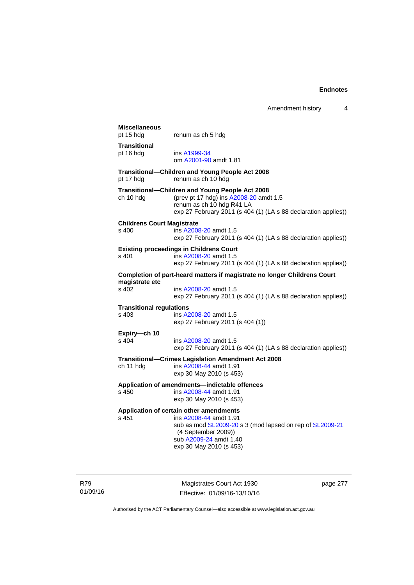## **Miscellaneous**  pt 15 hdg renum as ch 5 hdg **Transitional**  pt 16 hdg ins [A1999-34](http://www.legislation.act.gov.au/a/1999-34) om [A2001-90](http://www.legislation.act.gov.au/a/2001-90) amdt 1.81 **Transitional—Children and Young People Act 2008**  pt 17 hdg renum as ch 10 hdg **Transitional—Children and Young People Act 2008**  ch 10 hdg (prev pt 17 hdg) ins [A2008-20](http://www.legislation.act.gov.au/a/2008-20) amdt 1.5 renum as ch 10 hdg R41 LA exp 27 February 2011 (s 404 (1) (LA s 88 declaration applies)) **Childrens Court Magistrate**  s 400 ins [A2008-20](http://www.legislation.act.gov.au/a/2008-20) amdt 1.5 exp 27 February 2011 (s 404 (1) (LA s 88 declaration applies)) **Existing proceedings in Childrens Court**  s 401 ins [A2008-20](http://www.legislation.act.gov.au/a/2008-20) amdt 1.5 exp 27 February 2011 (s 404 (1) (LA s 88 declaration applies)) **Completion of part-heard matters if magistrate no longer Childrens Court magistrate etc**  s 402 ins [A2008-20](http://www.legislation.act.gov.au/a/2008-20) amdt 1.5 exp 27 February 2011 (s 404 (1) (LA s 88 declaration applies)) **Transitional regulations**  s 403 ins [A2008-20](http://www.legislation.act.gov.au/a/2008-20) amdt 1.5 exp 27 February 2011 (s 404 (1)) **Expiry—ch 10**  s 404 ins [A2008-20](http://www.legislation.act.gov.au/a/2008-20) amdt 1.5 exp 27 February 2011 (s 404 (1) (LA s 88 declaration applies)) **Transitional—Crimes Legislation Amendment Act 2008**  ch 11 hdg ins [A2008-44](http://www.legislation.act.gov.au/a/2008-44) amdt 1.91 exp 30 May 2010 (s 453) **Application of amendments—indictable offences**  s 450 ins [A2008-44](http://www.legislation.act.gov.au/a/2008-44) amdt 1.91 exp 30 May 2010 (s 453) **Application of certain other amendments**  s 451 ins [A2008-44](http://www.legislation.act.gov.au/a/2008-44) amdt 1.91 sub as mod [SL2009-20](http://www.legislation.act.gov.au/sl/2009-20) s 3 (mod lapsed on rep of [SL2009-21](http://www.legislation.act.gov.au/sl/2009-21) (4 September 2009)) sub [A2009-24](http://www.legislation.act.gov.au/a/2009-24) amdt 1.40 exp 30 May 2010 (s 453)

R79 01/09/16

Magistrates Court Act 1930 Effective: 01/09/16-13/10/16 page 277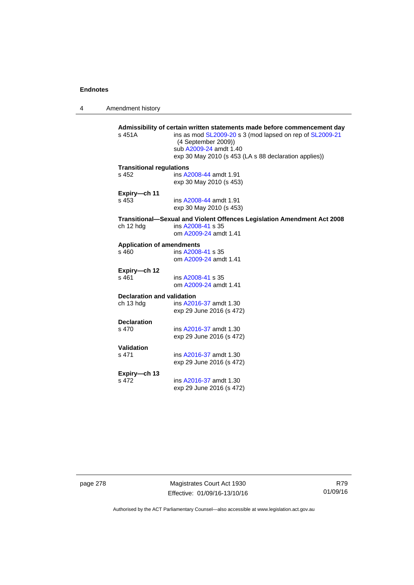4 Amendment history

| s 451A                           | Admissibility of certain written statements made before commencement day<br>ins as mod SL2009-20 s 3 (mod lapsed on rep of SL2009-21<br>(4 September 2009))<br>sub A2009-24 amdt 1.40<br>exp 30 May 2010 (s 453 (LA s 88 declaration applies)) |
|----------------------------------|------------------------------------------------------------------------------------------------------------------------------------------------------------------------------------------------------------------------------------------------|
| <b>Transitional regulations</b>  |                                                                                                                                                                                                                                                |
| s, 452                           | ins A2008-44 amdt 1.91<br>exp 30 May 2010 (s 453)                                                                                                                                                                                              |
| Expiry-ch 11                     |                                                                                                                                                                                                                                                |
| s 453                            | ins A2008-44 amdt 1.91<br>exp 30 May 2010 (s 453)                                                                                                                                                                                              |
|                                  | Transitional-Sexual and Violent Offences Legislation Amendment Act 2008                                                                                                                                                                        |
| ch 12 hdg                        | ins A2008-41 s 35<br>om A2009-24 amdt 1.41                                                                                                                                                                                                     |
| <b>Application of amendments</b> |                                                                                                                                                                                                                                                |
| s 460                            | ins A2008-41 s 35<br>om A2009-24 amdt 1.41                                                                                                                                                                                                     |
| Expiry-ch 12                     |                                                                                                                                                                                                                                                |
| $s$ 461                          | ins A2008-41 s 35<br>om A2009-24 amdt 1.41                                                                                                                                                                                                     |
| Declaration and validation       |                                                                                                                                                                                                                                                |
| ch 13 hdg                        | ins A2016-37 amdt 1.30<br>exp 29 June 2016 (s 472)                                                                                                                                                                                             |
| <b>Declaration</b>               |                                                                                                                                                                                                                                                |
| s 470                            | ins A2016-37 amdt 1.30<br>exp 29 June 2016 (s 472)                                                                                                                                                                                             |
| Validation                       |                                                                                                                                                                                                                                                |
| s 471                            | ins A2016-37 amdt 1.30                                                                                                                                                                                                                         |
|                                  | exp 29 June 2016 (s 472)                                                                                                                                                                                                                       |
|                                  |                                                                                                                                                                                                                                                |
| Expiry-ch 13                     |                                                                                                                                                                                                                                                |
| s 472                            | ins A2016-37 amdt 1.30<br>exp 29 June 2016 (s 472)                                                                                                                                                                                             |

page 278 Magistrates Court Act 1930 Effective: 01/09/16-13/10/16

R79 01/09/16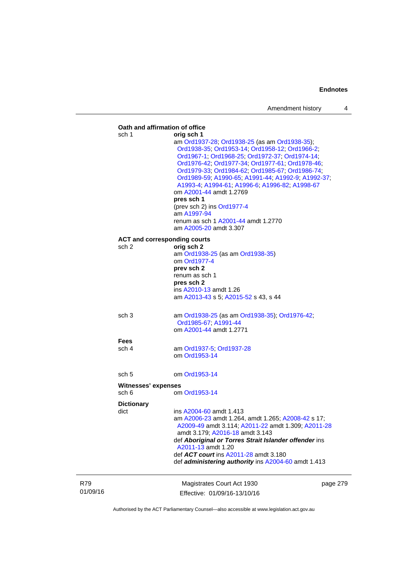|                 |                              | Oath and affirmation of office                                                                                                                                                                                                                                                                                                                                                                                                                                                                                                       |  |
|-----------------|------------------------------|--------------------------------------------------------------------------------------------------------------------------------------------------------------------------------------------------------------------------------------------------------------------------------------------------------------------------------------------------------------------------------------------------------------------------------------------------------------------------------------------------------------------------------------|--|
|                 | sch 1                        | orig sch 1<br>am Ord1937-28; Ord1938-25 (as am Ord1938-35);<br>Ord1938-35; Ord1953-14; Ord1958-12; Ord1966-2;<br>Ord1967-1; Ord1968-25; Ord1972-37; Ord1974-14;<br>Ord1976-42; Ord1977-34; Ord1977-61; Ord1978-46;<br>Ord1979-33; Ord1984-62; Ord1985-67; Ord1986-74;<br>Ord1989-59; A1990-65; A1991-44; A1992-9; A1992-37;<br>A1993-4; A1994-61; A1996-6; A1996-82; A1998-67<br>om A2001-44 amdt 1.2769<br>pres sch 1<br>(prev sch 2) ins Ord1977-4<br>am A1997-94<br>renum as sch 1 A2001-44 amdt 1.2770<br>am A2005-20 amdt 3.307 |  |
|                 | sch 2                        | <b>ACT and corresponding courts</b><br>orig sch 2<br>am Ord1938-25 (as am Ord1938-35)<br>om Ord1977-4<br>prev sch 2<br>renum as sch 1<br>pres sch 2                                                                                                                                                                                                                                                                                                                                                                                  |  |
|                 | sch <sub>3</sub>             | ins A2010-13 amdt 1.26<br>am A2013-43 s 5; A2015-52 s 43, s 44<br>am Ord1938-25 (as am Ord1938-35); Ord1976-42;                                                                                                                                                                                                                                                                                                                                                                                                                      |  |
|                 |                              | Ord1985-67, A1991-44<br>om A2001-44 amdt 1.2771                                                                                                                                                                                                                                                                                                                                                                                                                                                                                      |  |
|                 | <b>Fees</b><br>sch 4         | am Ord1937-5; Ord1937-28<br>om Ord1953-14                                                                                                                                                                                                                                                                                                                                                                                                                                                                                            |  |
|                 | sch <sub>5</sub>             | om Ord1953-14                                                                                                                                                                                                                                                                                                                                                                                                                                                                                                                        |  |
|                 | Witnesses' expenses<br>sch 6 | om Ord1953-14                                                                                                                                                                                                                                                                                                                                                                                                                                                                                                                        |  |
|                 | <b>Dictionary</b><br>dict    | ins A2004-60 amdt 1.413<br>am A2006-23 amdt 1.264, amdt 1.265; A2008-42 s 17;<br>A2009-49 amdt 3.114; A2011-22 amdt 1.309; A2011-28<br>amdt 3.179; A2016-18 amdt 3.143<br>def Aboriginal or Torres Strait Islander offender ins<br>A2011-13 amdt 1.20<br>def ACT court ins A2011-28 amdt 3.180<br>def administering authority ins A2004-60 amdt 1.413                                                                                                                                                                                |  |
| R79<br>01/09/16 |                              | Magistrates Court Act 1930<br>page 279<br>Effective: 01/09/16-13/10/16                                                                                                                                                                                                                                                                                                                                                                                                                                                               |  |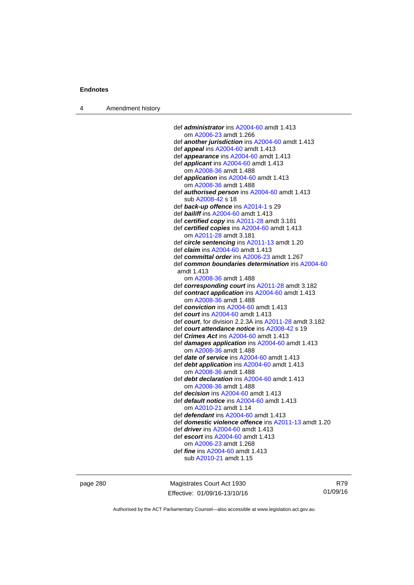4 Amendment history

 def *administrator* ins [A2004-60](http://www.legislation.act.gov.au/a/2004-60) amdt 1.413 om [A2006-23](http://www.legislation.act.gov.au/a/2006-23) amdt 1.266 def *another jurisdiction* ins [A2004-60](http://www.legislation.act.gov.au/a/2004-60) amdt 1.413 def *appeal* ins [A2004-60](http://www.legislation.act.gov.au/a/2004-60) amdt 1.413 def *appearance* ins [A2004-60](http://www.legislation.act.gov.au/a/2004-60) amdt 1.413 def *applicant* ins [A2004-60](http://www.legislation.act.gov.au/a/2004-60) amdt 1.413 om [A2008-36](http://www.legislation.act.gov.au/a/2008-36) amdt 1.488 def *application* ins [A2004-60](http://www.legislation.act.gov.au/a/2004-60) amdt 1.413 om [A2008-36](http://www.legislation.act.gov.au/a/2008-36) amdt 1.488 def *authorised person* ins [A2004-60](http://www.legislation.act.gov.au/a/2004-60) amdt 1.413 sub [A2008-42](http://www.legislation.act.gov.au/a/2008-42) s 18 def *back-up offence* ins [A2014-1](http://www.legislation.act.gov.au/a/2014-1) s 29 def *bailiff* ins [A2004-60](http://www.legislation.act.gov.au/a/2004-60) amdt 1.413 def *certified copy* ins [A2011-28](http://www.legislation.act.gov.au/a/2011-28) amdt 3.181 def *certified copies* ins [A2004-60](http://www.legislation.act.gov.au/a/2004-60) amdt 1.413 om [A2011-28](http://www.legislation.act.gov.au/a/2011-28) amdt 3.181 def *circle sentencing* ins [A2011-13](http://www.legislation.act.gov.au/a/2011-13) amdt 1.20 def *claim* ins [A2004-60](http://www.legislation.act.gov.au/a/2004-60) amdt 1.413 def *committal order* ins [A2006-23](http://www.legislation.act.gov.au/a/2006-23) amdt 1.267 def *common boundaries determination* ins [A2004-60](http://www.legislation.act.gov.au/a/2004-60) amdt 1.413 om [A2008-36](http://www.legislation.act.gov.au/a/2008-36) amdt 1.488 def *corresponding court* ins [A2011-28](http://www.legislation.act.gov.au/a/2011-28) amdt 3.182 def *contract application* ins [A2004-60](http://www.legislation.act.gov.au/a/2004-60) amdt 1.413 om [A2008-36](http://www.legislation.act.gov.au/a/2008-36) amdt 1.488 def *conviction* ins [A2004-60](http://www.legislation.act.gov.au/a/2004-60) amdt 1.413 def *court* ins [A2004-60](http://www.legislation.act.gov.au/a/2004-60) amdt 1.413 def *court*, for division 2.2.3A ins [A2011-28](http://www.legislation.act.gov.au/a/2011-28) amdt 3.182 def *court attendance notice* ins [A2008-42](http://www.legislation.act.gov.au/a/2008-42) s 19 def *Crimes Act* ins [A2004-60](http://www.legislation.act.gov.au/a/2004-60) amdt 1.413 def *damages application* ins [A2004-60](http://www.legislation.act.gov.au/a/2004-60) amdt 1.413 om [A2008-36](http://www.legislation.act.gov.au/a/2008-36) amdt 1.488 def *date of service* ins [A2004-60](http://www.legislation.act.gov.au/a/2004-60) amdt 1.413 def *debt application* ins [A2004-60](http://www.legislation.act.gov.au/a/2004-60) amdt 1.413 om [A2008-36](http://www.legislation.act.gov.au/a/2008-36) amdt 1.488 def *debt declaration* ins [A2004-60](http://www.legislation.act.gov.au/a/2004-60) amdt 1.413 om [A2008-36](http://www.legislation.act.gov.au/a/2008-36) amdt 1.488 def *decision* ins [A2004-60](http://www.legislation.act.gov.au/a/2004-60) amdt 1.413 def *default notice* ins [A2004-60](http://www.legislation.act.gov.au/a/2004-60) amdt 1.413 om [A2010-21](http://www.legislation.act.gov.au/a/2010-21) amdt 1.14 def *defendant* ins [A2004-60](http://www.legislation.act.gov.au/a/2004-60) amdt 1.413 def *domestic violence offence* ins [A2011-13](http://www.legislation.act.gov.au/a/2011-13) amdt 1.20 def *driver* ins [A2004-60](http://www.legislation.act.gov.au/a/2004-60) amdt 1.413 def *escort* ins [A2004-60](http://www.legislation.act.gov.au/a/2004-60) amdt 1.413 om [A2006-23](http://www.legislation.act.gov.au/a/2006-23) amdt 1.268 def *fine* ins [A2004-60](http://www.legislation.act.gov.au/a/2004-60) amdt 1.413 sub [A2010-21](http://www.legislation.act.gov.au/a/2010-21) amdt 1.15

page 280 Magistrates Court Act 1930 Effective: 01/09/16-13/10/16

R79 01/09/16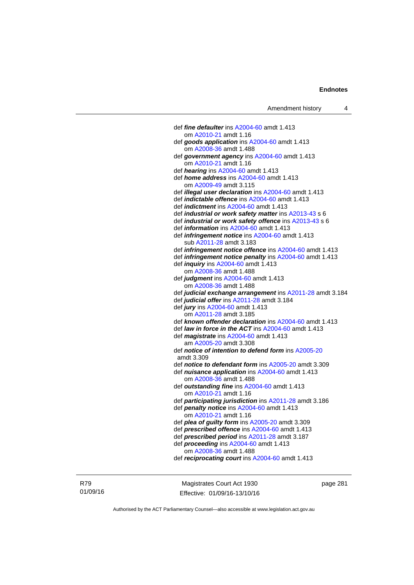def *fine defaulter* ins [A2004-60](http://www.legislation.act.gov.au/a/2004-60) amdt 1.413 om [A2010-21](http://www.legislation.act.gov.au/a/2010-21) amdt 1.16 def *goods application* ins [A2004-60](http://www.legislation.act.gov.au/a/2004-60) amdt 1.413 om [A2008-36](http://www.legislation.act.gov.au/a/2008-36) amdt 1.488 def *government agency* ins [A2004-60](http://www.legislation.act.gov.au/a/2004-60) amdt 1.413 om [A2010-21](http://www.legislation.act.gov.au/a/2010-21) amdt 1.16 def *hearing* ins [A2004-60](http://www.legislation.act.gov.au/a/2004-60) amdt 1.413 def *home address* ins [A2004-60](http://www.legislation.act.gov.au/a/2004-60) amdt 1.413 om [A2009-49](http://www.legislation.act.gov.au/a/2009-49) amdt 3.115 def *illegal user declaration* ins [A2004-60](http://www.legislation.act.gov.au/a/2004-60) amdt 1.413 def *indictable offence* ins [A2004-60](http://www.legislation.act.gov.au/a/2004-60) amdt 1.413 def *indictment* ins [A2004-60](http://www.legislation.act.gov.au/a/2004-60) amdt 1.413 def *industrial or work safety matter* ins [A2013-43](http://www.legislation.act.gov.au/a/2013-43) s 6 def *industrial or work safety offence* ins [A2013-43](http://www.legislation.act.gov.au/a/2013-43) s 6 def *information* ins [A2004-60](http://www.legislation.act.gov.au/a/2004-60) amdt 1.413 def *infringement notice* ins [A2004-60](http://www.legislation.act.gov.au/a/2004-60) amdt 1.413 sub [A2011-28](http://www.legislation.act.gov.au/a/2011-28) amdt 3.183 def *infringement notice offence* ins [A2004-60](http://www.legislation.act.gov.au/a/2004-60) amdt 1.413 def *infringement notice penalty* ins [A2004-60](http://www.legislation.act.gov.au/a/2004-60) amdt 1.413 def *inquiry* ins [A2004-60](http://www.legislation.act.gov.au/a/2004-60) amdt 1.413 om [A2008-36](http://www.legislation.act.gov.au/a/2008-36) amdt 1.488 def *judgment* ins [A2004-60](http://www.legislation.act.gov.au/a/2004-60) amdt 1.413 om [A2008-36](http://www.legislation.act.gov.au/a/2008-36) amdt 1.488 def *judicial exchange arrangement* ins [A2011-28](http://www.legislation.act.gov.au/a/2011-28) amdt 3.184 def *judicial offer* ins [A2011-28](http://www.legislation.act.gov.au/a/2011-28) amdt 3.184 def *jury* ins [A2004-60](http://www.legislation.act.gov.au/a/2004-60) amdt 1.413 om [A2011-28](http://www.legislation.act.gov.au/a/2011-28) amdt 3.185 def *known offender declaration* ins [A2004-60](http://www.legislation.act.gov.au/a/2004-60) amdt 1.413 def *law in force in the ACT* ins [A2004-60](http://www.legislation.act.gov.au/a/2004-60) amdt 1.413 def *magistrate* ins [A2004-60](http://www.legislation.act.gov.au/a/2004-60) amdt 1.413 am [A2005-20](http://www.legislation.act.gov.au/a/2005-20) amdt 3.308 def *notice of intention to defend form* ins [A2005-20](http://www.legislation.act.gov.au/a/2005-20) amdt 3.309 def *notice to defendant form* ins [A2005-20](http://www.legislation.act.gov.au/a/2005-20) amdt 3.309 def *nuisance application* ins [A2004-60](http://www.legislation.act.gov.au/a/2004-60) amdt 1.413 om [A2008-36](http://www.legislation.act.gov.au/a/2008-36) amdt 1.488 def *outstanding fine* ins [A2004-60](http://www.legislation.act.gov.au/a/2004-60) amdt 1.413 om [A2010-21](http://www.legislation.act.gov.au/a/2010-21) amdt 1.16 def *participating jurisdiction* ins [A2011-28](http://www.legislation.act.gov.au/a/2011-28) amdt 3.186 def *penalty notice* ins [A2004-60](http://www.legislation.act.gov.au/a/2004-60) amdt 1.413 om [A2010-21](http://www.legislation.act.gov.au/a/2010-21) amdt 1.16 def *plea of guilty form* ins [A2005-20](http://www.legislation.act.gov.au/a/2005-20) amdt 3.309 def *prescribed offence* ins [A2004-60](http://www.legislation.act.gov.au/a/2004-60) amdt 1.413 def *prescribed period* ins [A2011-28](http://www.legislation.act.gov.au/a/2011-28) amdt 3.187 def *proceeding* ins [A2004-60](http://www.legislation.act.gov.au/a/2004-60) amdt 1.413 om [A2008-36](http://www.legislation.act.gov.au/a/2008-36) amdt 1.488 def *reciprocating court* ins [A2004-60](http://www.legislation.act.gov.au/a/2004-60) amdt 1.413

R79 01/09/16

Magistrates Court Act 1930 Effective: 01/09/16-13/10/16 page 281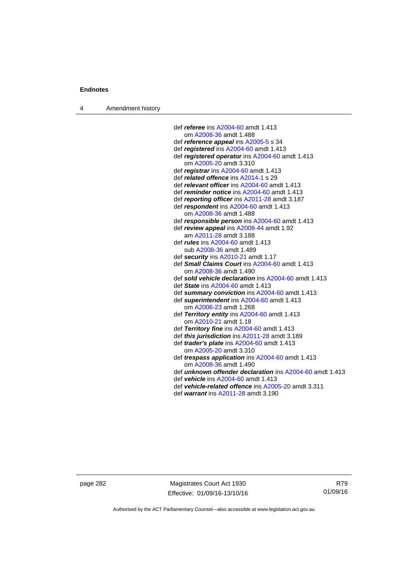4 Amendment history

 def *referee* ins [A2004-60](http://www.legislation.act.gov.au/a/2004-60) amdt 1.413 om [A2008-36](http://www.legislation.act.gov.au/a/2008-36) amdt 1.488 def *reference appeal* ins [A2005-5](http://www.legislation.act.gov.au/a/2005-5) s 34 def *registered* ins [A2004-60](http://www.legislation.act.gov.au/a/2004-60) amdt 1.413 def *registered operator* ins [A2004-60](http://www.legislation.act.gov.au/a/2004-60) amdt 1.413 om [A2005-20](http://www.legislation.act.gov.au/a/2005-20) amdt 3.310 def *registrar* ins [A2004-60](http://www.legislation.act.gov.au/a/2004-60) amdt 1.413 def *related offence* ins [A2014-1](http://www.legislation.act.gov.au/a/2014-1) s 29 def *relevant officer* ins [A2004-60](http://www.legislation.act.gov.au/a/2004-60) amdt 1.413 def *reminder notice* ins [A2004-60](http://www.legislation.act.gov.au/a/2004-60) amdt 1.413 def *reporting officer* ins [A2011-28](http://www.legislation.act.gov.au/a/2011-28) amdt 3.187 def *respondent* ins [A2004-60](http://www.legislation.act.gov.au/a/2004-60) amdt 1.413 om [A2008-36](http://www.legislation.act.gov.au/a/2008-36) amdt 1.488 def *responsible person* ins [A2004-60](http://www.legislation.act.gov.au/a/2004-60) amdt 1.413 def *review appeal* ins [A2008-44](http://www.legislation.act.gov.au/a/2008-44) amdt 1.92 am [A2011-28](http://www.legislation.act.gov.au/a/2011-28) amdt 3.188 def *rules* ins [A2004-60](http://www.legislation.act.gov.au/a/2004-60) amdt 1.413 sub [A2008-36](http://www.legislation.act.gov.au/a/2008-36) amdt 1.489 def *security* ins [A2010-21](http://www.legislation.act.gov.au/a/2010-21) amdt 1.17 def *Small Claims Court* ins [A2004-60](http://www.legislation.act.gov.au/a/2004-60) amdt 1.413 om [A2008-36](http://www.legislation.act.gov.au/a/2008-36) amdt 1.490 def *sold vehicle declaration* ins [A2004-60](http://www.legislation.act.gov.au/a/2004-60) amdt 1.413 def *State* ins [A2004-60](http://www.legislation.act.gov.au/a/2004-60) amdt 1.413 def *summary conviction* ins [A2004-60](http://www.legislation.act.gov.au/a/2004-60) amdt 1.413 def *superintendent* ins [A2004-60](http://www.legislation.act.gov.au/a/2004-60) amdt 1.413 om [A2006-23](http://www.legislation.act.gov.au/a/2006-23) amdt 1.268 def *Territory entity* ins [A2004-60](http://www.legislation.act.gov.au/a/2004-60) amdt 1.413 om [A2010-21](http://www.legislation.act.gov.au/a/2010-21) amdt 1.18 def *Territory fine* ins [A2004-60](http://www.legislation.act.gov.au/a/2004-60) amdt 1.413 def *this jurisdiction* ins [A2011-28](http://www.legislation.act.gov.au/a/2011-28) amdt 3.189 def *trader's plate* ins [A2004-60](http://www.legislation.act.gov.au/a/2004-60) amdt 1.413 om [A2005-20](http://www.legislation.act.gov.au/a/2005-20) amdt 3.310 def *trespass application* ins [A2004-60](http://www.legislation.act.gov.au/a/2004-60) amdt 1.413 om [A2008-36](http://www.legislation.act.gov.au/a/2008-36) amdt 1.490 def *unknown offender declaration* ins [A2004-60](http://www.legislation.act.gov.au/a/2004-60) amdt 1.413 def *vehicle* ins [A2004-60](http://www.legislation.act.gov.au/a/2004-60) amdt 1.413 def *vehicle-related offence* ins [A2005-20](http://www.legislation.act.gov.au/a/2005-20) amdt 3.311

- 
- def *warrant* ins [A2011-28](http://www.legislation.act.gov.au/a/2011-28) amdt 3.190

page 282 Magistrates Court Act 1930 Effective: 01/09/16-13/10/16

R79 01/09/16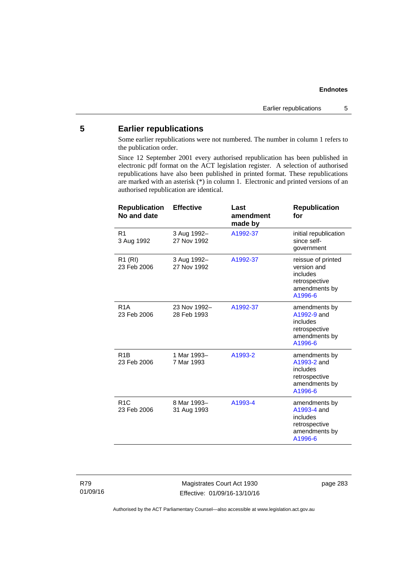## **5 Earlier republications**

Some earlier republications were not numbered. The number in column 1 refers to the publication order.

Since 12 September 2001 every authorised republication has been published in electronic pdf format on the ACT legislation register. A selection of authorised republications have also been published in printed format. These republications are marked with an asterisk (\*) in column 1. Electronic and printed versions of an authorised republication are identical.

| <b>Republication</b><br>No and date | <b>Effective</b>            | Last<br>amendment<br>made by | <b>Republication</b><br>for                                                                |
|-------------------------------------|-----------------------------|------------------------------|--------------------------------------------------------------------------------------------|
| R <sub>1</sub><br>3 Aug 1992        | 3 Aug 1992-<br>27 Nov 1992  | A1992-37                     | initial republication<br>since self-<br>government                                         |
| R1 (RI)<br>23 Feb 2006              | 3 Aug 1992-<br>27 Nov 1992  | A1992-37                     | reissue of printed<br>version and<br>includes<br>retrospective<br>amendments by<br>A1996-6 |
| R <sub>1</sub> A<br>23 Feb 2006     | 23 Nov 1992-<br>28 Feb 1993 | A1992-37                     | amendments by<br>A1992-9 and<br>includes<br>retrospective<br>amendments by<br>A1996-6      |
| R <sub>1</sub> B<br>23 Feb 2006     | 1 Mar 1993-<br>7 Mar 1993   | A1993-2                      | amendments by<br>A1993-2 and<br>includes<br>retrospective<br>amendments by<br>A1996-6      |
| R <sub>1</sub> C<br>23 Feb 2006     | 8 Mar 1993-<br>31 Aug 1993  | A1993-4                      | amendments by<br>A1993-4 and<br>includes<br>retrospective<br>amendments by<br>A1996-6      |

Magistrates Court Act 1930 Effective: 01/09/16-13/10/16 page 283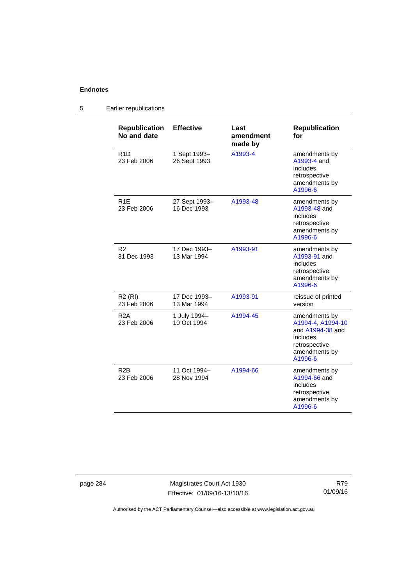5 Earlier republications

#### **Republication No and date Effective Last amendment made by Republication for**  R1D 23 Feb 2006 1 Sept 1993– 26 Sept 1993 [A1993-4](http://www.legislation.act.gov.au/a/1993-4) amendments by [A1993-4](http://www.legislation.act.gov.au/a/1993-4) and includes retrospective amendments by [A1996-6](http://www.legislation.act.gov.au/a/1996-6) R1E 23 Feb 2006 27 Sept 1993– 16 Dec 1993 [A1993-48](http://www.legislation.act.gov.au/a/1993-48) amendments by [A1993-48](http://www.legislation.act.gov.au/a/1993-48) and includes retrospective amendments by [A1996-6](http://www.legislation.act.gov.au/a/1996-6) R2 31 Dec 1993 17 Dec 1993– 13 Mar 1994 [A1993-91](http://www.legislation.act.gov.au/a/1993-91) amendments by [A1993-91](http://www.legislation.act.gov.au/a/1993-91) and includes retrospective amendments by [A1996-6](http://www.legislation.act.gov.au/a/1996-6) R2 (RI) 23 Feb 2006 17 Dec 1993– 13 Mar 1994 [A1993-91](http://www.legislation.act.gov.au/a/1993-91) reissue of printed version R2A 23 Feb 2006 1 July 1994– 10 Oct 1994 [A1994-45](http://www.legislation.act.gov.au/a/1994-45) amendments by [A1994-4,](http://www.legislation.act.gov.au/a/1994-4) [A1994-10](http://www.legislation.act.gov.au/a/1994-10) and [A1994-38](http://www.legislation.act.gov.au/a/1994-38) and includes retrospective amendments by [A1996-6](http://www.legislation.act.gov.au/a/1996-6) R2B 23 Feb 2006 11 Oct 1994– 28 Nov 1994 [A1994-66](http://www.legislation.act.gov.au/a/1994-66) amendments by [A1994-66](http://www.legislation.act.gov.au/a/1994-66) and includes retrospective amendments by [A1996-6](http://www.legislation.act.gov.au/a/1996-6)

page 284 Magistrates Court Act 1930 Effective: 01/09/16-13/10/16

R79 01/09/16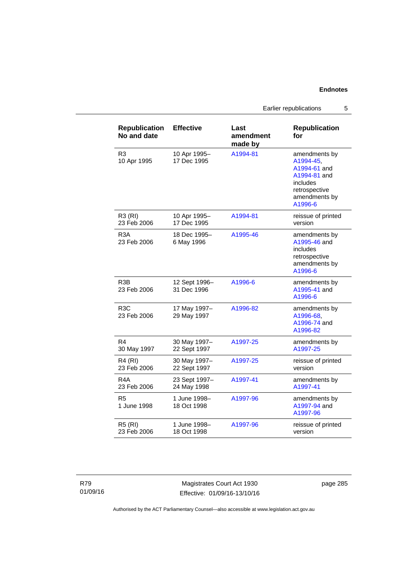Earlier republications 5

| <b>Republication</b><br>No and date | <b>Effective</b>             | Last<br>amendment<br>made by | <b>Republication</b><br>for                                                                                         |
|-------------------------------------|------------------------------|------------------------------|---------------------------------------------------------------------------------------------------------------------|
| R3<br>10 Apr 1995                   | 10 Apr 1995-<br>17 Dec 1995  | A1994-81                     | amendments by<br>A1994-45,<br>A1994-61 and<br>A1994-81 and<br>includes<br>retrospective<br>amendments by<br>A1996-6 |
| <b>R3 (RI)</b><br>23 Feb 2006       | 10 Apr 1995-<br>17 Dec 1995  | A1994-81                     | reissue of printed<br>version                                                                                       |
| R <sub>3</sub> A<br>23 Feb 2006     | 18 Dec 1995-<br>6 May 1996   | A1995-46                     | amendments by<br>A1995-46 and<br>includes<br>retrospective<br>amendments by<br>A1996-6                              |
| R3B<br>23 Feb 2006                  | 12 Sept 1996-<br>31 Dec 1996 | A1996-6                      | amendments by<br>A1995-41 and<br>A1996-6                                                                            |
| R <sub>3</sub> C<br>23 Feb 2006     | 17 May 1997-<br>29 May 1997  | A1996-82                     | amendments by<br>A1996-68.<br>A1996-74 and<br>A1996-82                                                              |
| R4<br>30 May 1997                   | 30 May 1997-<br>22 Sept 1997 | A1997-25                     | amendments by<br>A1997-25                                                                                           |
| R4 (RI)<br>23 Feb 2006              | 30 May 1997-<br>22 Sept 1997 | A1997-25                     | reissue of printed<br>version                                                                                       |
| R4A<br>23 Feb 2006                  | 23 Sept 1997-<br>24 May 1998 | A1997-41                     | amendments by<br>A1997-41                                                                                           |
| R <sub>5</sub><br>1 June 1998       | 1 June 1998-<br>18 Oct 1998  | A1997-96                     | amendments by<br>A1997-94 and<br>A1997-96                                                                           |
| <b>R5 (RI)</b><br>23 Feb 2006       | 1 June 1998-<br>18 Oct 1998  | A1997-96                     | reissue of printed<br>version                                                                                       |

Magistrates Court Act 1930 Effective: 01/09/16-13/10/16 page 285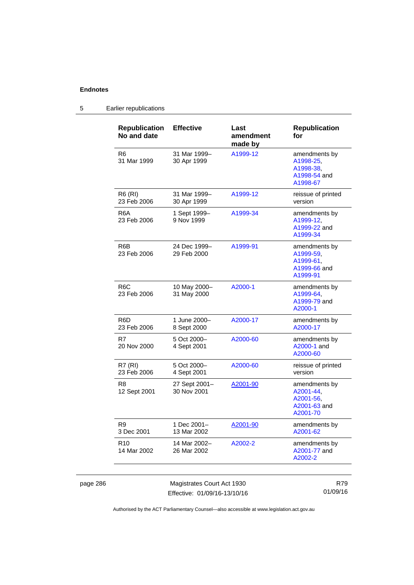page 286

## 5 Earlier republications

| <b>Republication</b><br>No and date | <b>Effective</b>             | Last<br>amendment<br>made by | <b>Republication</b><br>for                                         |
|-------------------------------------|------------------------------|------------------------------|---------------------------------------------------------------------|
| R <sub>6</sub><br>31 Mar 1999       | 31 Mar 1999-<br>30 Apr 1999  | A1999-12                     | amendments by<br>A1998-25,<br>A1998-38.<br>A1998-54 and<br>A1998-67 |
| R6 (RI)<br>23 Feb 2006              | 31 Mar 1999-<br>30 Apr 1999  | A1999-12                     | reissue of printed<br>version                                       |
| R6A<br>23 Feb 2006                  | 1 Sept 1999-<br>9 Nov 1999   | A1999-34                     | amendments by<br>A1999-12,<br>A1999-22 and<br>A1999-34              |
| R6B<br>23 Feb 2006                  | 24 Dec 1999-<br>29 Feb 2000  | A1999-91                     | amendments by<br>A1999-59,<br>A1999-61.<br>A1999-66 and<br>A1999-91 |
| R <sub>6</sub> C<br>23 Feb 2006     | 10 May 2000-<br>31 May 2000  | A2000-1                      | amendments by<br>A1999-64.<br>A1999-79 and<br>A2000-1               |
| R <sub>6</sub> D<br>23 Feb 2006     | 1 June 2000-<br>8 Sept 2000  | A2000-17                     | amendments by<br>A2000-17                                           |
| R7<br>20 Nov 2000                   | 5 Oct 2000-<br>4 Sept 2001   | A2000-60                     | amendments by<br>A2000-1 and<br>A2000-60                            |
| <b>R7 (RI)</b><br>23 Feb 2006       | 5 Oct 2000-<br>4 Sept 2001   | A2000-60                     | reissue of printed<br>version                                       |
| R8<br>12 Sept 2001                  | 27 Sept 2001-<br>30 Nov 2001 | A2001-90                     | amendments by<br>A2001-44,<br>A2001-56,<br>A2001-63 and<br>A2001-70 |
| R9<br>3 Dec 2001                    | 1 Dec 2001–<br>13 Mar 2002   | A2001-90                     | amendments by<br>A2001-62                                           |
| R <sub>10</sub><br>14 Mar 2002      | 14 Mar 2002–<br>26 Mar 2002  | A2002-2                      | amendments by<br>A2001-77 and<br>A2002-2                            |
|                                     | Magistrates Court Act 1930   |                              | R79                                                                 |

Effective: 01/09/16-13/10/16

01/09/16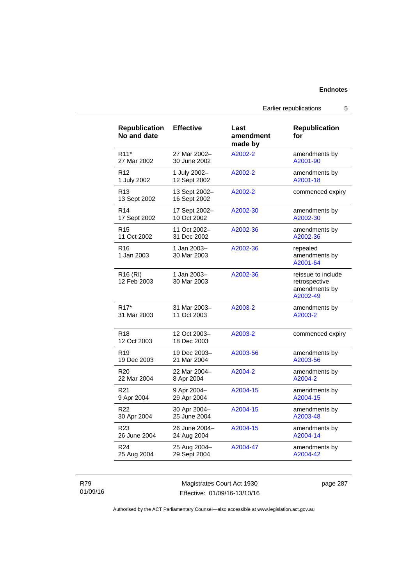| <b>Republication</b><br>No and date | <b>Effective</b>              | Last<br>amendment<br>made by | Republication<br>for                                             |
|-------------------------------------|-------------------------------|------------------------------|------------------------------------------------------------------|
| R <sub>11</sub> *                   | 27 Mar 2002-                  | A2002-2                      | amendments by                                                    |
| 27 Mar 2002                         | 30 June 2002                  |                              | A2001-90                                                         |
| R <sub>12</sub>                     | 1 July 2002-                  | A2002-2                      | amendments by                                                    |
| 1 July 2002                         | 12 Sept 2002                  |                              | A2001-18                                                         |
| R <sub>13</sub><br>13 Sept 2002     | 13 Sept 2002-<br>16 Sept 2002 | A2002-2                      | commenced expiry                                                 |
| R <sub>14</sub>                     | 17 Sept 2002-                 | A2002-30                     | amendments by                                                    |
| 17 Sept 2002                        | 10 Oct 2002                   |                              | A2002-30                                                         |
| R <sub>15</sub>                     | 11 Oct 2002-                  | A2002-36                     | amendments by                                                    |
| 11 Oct 2002                         | 31 Dec 2002                   |                              | A2002-36                                                         |
| R <sub>16</sub><br>1 Jan 2003       | 1 Jan 2003-<br>30 Mar 2003    | A2002-36                     | repealed<br>amendments by<br>A2001-64                            |
| R <sub>16</sub> (RI)<br>12 Feb 2003 | 1 Jan 2003-<br>30 Mar 2003    | A2002-36                     | reissue to include<br>retrospective<br>amendments by<br>A2002-49 |
| R <sub>17</sub> *                   | 31 Mar 2003-                  | A2003-2                      | amendments by                                                    |
| 31 Mar 2003                         | 11 Oct 2003                   |                              | A2003-2                                                          |
| R <sub>18</sub><br>12 Oct 2003      | 12 Oct 2003-<br>18 Dec 2003   | A2003-2                      | commenced expiry                                                 |
| R <sub>19</sub>                     | 19 Dec 2003-                  | A2003-56                     | amendments by                                                    |
| 19 Dec 2003                         | 21 Mar 2004                   |                              | A2003-56                                                         |
| R <sub>20</sub>                     | 22 Mar 2004-                  | A2004-2                      | amendments by                                                    |
| 22 Mar 2004                         | 8 Apr 2004                    |                              | A2004-2                                                          |
| R <sub>21</sub>                     | 9 Apr 2004-                   | A2004-15                     | amendments by                                                    |
| 9 Apr 2004                          | 29 Apr 2004                   |                              | A2004-15                                                         |
| R <sub>22</sub>                     | 30 Apr 2004-                  | A2004-15                     | amendments by                                                    |
| 30 Apr 2004                         | 25 June 2004                  |                              | A2003-48                                                         |
| R <sub>23</sub>                     | 26 June 2004-                 | A2004-15                     | amendments by                                                    |
| 26 June 2004                        | 24 Aug 2004                   |                              | A2004-14                                                         |
| R <sub>24</sub>                     | 25 Aug 2004-                  | A2004-47                     | amendments by                                                    |
| 25 Aug 2004                         | 29 Sept 2004                  |                              | A2004-42                                                         |

## R79 01/09/16

Magistrates Court Act 1930 Effective: 01/09/16-13/10/16 page 287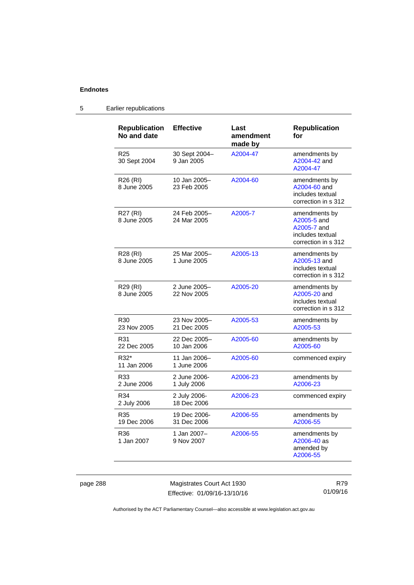| <b>Republication</b><br>No and date | <b>Effective</b>            | Last<br>amendment<br>made by | <b>Republication</b><br>for                                                            |
|-------------------------------------|-----------------------------|------------------------------|----------------------------------------------------------------------------------------|
| R <sub>25</sub><br>30 Sept 2004     | 30 Sept 2004-<br>9 Jan 2005 | A2004-47                     | amendments by<br>A2004-42 and<br>A2004-47                                              |
| R <sub>26</sub> (RI)<br>8 June 2005 | 10 Jan 2005-<br>23 Feb 2005 | A2004-60                     | amendments by<br>A2004-60 and<br>includes textual<br>correction in s 312               |
| R27 (RI)<br>8 June 2005             | 24 Feb 2005-<br>24 Mar 2005 | A2005-7                      | amendments by<br>A2005-5 and<br>A2005-7 and<br>includes textual<br>correction in s 312 |
| R28 (RI)<br>8 June 2005             | 25 Mar 2005-<br>1 June 2005 | A2005-13                     | amendments by<br>A2005-13 and<br>includes textual<br>correction in s 312               |
| R29 (RI)<br>8 June 2005             | 2 June 2005-<br>22 Nov 2005 | A2005-20                     | amendments by<br>A2005-20 and<br>includes textual<br>correction in s 312               |
| R <sub>30</sub><br>23 Nov 2005      | 23 Nov 2005-<br>21 Dec 2005 | A2005-53                     | amendments by<br>A2005-53                                                              |
| R31<br>22 Dec 2005                  | 22 Dec 2005-<br>10 Jan 2006 | A2005-60                     | amendments by<br>A2005-60                                                              |
| R32*<br>11 Jan 2006                 | 11 Jan 2006-<br>1 June 2006 | A2005-60                     | commenced expiry                                                                       |
| R33<br>2 June 2006                  | 2 June 2006-<br>1 July 2006 | A2006-23                     | amendments by<br>A2006-23                                                              |
| R34<br>2 July 2006                  | 2 July 2006-<br>18 Dec 2006 | A2006-23                     | commenced expiry                                                                       |
| R35<br>19 Dec 2006                  | 19 Dec 2006-<br>31 Dec 2006 | A2006-55                     | amendments by<br>A2006-55                                                              |
| R36<br>1 Jan 2007                   | 1 Jan 2007-<br>9 Nov 2007   | A2006-55                     | amendments by<br>A2006-40 as<br>amended by<br>A2006-55                                 |

## 5 Earlier republications

page 288 Magistrates Court Act 1930 Effective: 01/09/16-13/10/16

R79 01/09/16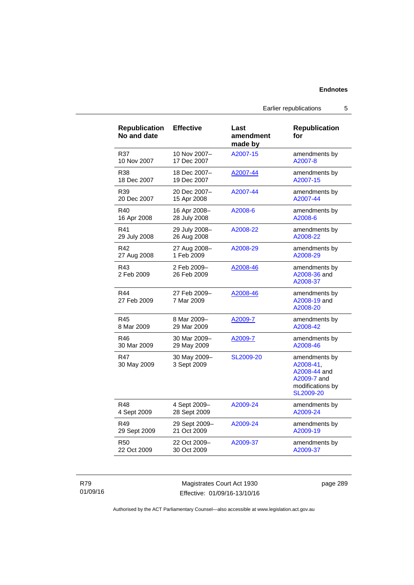Earlier republications 5

| <b>Republication</b><br>No and date | <b>Effective</b>            | Last<br>amendment<br>made by | <b>Republication</b><br>for                                                                |
|-------------------------------------|-----------------------------|------------------------------|--------------------------------------------------------------------------------------------|
| R37                                 | 10 Nov 2007-                | A2007-15                     | amendments by                                                                              |
| 10 Nov 2007                         | 17 Dec 2007                 |                              | A2007-8                                                                                    |
| R38                                 | 18 Dec 2007-                | A2007-44                     | amendments by                                                                              |
| 18 Dec 2007                         | 19 Dec 2007                 |                              | A2007-15                                                                                   |
| R39                                 | 20 Dec 2007-                | A2007-44                     | amendments by                                                                              |
| 20 Dec 2007                         | 15 Apr 2008                 |                              | A2007-44                                                                                   |
| R40                                 | 16 Apr 2008-                | A2008-6                      | amendments by                                                                              |
| 16 Apr 2008                         | 28 July 2008                |                              | A2008-6                                                                                    |
| R41                                 | 29 July 2008-               | A2008-22                     | amendments by                                                                              |
| 29 July 2008                        | 26 Aug 2008                 |                              | A2008-22                                                                                   |
| R42                                 | 27 Aug 2008-                | A2008-29                     | amendments by                                                                              |
| 27 Aug 2008                         | 1 Feb 2009                  |                              | A2008-29                                                                                   |
| R43<br>2 Feb 2009                   | 2 Feb 2009-<br>26 Feb 2009  | A2008-46                     | amendments by<br>A2008-36 and<br>A2008-37                                                  |
| R44<br>27 Feb 2009                  | 27 Feb 2009-<br>7 Mar 2009  | A2008-46                     | amendments by<br>A2008-19 and<br>A2008-20                                                  |
| R45                                 | 8 Mar 2009-                 | A2009-7                      | amendments by                                                                              |
| 8 Mar 2009                          | 29 Mar 2009                 |                              | A2008-42                                                                                   |
| R46                                 | 30 Mar 2009-                | A2009-7                      | amendments by                                                                              |
| 30 Mar 2009                         | 29 May 2009                 |                              | A2008-46                                                                                   |
| R47<br>30 May 2009                  | 30 May 2009-<br>3 Sept 2009 | SL2009-20                    | amendments by<br>A2008-41,<br>A2008-44 and<br>A2009-7 and<br>modifications by<br>SL2009-20 |
| R48                                 | 4 Sept 2009-                | A2009-24                     | amendments by                                                                              |
| 4 Sept 2009                         | 28 Sept 2009                |                              | A2009-24                                                                                   |
| R49                                 | 29 Sept 2009-               | A2009-24                     | amendments by                                                                              |
| 29 Sept 2009                        | 21 Oct 2009                 |                              | A2009-19                                                                                   |
| R50                                 | 22 Oct 2009-                | A2009-37                     | amendments by                                                                              |
| 22 Oct 2009                         | 30 Oct 2009                 |                              | A2009-37                                                                                   |

R79 01/09/16

Magistrates Court Act 1930 Effective: 01/09/16-13/10/16 page 289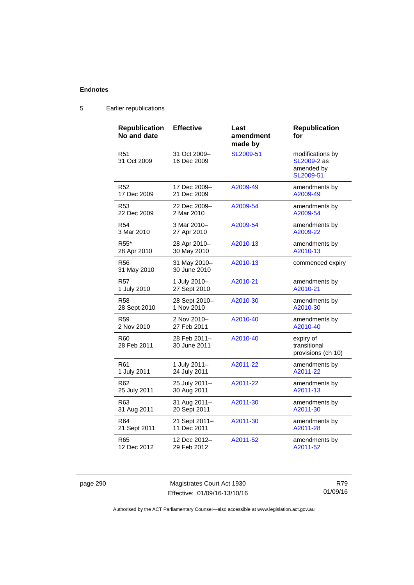#### **Republication No and date Effective Last amendment made by Republication for**  R51 31 Oct 2009 31 Oct 2009– 16 Dec 2009 [SL2009-51](http://www.legislation.act.gov.au/sl/2009-51) modifications by [SL2009-2](http://www.legislation.act.gov.au/sl/2009-2) as amended by [SL2009-51](http://www.legislation.act.gov.au/sl/2009-51) R52 17 Dec 2009 17 Dec 2009– 21 Dec 2009 [A2009-49](http://www.legislation.act.gov.au/a/2009-49) amendments by [A2009-49](http://www.legislation.act.gov.au/a/2009-49) R53 22 Dec 2009 22 Dec 2009– 2 Mar 2010 [A2009-54](http://www.legislation.act.gov.au/a/2009-54) amendments by [A2009-54](http://www.legislation.act.gov.au/a/2009-54) R54 3 Mar 2010 3 Mar 2010– 27 Apr 2010 [A2009-54](http://www.legislation.act.gov.au/a/2009-54) amendments by [A2009-22](http://www.legislation.act.gov.au/a/2009-22) R55\* 28 Apr 2010 28 Apr 2010– 30 May 2010 [A2010-13](http://www.legislation.act.gov.au/a/2010-13) amendments by [A2010-13](http://www.legislation.act.gov.au/a/2010-13) R56 31 May 2010 31 May 2010– 30 June 2010 [A2010-13](http://www.legislation.act.gov.au/a/2010-13) commenced expiry R57 1 July 2010 1 July 2010– 27 Sept 2010 [A2010-21](http://www.legislation.act.gov.au/a/2010-21) amendments by [A2010-21](http://www.legislation.act.gov.au/a/2010-21) R58 28 Sept 2010 28 Sept 2010– 1 Nov 2010 [A2010-30](http://www.legislation.act.gov.au/a/2010-30) amendments by [A2010-30](http://www.legislation.act.gov.au/a/2010-30) R59 2 Nov 2010 2 Nov 2010– 27 Feb 2011 [A2010-40](http://www.legislation.act.gov.au/a/2010-40) amendments by [A2010-40](http://www.legislation.act.gov.au/a/2010-40) R60 28 Feb 2011 28 Feb 2011– 30 June 2011 [A2010-40](http://www.legislation.act.gov.au/a/2010-40) expiry of transitional provisions (ch 10) R61 1 July 2011 1 July 2011– 24 July 2011 [A2011-22](http://www.legislation.act.gov.au/a/2011-22) amendments by [A2011-22](http://www.legislation.act.gov.au/a/2011-22) R62 25 July 2011 25 July 2011– 30 Aug 2011 [A2011-22](http://www.legislation.act.gov.au/a/2011-22) amendments by [A2011-13](http://www.legislation.act.gov.au/a/2011-13) R63 31 Aug 2011 31 Aug 2011– 20 Sept 2011 [A2011-30](http://www.legislation.act.gov.au/a/2011-30) amendments by [A2011-30](http://www.legislation.act.gov.au/a/2011-30) R64 21 Sept 2011 21 Sept 2011– 11 Dec 2011 [A2011-30](http://www.legislation.act.gov.au/a/2011-30) amendments by [A2011-28](http://www.legislation.act.gov.au/a/2011-28)

#### 5 Earlier republications

R65

12 Dec 2012

page 290 Magistrates Court Act 1930 Effective: 01/09/16-13/10/16

12 Dec 2012– 29 Feb 2012

> R79 01/09/16

[A2011-52](http://www.legislation.act.gov.au/a/2011-52) amendments by

[A2011-52](http://www.legislation.act.gov.au/a/2011-52)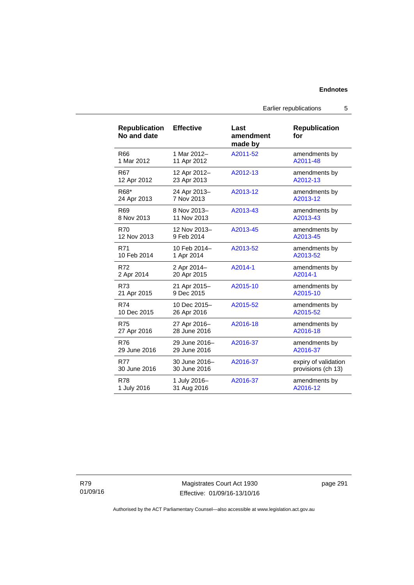Earlier republications 5

| <b>Republication</b><br>No and date | <b>Effective</b> | Last<br>amendment<br>made by | <b>Republication</b><br>for |
|-------------------------------------|------------------|------------------------------|-----------------------------|
| R66                                 | 1 Mar 2012-      | A2011-52                     | amendments by               |
| 1 Mar 2012                          | 11 Apr 2012      |                              | A2011-48                    |
| R <sub>67</sub>                     | 12 Apr 2012-     | A2012-13                     | amendments by               |
| 12 Apr 2012                         | 23 Apr 2013      |                              | A2012-13                    |
| R68*                                | 24 Apr 2013-     | A2013-12                     | amendments by               |
| 24 Apr 2013                         | 7 Nov 2013       |                              | A2013-12                    |
| R69                                 | 8 Nov 2013-      | A2013-43                     | amendments by               |
| 8 Nov 2013                          | 11 Nov 2013      |                              | A2013-43                    |
| <b>R70</b>                          | 12 Nov 2013-     | A2013-45                     | amendments by               |
| 12 Nov 2013                         | 9 Feb 2014       |                              | A2013-45                    |
| R71                                 | 10 Feb 2014-     | A2013-52                     | amendments by               |
| 10 Feb 2014                         | 1 Apr 2014       |                              | A2013-52                    |
| R72                                 | 2 Apr 2014-      | A2014-1                      | amendments by               |
| 2 Apr 2014                          | 20 Apr 2015      |                              | A2014-1                     |
| R73                                 | 21 Apr 2015-     | A2015-10                     | amendments by               |
| 21 Apr 2015                         | 9 Dec 2015       |                              | A2015-10                    |
| <b>R74</b>                          | 10 Dec 2015-     | A2015-52                     | amendments by               |
| 10 Dec 2015                         | 26 Apr 2016      |                              | A2015-52                    |
| <b>R75</b>                          | 27 Apr 2016-     | A2016-18                     | amendments by               |
| 27 Apr 2016                         | 28 June 2016     |                              | A2016-18                    |
| R76                                 | 29 June 2016-    | A2016-37                     | amendments by               |
| 29 June 2016                        | 29 June 2016     |                              | A2016-37                    |
| <b>R77</b>                          | 30 June 2016-    | A2016-37                     | expiry of validation        |
| 30 June 2016                        | 30 June 2016     |                              | provisions (ch 13)          |
| R78                                 | 1 July 2016-     | A2016-37                     | amendments by               |
| 1 July 2016                         | 31 Aug 2016      |                              | A2016-12                    |

R79 01/09/16

Magistrates Court Act 1930 Effective: 01/09/16-13/10/16 page 291